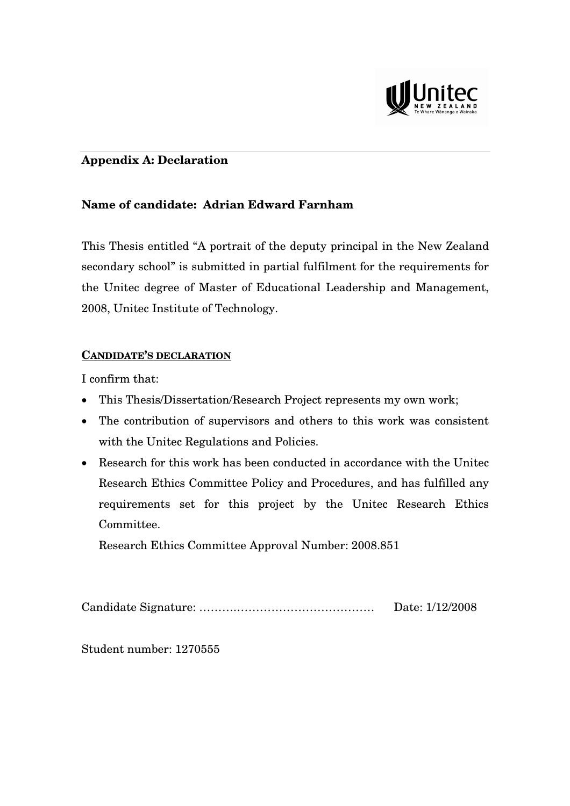

# **Appendix A: Declaration**

# **Name of candidate: Adrian Edward Farnham**

This Thesis entitled "A portrait of the deputy principal in the New Zealand secondary school" is submitted in partial fulfilment for the requirements for the Unitec degree of Master of Educational Leadership and Management, 2008, Unitec Institute of Technology.

# **CANDIDATE'S DECLARATION**

I confirm that:

- This Thesis/Dissertation/Research Project represents my own work;
- The contribution of supervisors and others to this work was consistent with the Unitec Regulations and Policies.
- Research for this work has been conducted in accordance with the Unitec Research Ethics Committee Policy and Procedures, and has fulfilled any requirements set for this project by the Unitec Research Ethics Committee.

Research Ethics Committee Approval Number: 2008.851

Candidate Signature: ……….……………………………… Date: 1/12/2008

Student number: 1270555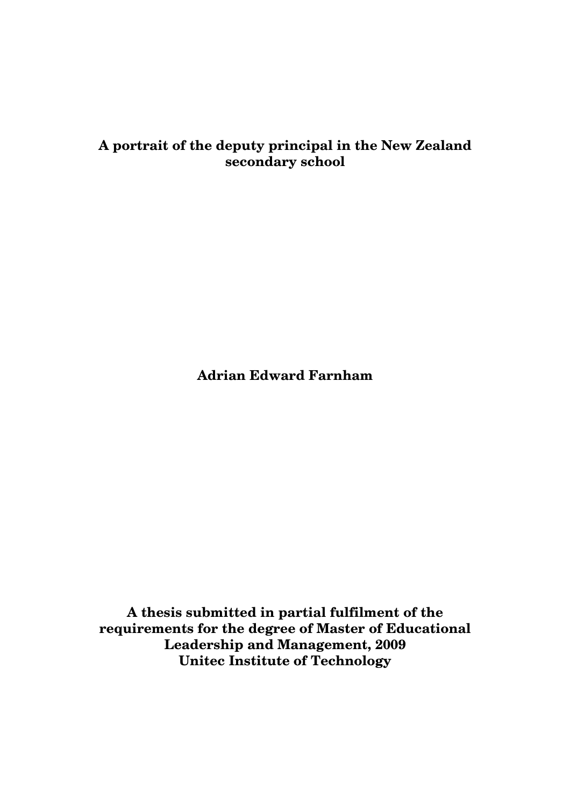# **A portrait of the deputy principal in the New Zealand secondary school**

**Adrian Edward Farnham** 

**A thesis submitted in partial fulfilment of the requirements for the degree of Master of Educational Leadership and Management, 2009 Unitec Institute of Technology**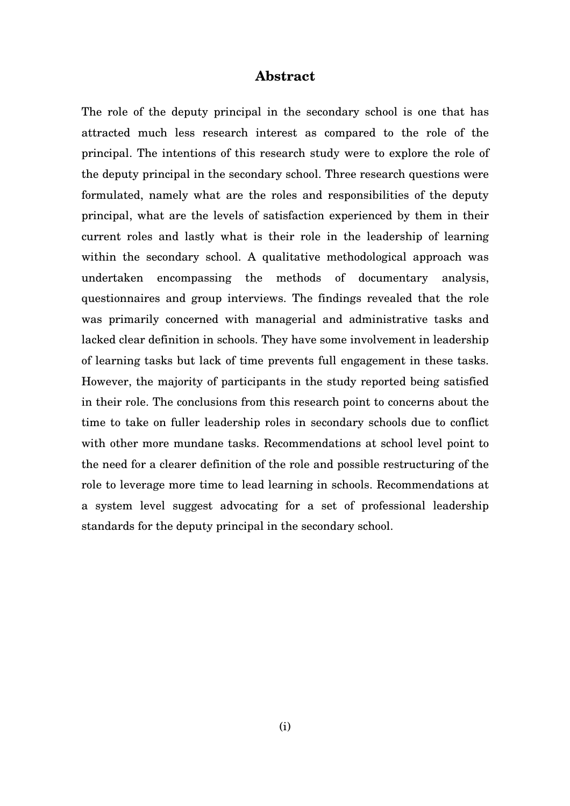### **Abstract**

The role of the deputy principal in the secondary school is one that has attracted much less research interest as compared to the role of the principal. The intentions of this research study were to explore the role of the deputy principal in the secondary school. Three research questions were formulated, namely what are the roles and responsibilities of the deputy principal, what are the levels of satisfaction experienced by them in their current roles and lastly what is their role in the leadership of learning within the secondary school. A qualitative methodological approach was undertaken encompassing the methods of documentary analysis, questionnaires and group interviews. The findings revealed that the role was primarily concerned with managerial and administrative tasks and lacked clear definition in schools. They have some involvement in leadership of learning tasks but lack of time prevents full engagement in these tasks. However, the majority of participants in the study reported being satisfied in their role. The conclusions from this research point to concerns about the time to take on fuller leadership roles in secondary schools due to conflict with other more mundane tasks. Recommendations at school level point to the need for a clearer definition of the role and possible restructuring of the role to leverage more time to lead learning in schools. Recommendations at a system level suggest advocating for a set of professional leadership standards for the deputy principal in the secondary school.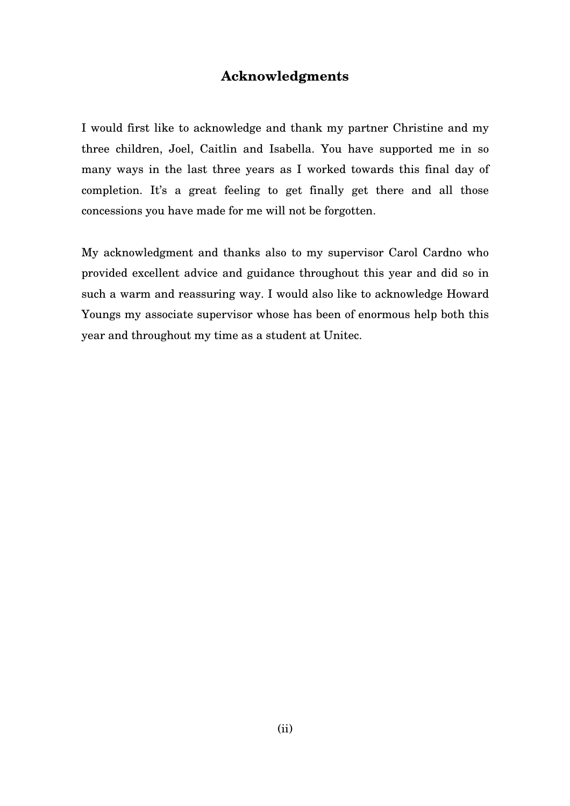# **Acknowledgments**

I would first like to acknowledge and thank my partner Christine and my three children, Joel, Caitlin and Isabella. You have supported me in so many ways in the last three years as I worked towards this final day of completion. It's a great feeling to get finally get there and all those concessions you have made for me will not be forgotten.

My acknowledgment and thanks also to my supervisor Carol Cardno who provided excellent advice and guidance throughout this year and did so in such a warm and reassuring way. I would also like to acknowledge Howard Youngs my associate supervisor whose has been of enormous help both this year and throughout my time as a student at Unitec.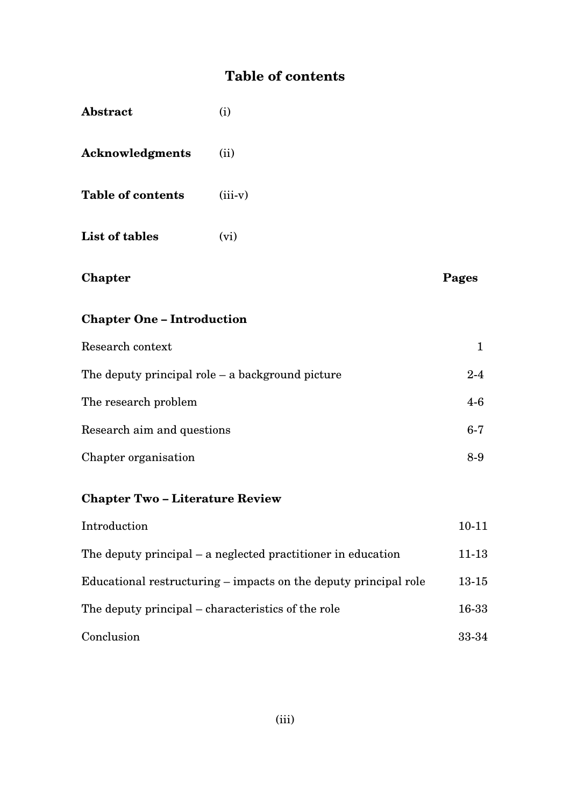# **Table of contents**

| Abstract                                           | (i)                                                          |              |
|----------------------------------------------------|--------------------------------------------------------------|--------------|
| <b>Acknowledgments</b>                             | (ii)                                                         |              |
| <b>Table of contents</b>                           | $(iii-v)$                                                    |              |
| List of tables                                     | (vi)                                                         |              |
| Chapter                                            |                                                              | Pages        |
| <b>Chapter One - Introduction</b>                  |                                                              |              |
| Research context                                   |                                                              | $\mathbf{1}$ |
| The deputy principal role $-$ a background picture |                                                              | $2 - 4$      |
| The research problem                               |                                                              | $4-6$        |
| Research aim and questions                         |                                                              | $6-7$        |
| Chapter organisation                               |                                                              | $8-9$        |
| <b>Chapter Two-Literature Review</b>               |                                                              |              |
| Introduction                                       |                                                              | $10 - 11$    |
|                                                    | The deputy principal – a neglected practitioner in education | $11 - 13$    |

Educational restructuring – impacts on the deputy principal role 13-15 The deputy principal – characteristics of the role 16-33 Conclusion 33-34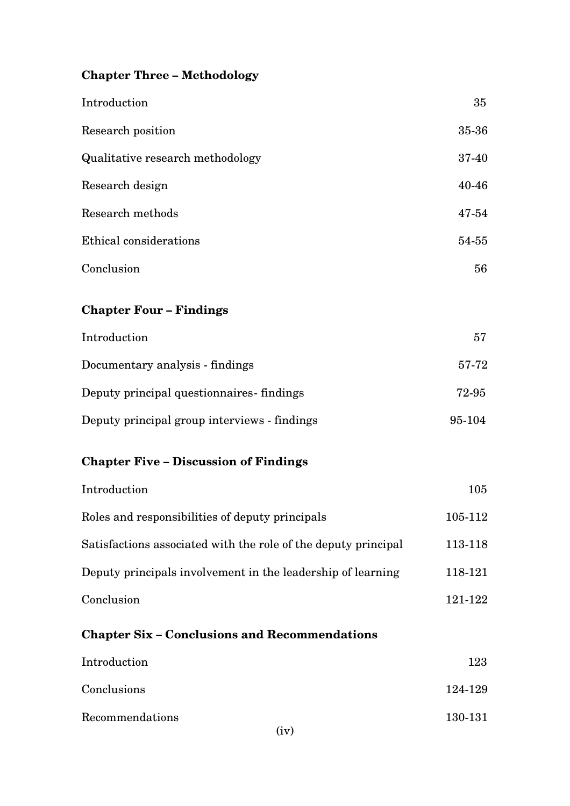# **Chapter Three – Methodology**

| Introduction                            | 35        |
|-----------------------------------------|-----------|
| Research position                       | 35-36     |
| <b>Qualitative research methodology</b> | 37-40     |
| Research design                         | $40 - 46$ |
| Research methods                        | 47-54     |
| Ethical considerations                  | 54-55     |
| Conclusion                              | 56        |
| <b>Chapter Four - Findings</b>          |           |

| Introduction                                 | 57     |
|----------------------------------------------|--------|
| Documentary analysis - findings              | 57-72  |
| Deputy principal question naires findings    | 72-95  |
| Deputy principal group interviews - findings | 95-104 |

# **Chapter Five – Discussion of Findings**

| Introduction                                                   | $105\,$ |
|----------------------------------------------------------------|---------|
| Roles and responsibilities of deputy principals                | 105-112 |
| Satisfactions associated with the role of the deputy principal | 113-118 |
| Deputy principals involvement in the leadership of learning    | 118-121 |
| Conclusion                                                     | 121-122 |

# **Chapter Six – Conclusions and Recommendations**

| Introduction    | 123             |
|-----------------|-----------------|
| Conclusions     | 124-129         |
| Recommendations | 130-131<br>(iv) |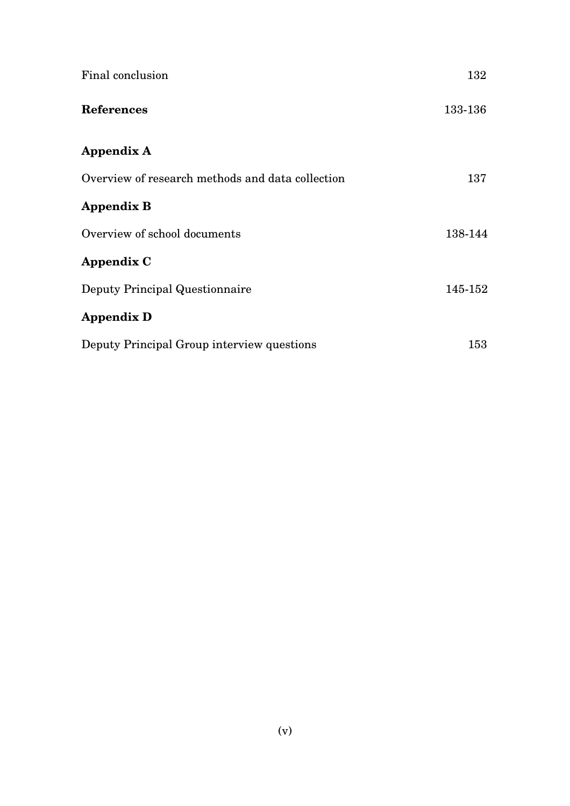| Final conclusion                                 | 132     |
|--------------------------------------------------|---------|
| <b>References</b>                                | 133-136 |
| Appendix A                                       |         |
| Overview of research methods and data collection | 137     |
| <b>Appendix B</b>                                |         |
| Overview of school documents                     | 138-144 |
| Appendix C                                       |         |
| Deputy Principal Questionnaire                   | 145-152 |
| <b>Appendix D</b>                                |         |
| Deputy Principal Group interview questions       | 153     |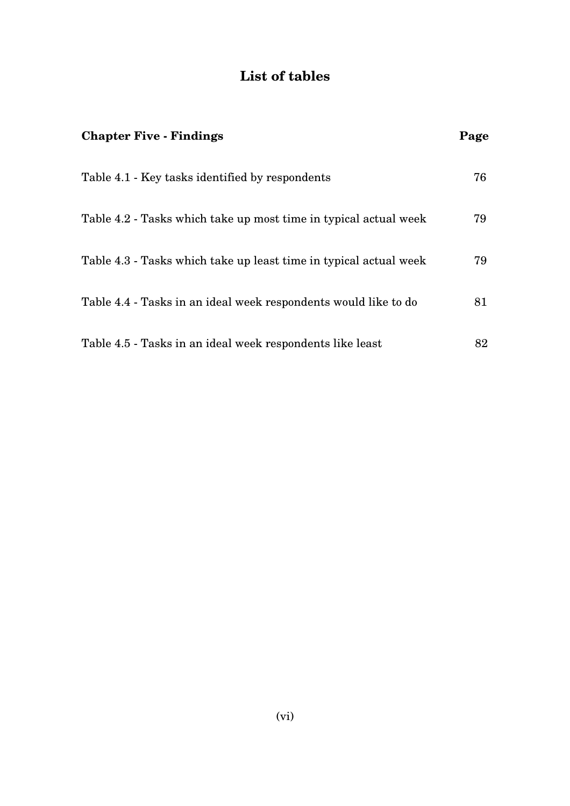# **List of tables**

| <b>Chapter Five - Findings</b>                                    | Page |
|-------------------------------------------------------------------|------|
| Table 4.1 - Key tasks identified by respondents                   | 76   |
| Table 4.2 - Tasks which take up most time in typical actual week  | 79   |
| Table 4.3 - Tasks which take up least time in typical actual week | 79   |
| Table 4.4 - Tasks in an ideal week respondents would like to do   | 81   |
| Table 4.5 - Tasks in an ideal week respondents like least         | 82   |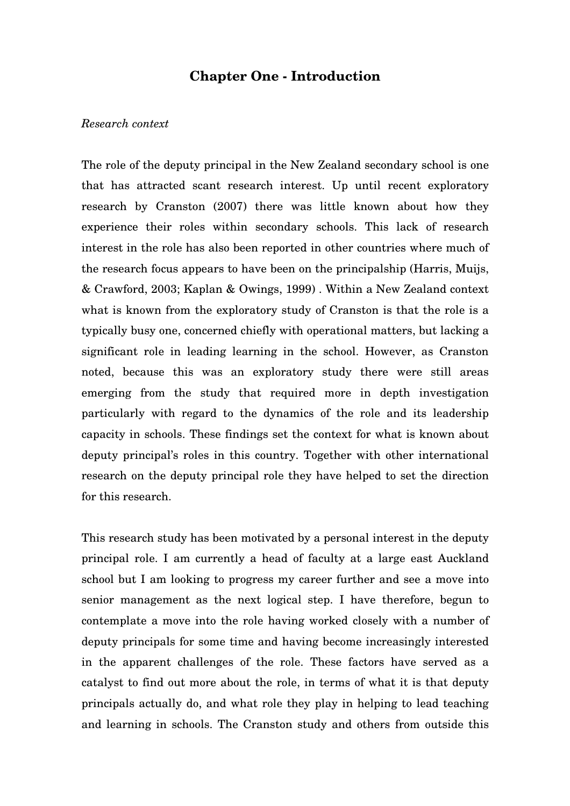# **Chapter One - Introduction**

#### *Research context*

The role of the deputy principal in the New Zealand secondary school is one that has attracted scant research interest. Up until recent exploratory research by Cranston (2007) there was little known about how they experience their roles within secondary schools. This lack of research interest in the role has also been reported in other countries where much of the research focus appears to have been on the principalship (Harris, Muijs, & Crawford, 2003; Kaplan & Owings, 1999) . Within a New Zealand context what is known from the exploratory study of Cranston is that the role is a typically busy one, concerned chiefly with operational matters, but lacking a significant role in leading learning in the school. However, as Cranston noted, because this was an exploratory study there were still areas emerging from the study that required more in depth investigation particularly with regard to the dynamics of the role and its leadership capacity in schools. These findings set the context for what is known about deputy principal's roles in this country. Together with other international research on the deputy principal role they have helped to set the direction for this research.

This research study has been motivated by a personal interest in the deputy principal role. I am currently a head of faculty at a large east Auckland school but I am looking to progress my career further and see a move into senior management as the next logical step. I have therefore, begun to contemplate a move into the role having worked closely with a number of deputy principals for some time and having become increasingly interested in the apparent challenges of the role. These factors have served as a catalyst to find out more about the role, in terms of what it is that deputy principals actually do, and what role they play in helping to lead teaching and learning in schools. The Cranston study and others from outside this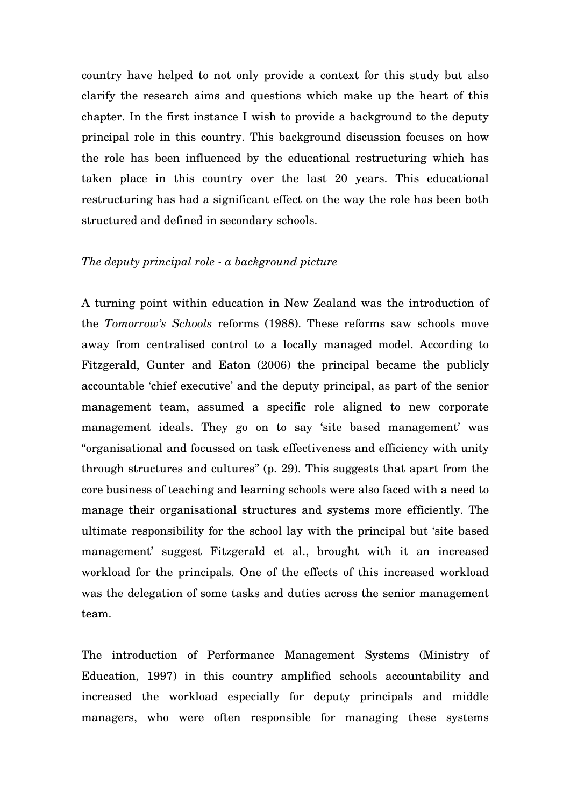country have helped to not only provide a context for this study but also clarify the research aims and questions which make up the heart of this chapter. In the first instance I wish to provide a background to the deputy principal role in this country. This background discussion focuses on how the role has been influenced by the educational restructuring which has taken place in this country over the last 20 years. This educational restructuring has had a significant effect on the way the role has been both structured and defined in secondary schools.

#### *The deputy principal role - a background picture*

A turning point within education in New Zealand was the introduction of the *Tomorrow's Schools* reforms (1988). These reforms saw schools move away from centralised control to a locally managed model. According to Fitzgerald, Gunter and Eaton (2006) the principal became the publicly accountable 'chief executive' and the deputy principal, as part of the senior management team, assumed a specific role aligned to new corporate management ideals. They go on to say 'site based management' was "organisational and focussed on task effectiveness and efficiency with unity through structures and cultures" (p. 29). This suggests that apart from the core business of teaching and learning schools were also faced with a need to manage their organisational structures and systems more efficiently. The ultimate responsibility for the school lay with the principal but 'site based management' suggest Fitzgerald et al., brought with it an increased workload for the principals. One of the effects of this increased workload was the delegation of some tasks and duties across the senior management team.

The introduction of Performance Management Systems (Ministry of Education, 1997) in this country amplified schools accountability and increased the workload especially for deputy principals and middle managers, who were often responsible for managing these systems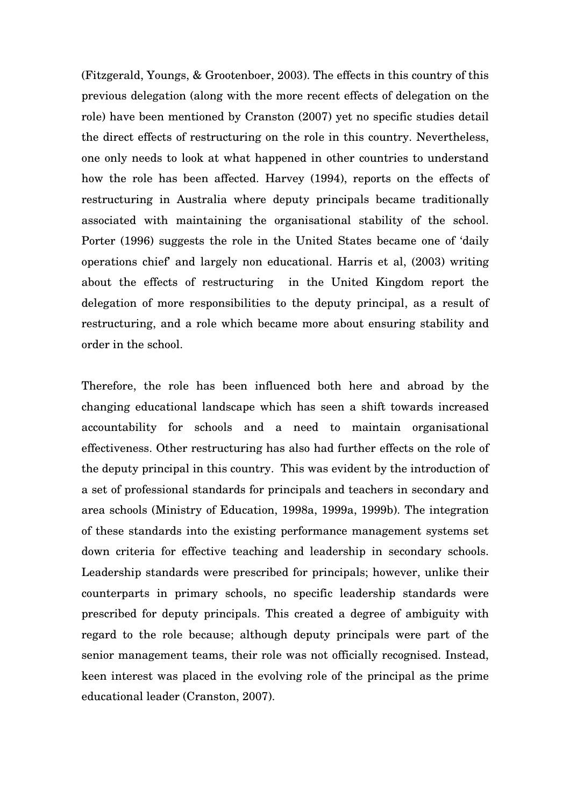(Fitzgerald, Youngs, & Grootenboer, 2003). The effects in this country of this previous delegation (along with the more recent effects of delegation on the role) have been mentioned by Cranston (2007) yet no specific studies detail the direct effects of restructuring on the role in this country. Nevertheless, one only needs to look at what happened in other countries to understand how the role has been affected. Harvey (1994), reports on the effects of restructuring in Australia where deputy principals became traditionally associated with maintaining the organisational stability of the school. Porter (1996) suggests the role in the United States became one of 'daily operations chief' and largely non educational. Harris et al, (2003) writing about the effects of restructuring in the United Kingdom report the delegation of more responsibilities to the deputy principal, as a result of restructuring, and a role which became more about ensuring stability and order in the school.

Therefore, the role has been influenced both here and abroad by the changing educational landscape which has seen a shift towards increased accountability for schools and a need to maintain organisational effectiveness. Other restructuring has also had further effects on the role of the deputy principal in this country. This was evident by the introduction of a set of professional standards for principals and teachers in secondary and area schools (Ministry of Education, 1998a, 1999a, 1999b). The integration of these standards into the existing performance management systems set down criteria for effective teaching and leadership in secondary schools. Leadership standards were prescribed for principals; however, unlike their counterparts in primary schools, no specific leadership standards were prescribed for deputy principals. This created a degree of ambiguity with regard to the role because; although deputy principals were part of the senior management teams, their role was not officially recognised. Instead, keen interest was placed in the evolving role of the principal as the prime educational leader (Cranston, 2007).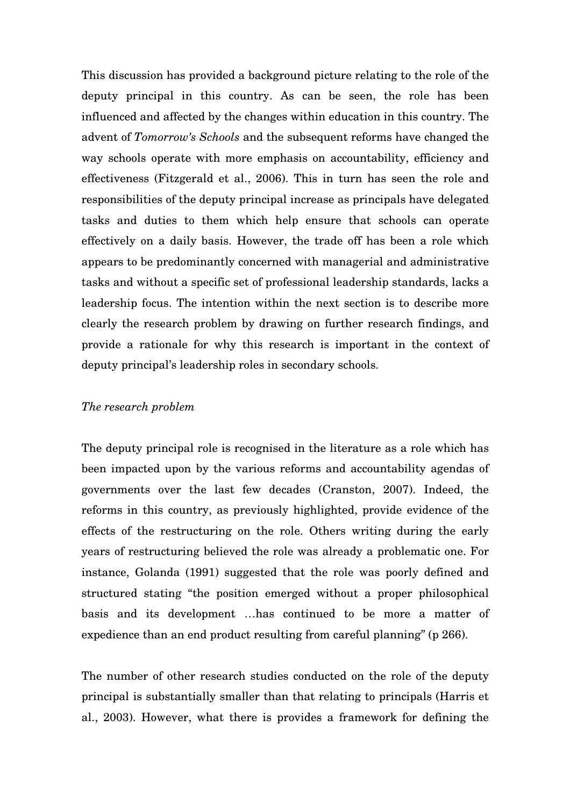This discussion has provided a background picture relating to the role of the deputy principal in this country. As can be seen, the role has been influenced and affected by the changes within education in this country. The advent of *Tomorrow's Schools* and the subsequent reforms have changed the way schools operate with more emphasis on accountability, efficiency and effectiveness (Fitzgerald et al., 2006). This in turn has seen the role and responsibilities of the deputy principal increase as principals have delegated tasks and duties to them which help ensure that schools can operate effectively on a daily basis. However, the trade off has been a role which appears to be predominantly concerned with managerial and administrative tasks and without a specific set of professional leadership standards, lacks a leadership focus. The intention within the next section is to describe more clearly the research problem by drawing on further research findings, and provide a rationale for why this research is important in the context of deputy principal's leadership roles in secondary schools.

### *The research problem*

The deputy principal role is recognised in the literature as a role which has been impacted upon by the various reforms and accountability agendas of governments over the last few decades (Cranston, 2007). Indeed, the reforms in this country, as previously highlighted, provide evidence of the effects of the restructuring on the role. Others writing during the early years of restructuring believed the role was already a problematic one. For instance, Golanda (1991) suggested that the role was poorly defined and structured stating "the position emerged without a proper philosophical basis and its development …has continued to be more a matter of expedience than an end product resulting from careful planning" (p 266).

The number of other research studies conducted on the role of the deputy principal is substantially smaller than that relating to principals (Harris et al., 2003). However, what there is provides a framework for defining the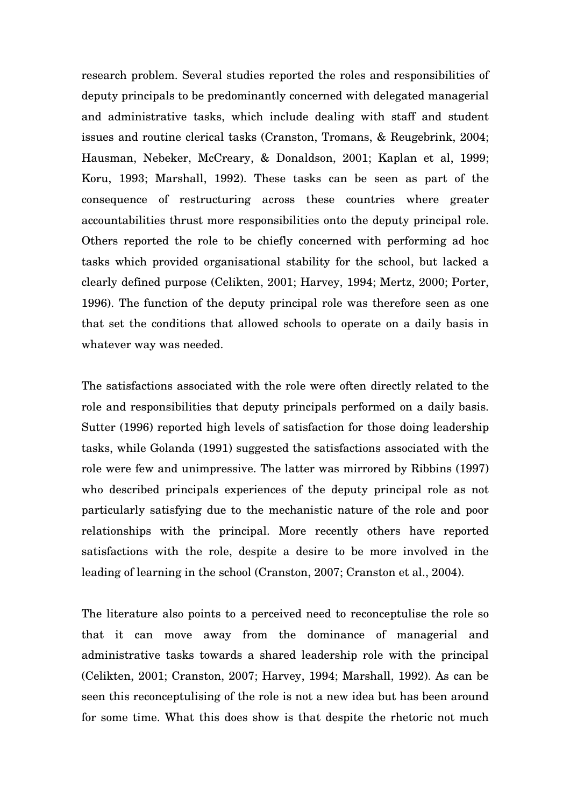research problem. Several studies reported the roles and responsibilities of deputy principals to be predominantly concerned with delegated managerial and administrative tasks, which include dealing with staff and student issues and routine clerical tasks (Cranston, Tromans, & Reugebrink, 2004; Hausman, Nebeker, McCreary, & Donaldson, 2001; Kaplan et al, 1999; Koru, 1993; Marshall, 1992). These tasks can be seen as part of the consequence of restructuring across these countries where greater accountabilities thrust more responsibilities onto the deputy principal role. Others reported the role to be chiefly concerned with performing ad hoc tasks which provided organisational stability for the school, but lacked a clearly defined purpose (Celikten, 2001; Harvey, 1994; Mertz, 2000; Porter, 1996). The function of the deputy principal role was therefore seen as one that set the conditions that allowed schools to operate on a daily basis in whatever way was needed.

The satisfactions associated with the role were often directly related to the role and responsibilities that deputy principals performed on a daily basis. Sutter (1996) reported high levels of satisfaction for those doing leadership tasks, while Golanda (1991) suggested the satisfactions associated with the role were few and unimpressive. The latter was mirrored by Ribbins (1997) who described principals experiences of the deputy principal role as not particularly satisfying due to the mechanistic nature of the role and poor relationships with the principal. More recently others have reported satisfactions with the role, despite a desire to be more involved in the leading of learning in the school (Cranston, 2007; Cranston et al., 2004).

The literature also points to a perceived need to reconceptulise the role so that it can move away from the dominance of managerial and administrative tasks towards a shared leadership role with the principal (Celikten, 2001; Cranston, 2007; Harvey, 1994; Marshall, 1992). As can be seen this reconceptulising of the role is not a new idea but has been around for some time. What this does show is that despite the rhetoric not much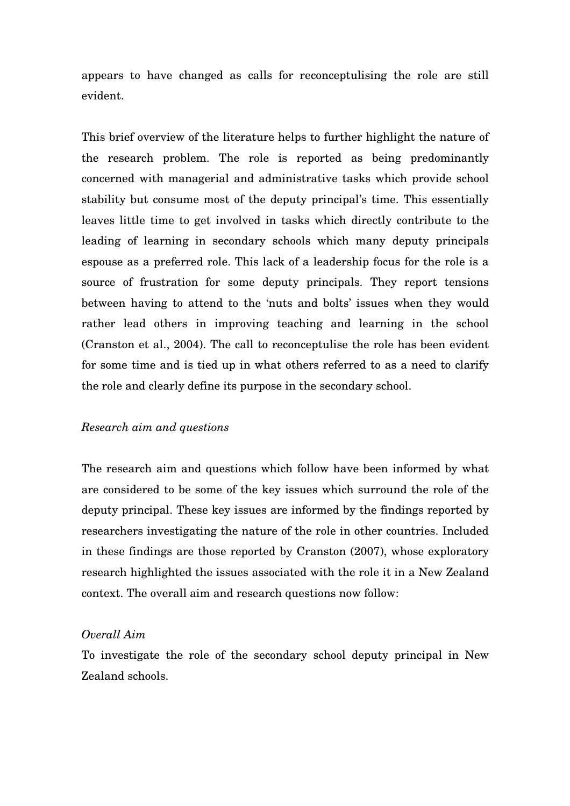appears to have changed as calls for reconceptulising the role are still evident.

This brief overview of the literature helps to further highlight the nature of the research problem. The role is reported as being predominantly concerned with managerial and administrative tasks which provide school stability but consume most of the deputy principal's time. This essentially leaves little time to get involved in tasks which directly contribute to the leading of learning in secondary schools which many deputy principals espouse as a preferred role. This lack of a leadership focus for the role is a source of frustration for some deputy principals. They report tensions between having to attend to the 'nuts and bolts' issues when they would rather lead others in improving teaching and learning in the school (Cranston et al., 2004). The call to reconceptulise the role has been evident for some time and is tied up in what others referred to as a need to clarify the role and clearly define its purpose in the secondary school.

#### *Research aim and questions*

The research aim and questions which follow have been informed by what are considered to be some of the key issues which surround the role of the deputy principal. These key issues are informed by the findings reported by researchers investigating the nature of the role in other countries. Included in these findings are those reported by Cranston (2007), whose exploratory research highlighted the issues associated with the role it in a New Zealand context. The overall aim and research questions now follow:

#### *Overall Aim*

To investigate the role of the secondary school deputy principal in New Zealand schools.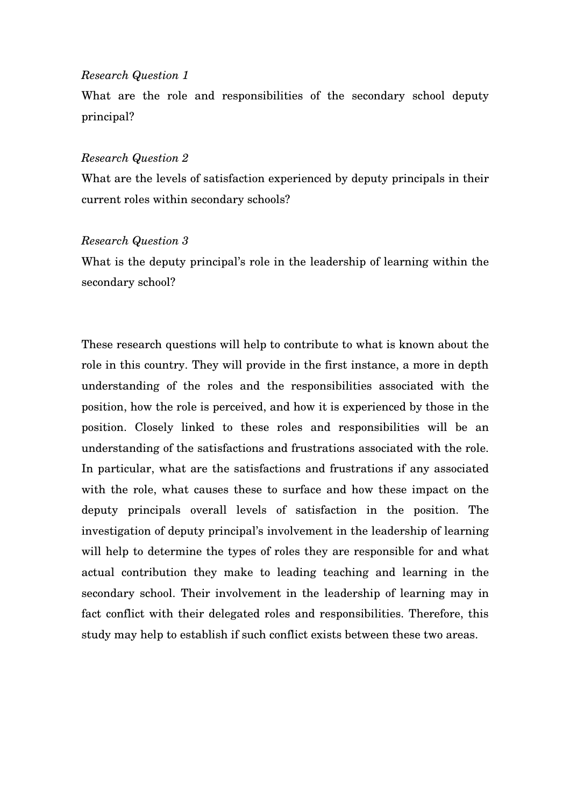#### *Research Question 1*

What are the role and responsibilities of the secondary school deputy principal?

#### *Research Question 2*

What are the levels of satisfaction experienced by deputy principals in their current roles within secondary schools?

#### *Research Question 3*

What is the deputy principal's role in the leadership of learning within the secondary school?

These research questions will help to contribute to what is known about the role in this country. They will provide in the first instance, a more in depth understanding of the roles and the responsibilities associated with the position, how the role is perceived, and how it is experienced by those in the position. Closely linked to these roles and responsibilities will be an understanding of the satisfactions and frustrations associated with the role. In particular, what are the satisfactions and frustrations if any associated with the role, what causes these to surface and how these impact on the deputy principals overall levels of satisfaction in the position. The investigation of deputy principal's involvement in the leadership of learning will help to determine the types of roles they are responsible for and what actual contribution they make to leading teaching and learning in the secondary school. Their involvement in the leadership of learning may in fact conflict with their delegated roles and responsibilities. Therefore, this study may help to establish if such conflict exists between these two areas.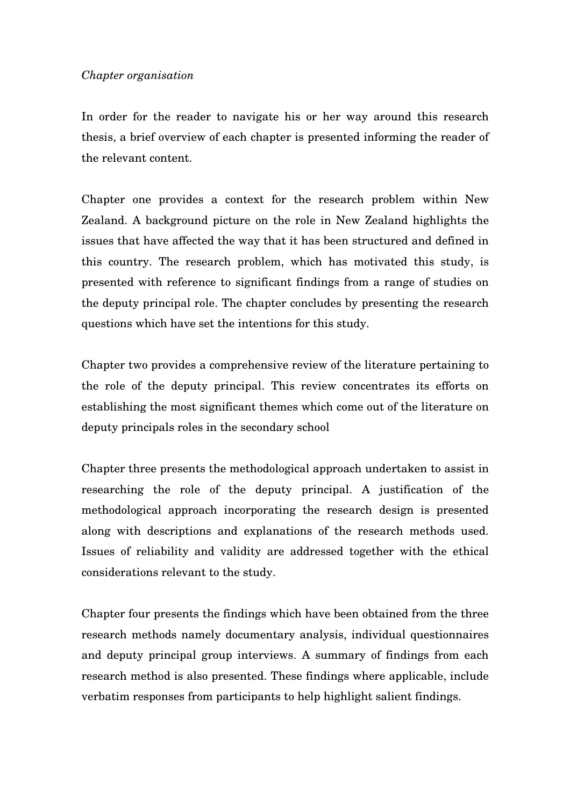In order for the reader to navigate his or her way around this research thesis, a brief overview of each chapter is presented informing the reader of the relevant content.

Chapter one provides a context for the research problem within New Zealand. A background picture on the role in New Zealand highlights the issues that have affected the way that it has been structured and defined in this country. The research problem, which has motivated this study, is presented with reference to significant findings from a range of studies on the deputy principal role. The chapter concludes by presenting the research questions which have set the intentions for this study.

Chapter two provides a comprehensive review of the literature pertaining to the role of the deputy principal. This review concentrates its efforts on establishing the most significant themes which come out of the literature on deputy principals roles in the secondary school

Chapter three presents the methodological approach undertaken to assist in researching the role of the deputy principal. A justification of the methodological approach incorporating the research design is presented along with descriptions and explanations of the research methods used. Issues of reliability and validity are addressed together with the ethical considerations relevant to the study.

Chapter four presents the findings which have been obtained from the three research methods namely documentary analysis, individual questionnaires and deputy principal group interviews. A summary of findings from each research method is also presented. These findings where applicable, include verbatim responses from participants to help highlight salient findings.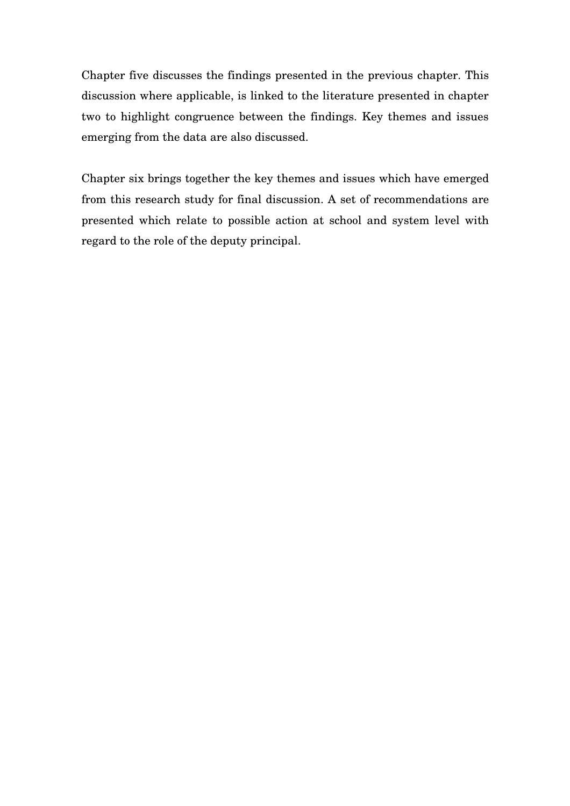Chapter five discusses the findings presented in the previous chapter. This discussion where applicable, is linked to the literature presented in chapter two to highlight congruence between the findings. Key themes and issues emerging from the data are also discussed.

Chapter six brings together the key themes and issues which have emerged from this research study for final discussion. A set of recommendations are presented which relate to possible action at school and system level with regard to the role of the deputy principal.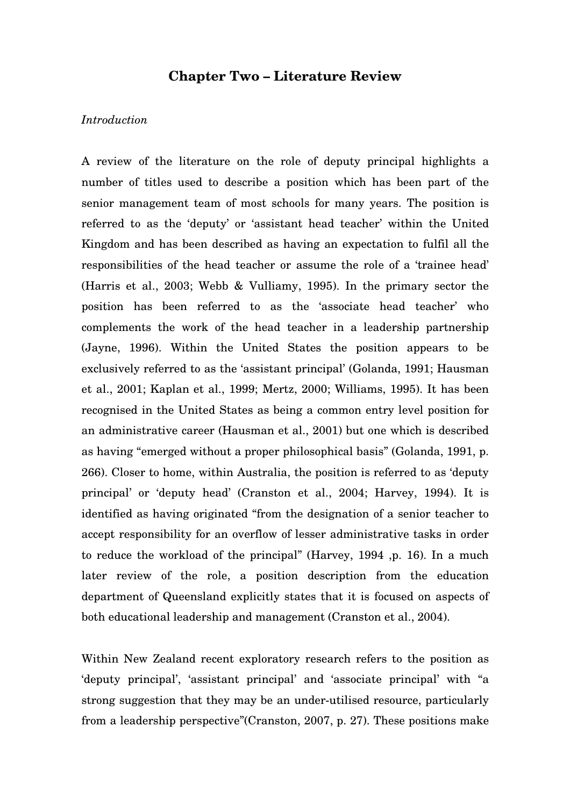# **Chapter Two – Literature Review**

### *Introduction*

A review of the literature on the role of deputy principal highlights a number of titles used to describe a position which has been part of the senior management team of most schools for many years. The position is referred to as the 'deputy' or 'assistant head teacher' within the United Kingdom and has been described as having an expectation to fulfil all the responsibilities of the head teacher or assume the role of a 'trainee head' (Harris et al., 2003; Webb & Vulliamy, 1995). In the primary sector the position has been referred to as the 'associate head teacher' who complements the work of the head teacher in a leadership partnership (Jayne, 1996). Within the United States the position appears to be exclusively referred to as the 'assistant principal' (Golanda, 1991; Hausman et al., 2001; Kaplan et al., 1999; Mertz, 2000; Williams, 1995). It has been recognised in the United States as being a common entry level position for an administrative career (Hausman et al., 2001) but one which is described as having "emerged without a proper philosophical basis" (Golanda, 1991, p. 266). Closer to home, within Australia, the position is referred to as 'deputy principal' or 'deputy head' (Cranston et al., 2004; Harvey, 1994). It is identified as having originated "from the designation of a senior teacher to accept responsibility for an overflow of lesser administrative tasks in order to reduce the workload of the principal" (Harvey, 1994 ,p. 16). In a much later review of the role, a position description from the education department of Queensland explicitly states that it is focused on aspects of both educational leadership and management (Cranston et al., 2004).

Within New Zealand recent exploratory research refers to the position as 'deputy principal', 'assistant principal' and 'associate principal' with "a strong suggestion that they may be an under-utilised resource, particularly from a leadership perspective"(Cranston, 2007, p. 27). These positions make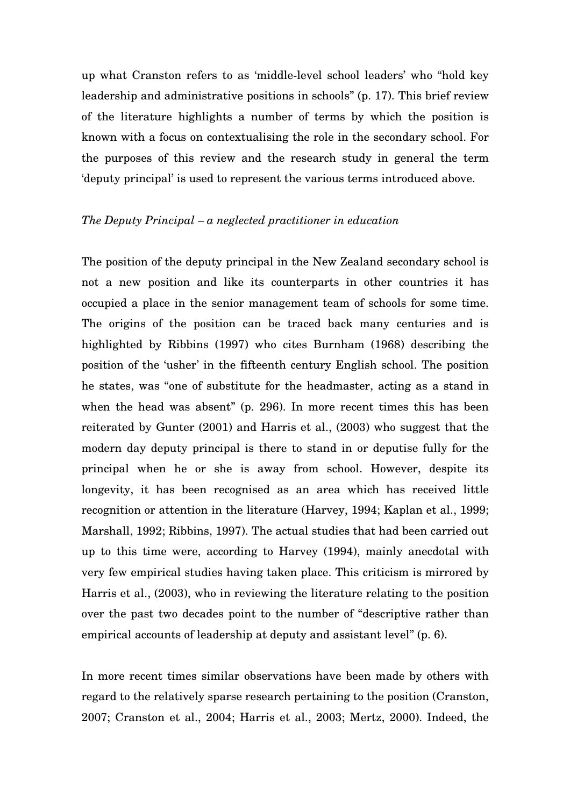up what Cranston refers to as 'middle-level school leaders' who "hold key leadership and administrative positions in schools" (p. 17). This brief review of the literature highlights a number of terms by which the position is known with a focus on contextualising the role in the secondary school. For the purposes of this review and the research study in general the term 'deputy principal' is used to represent the various terms introduced above.

#### *The Deputy Principal – a neglected practitioner in education*

The position of the deputy principal in the New Zealand secondary school is not a new position and like its counterparts in other countries it has occupied a place in the senior management team of schools for some time. The origins of the position can be traced back many centuries and is highlighted by Ribbins (1997) who cites Burnham (1968) describing the position of the 'usher' in the fifteenth century English school. The position he states, was "one of substitute for the headmaster, acting as a stand in when the head was absent" (p. 296). In more recent times this has been reiterated by Gunter (2001) and Harris et al., (2003) who suggest that the modern day deputy principal is there to stand in or deputise fully for the principal when he or she is away from school. However, despite its longevity, it has been recognised as an area which has received little recognition or attention in the literature (Harvey, 1994; Kaplan et al., 1999; Marshall, 1992; Ribbins, 1997). The actual studies that had been carried out up to this time were, according to Harvey (1994), mainly anecdotal with very few empirical studies having taken place. This criticism is mirrored by Harris et al., (2003), who in reviewing the literature relating to the position over the past two decades point to the number of "descriptive rather than empirical accounts of leadership at deputy and assistant level" (p. 6).

In more recent times similar observations have been made by others with regard to the relatively sparse research pertaining to the position (Cranston, 2007; Cranston et al., 2004; Harris et al., 2003; Mertz, 2000). Indeed, the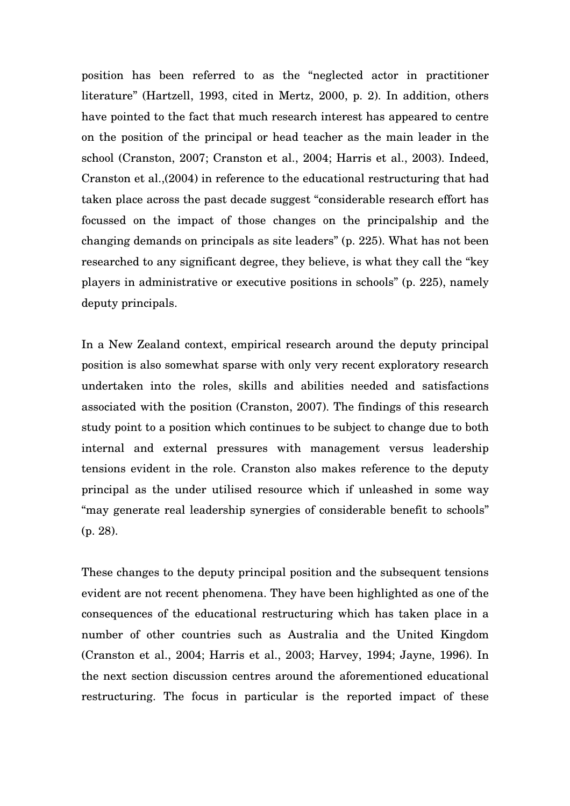position has been referred to as the "neglected actor in practitioner literature" (Hartzell, 1993, cited in Mertz, 2000, p. 2). In addition, others have pointed to the fact that much research interest has appeared to centre on the position of the principal or head teacher as the main leader in the school (Cranston, 2007; Cranston et al., 2004; Harris et al., 2003). Indeed, Cranston et al.,(2004) in reference to the educational restructuring that had taken place across the past decade suggest "considerable research effort has focussed on the impact of those changes on the principalship and the changing demands on principals as site leaders" (p. 225). What has not been researched to any significant degree, they believe, is what they call the "key players in administrative or executive positions in schools" (p. 225), namely deputy principals.

In a New Zealand context, empirical research around the deputy principal position is also somewhat sparse with only very recent exploratory research undertaken into the roles, skills and abilities needed and satisfactions associated with the position (Cranston, 2007). The findings of this research study point to a position which continues to be subject to change due to both internal and external pressures with management versus leadership tensions evident in the role. Cranston also makes reference to the deputy principal as the under utilised resource which if unleashed in some way "may generate real leadership synergies of considerable benefit to schools" (p. 28).

These changes to the deputy principal position and the subsequent tensions evident are not recent phenomena. They have been highlighted as one of the consequences of the educational restructuring which has taken place in a number of other countries such as Australia and the United Kingdom (Cranston et al., 2004; Harris et al., 2003; Harvey, 1994; Jayne, 1996). In the next section discussion centres around the aforementioned educational restructuring. The focus in particular is the reported impact of these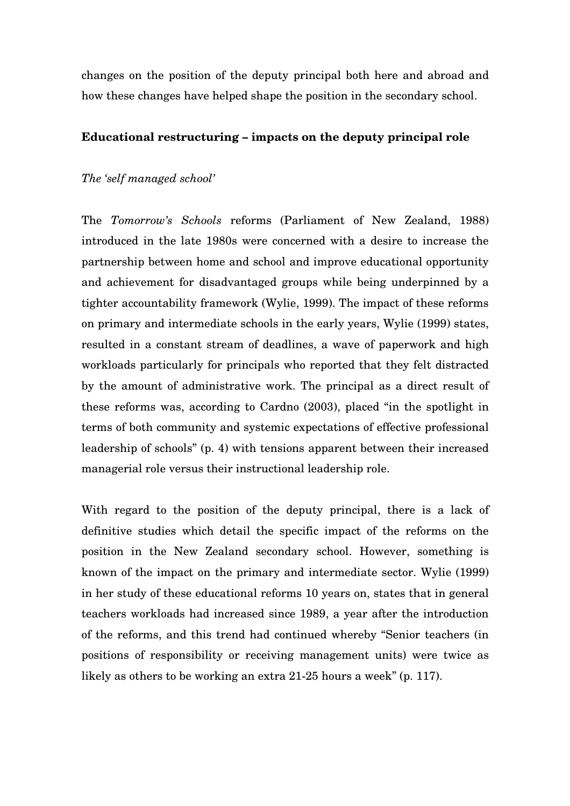changes on the position of the deputy principal both here and abroad and how these changes have helped shape the position in the secondary school.

#### **Educational restructuring – impacts on the deputy principal role**

### *The 'self managed school'*

The *Tomorrow's Schools* reforms (Parliament of New Zealand, 1988) introduced in the late 1980s were concerned with a desire to increase the partnership between home and school and improve educational opportunity and achievement for disadvantaged groups while being underpinned by a tighter accountability framework (Wylie, 1999). The impact of these reforms on primary and intermediate schools in the early years, Wylie (1999) states, resulted in a constant stream of deadlines, a wave of paperwork and high workloads particularly for principals who reported that they felt distracted by the amount of administrative work. The principal as a direct result of these reforms was, according to Cardno (2003), placed "in the spotlight in terms of both community and systemic expectations of effective professional leadership of schools" (p. 4) with tensions apparent between their increased managerial role versus their instructional leadership role.

With regard to the position of the deputy principal, there is a lack of definitive studies which detail the specific impact of the reforms on the position in the New Zealand secondary school. However, something is known of the impact on the primary and intermediate sector. Wylie (1999) in her study of these educational reforms 10 years on, states that in general teachers workloads had increased since 1989, a year after the introduction of the reforms, and this trend had continued whereby "Senior teachers (in positions of responsibility or receiving management units) were twice as likely as others to be working an extra 21-25 hours a week" (p. 117).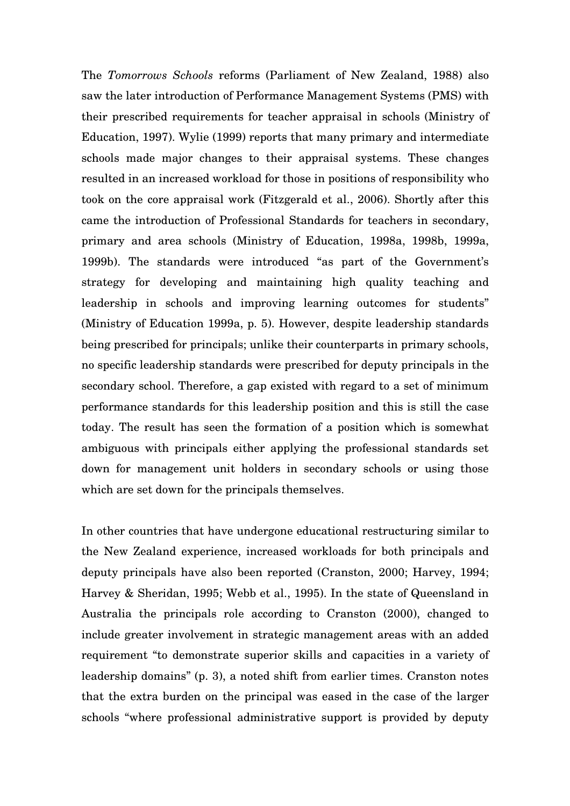The *Tomorrows Schools* reforms (Parliament of New Zealand, 1988) also saw the later introduction of Performance Management Systems (PMS) with their prescribed requirements for teacher appraisal in schools (Ministry of Education, 1997). Wylie (1999) reports that many primary and intermediate schools made major changes to their appraisal systems. These changes resulted in an increased workload for those in positions of responsibility who took on the core appraisal work (Fitzgerald et al., 2006). Shortly after this came the introduction of Professional Standards for teachers in secondary, primary and area schools (Ministry of Education, 1998a, 1998b, 1999a, 1999b). The standards were introduced "as part of the Government's strategy for developing and maintaining high quality teaching and leadership in schools and improving learning outcomes for students" (Ministry of Education 1999a, p. 5). However, despite leadership standards being prescribed for principals; unlike their counterparts in primary schools, no specific leadership standards were prescribed for deputy principals in the secondary school. Therefore, a gap existed with regard to a set of minimum performance standards for this leadership position and this is still the case today. The result has seen the formation of a position which is somewhat ambiguous with principals either applying the professional standards set down for management unit holders in secondary schools or using those which are set down for the principals themselves.

In other countries that have undergone educational restructuring similar to the New Zealand experience, increased workloads for both principals and deputy principals have also been reported (Cranston, 2000; Harvey, 1994; Harvey & Sheridan, 1995; Webb et al., 1995). In the state of Queensland in Australia the principals role according to Cranston (2000), changed to include greater involvement in strategic management areas with an added requirement "to demonstrate superior skills and capacities in a variety of leadership domains" (p. 3), a noted shift from earlier times. Cranston notes that the extra burden on the principal was eased in the case of the larger schools "where professional administrative support is provided by deputy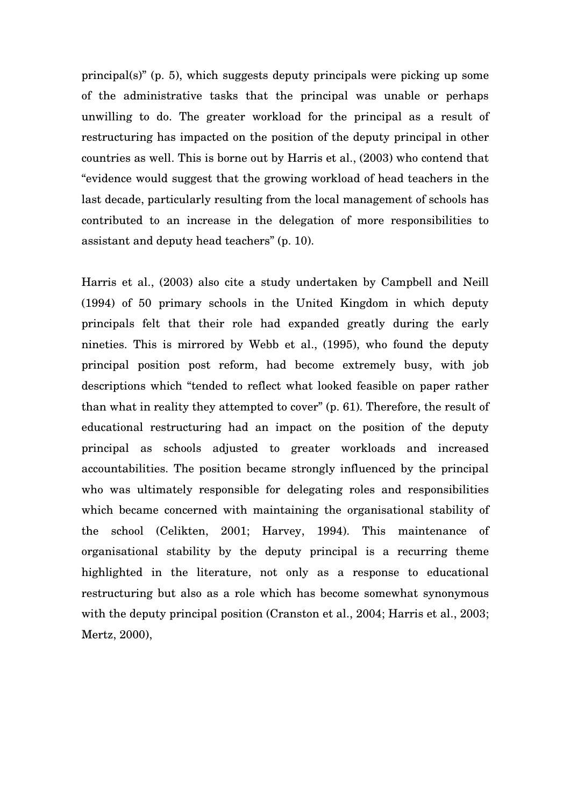principal(s)" (p. 5), which suggests deputy principals were picking up some of the administrative tasks that the principal was unable or perhaps unwilling to do. The greater workload for the principal as a result of restructuring has impacted on the position of the deputy principal in other countries as well. This is borne out by Harris et al., (2003) who contend that "evidence would suggest that the growing workload of head teachers in the last decade, particularly resulting from the local management of schools has contributed to an increase in the delegation of more responsibilities to assistant and deputy head teachers" (p. 10).

Harris et al., (2003) also cite a study undertaken by Campbell and Neill (1994) of 50 primary schools in the United Kingdom in which deputy principals felt that their role had expanded greatly during the early nineties. This is mirrored by Webb et al., (1995), who found the deputy principal position post reform, had become extremely busy, with job descriptions which "tended to reflect what looked feasible on paper rather than what in reality they attempted to cover" (p. 61). Therefore, the result of educational restructuring had an impact on the position of the deputy principal as schools adjusted to greater workloads and increased accountabilities. The position became strongly influenced by the principal who was ultimately responsible for delegating roles and responsibilities which became concerned with maintaining the organisational stability of the school (Celikten, 2001; Harvey, 1994). This maintenance of organisational stability by the deputy principal is a recurring theme highlighted in the literature, not only as a response to educational restructuring but also as a role which has become somewhat synonymous with the deputy principal position (Cranston et al., 2004; Harris et al., 2003; Mertz, 2000),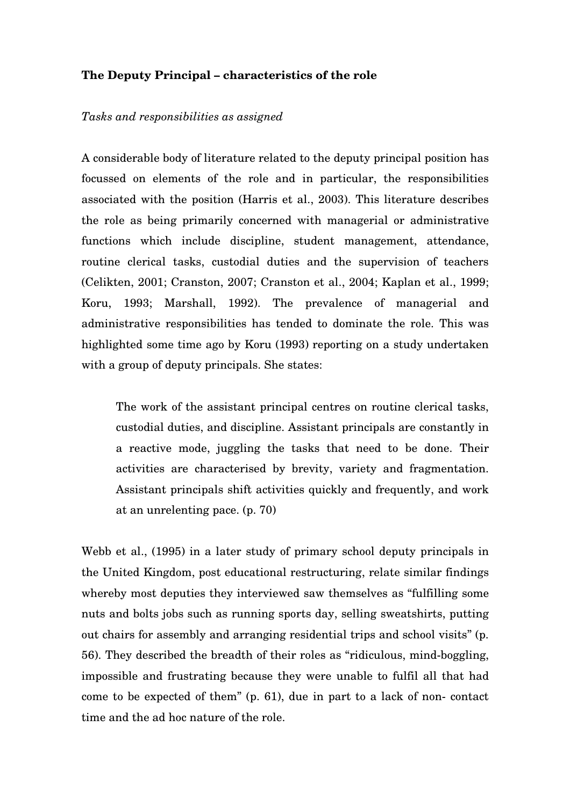### **The Deputy Principal – characteristics of the role**

#### *Tasks and responsibilities as assigned*

A considerable body of literature related to the deputy principal position has focussed on elements of the role and in particular, the responsibilities associated with the position (Harris et al., 2003). This literature describes the role as being primarily concerned with managerial or administrative functions which include discipline, student management, attendance, routine clerical tasks, custodial duties and the supervision of teachers (Celikten, 2001; Cranston, 2007; Cranston et al., 2004; Kaplan et al., 1999; Koru, 1993; Marshall, 1992). The prevalence of managerial and administrative responsibilities has tended to dominate the role. This was highlighted some time ago by Koru (1993) reporting on a study undertaken with a group of deputy principals. She states:

The work of the assistant principal centres on routine clerical tasks, custodial duties, and discipline. Assistant principals are constantly in a reactive mode, juggling the tasks that need to be done. Their activities are characterised by brevity, variety and fragmentation. Assistant principals shift activities quickly and frequently, and work at an unrelenting pace. (p. 70)

Webb et al., (1995) in a later study of primary school deputy principals in the United Kingdom, post educational restructuring, relate similar findings whereby most deputies they interviewed saw themselves as "fulfilling some nuts and bolts jobs such as running sports day, selling sweatshirts, putting out chairs for assembly and arranging residential trips and school visits" (p. 56). They described the breadth of their roles as "ridiculous, mind-boggling, impossible and frustrating because they were unable to fulfil all that had come to be expected of them" (p. 61), due in part to a lack of non- contact time and the ad hoc nature of the role.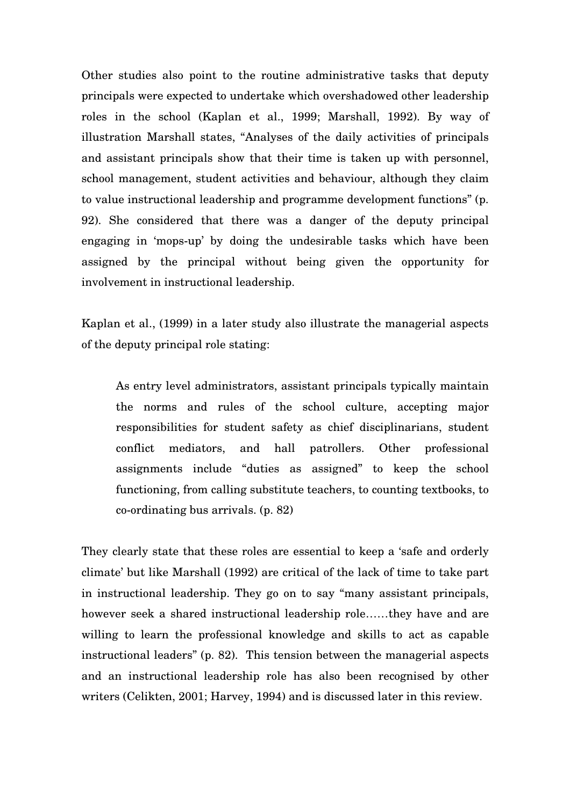Other studies also point to the routine administrative tasks that deputy principals were expected to undertake which overshadowed other leadership roles in the school (Kaplan et al., 1999; Marshall, 1992). By way of illustration Marshall states, "Analyses of the daily activities of principals and assistant principals show that their time is taken up with personnel, school management, student activities and behaviour, although they claim to value instructional leadership and programme development functions" (p. 92). She considered that there was a danger of the deputy principal engaging in 'mops-up' by doing the undesirable tasks which have been assigned by the principal without being given the opportunity for involvement in instructional leadership.

Kaplan et al., (1999) in a later study also illustrate the managerial aspects of the deputy principal role stating:

As entry level administrators, assistant principals typically maintain the norms and rules of the school culture, accepting major responsibilities for student safety as chief disciplinarians, student conflict mediators, and hall patrollers. Other professional assignments include "duties as assigned" to keep the school functioning, from calling substitute teachers, to counting textbooks, to co-ordinating bus arrivals. (p. 82)

They clearly state that these roles are essential to keep a 'safe and orderly climate' but like Marshall (1992) are critical of the lack of time to take part in instructional leadership. They go on to say "many assistant principals, however seek a shared instructional leadership role……they have and are willing to learn the professional knowledge and skills to act as capable instructional leaders" (p. 82). This tension between the managerial aspects and an instructional leadership role has also been recognised by other writers (Celikten, 2001; Harvey, 1994) and is discussed later in this review.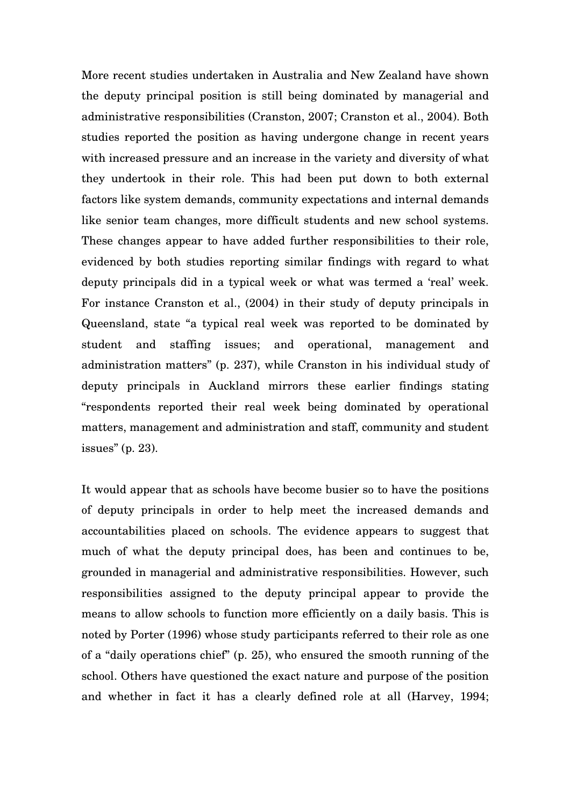More recent studies undertaken in Australia and New Zealand have shown the deputy principal position is still being dominated by managerial and administrative responsibilities (Cranston, 2007; Cranston et al., 2004). Both studies reported the position as having undergone change in recent years with increased pressure and an increase in the variety and diversity of what they undertook in their role. This had been put down to both external factors like system demands, community expectations and internal demands like senior team changes, more difficult students and new school systems. These changes appear to have added further responsibilities to their role, evidenced by both studies reporting similar findings with regard to what deputy principals did in a typical week or what was termed a 'real' week. For instance Cranston et al., (2004) in their study of deputy principals in Queensland, state "a typical real week was reported to be dominated by student and staffing issues; and operational, management and administration matters" (p. 237), while Cranston in his individual study of deputy principals in Auckland mirrors these earlier findings stating "respondents reported their real week being dominated by operational matters, management and administration and staff, community and student issues" (p. 23).

It would appear that as schools have become busier so to have the positions of deputy principals in order to help meet the increased demands and accountabilities placed on schools. The evidence appears to suggest that much of what the deputy principal does, has been and continues to be, grounded in managerial and administrative responsibilities. However, such responsibilities assigned to the deputy principal appear to provide the means to allow schools to function more efficiently on a daily basis. This is noted by Porter (1996) whose study participants referred to their role as one of a "daily operations chief" (p. 25), who ensured the smooth running of the school. Others have questioned the exact nature and purpose of the position and whether in fact it has a clearly defined role at all (Harvey, 1994;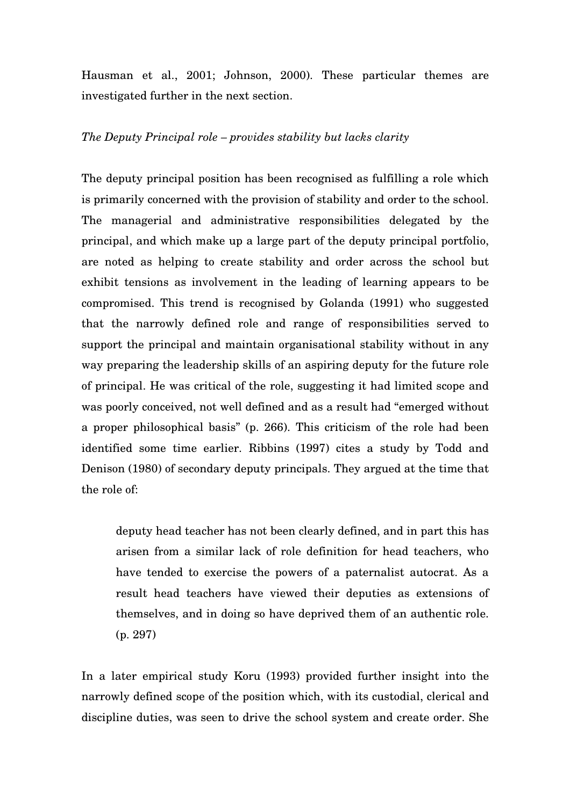Hausman et al., 2001; Johnson, 2000). These particular themes are investigated further in the next section.

### *The Deputy Principal role – provides stability but lacks clarity*

The deputy principal position has been recognised as fulfilling a role which is primarily concerned with the provision of stability and order to the school. The managerial and administrative responsibilities delegated by the principal, and which make up a large part of the deputy principal portfolio, are noted as helping to create stability and order across the school but exhibit tensions as involvement in the leading of learning appears to be compromised. This trend is recognised by Golanda (1991) who suggested that the narrowly defined role and range of responsibilities served to support the principal and maintain organisational stability without in any way preparing the leadership skills of an aspiring deputy for the future role of principal. He was critical of the role, suggesting it had limited scope and was poorly conceived, not well defined and as a result had "emerged without a proper philosophical basis" (p. 266). This criticism of the role had been identified some time earlier. Ribbins (1997) cites a study by Todd and Denison (1980) of secondary deputy principals. They argued at the time that the role of:

deputy head teacher has not been clearly defined, and in part this has arisen from a similar lack of role definition for head teachers, who have tended to exercise the powers of a paternalist autocrat. As a result head teachers have viewed their deputies as extensions of themselves, and in doing so have deprived them of an authentic role. (p. 297)

In a later empirical study Koru (1993) provided further insight into the narrowly defined scope of the position which, with its custodial, clerical and discipline duties, was seen to drive the school system and create order. She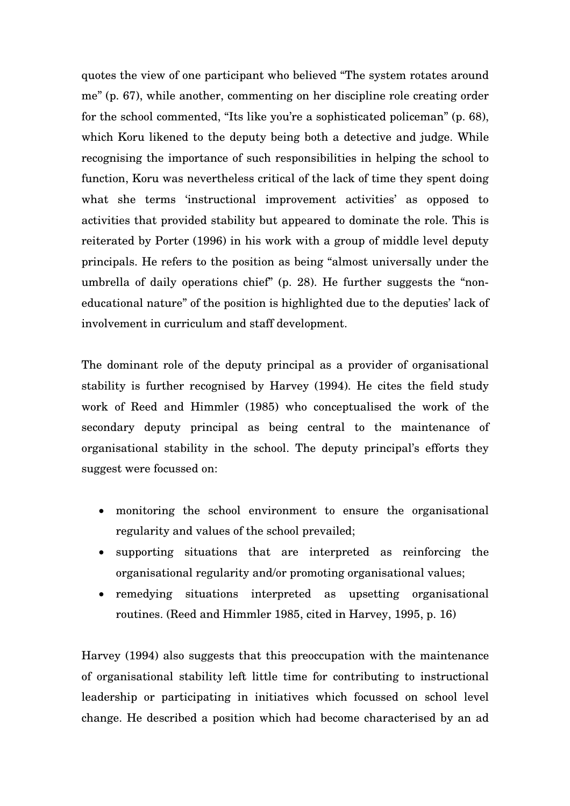quotes the view of one participant who believed "The system rotates around me" (p. 67), while another, commenting on her discipline role creating order for the school commented, "Its like you're a sophisticated policeman" (p. 68), which Koru likened to the deputy being both a detective and judge. While recognising the importance of such responsibilities in helping the school to function, Koru was nevertheless critical of the lack of time they spent doing what she terms 'instructional improvement activities' as opposed to activities that provided stability but appeared to dominate the role. This is reiterated by Porter (1996) in his work with a group of middle level deputy principals. He refers to the position as being "almost universally under the umbrella of daily operations chief" (p. 28). He further suggests the "noneducational nature" of the position is highlighted due to the deputies' lack of involvement in curriculum and staff development.

The dominant role of the deputy principal as a provider of organisational stability is further recognised by Harvey (1994). He cites the field study work of Reed and Himmler (1985) who conceptualised the work of the secondary deputy principal as being central to the maintenance of organisational stability in the school. The deputy principal's efforts they suggest were focussed on:

- monitoring the school environment to ensure the organisational regularity and values of the school prevailed;
- supporting situations that are interpreted as reinforcing the organisational regularity and/or promoting organisational values;
- remedying situations interpreted as upsetting organisational routines. (Reed and Himmler 1985, cited in Harvey, 1995, p. 16)

Harvey (1994) also suggests that this preoccupation with the maintenance of organisational stability left little time for contributing to instructional leadership or participating in initiatives which focussed on school level change. He described a position which had become characterised by an ad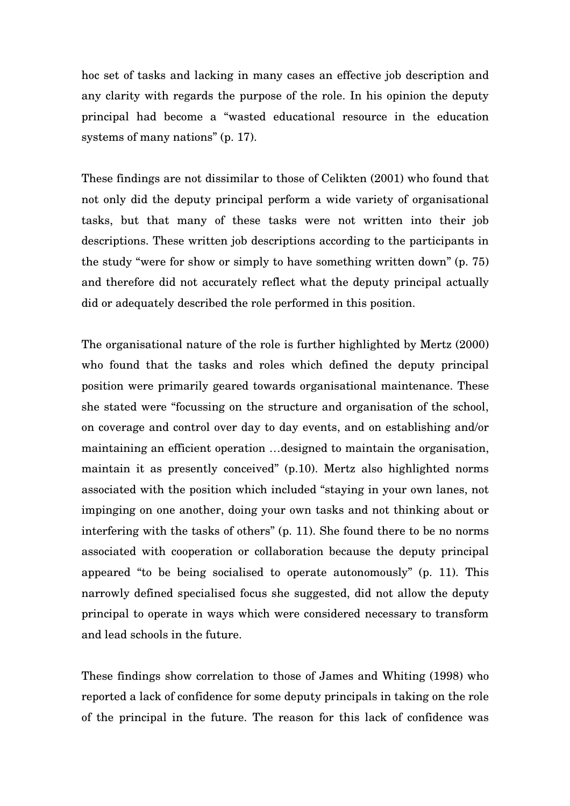hoc set of tasks and lacking in many cases an effective job description and any clarity with regards the purpose of the role. In his opinion the deputy principal had become a "wasted educational resource in the education systems of many nations" (p. 17).

These findings are not dissimilar to those of Celikten (2001) who found that not only did the deputy principal perform a wide variety of organisational tasks, but that many of these tasks were not written into their job descriptions. These written job descriptions according to the participants in the study "were for show or simply to have something written down" (p. 75) and therefore did not accurately reflect what the deputy principal actually did or adequately described the role performed in this position.

The organisational nature of the role is further highlighted by Mertz (2000) who found that the tasks and roles which defined the deputy principal position were primarily geared towards organisational maintenance. These she stated were "focussing on the structure and organisation of the school, on coverage and control over day to day events, and on establishing and/or maintaining an efficient operation …designed to maintain the organisation, maintain it as presently conceived" (p.10). Mertz also highlighted norms associated with the position which included "staying in your own lanes, not impinging on one another, doing your own tasks and not thinking about or interfering with the tasks of others" (p. 11). She found there to be no norms associated with cooperation or collaboration because the deputy principal appeared "to be being socialised to operate autonomously" (p. 11). This narrowly defined specialised focus she suggested, did not allow the deputy principal to operate in ways which were considered necessary to transform and lead schools in the future.

These findings show correlation to those of James and Whiting (1998) who reported a lack of confidence for some deputy principals in taking on the role of the principal in the future. The reason for this lack of confidence was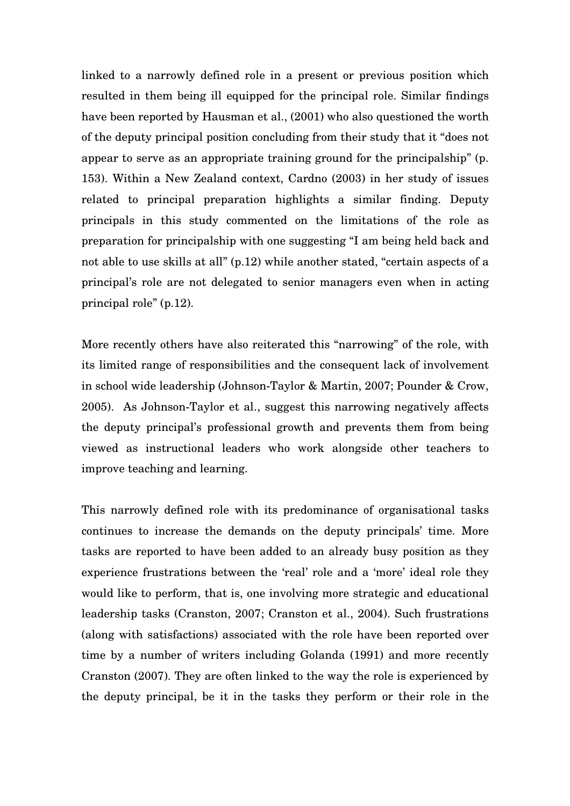linked to a narrowly defined role in a present or previous position which resulted in them being ill equipped for the principal role. Similar findings have been reported by Hausman et al., (2001) who also questioned the worth of the deputy principal position concluding from their study that it "does not appear to serve as an appropriate training ground for the principalship" (p. 153). Within a New Zealand context, Cardno (2003) in her study of issues related to principal preparation highlights a similar finding. Deputy principals in this study commented on the limitations of the role as preparation for principalship with one suggesting "I am being held back and not able to use skills at all" (p.12) while another stated, "certain aspects of a principal's role are not delegated to senior managers even when in acting principal role" (p.12).

More recently others have also reiterated this "narrowing" of the role, with its limited range of responsibilities and the consequent lack of involvement in school wide leadership (Johnson-Taylor & Martin, 2007; Pounder & Crow, 2005). As Johnson-Taylor et al., suggest this narrowing negatively affects the deputy principal's professional growth and prevents them from being viewed as instructional leaders who work alongside other teachers to improve teaching and learning.

This narrowly defined role with its predominance of organisational tasks continues to increase the demands on the deputy principals' time. More tasks are reported to have been added to an already busy position as they experience frustrations between the 'real' role and a 'more' ideal role they would like to perform, that is, one involving more strategic and educational leadership tasks (Cranston, 2007; Cranston et al., 2004). Such frustrations (along with satisfactions) associated with the role have been reported over time by a number of writers including Golanda (1991) and more recently Cranston (2007). They are often linked to the way the role is experienced by the deputy principal, be it in the tasks they perform or their role in the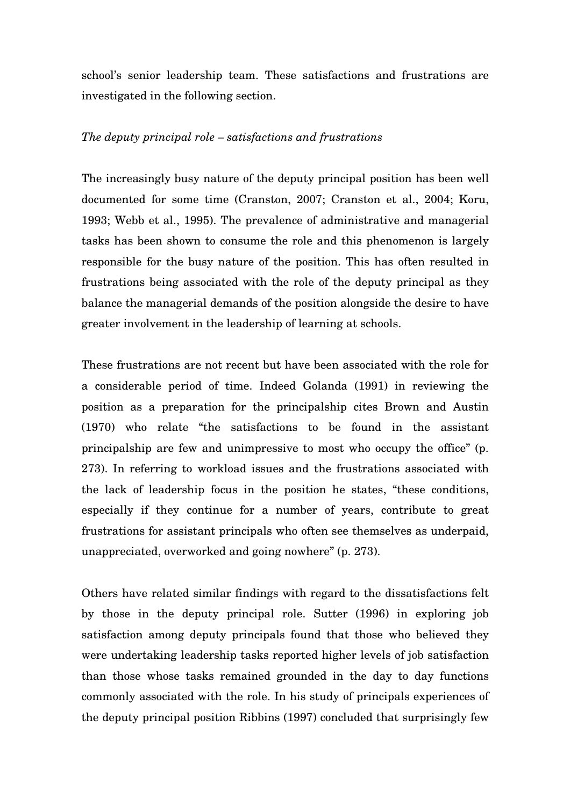school's senior leadership team. These satisfactions and frustrations are investigated in the following section.

### *The deputy principal role – satisfactions and frustrations*

The increasingly busy nature of the deputy principal position has been well documented for some time (Cranston, 2007; Cranston et al., 2004; Koru, 1993; Webb et al., 1995). The prevalence of administrative and managerial tasks has been shown to consume the role and this phenomenon is largely responsible for the busy nature of the position. This has often resulted in frustrations being associated with the role of the deputy principal as they balance the managerial demands of the position alongside the desire to have greater involvement in the leadership of learning at schools.

These frustrations are not recent but have been associated with the role for a considerable period of time. Indeed Golanda (1991) in reviewing the position as a preparation for the principalship cites Brown and Austin (1970) who relate "the satisfactions to be found in the assistant principalship are few and unimpressive to most who occupy the office" (p. 273). In referring to workload issues and the frustrations associated with the lack of leadership focus in the position he states, "these conditions, especially if they continue for a number of years, contribute to great frustrations for assistant principals who often see themselves as underpaid, unappreciated, overworked and going nowhere" (p. 273).

Others have related similar findings with regard to the dissatisfactions felt by those in the deputy principal role. Sutter (1996) in exploring job satisfaction among deputy principals found that those who believed they were undertaking leadership tasks reported higher levels of job satisfaction than those whose tasks remained grounded in the day to day functions commonly associated with the role. In his study of principals experiences of the deputy principal position Ribbins (1997) concluded that surprisingly few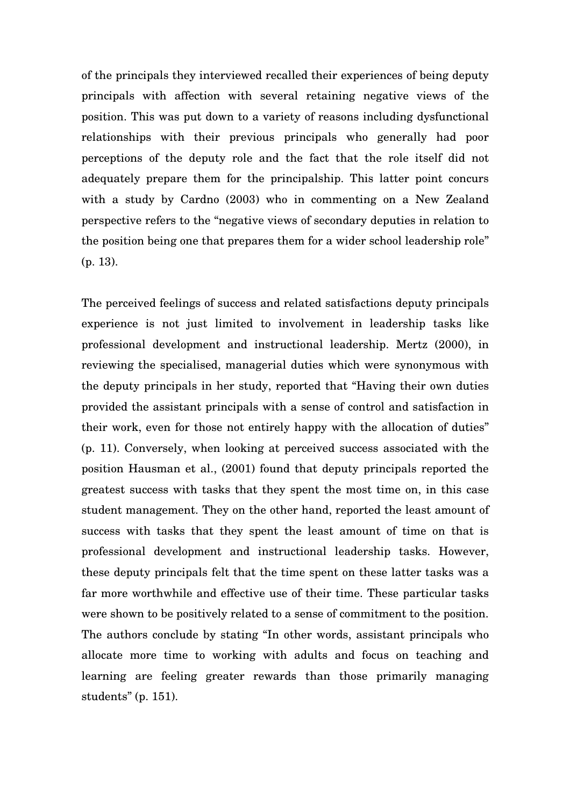of the principals they interviewed recalled their experiences of being deputy principals with affection with several retaining negative views of the position. This was put down to a variety of reasons including dysfunctional relationships with their previous principals who generally had poor perceptions of the deputy role and the fact that the role itself did not adequately prepare them for the principalship. This latter point concurs with a study by Cardno (2003) who in commenting on a New Zealand perspective refers to the "negative views of secondary deputies in relation to the position being one that prepares them for a wider school leadership role" (p. 13).

The perceived feelings of success and related satisfactions deputy principals experience is not just limited to involvement in leadership tasks like professional development and instructional leadership. Mertz (2000), in reviewing the specialised, managerial duties which were synonymous with the deputy principals in her study, reported that "Having their own duties provided the assistant principals with a sense of control and satisfaction in their work, even for those not entirely happy with the allocation of duties" (p. 11). Conversely, when looking at perceived success associated with the position Hausman et al., (2001) found that deputy principals reported the greatest success with tasks that they spent the most time on, in this case student management. They on the other hand, reported the least amount of success with tasks that they spent the least amount of time on that is professional development and instructional leadership tasks. However, these deputy principals felt that the time spent on these latter tasks was a far more worthwhile and effective use of their time. These particular tasks were shown to be positively related to a sense of commitment to the position. The authors conclude by stating "In other words, assistant principals who allocate more time to working with adults and focus on teaching and learning are feeling greater rewards than those primarily managing students" (p. 151).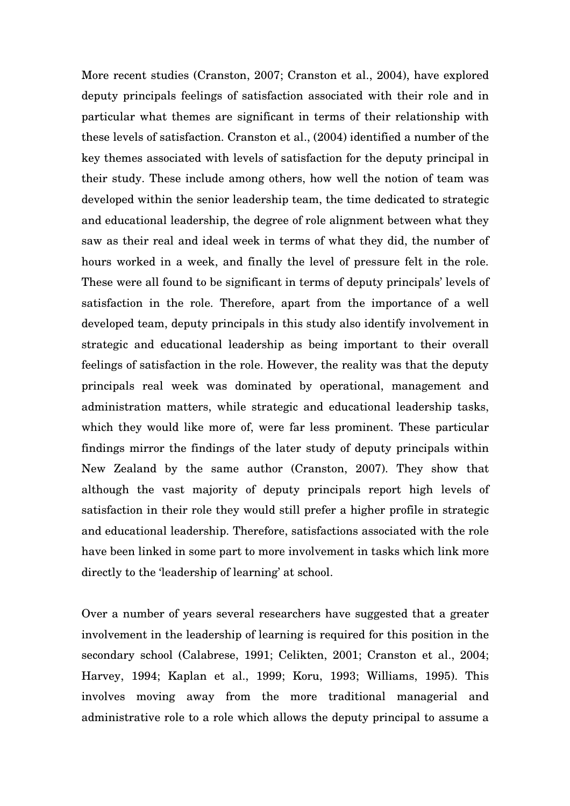More recent studies (Cranston, 2007; Cranston et al., 2004), have explored deputy principals feelings of satisfaction associated with their role and in particular what themes are significant in terms of their relationship with these levels of satisfaction. Cranston et al., (2004) identified a number of the key themes associated with levels of satisfaction for the deputy principal in their study. These include among others, how well the notion of team was developed within the senior leadership team, the time dedicated to strategic and educational leadership, the degree of role alignment between what they saw as their real and ideal week in terms of what they did, the number of hours worked in a week, and finally the level of pressure felt in the role. These were all found to be significant in terms of deputy principals' levels of satisfaction in the role. Therefore, apart from the importance of a well developed team, deputy principals in this study also identify involvement in strategic and educational leadership as being important to their overall feelings of satisfaction in the role. However, the reality was that the deputy principals real week was dominated by operational, management and administration matters, while strategic and educational leadership tasks, which they would like more of, were far less prominent. These particular findings mirror the findings of the later study of deputy principals within New Zealand by the same author (Cranston, 2007). They show that although the vast majority of deputy principals report high levels of satisfaction in their role they would still prefer a higher profile in strategic and educational leadership. Therefore, satisfactions associated with the role have been linked in some part to more involvement in tasks which link more directly to the 'leadership of learning' at school.

Over a number of years several researchers have suggested that a greater involvement in the leadership of learning is required for this position in the secondary school (Calabrese, 1991; Celikten, 2001; Cranston et al., 2004; Harvey, 1994; Kaplan et al., 1999; Koru, 1993; Williams, 1995). This involves moving away from the more traditional managerial and administrative role to a role which allows the deputy principal to assume a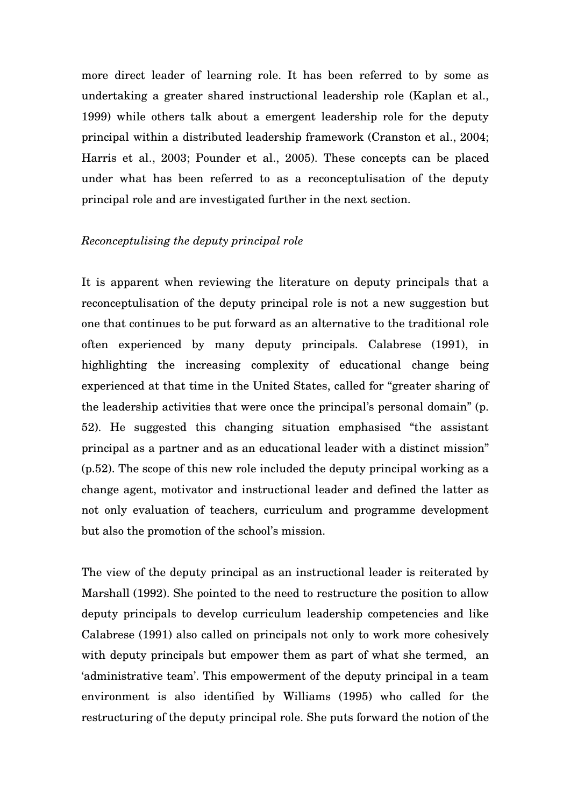more direct leader of learning role. It has been referred to by some as undertaking a greater shared instructional leadership role (Kaplan et al., 1999) while others talk about a emergent leadership role for the deputy principal within a distributed leadership framework (Cranston et al., 2004; Harris et al., 2003; Pounder et al., 2005). These concepts can be placed under what has been referred to as a reconceptulisation of the deputy principal role and are investigated further in the next section.

#### *Reconceptulising the deputy principal role*

It is apparent when reviewing the literature on deputy principals that a reconceptulisation of the deputy principal role is not a new suggestion but one that continues to be put forward as an alternative to the traditional role often experienced by many deputy principals. Calabrese (1991), in highlighting the increasing complexity of educational change being experienced at that time in the United States, called for "greater sharing of the leadership activities that were once the principal's personal domain" (p. 52). He suggested this changing situation emphasised "the assistant principal as a partner and as an educational leader with a distinct mission" (p.52). The scope of this new role included the deputy principal working as a change agent, motivator and instructional leader and defined the latter as not only evaluation of teachers, curriculum and programme development but also the promotion of the school's mission.

The view of the deputy principal as an instructional leader is reiterated by Marshall (1992). She pointed to the need to restructure the position to allow deputy principals to develop curriculum leadership competencies and like Calabrese (1991) also called on principals not only to work more cohesively with deputy principals but empower them as part of what she termed, an 'administrative team'. This empowerment of the deputy principal in a team environment is also identified by Williams (1995) who called for the restructuring of the deputy principal role. She puts forward the notion of the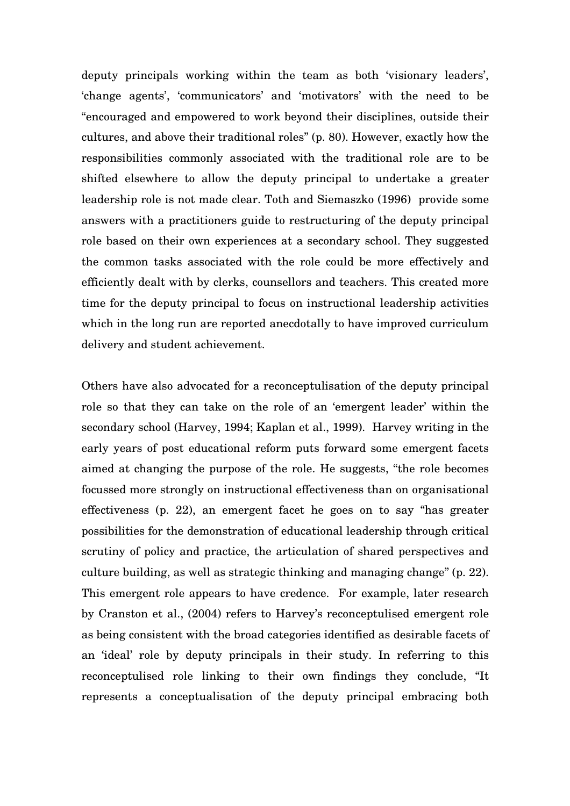deputy principals working within the team as both 'visionary leaders', 'change agents', 'communicators' and 'motivators' with the need to be "encouraged and empowered to work beyond their disciplines, outside their cultures, and above their traditional roles" (p. 80). However, exactly how the responsibilities commonly associated with the traditional role are to be shifted elsewhere to allow the deputy principal to undertake a greater leadership role is not made clear. Toth and Siemaszko (1996) provide some answers with a practitioners guide to restructuring of the deputy principal role based on their own experiences at a secondary school. They suggested the common tasks associated with the role could be more effectively and efficiently dealt with by clerks, counsellors and teachers. This created more time for the deputy principal to focus on instructional leadership activities which in the long run are reported anecdotally to have improved curriculum delivery and student achievement.

Others have also advocated for a reconceptulisation of the deputy principal role so that they can take on the role of an 'emergent leader' within the secondary school (Harvey, 1994; Kaplan et al., 1999). Harvey writing in the early years of post educational reform puts forward some emergent facets aimed at changing the purpose of the role. He suggests, "the role becomes focussed more strongly on instructional effectiveness than on organisational effectiveness (p. 22), an emergent facet he goes on to say "has greater possibilities for the demonstration of educational leadership through critical scrutiny of policy and practice, the articulation of shared perspectives and culture building, as well as strategic thinking and managing change" (p. 22). This emergent role appears to have credence. For example, later research by Cranston et al., (2004) refers to Harvey's reconceptulised emergent role as being consistent with the broad categories identified as desirable facets of an 'ideal' role by deputy principals in their study. In referring to this reconceptulised role linking to their own findings they conclude, "It represents a conceptualisation of the deputy principal embracing both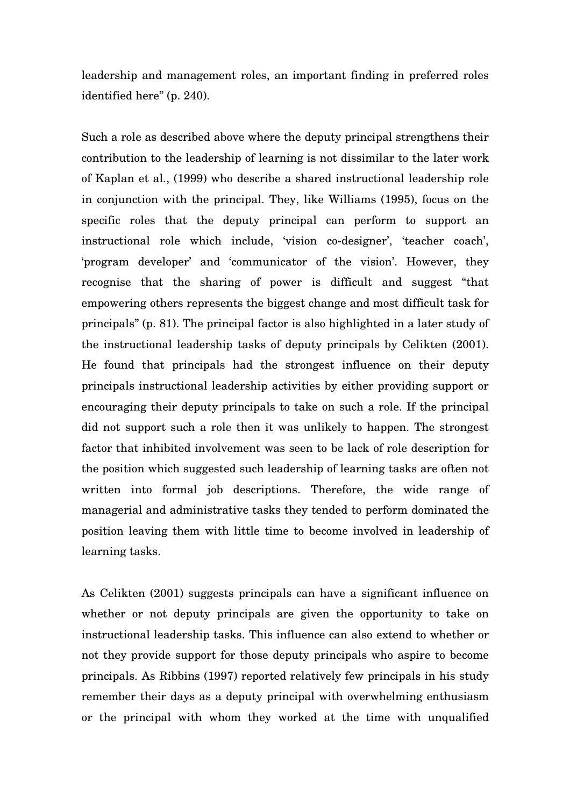leadership and management roles, an important finding in preferred roles identified here" (p. 240).

Such a role as described above where the deputy principal strengthens their contribution to the leadership of learning is not dissimilar to the later work of Kaplan et al., (1999) who describe a shared instructional leadership role in conjunction with the principal. They, like Williams (1995), focus on the specific roles that the deputy principal can perform to support an instructional role which include, 'vision co-designer', 'teacher coach', 'program developer' and 'communicator of the vision'. However, they recognise that the sharing of power is difficult and suggest "that empowering others represents the biggest change and most difficult task for principals" (p. 81). The principal factor is also highlighted in a later study of the instructional leadership tasks of deputy principals by Celikten (2001). He found that principals had the strongest influence on their deputy principals instructional leadership activities by either providing support or encouraging their deputy principals to take on such a role. If the principal did not support such a role then it was unlikely to happen. The strongest factor that inhibited involvement was seen to be lack of role description for the position which suggested such leadership of learning tasks are often not written into formal job descriptions. Therefore, the wide range of managerial and administrative tasks they tended to perform dominated the position leaving them with little time to become involved in leadership of learning tasks.

As Celikten (2001) suggests principals can have a significant influence on whether or not deputy principals are given the opportunity to take on instructional leadership tasks. This influence can also extend to whether or not they provide support for those deputy principals who aspire to become principals. As Ribbins (1997) reported relatively few principals in his study remember their days as a deputy principal with overwhelming enthusiasm or the principal with whom they worked at the time with unqualified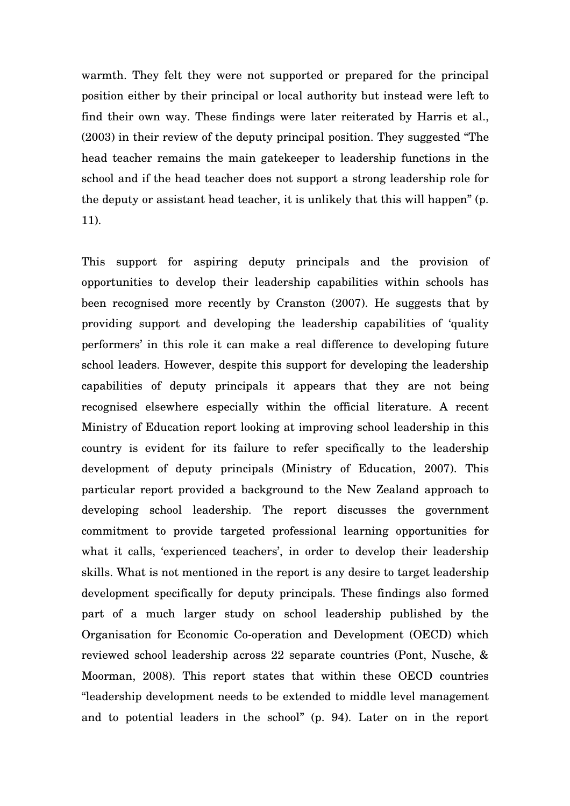warmth. They felt they were not supported or prepared for the principal position either by their principal or local authority but instead were left to find their own way. These findings were later reiterated by Harris et al., (2003) in their review of the deputy principal position. They suggested "The head teacher remains the main gatekeeper to leadership functions in the school and if the head teacher does not support a strong leadership role for the deputy or assistant head teacher, it is unlikely that this will happen" (p. 11).

This support for aspiring deputy principals and the provision of opportunities to develop their leadership capabilities within schools has been recognised more recently by Cranston (2007). He suggests that by providing support and developing the leadership capabilities of 'quality performers' in this role it can make a real difference to developing future school leaders. However, despite this support for developing the leadership capabilities of deputy principals it appears that they are not being recognised elsewhere especially within the official literature. A recent Ministry of Education report looking at improving school leadership in this country is evident for its failure to refer specifically to the leadership development of deputy principals (Ministry of Education, 2007). This particular report provided a background to the New Zealand approach to developing school leadership. The report discusses the government commitment to provide targeted professional learning opportunities for what it calls, 'experienced teachers', in order to develop their leadership skills. What is not mentioned in the report is any desire to target leadership development specifically for deputy principals. These findings also formed part of a much larger study on school leadership published by the Organisation for Economic Co-operation and Development (OECD) which reviewed school leadership across 22 separate countries (Pont, Nusche, & Moorman, 2008). This report states that within these OECD countries "leadership development needs to be extended to middle level management and to potential leaders in the school" (p. 94). Later on in the report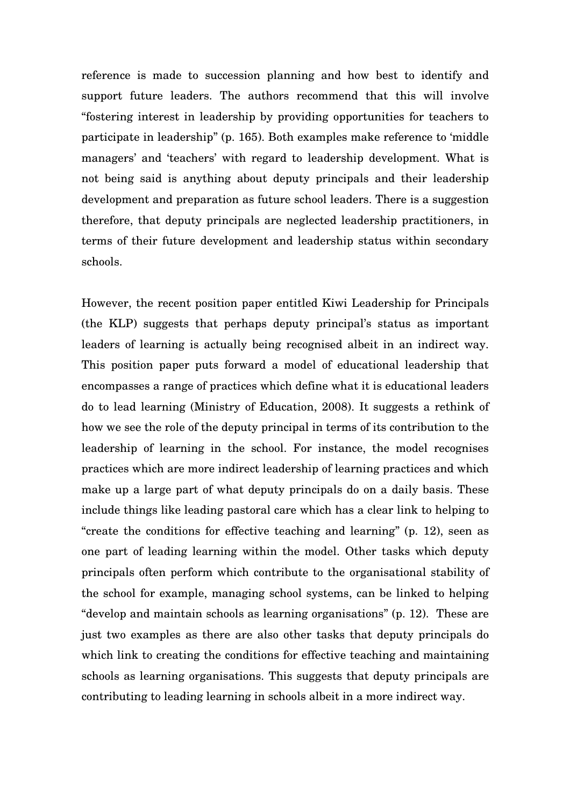reference is made to succession planning and how best to identify and support future leaders. The authors recommend that this will involve "fostering interest in leadership by providing opportunities for teachers to participate in leadership" (p. 165). Both examples make reference to 'middle managers' and 'teachers' with regard to leadership development. What is not being said is anything about deputy principals and their leadership development and preparation as future school leaders. There is a suggestion therefore, that deputy principals are neglected leadership practitioners, in terms of their future development and leadership status within secondary schools.

However, the recent position paper entitled Kiwi Leadership for Principals (the KLP) suggests that perhaps deputy principal's status as important leaders of learning is actually being recognised albeit in an indirect way. This position paper puts forward a model of educational leadership that encompasses a range of practices which define what it is educational leaders do to lead learning (Ministry of Education, 2008). It suggests a rethink of how we see the role of the deputy principal in terms of its contribution to the leadership of learning in the school. For instance, the model recognises practices which are more indirect leadership of learning practices and which make up a large part of what deputy principals do on a daily basis. These include things like leading pastoral care which has a clear link to helping to "create the conditions for effective teaching and learning" (p. 12), seen as one part of leading learning within the model. Other tasks which deputy principals often perform which contribute to the organisational stability of the school for example, managing school systems, can be linked to helping "develop and maintain schools as learning organisations" (p. 12). These are just two examples as there are also other tasks that deputy principals do which link to creating the conditions for effective teaching and maintaining schools as learning organisations. This suggests that deputy principals are contributing to leading learning in schools albeit in a more indirect way.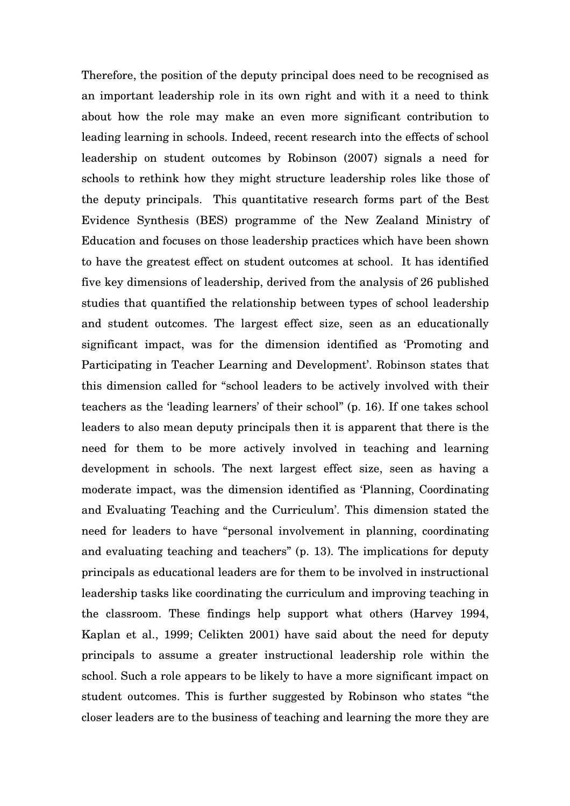Therefore, the position of the deputy principal does need to be recognised as an important leadership role in its own right and with it a need to think about how the role may make an even more significant contribution to leading learning in schools. Indeed, recent research into the effects of school leadership on student outcomes by Robinson (2007) signals a need for schools to rethink how they might structure leadership roles like those of the deputy principals. This quantitative research forms part of the Best Evidence Synthesis (BES) programme of the New Zealand Ministry of Education and focuses on those leadership practices which have been shown to have the greatest effect on student outcomes at school. It has identified five key dimensions of leadership, derived from the analysis of 26 published studies that quantified the relationship between types of school leadership and student outcomes. The largest effect size, seen as an educationally significant impact, was for the dimension identified as 'Promoting and Participating in Teacher Learning and Development'. Robinson states that this dimension called for "school leaders to be actively involved with their teachers as the 'leading learners' of their school" (p. 16). If one takes school leaders to also mean deputy principals then it is apparent that there is the need for them to be more actively involved in teaching and learning development in schools. The next largest effect size, seen as having a moderate impact, was the dimension identified as 'Planning, Coordinating and Evaluating Teaching and the Curriculum'. This dimension stated the need for leaders to have "personal involvement in planning, coordinating and evaluating teaching and teachers" (p. 13). The implications for deputy principals as educational leaders are for them to be involved in instructional leadership tasks like coordinating the curriculum and improving teaching in the classroom. These findings help support what others (Harvey 1994, Kaplan et al., 1999; Celikten 2001) have said about the need for deputy principals to assume a greater instructional leadership role within the school. Such a role appears to be likely to have a more significant impact on student outcomes. This is further suggested by Robinson who states "the closer leaders are to the business of teaching and learning the more they are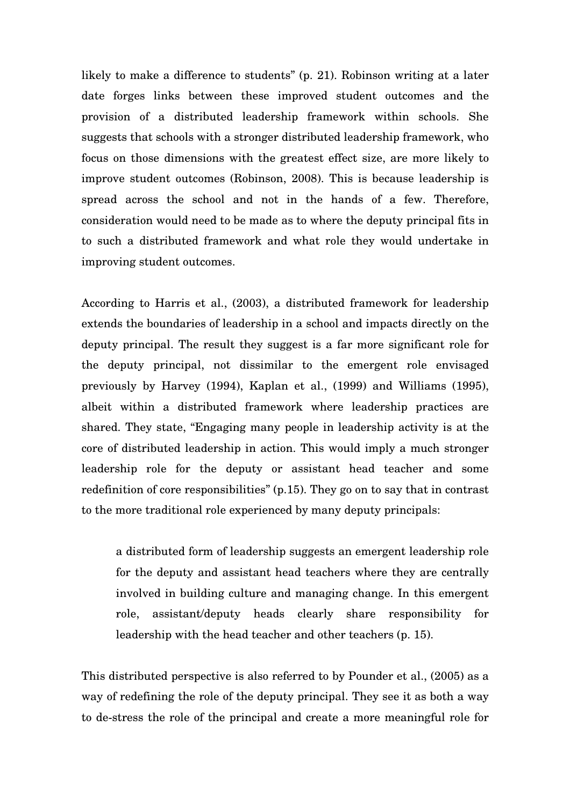likely to make a difference to students" (p. 21). Robinson writing at a later date forges links between these improved student outcomes and the provision of a distributed leadership framework within schools. She suggests that schools with a stronger distributed leadership framework, who focus on those dimensions with the greatest effect size, are more likely to improve student outcomes (Robinson, 2008). This is because leadership is spread across the school and not in the hands of a few. Therefore, consideration would need to be made as to where the deputy principal fits in to such a distributed framework and what role they would undertake in improving student outcomes.

According to Harris et al., (2003), a distributed framework for leadership extends the boundaries of leadership in a school and impacts directly on the deputy principal. The result they suggest is a far more significant role for the deputy principal, not dissimilar to the emergent role envisaged previously by Harvey (1994), Kaplan et al., (1999) and Williams (1995), albeit within a distributed framework where leadership practices are shared. They state, "Engaging many people in leadership activity is at the core of distributed leadership in action. This would imply a much stronger leadership role for the deputy or assistant head teacher and some redefinition of core responsibilities" (p.15). They go on to say that in contrast to the more traditional role experienced by many deputy principals:

a distributed form of leadership suggests an emergent leadership role for the deputy and assistant head teachers where they are centrally involved in building culture and managing change. In this emergent role, assistant/deputy heads clearly share responsibility for leadership with the head teacher and other teachers (p. 15).

This distributed perspective is also referred to by Pounder et al., (2005) as a way of redefining the role of the deputy principal. They see it as both a way to de-stress the role of the principal and create a more meaningful role for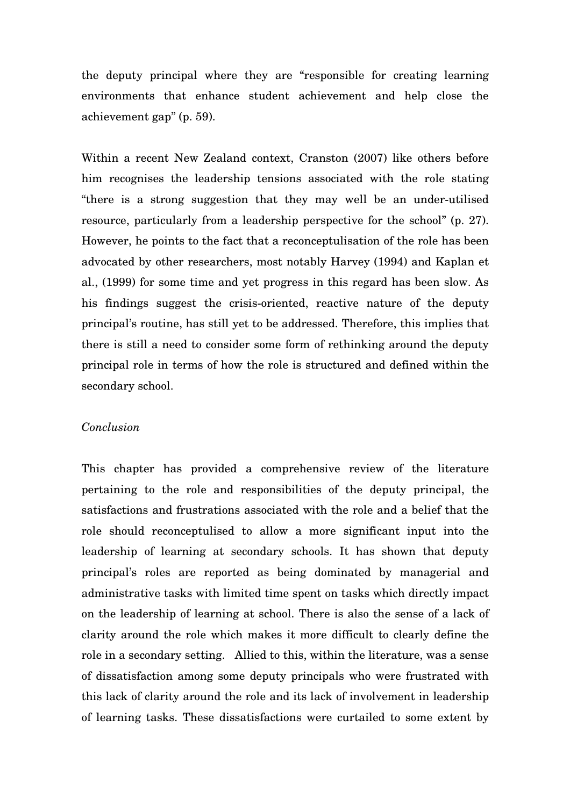the deputy principal where they are "responsible for creating learning environments that enhance student achievement and help close the achievement gap" (p. 59).

Within a recent New Zealand context, Cranston (2007) like others before him recognises the leadership tensions associated with the role stating "there is a strong suggestion that they may well be an under-utilised resource, particularly from a leadership perspective for the school" (p. 27). However, he points to the fact that a reconceptulisation of the role has been advocated by other researchers, most notably Harvey (1994) and Kaplan et al., (1999) for some time and yet progress in this regard has been slow. As his findings suggest the crisis-oriented, reactive nature of the deputy principal's routine, has still yet to be addressed. Therefore, this implies that there is still a need to consider some form of rethinking around the deputy principal role in terms of how the role is structured and defined within the secondary school.

### *Conclusion*

This chapter has provided a comprehensive review of the literature pertaining to the role and responsibilities of the deputy principal, the satisfactions and frustrations associated with the role and a belief that the role should reconceptulised to allow a more significant input into the leadership of learning at secondary schools. It has shown that deputy principal's roles are reported as being dominated by managerial and administrative tasks with limited time spent on tasks which directly impact on the leadership of learning at school. There is also the sense of a lack of clarity around the role which makes it more difficult to clearly define the role in a secondary setting. Allied to this, within the literature, was a sense of dissatisfaction among some deputy principals who were frustrated with this lack of clarity around the role and its lack of involvement in leadership of learning tasks. These dissatisfactions were curtailed to some extent by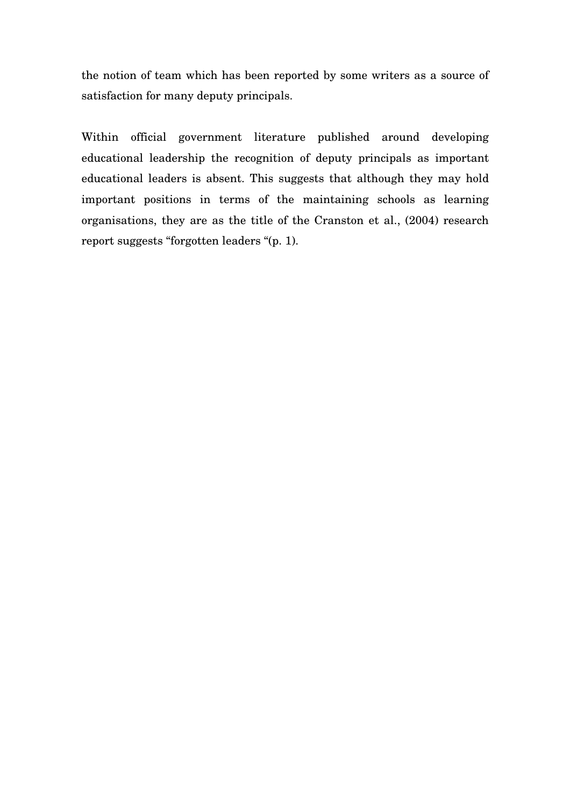the notion of team which has been reported by some writers as a source of satisfaction for many deputy principals.

Within official government literature published around developing educational leadership the recognition of deputy principals as important educational leaders is absent. This suggests that although they may hold important positions in terms of the maintaining schools as learning organisations, they are as the title of the Cranston et al., (2004) research report suggests "forgotten leaders "(p. 1).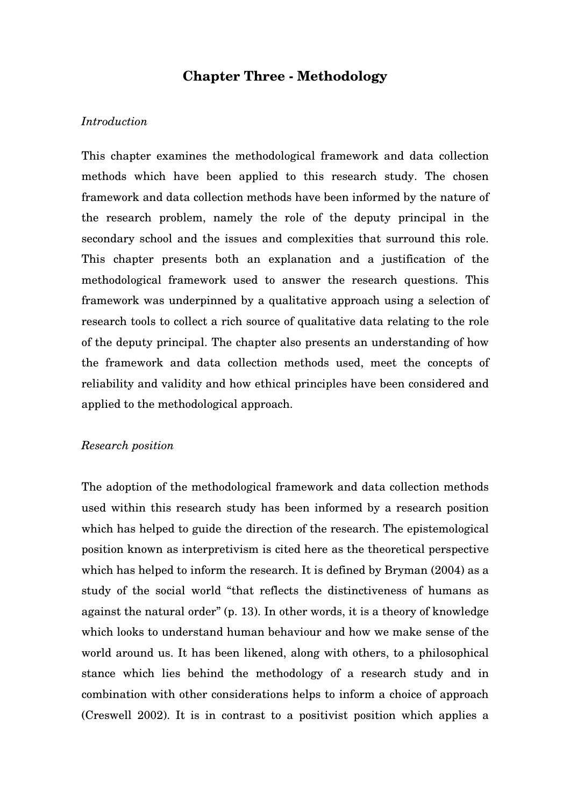# **Chapter Three - Methodology**

### *Introduction*

This chapter examines the methodological framework and data collection methods which have been applied to this research study. The chosen framework and data collection methods have been informed by the nature of the research problem, namely the role of the deputy principal in the secondary school and the issues and complexities that surround this role. This chapter presents both an explanation and a justification of the methodological framework used to answer the research questions. This framework was underpinned by a qualitative approach using a selection of research tools to collect a rich source of qualitative data relating to the role of the deputy principal. The chapter also presents an understanding of how the framework and data collection methods used, meet the concepts of reliability and validity and how ethical principles have been considered and applied to the methodological approach.

#### *Research position*

The adoption of the methodological framework and data collection methods used within this research study has been informed by a research position which has helped to guide the direction of the research. The epistemological position known as interpretivism is cited here as the theoretical perspective which has helped to inform the research. It is defined by Bryman (2004) as a study of the social world "that reflects the distinctiveness of humans as against the natural order" (p. 13). In other words, it is a theory of knowledge which looks to understand human behaviour and how we make sense of the world around us. It has been likened, along with others, to a philosophical stance which lies behind the methodology of a research study and in combination with other considerations helps to inform a choice of approach (Creswell 2002). It is in contrast to a positivist position which applies a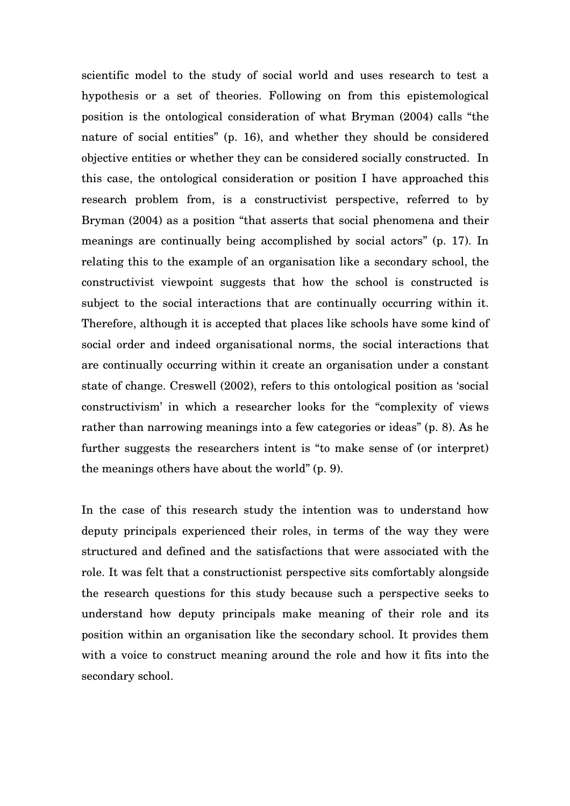scientific model to the study of social world and uses research to test a hypothesis or a set of theories. Following on from this epistemological position is the ontological consideration of what Bryman (2004) calls "the nature of social entities" (p. 16), and whether they should be considered objective entities or whether they can be considered socially constructed. In this case, the ontological consideration or position I have approached this research problem from, is a constructivist perspective, referred to by Bryman (2004) as a position "that asserts that social phenomena and their meanings are continually being accomplished by social actors" (p. 17). In relating this to the example of an organisation like a secondary school, the constructivist viewpoint suggests that how the school is constructed is subject to the social interactions that are continually occurring within it. Therefore, although it is accepted that places like schools have some kind of social order and indeed organisational norms, the social interactions that are continually occurring within it create an organisation under a constant state of change. Creswell (2002), refers to this ontological position as 'social constructivism' in which a researcher looks for the "complexity of views rather than narrowing meanings into a few categories or ideas" (p. 8). As he further suggests the researchers intent is "to make sense of (or interpret) the meanings others have about the world" (p. 9).

In the case of this research study the intention was to understand how deputy principals experienced their roles, in terms of the way they were structured and defined and the satisfactions that were associated with the role. It was felt that a constructionist perspective sits comfortably alongside the research questions for this study because such a perspective seeks to understand how deputy principals make meaning of their role and its position within an organisation like the secondary school. It provides them with a voice to construct meaning around the role and how it fits into the secondary school.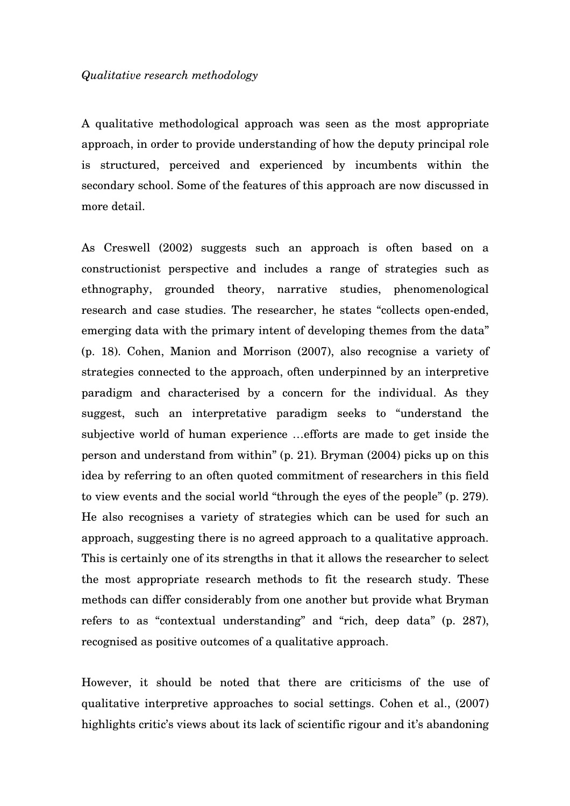#### *Qualitative research methodology*

A qualitative methodological approach was seen as the most appropriate approach, in order to provide understanding of how the deputy principal role is structured, perceived and experienced by incumbents within the secondary school. Some of the features of this approach are now discussed in more detail.

As Creswell (2002) suggests such an approach is often based on a constructionist perspective and includes a range of strategies such as ethnography, grounded theory, narrative studies, phenomenological research and case studies. The researcher, he states "collects open-ended, emerging data with the primary intent of developing themes from the data" (p. 18). Cohen, Manion and Morrison (2007), also recognise a variety of strategies connected to the approach, often underpinned by an interpretive paradigm and characterised by a concern for the individual. As they suggest, such an interpretative paradigm seeks to "understand the subjective world of human experience …efforts are made to get inside the person and understand from within" (p. 21). Bryman (2004) picks up on this idea by referring to an often quoted commitment of researchers in this field to view events and the social world "through the eyes of the people" (p. 279). He also recognises a variety of strategies which can be used for such an approach, suggesting there is no agreed approach to a qualitative approach. This is certainly one of its strengths in that it allows the researcher to select the most appropriate research methods to fit the research study. These methods can differ considerably from one another but provide what Bryman refers to as "contextual understanding" and "rich, deep data" (p. 287), recognised as positive outcomes of a qualitative approach.

However, it should be noted that there are criticisms of the use of qualitative interpretive approaches to social settings. Cohen et al., (2007) highlights critic's views about its lack of scientific rigour and it's abandoning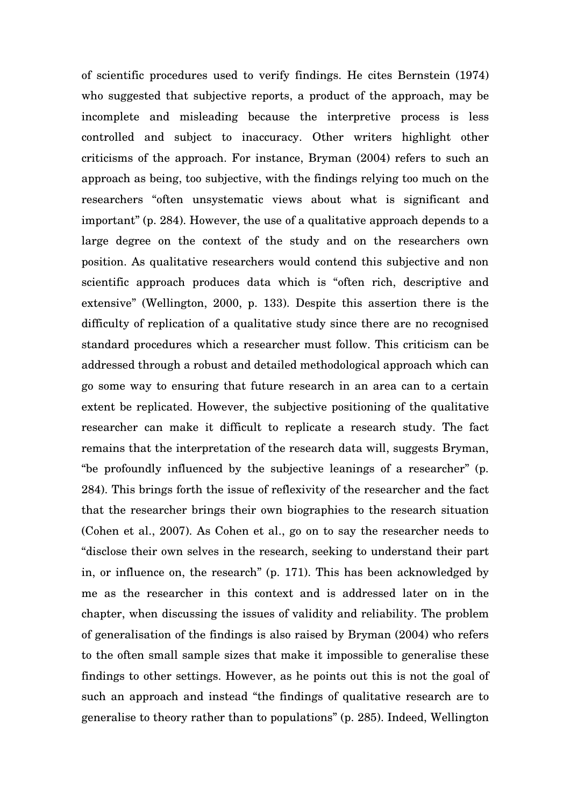of scientific procedures used to verify findings. He cites Bernstein (1974) who suggested that subjective reports, a product of the approach, may be incomplete and misleading because the interpretive process is less controlled and subject to inaccuracy. Other writers highlight other criticisms of the approach. For instance, Bryman (2004) refers to such an approach as being, too subjective, with the findings relying too much on the researchers "often unsystematic views about what is significant and important" (p. 284). However, the use of a qualitative approach depends to a large degree on the context of the study and on the researchers own position. As qualitative researchers would contend this subjective and non scientific approach produces data which is "often rich, descriptive and extensive" (Wellington, 2000, p. 133). Despite this assertion there is the difficulty of replication of a qualitative study since there are no recognised standard procedures which a researcher must follow. This criticism can be addressed through a robust and detailed methodological approach which can go some way to ensuring that future research in an area can to a certain extent be replicated. However, the subjective positioning of the qualitative researcher can make it difficult to replicate a research study. The fact remains that the interpretation of the research data will, suggests Bryman, "be profoundly influenced by the subjective leanings of a researcher" (p. 284). This brings forth the issue of reflexivity of the researcher and the fact that the researcher brings their own biographies to the research situation (Cohen et al., 2007). As Cohen et al., go on to say the researcher needs to "disclose their own selves in the research, seeking to understand their part in, or influence on, the research" (p. 171). This has been acknowledged by me as the researcher in this context and is addressed later on in the chapter, when discussing the issues of validity and reliability. The problem of generalisation of the findings is also raised by Bryman (2004) who refers to the often small sample sizes that make it impossible to generalise these findings to other settings. However, as he points out this is not the goal of such an approach and instead "the findings of qualitative research are to generalise to theory rather than to populations" (p. 285). Indeed, Wellington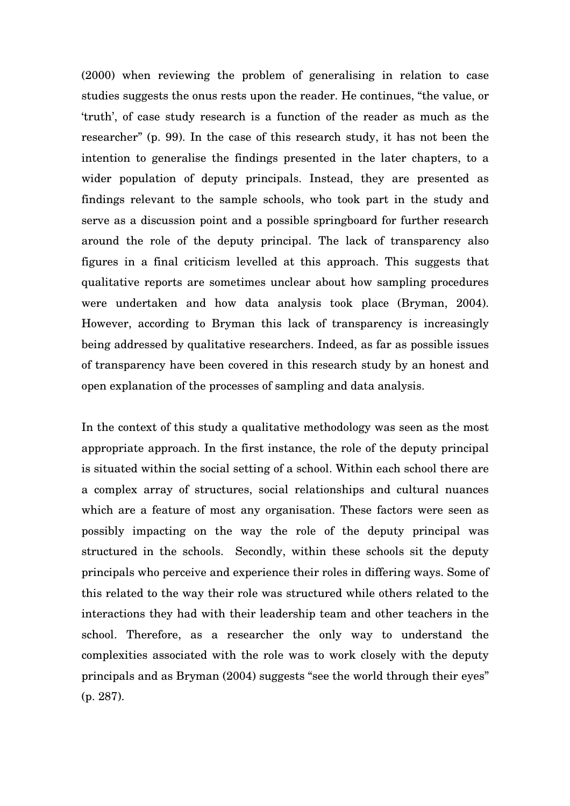(2000) when reviewing the problem of generalising in relation to case studies suggests the onus rests upon the reader. He continues, "the value, or 'truth', of case study research is a function of the reader as much as the researcher" (p. 99). In the case of this research study, it has not been the intention to generalise the findings presented in the later chapters, to a wider population of deputy principals. Instead, they are presented as findings relevant to the sample schools, who took part in the study and serve as a discussion point and a possible springboard for further research around the role of the deputy principal. The lack of transparency also figures in a final criticism levelled at this approach. This suggests that qualitative reports are sometimes unclear about how sampling procedures were undertaken and how data analysis took place (Bryman, 2004). However, according to Bryman this lack of transparency is increasingly being addressed by qualitative researchers. Indeed, as far as possible issues of transparency have been covered in this research study by an honest and open explanation of the processes of sampling and data analysis.

In the context of this study a qualitative methodology was seen as the most appropriate approach. In the first instance, the role of the deputy principal is situated within the social setting of a school. Within each school there are a complex array of structures, social relationships and cultural nuances which are a feature of most any organisation. These factors were seen as possibly impacting on the way the role of the deputy principal was structured in the schools. Secondly, within these schools sit the deputy principals who perceive and experience their roles in differing ways. Some of this related to the way their role was structured while others related to the interactions they had with their leadership team and other teachers in the school. Therefore, as a researcher the only way to understand the complexities associated with the role was to work closely with the deputy principals and as Bryman (2004) suggests "see the world through their eyes" (p. 287).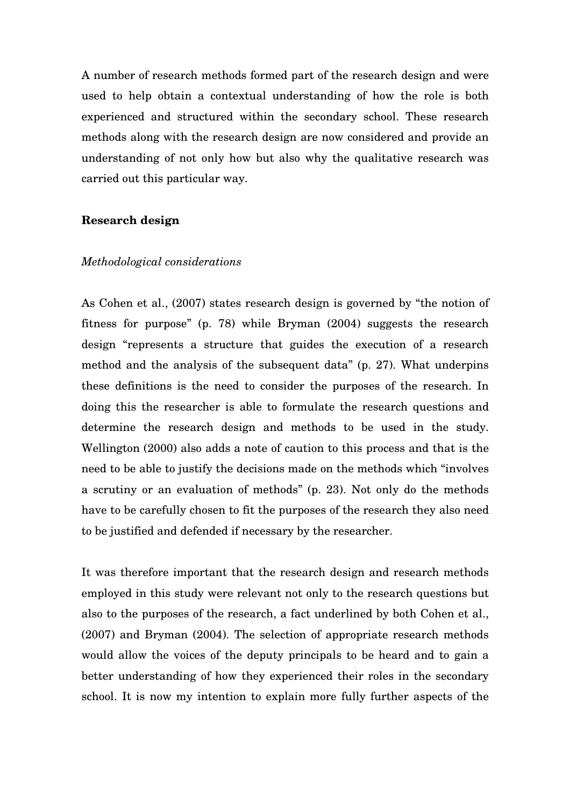A number of research methods formed part of the research design and were used to help obtain a contextual understanding of how the role is both experienced and structured within the secondary school. These research methods along with the research design are now considered and provide an understanding of not only how but also why the qualitative research was carried out this particular way.

### **Research design**

#### *Methodological considerations*

As Cohen et al., (2007) states research design is governed by "the notion of fitness for purpose" (p. 78) while Bryman (2004) suggests the research design "represents a structure that guides the execution of a research method and the analysis of the subsequent data" (p. 27). What underpins these definitions is the need to consider the purposes of the research. In doing this the researcher is able to formulate the research questions and determine the research design and methods to be used in the study. Wellington (2000) also adds a note of caution to this process and that is the need to be able to justify the decisions made on the methods which "involves a scrutiny or an evaluation of methods" (p. 23). Not only do the methods have to be carefully chosen to fit the purposes of the research they also need to be justified and defended if necessary by the researcher.

It was therefore important that the research design and research methods employed in this study were relevant not only to the research questions but also to the purposes of the research, a fact underlined by both Cohen et al., (2007) and Bryman (2004). The selection of appropriate research methods would allow the voices of the deputy principals to be heard and to gain a better understanding of how they experienced their roles in the secondary school. It is now my intention to explain more fully further aspects of the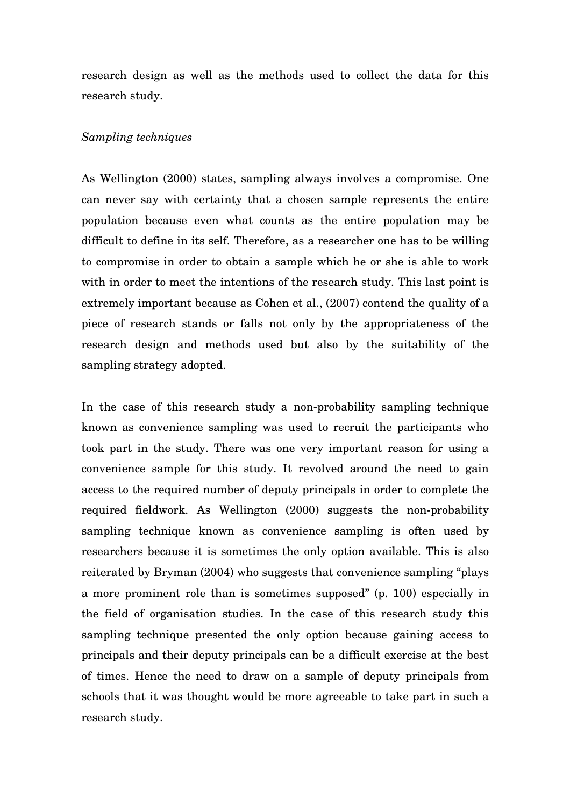research design as well as the methods used to collect the data for this research study.

### *Sampling techniques*

As Wellington (2000) states, sampling always involves a compromise. One can never say with certainty that a chosen sample represents the entire population because even what counts as the entire population may be difficult to define in its self. Therefore, as a researcher one has to be willing to compromise in order to obtain a sample which he or she is able to work with in order to meet the intentions of the research study. This last point is extremely important because as Cohen et al., (2007) contend the quality of a piece of research stands or falls not only by the appropriateness of the research design and methods used but also by the suitability of the sampling strategy adopted.

In the case of this research study a non-probability sampling technique known as convenience sampling was used to recruit the participants who took part in the study. There was one very important reason for using a convenience sample for this study. It revolved around the need to gain access to the required number of deputy principals in order to complete the required fieldwork. As Wellington (2000) suggests the non-probability sampling technique known as convenience sampling is often used by researchers because it is sometimes the only option available. This is also reiterated by Bryman (2004) who suggests that convenience sampling "plays a more prominent role than is sometimes supposed" (p. 100) especially in the field of organisation studies. In the case of this research study this sampling technique presented the only option because gaining access to principals and their deputy principals can be a difficult exercise at the best of times. Hence the need to draw on a sample of deputy principals from schools that it was thought would be more agreeable to take part in such a research study.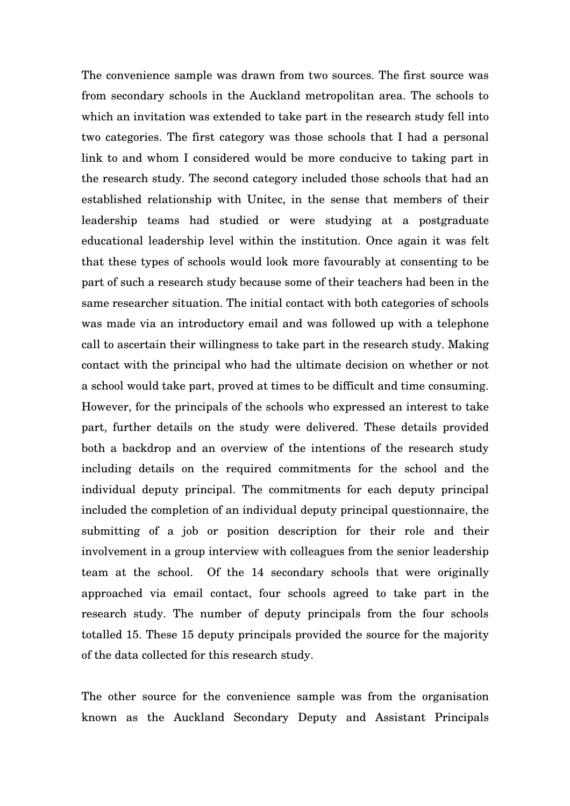The convenience sample was drawn from two sources. The first source was from secondary schools in the Auckland metropolitan area. The schools to which an invitation was extended to take part in the research study fell into two categories. The first category was those schools that I had a personal link to and whom I considered would be more conducive to taking part in the research study. The second category included those schools that had an established relationship with Unitec, in the sense that members of their leadership teams had studied or were studying at a postgraduate educational leadership level within the institution. Once again it was felt that these types of schools would look more favourably at consenting to be part of such a research study because some of their teachers had been in the same researcher situation. The initial contact with both categories of schools was made via an introductory email and was followed up with a telephone call to ascertain their willingness to take part in the research study. Making contact with the principal who had the ultimate decision on whether or not a school would take part, proved at times to be difficult and time consuming. However, for the principals of the schools who expressed an interest to take part, further details on the study were delivered. These details provided both a backdrop and an overview of the intentions of the research study including details on the required commitments for the school and the individual deputy principal. The commitments for each deputy principal included the completion of an individual deputy principal questionnaire, the submitting of a job or position description for their role and their involvement in a group interview with colleagues from the senior leadership team at the school. Of the 14 secondary schools that were originally approached via email contact, four schools agreed to take part in the research study. The number of deputy principals from the four schools totalled 15. These 15 deputy principals provided the source for the majority of the data collected for this research study.

The other source for the convenience sample was from the organisation known as the Auckland Secondary Deputy and Assistant Principals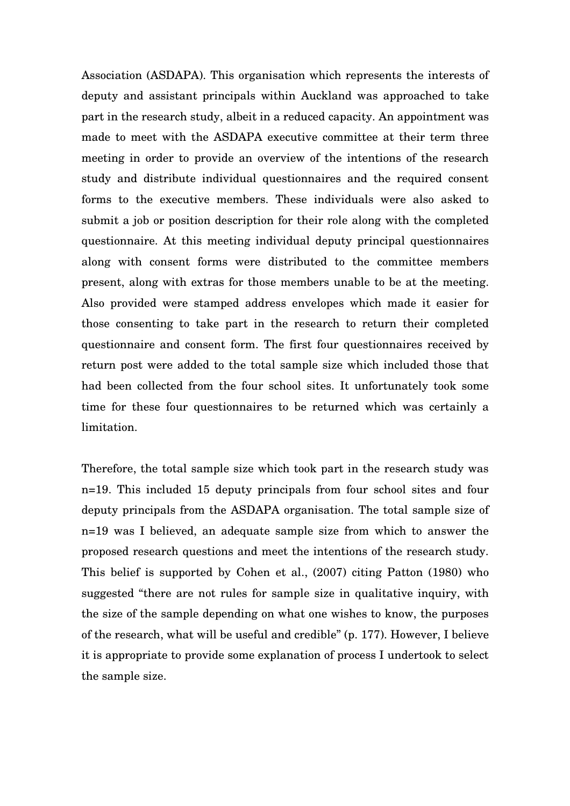Association (ASDAPA). This organisation which represents the interests of deputy and assistant principals within Auckland was approached to take part in the research study, albeit in a reduced capacity. An appointment was made to meet with the ASDAPA executive committee at their term three meeting in order to provide an overview of the intentions of the research study and distribute individual questionnaires and the required consent forms to the executive members. These individuals were also asked to submit a job or position description for their role along with the completed questionnaire. At this meeting individual deputy principal questionnaires along with consent forms were distributed to the committee members present, along with extras for those members unable to be at the meeting. Also provided were stamped address envelopes which made it easier for those consenting to take part in the research to return their completed questionnaire and consent form. The first four questionnaires received by return post were added to the total sample size which included those that had been collected from the four school sites. It unfortunately took some time for these four questionnaires to be returned which was certainly a limitation.

Therefore, the total sample size which took part in the research study was n=19. This included 15 deputy principals from four school sites and four deputy principals from the ASDAPA organisation. The total sample size of n=19 was I believed, an adequate sample size from which to answer the proposed research questions and meet the intentions of the research study. This belief is supported by Cohen et al., (2007) citing Patton (1980) who suggested "there are not rules for sample size in qualitative inquiry, with the size of the sample depending on what one wishes to know, the purposes of the research, what will be useful and credible" (p. 177). However, I believe it is appropriate to provide some explanation of process I undertook to select the sample size.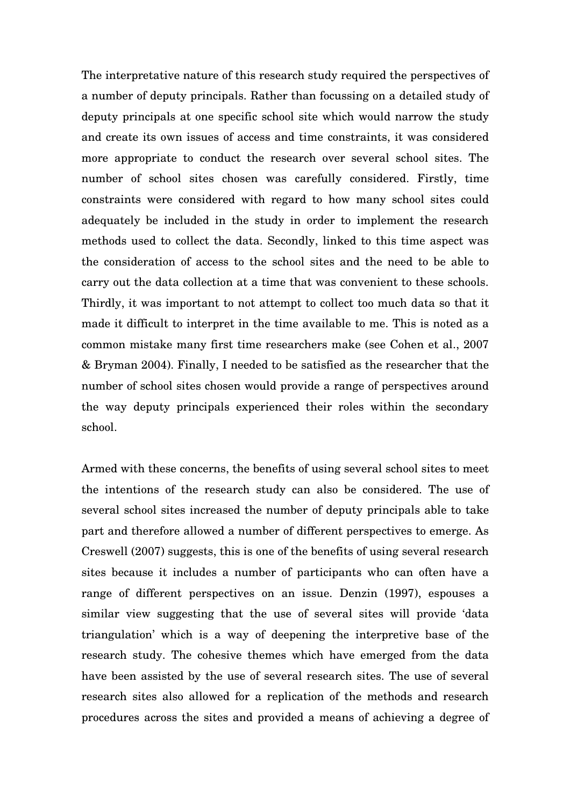The interpretative nature of this research study required the perspectives of a number of deputy principals. Rather than focussing on a detailed study of deputy principals at one specific school site which would narrow the study and create its own issues of access and time constraints, it was considered more appropriate to conduct the research over several school sites. The number of school sites chosen was carefully considered. Firstly, time constraints were considered with regard to how many school sites could adequately be included in the study in order to implement the research methods used to collect the data. Secondly, linked to this time aspect was the consideration of access to the school sites and the need to be able to carry out the data collection at a time that was convenient to these schools. Thirdly, it was important to not attempt to collect too much data so that it made it difficult to interpret in the time available to me. This is noted as a common mistake many first time researchers make (see Cohen et al., 2007 & Bryman 2004). Finally, I needed to be satisfied as the researcher that the number of school sites chosen would provide a range of perspectives around the way deputy principals experienced their roles within the secondary school.

Armed with these concerns, the benefits of using several school sites to meet the intentions of the research study can also be considered. The use of several school sites increased the number of deputy principals able to take part and therefore allowed a number of different perspectives to emerge. As Creswell (2007) suggests, this is one of the benefits of using several research sites because it includes a number of participants who can often have a range of different perspectives on an issue. Denzin (1997), espouses a similar view suggesting that the use of several sites will provide 'data triangulation' which is a way of deepening the interpretive base of the research study. The cohesive themes which have emerged from the data have been assisted by the use of several research sites. The use of several research sites also allowed for a replication of the methods and research procedures across the sites and provided a means of achieving a degree of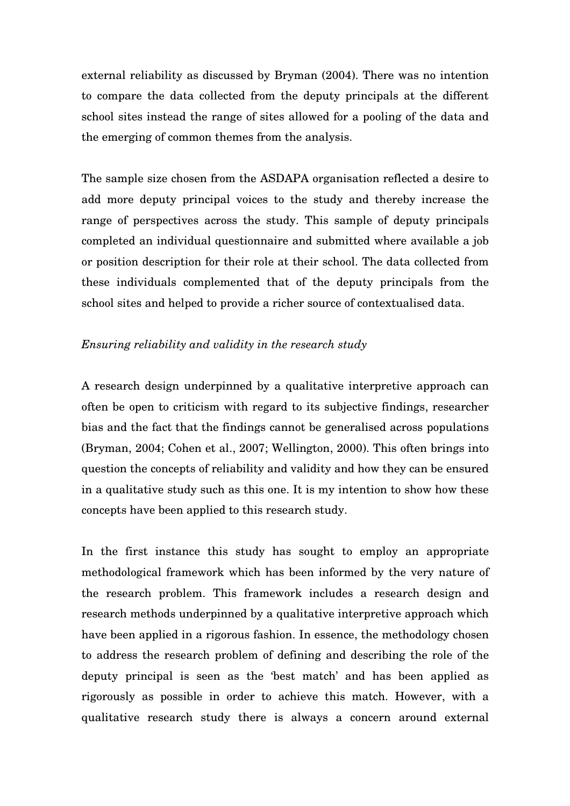external reliability as discussed by Bryman (2004). There was no intention to compare the data collected from the deputy principals at the different school sites instead the range of sites allowed for a pooling of the data and the emerging of common themes from the analysis.

The sample size chosen from the ASDAPA organisation reflected a desire to add more deputy principal voices to the study and thereby increase the range of perspectives across the study. This sample of deputy principals completed an individual questionnaire and submitted where available a job or position description for their role at their school. The data collected from these individuals complemented that of the deputy principals from the school sites and helped to provide a richer source of contextualised data.

## *Ensuring reliability and validity in the research study*

A research design underpinned by a qualitative interpretive approach can often be open to criticism with regard to its subjective findings, researcher bias and the fact that the findings cannot be generalised across populations (Bryman, 2004; Cohen et al., 2007; Wellington, 2000). This often brings into question the concepts of reliability and validity and how they can be ensured in a qualitative study such as this one. It is my intention to show how these concepts have been applied to this research study.

In the first instance this study has sought to employ an appropriate methodological framework which has been informed by the very nature of the research problem. This framework includes a research design and research methods underpinned by a qualitative interpretive approach which have been applied in a rigorous fashion. In essence, the methodology chosen to address the research problem of defining and describing the role of the deputy principal is seen as the 'best match' and has been applied as rigorously as possible in order to achieve this match. However, with a qualitative research study there is always a concern around external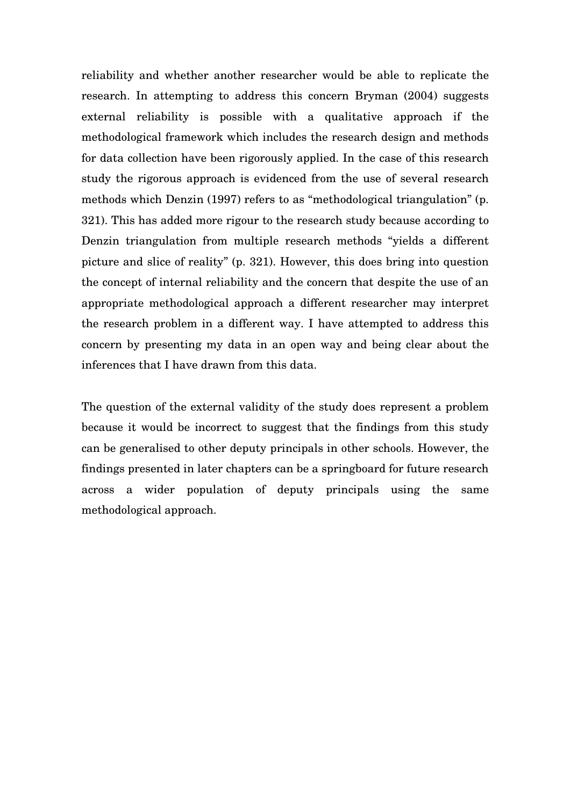reliability and whether another researcher would be able to replicate the research. In attempting to address this concern Bryman (2004) suggests external reliability is possible with a qualitative approach if the methodological framework which includes the research design and methods for data collection have been rigorously applied. In the case of this research study the rigorous approach is evidenced from the use of several research methods which Denzin (1997) refers to as "methodological triangulation" (p. 321). This has added more rigour to the research study because according to Denzin triangulation from multiple research methods "yields a different picture and slice of reality" (p. 321). However, this does bring into question the concept of internal reliability and the concern that despite the use of an appropriate methodological approach a different researcher may interpret the research problem in a different way. I have attempted to address this concern by presenting my data in an open way and being clear about the inferences that I have drawn from this data.

The question of the external validity of the study does represent a problem because it would be incorrect to suggest that the findings from this study can be generalised to other deputy principals in other schools. However, the findings presented in later chapters can be a springboard for future research across a wider population of deputy principals using the same methodological approach.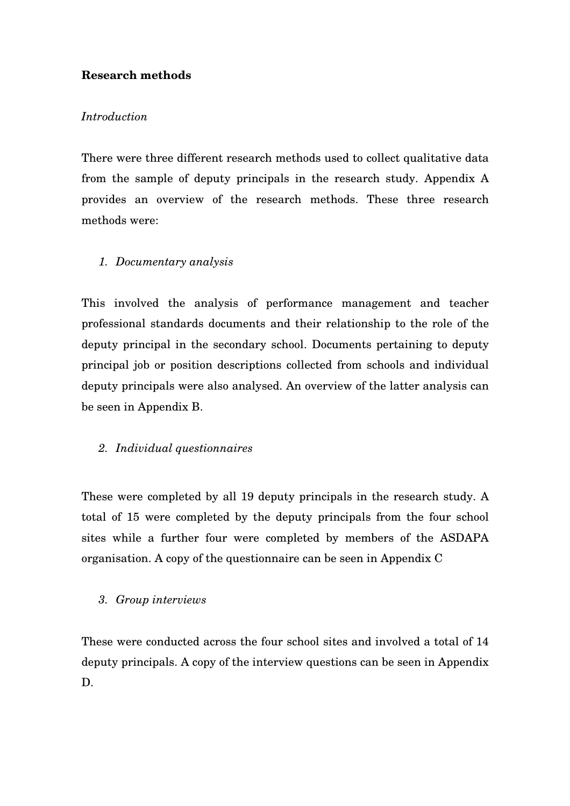# **Research methods**

## *Introduction*

There were three different research methods used to collect qualitative data from the sample of deputy principals in the research study. Appendix A provides an overview of the research methods. These three research methods were:

# *1. Documentary analysis*

This involved the analysis of performance management and teacher professional standards documents and their relationship to the role of the deputy principal in the secondary school. Documents pertaining to deputy principal job or position descriptions collected from schools and individual deputy principals were also analysed. An overview of the latter analysis can be seen in Appendix B.

## *2. Individual questionnaires*

These were completed by all 19 deputy principals in the research study. A total of 15 were completed by the deputy principals from the four school sites while a further four were completed by members of the ASDAPA organisation. A copy of the questionnaire can be seen in Appendix C

## *3. Group interviews*

These were conducted across the four school sites and involved a total of 14 deputy principals. A copy of the interview questions can be seen in Appendix D.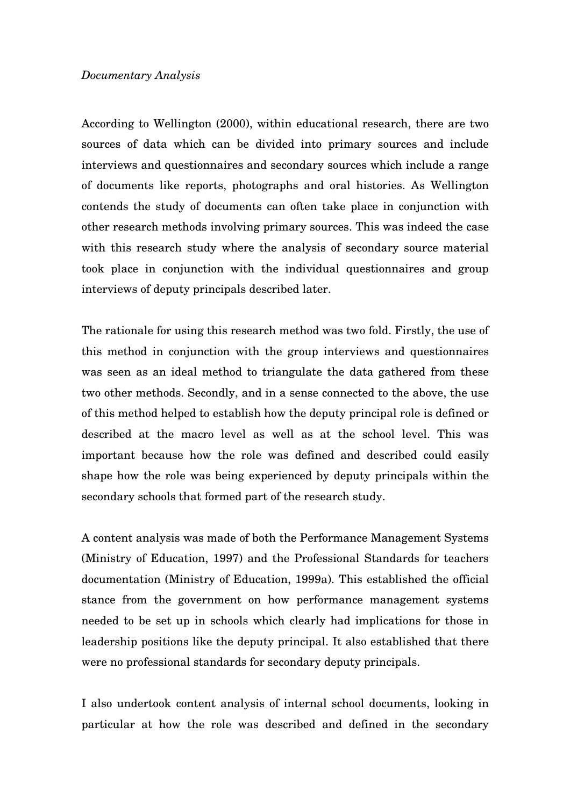### *Documentary Analysis*

According to Wellington (2000), within educational research, there are two sources of data which can be divided into primary sources and include interviews and questionnaires and secondary sources which include a range of documents like reports, photographs and oral histories. As Wellington contends the study of documents can often take place in conjunction with other research methods involving primary sources. This was indeed the case with this research study where the analysis of secondary source material took place in conjunction with the individual questionnaires and group interviews of deputy principals described later.

The rationale for using this research method was two fold. Firstly, the use of this method in conjunction with the group interviews and questionnaires was seen as an ideal method to triangulate the data gathered from these two other methods. Secondly, and in a sense connected to the above, the use of this method helped to establish how the deputy principal role is defined or described at the macro level as well as at the school level. This was important because how the role was defined and described could easily shape how the role was being experienced by deputy principals within the secondary schools that formed part of the research study.

A content analysis was made of both the Performance Management Systems (Ministry of Education, 1997) and the Professional Standards for teachers documentation (Ministry of Education, 1999a). This established the official stance from the government on how performance management systems needed to be set up in schools which clearly had implications for those in leadership positions like the deputy principal. It also established that there were no professional standards for secondary deputy principals.

I also undertook content analysis of internal school documents, looking in particular at how the role was described and defined in the secondary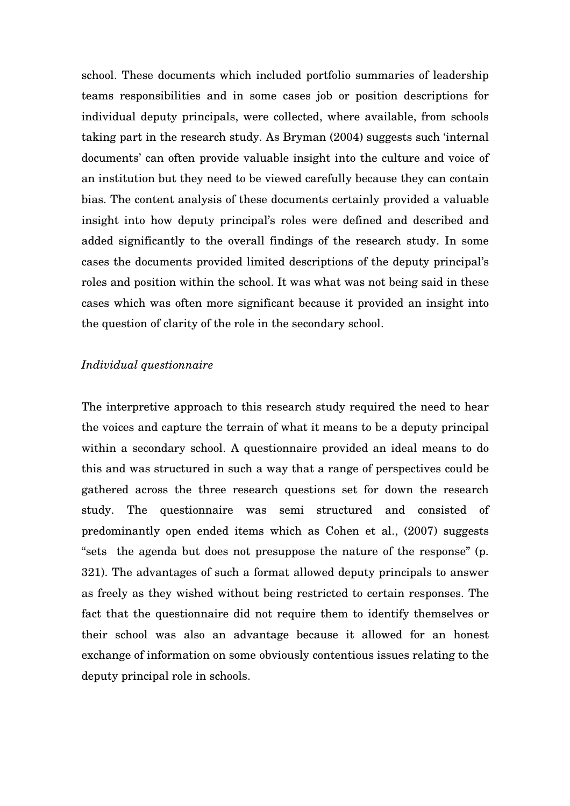school. These documents which included portfolio summaries of leadership teams responsibilities and in some cases job or position descriptions for individual deputy principals, were collected, where available, from schools taking part in the research study. As Bryman (2004) suggests such 'internal documents' can often provide valuable insight into the culture and voice of an institution but they need to be viewed carefully because they can contain bias. The content analysis of these documents certainly provided a valuable insight into how deputy principal's roles were defined and described and added significantly to the overall findings of the research study. In some cases the documents provided limited descriptions of the deputy principal's roles and position within the school. It was what was not being said in these cases which was often more significant because it provided an insight into the question of clarity of the role in the secondary school.

### *Individual questionnaire*

The interpretive approach to this research study required the need to hear the voices and capture the terrain of what it means to be a deputy principal within a secondary school. A questionnaire provided an ideal means to do this and was structured in such a way that a range of perspectives could be gathered across the three research questions set for down the research study. The questionnaire was semi structured and consisted of predominantly open ended items which as Cohen et al., (2007) suggests "sets the agenda but does not presuppose the nature of the response" (p. 321). The advantages of such a format allowed deputy principals to answer as freely as they wished without being restricted to certain responses. The fact that the questionnaire did not require them to identify themselves or their school was also an advantage because it allowed for an honest exchange of information on some obviously contentious issues relating to the deputy principal role in schools.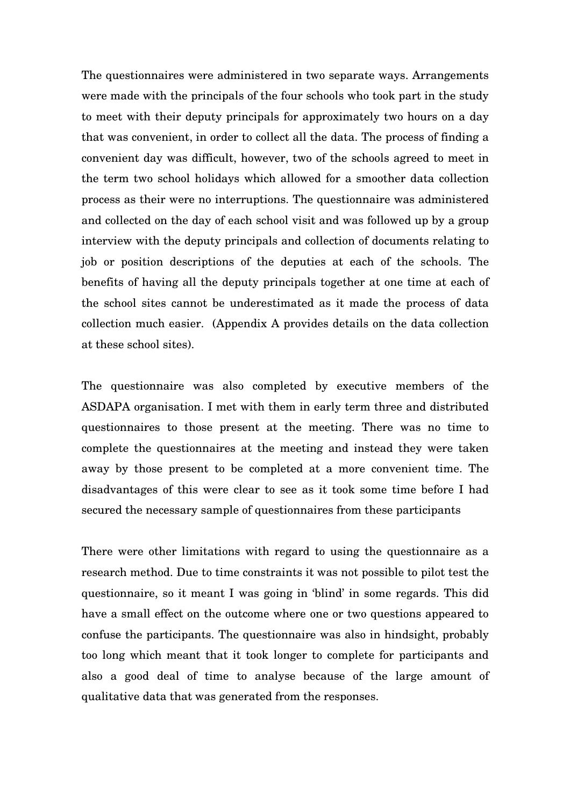The questionnaires were administered in two separate ways. Arrangements were made with the principals of the four schools who took part in the study to meet with their deputy principals for approximately two hours on a day that was convenient, in order to collect all the data. The process of finding a convenient day was difficult, however, two of the schools agreed to meet in the term two school holidays which allowed for a smoother data collection process as their were no interruptions. The questionnaire was administered and collected on the day of each school visit and was followed up by a group interview with the deputy principals and collection of documents relating to job or position descriptions of the deputies at each of the schools. The benefits of having all the deputy principals together at one time at each of the school sites cannot be underestimated as it made the process of data collection much easier. (Appendix A provides details on the data collection at these school sites).

The questionnaire was also completed by executive members of the ASDAPA organisation. I met with them in early term three and distributed questionnaires to those present at the meeting. There was no time to complete the questionnaires at the meeting and instead they were taken away by those present to be completed at a more convenient time. The disadvantages of this were clear to see as it took some time before I had secured the necessary sample of questionnaires from these participants

There were other limitations with regard to using the questionnaire as a research method. Due to time constraints it was not possible to pilot test the questionnaire, so it meant I was going in 'blind' in some regards. This did have a small effect on the outcome where one or two questions appeared to confuse the participants. The questionnaire was also in hindsight, probably too long which meant that it took longer to complete for participants and also a good deal of time to analyse because of the large amount of qualitative data that was generated from the responses.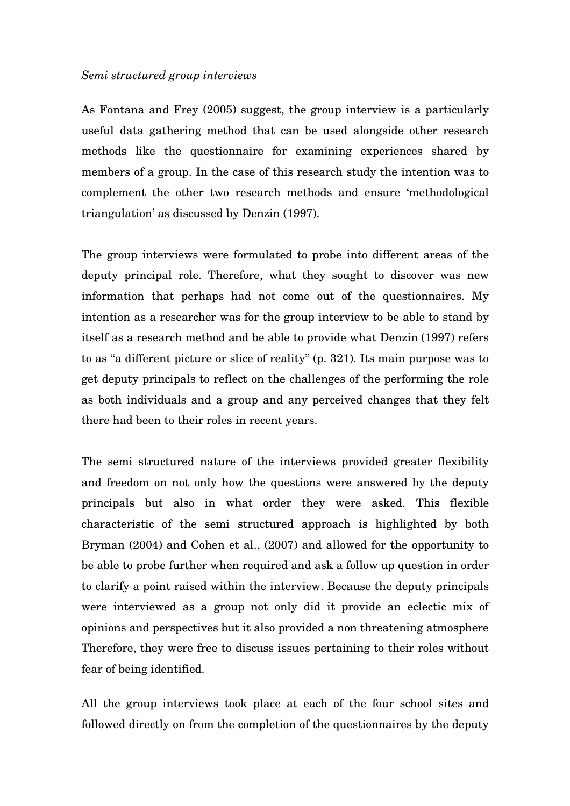#### *Semi structured group interviews*

As Fontana and Frey (2005) suggest, the group interview is a particularly useful data gathering method that can be used alongside other research methods like the questionnaire for examining experiences shared by members of a group. In the case of this research study the intention was to complement the other two research methods and ensure 'methodological triangulation' as discussed by Denzin (1997).

The group interviews were formulated to probe into different areas of the deputy principal role. Therefore, what they sought to discover was new information that perhaps had not come out of the questionnaires. My intention as a researcher was for the group interview to be able to stand by itself as a research method and be able to provide what Denzin (1997) refers to as "a different picture or slice of reality" (p. 321). Its main purpose was to get deputy principals to reflect on the challenges of the performing the role as both individuals and a group and any perceived changes that they felt there had been to their roles in recent years.

The semi structured nature of the interviews provided greater flexibility and freedom on not only how the questions were answered by the deputy principals but also in what order they were asked. This flexible characteristic of the semi structured approach is highlighted by both Bryman (2004) and Cohen et al., (2007) and allowed for the opportunity to be able to probe further when required and ask a follow up question in order to clarify a point raised within the interview. Because the deputy principals were interviewed as a group not only did it provide an eclectic mix of opinions and perspectives but it also provided a non threatening atmosphere Therefore, they were free to discuss issues pertaining to their roles without fear of being identified.

All the group interviews took place at each of the four school sites and followed directly on from the completion of the questionnaires by the deputy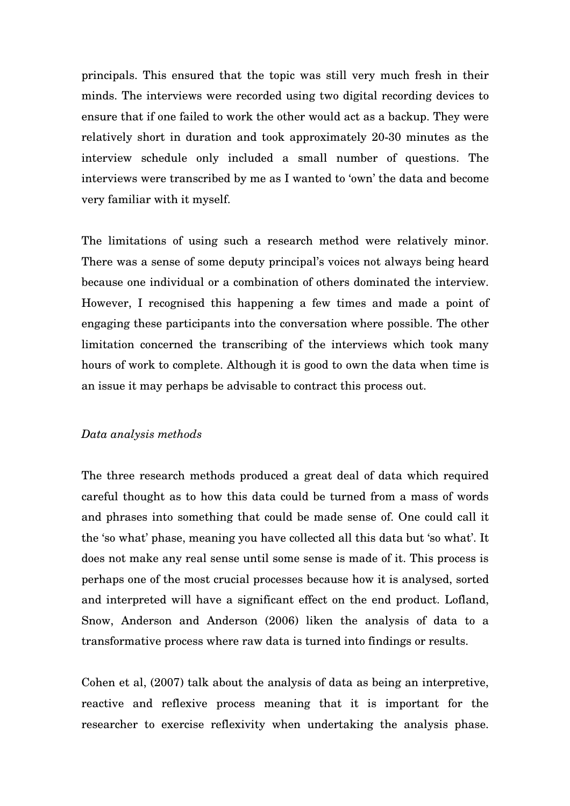principals. This ensured that the topic was still very much fresh in their minds. The interviews were recorded using two digital recording devices to ensure that if one failed to work the other would act as a backup. They were relatively short in duration and took approximately 20-30 minutes as the interview schedule only included a small number of questions. The interviews were transcribed by me as I wanted to 'own' the data and become very familiar with it myself.

The limitations of using such a research method were relatively minor. There was a sense of some deputy principal's voices not always being heard because one individual or a combination of others dominated the interview. However, I recognised this happening a few times and made a point of engaging these participants into the conversation where possible. The other limitation concerned the transcribing of the interviews which took many hours of work to complete. Although it is good to own the data when time is an issue it may perhaps be advisable to contract this process out.

### *Data analysis methods*

The three research methods produced a great deal of data which required careful thought as to how this data could be turned from a mass of words and phrases into something that could be made sense of. One could call it the 'so what' phase, meaning you have collected all this data but 'so what'. It does not make any real sense until some sense is made of it. This process is perhaps one of the most crucial processes because how it is analysed, sorted and interpreted will have a significant effect on the end product. Lofland, Snow, Anderson and Anderson (2006) liken the analysis of data to a transformative process where raw data is turned into findings or results.

Cohen et al, (2007) talk about the analysis of data as being an interpretive, reactive and reflexive process meaning that it is important for the researcher to exercise reflexivity when undertaking the analysis phase.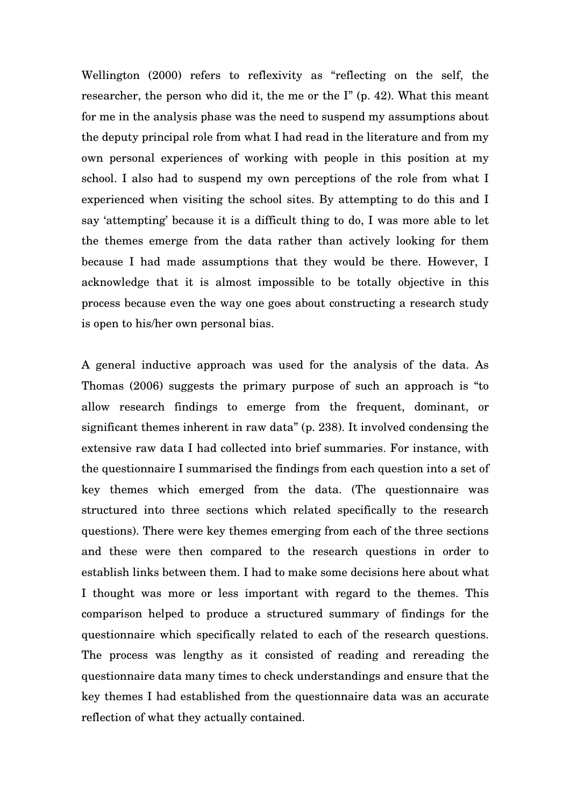Wellington (2000) refers to reflexivity as "reflecting on the self, the researcher, the person who did it, the me or the I" (p. 42). What this meant for me in the analysis phase was the need to suspend my assumptions about the deputy principal role from what I had read in the literature and from my own personal experiences of working with people in this position at my school. I also had to suspend my own perceptions of the role from what I experienced when visiting the school sites. By attempting to do this and I say 'attempting' because it is a difficult thing to do, I was more able to let the themes emerge from the data rather than actively looking for them because I had made assumptions that they would be there. However, I acknowledge that it is almost impossible to be totally objective in this process because even the way one goes about constructing a research study is open to his/her own personal bias.

A general inductive approach was used for the analysis of the data. As Thomas (2006) suggests the primary purpose of such an approach is "to allow research findings to emerge from the frequent, dominant, or significant themes inherent in raw data" (p. 238). It involved condensing the extensive raw data I had collected into brief summaries. For instance, with the questionnaire I summarised the findings from each question into a set of key themes which emerged from the data. (The questionnaire was structured into three sections which related specifically to the research questions). There were key themes emerging from each of the three sections and these were then compared to the research questions in order to establish links between them. I had to make some decisions here about what I thought was more or less important with regard to the themes. This comparison helped to produce a structured summary of findings for the questionnaire which specifically related to each of the research questions. The process was lengthy as it consisted of reading and rereading the questionnaire data many times to check understandings and ensure that the key themes I had established from the questionnaire data was an accurate reflection of what they actually contained.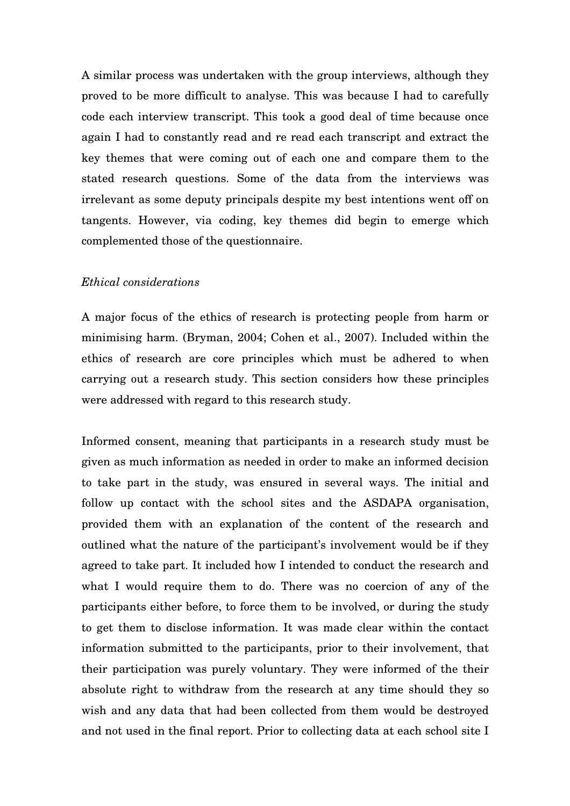A similar process was undertaken with the group interviews, although they proved to be more difficult to analyse. This was because I had to carefully code each interview transcript. This took a good deal of time because once again I had to constantly read and re read each transcript and extract the key themes that were coming out of each one and compare them to the stated research questions. Some of the data from the interviews was irrelevant as some deputy principals despite my best intentions went off on tangents. However, via coding, key themes did begin to emerge which complemented those of the questionnaire.

### *Ethical considerations*

A major focus of the ethics of research is protecting people from harm or minimising harm. (Bryman, 2004; Cohen et al., 2007). Included within the ethics of research are core principles which must be adhered to when carrying out a research study. This section considers how these principles were addressed with regard to this research study.

Informed consent, meaning that participants in a research study must be given as much information as needed in order to make an informed decision to take part in the study, was ensured in several ways. The initial and follow up contact with the school sites and the ASDAPA organisation, provided them with an explanation of the content of the research and outlined what the nature of the participant's involvement would be if they agreed to take part. It included how I intended to conduct the research and what I would require them to do. There was no coercion of any of the participants either before, to force them to be involved, or during the study to get them to disclose information. It was made clear within the contact information submitted to the participants, prior to their involvement, that their participation was purely voluntary. They were informed of the their absolute right to withdraw from the research at any time should they so wish and any data that had been collected from them would be destroyed and not used in the final report. Prior to collecting data at each school site I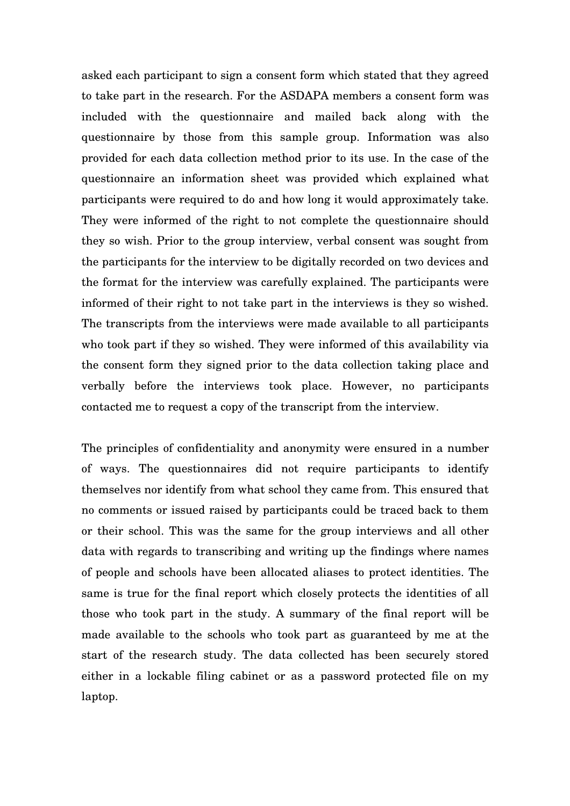asked each participant to sign a consent form which stated that they agreed to take part in the research. For the ASDAPA members a consent form was included with the questionnaire and mailed back along with the questionnaire by those from this sample group. Information was also provided for each data collection method prior to its use. In the case of the questionnaire an information sheet was provided which explained what participants were required to do and how long it would approximately take. They were informed of the right to not complete the questionnaire should they so wish. Prior to the group interview, verbal consent was sought from the participants for the interview to be digitally recorded on two devices and the format for the interview was carefully explained. The participants were informed of their right to not take part in the interviews is they so wished. The transcripts from the interviews were made available to all participants who took part if they so wished. They were informed of this availability via the consent form they signed prior to the data collection taking place and verbally before the interviews took place. However, no participants contacted me to request a copy of the transcript from the interview.

The principles of confidentiality and anonymity were ensured in a number of ways. The questionnaires did not require participants to identify themselves nor identify from what school they came from. This ensured that no comments or issued raised by participants could be traced back to them or their school. This was the same for the group interviews and all other data with regards to transcribing and writing up the findings where names of people and schools have been allocated aliases to protect identities. The same is true for the final report which closely protects the identities of all those who took part in the study. A summary of the final report will be made available to the schools who took part as guaranteed by me at the start of the research study. The data collected has been securely stored either in a lockable filing cabinet or as a password protected file on my laptop.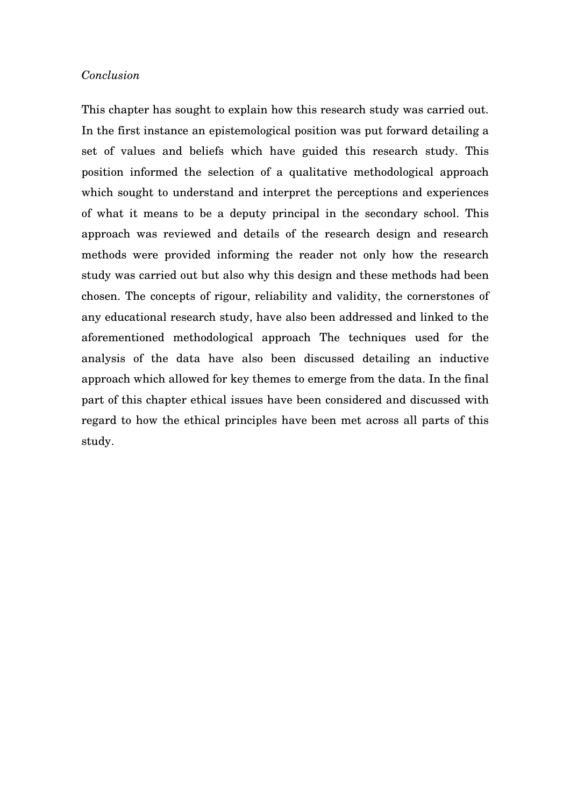### *Conclusion*

This chapter has sought to explain how this research study was carried out. In the first instance an epistemological position was put forward detailing a set of values and beliefs which have guided this research study. This position informed the selection of a qualitative methodological approach which sought to understand and interpret the perceptions and experiences of what it means to be a deputy principal in the secondary school. This approach was reviewed and details of the research design and research methods were provided informing the reader not only how the research study was carried out but also why this design and these methods had been chosen. The concepts of rigour, reliability and validity, the cornerstones of any educational research study, have also been addressed and linked to the aforementioned methodological approach The techniques used for the analysis of the data have also been discussed detailing an inductive approach which allowed for key themes to emerge from the data. In the final part of this chapter ethical issues have been considered and discussed with regard to how the ethical principles have been met across all parts of this study.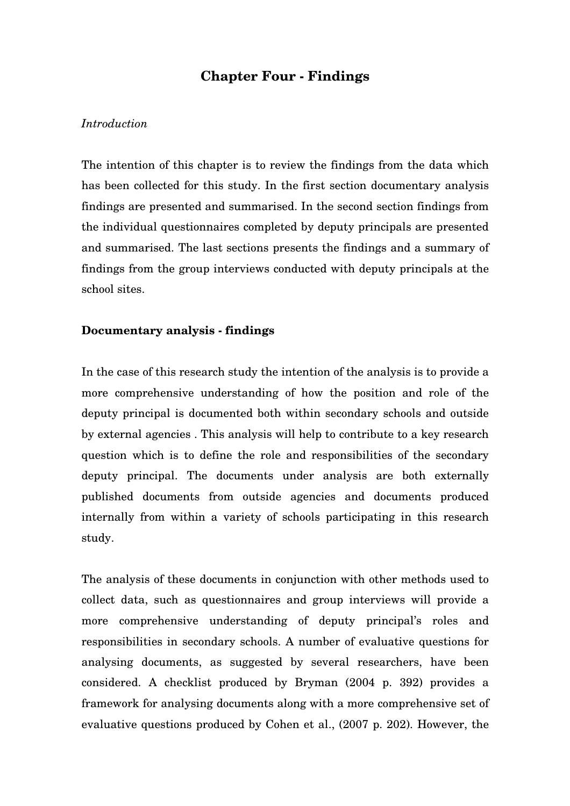# **Chapter Four - Findings**

### *Introduction*

The intention of this chapter is to review the findings from the data which has been collected for this study. In the first section documentary analysis findings are presented and summarised. In the second section findings from the individual questionnaires completed by deputy principals are presented and summarised. The last sections presents the findings and a summary of findings from the group interviews conducted with deputy principals at the school sites.

### **Documentary analysis - findings**

In the case of this research study the intention of the analysis is to provide a more comprehensive understanding of how the position and role of the deputy principal is documented both within secondary schools and outside by external agencies . This analysis will help to contribute to a key research question which is to define the role and responsibilities of the secondary deputy principal. The documents under analysis are both externally published documents from outside agencies and documents produced internally from within a variety of schools participating in this research study.

The analysis of these documents in conjunction with other methods used to collect data, such as questionnaires and group interviews will provide a more comprehensive understanding of deputy principal's roles and responsibilities in secondary schools. A number of evaluative questions for analysing documents, as suggested by several researchers, have been considered. A checklist produced by Bryman (2004 p. 392) provides a framework for analysing documents along with a more comprehensive set of evaluative questions produced by Cohen et al., (2007 p. 202). However, the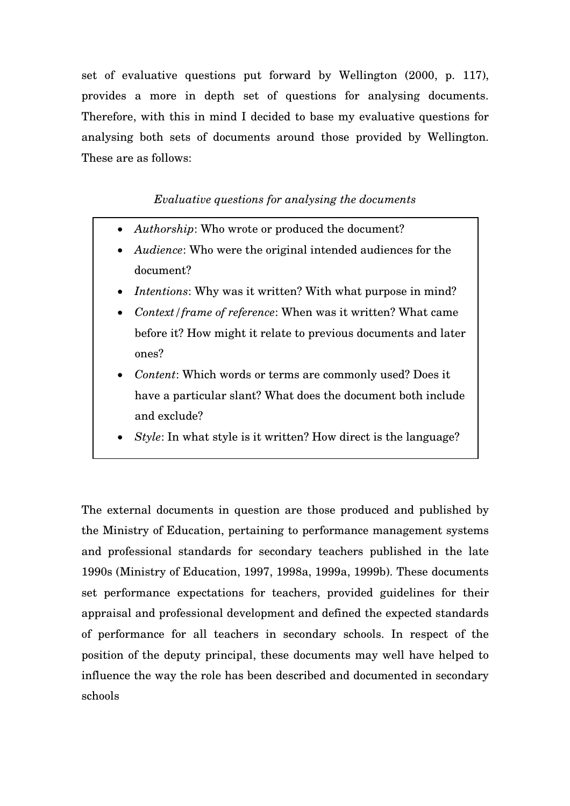set of evaluative questions put forward by Wellington (2000, p. 117), provides a more in depth set of questions for analysing documents. Therefore, with this in mind I decided to base my evaluative questions for analysing both sets of documents around those provided by Wellington. These are as follows:

# *Evaluative questions for analysing the documents*

- *Authorship*: Who wrote or produced the document?
- *Audience*: Who were the original intended audiences for the document?
- *Intentions*: Why was it written? With what purpose in mind?
- *Context/frame of reference*: When was it written? What came before it? How might it relate to previous documents and later ones?
- *Content*: Which words or terms are commonly used? Does it have a particular slant? What does the document both include and exclude?
- *Style*: In what style is it written? How direct is the language?

The external documents in question are those produced and published by the Ministry of Education, pertaining to performance management systems and professional standards for secondary teachers published in the late 1990s (Ministry of Education, 1997, 1998a, 1999a, 1999b). These documents set performance expectations for teachers, provided guidelines for their appraisal and professional development and defined the expected standards of performance for all teachers in secondary schools. In respect of the position of the deputy principal, these documents may well have helped to influence the way the role has been described and documented in secondary schools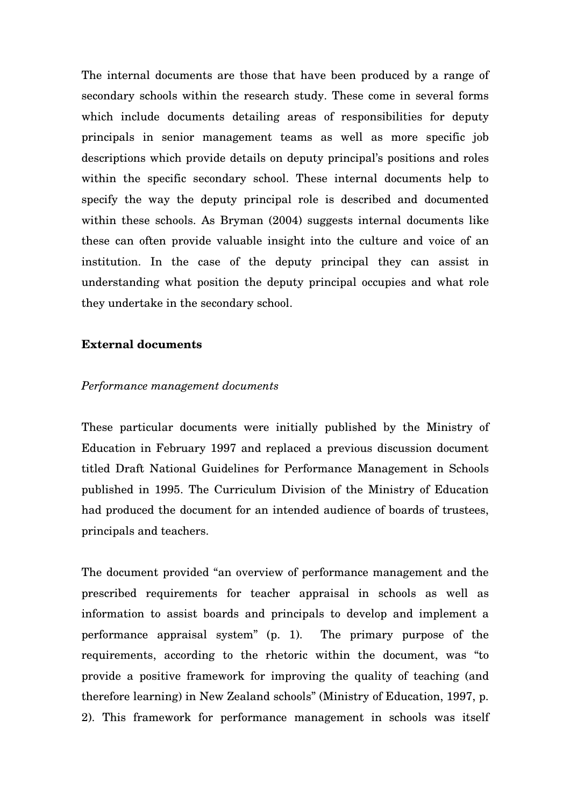The internal documents are those that have been produced by a range of secondary schools within the research study. These come in several forms which include documents detailing areas of responsibilities for deputy principals in senior management teams as well as more specific job descriptions which provide details on deputy principal's positions and roles within the specific secondary school. These internal documents help to specify the way the deputy principal role is described and documented within these schools. As Bryman (2004) suggests internal documents like these can often provide valuable insight into the culture and voice of an institution. In the case of the deputy principal they can assist in understanding what position the deputy principal occupies and what role they undertake in the secondary school.

### **External documents**

### *Performance management documents*

These particular documents were initially published by the Ministry of Education in February 1997 and replaced a previous discussion document titled Draft National Guidelines for Performance Management in Schools published in 1995. The Curriculum Division of the Ministry of Education had produced the document for an intended audience of boards of trustees, principals and teachers.

The document provided "an overview of performance management and the prescribed requirements for teacher appraisal in schools as well as information to assist boards and principals to develop and implement a performance appraisal system" (p. 1). The primary purpose of the requirements, according to the rhetoric within the document, was "to provide a positive framework for improving the quality of teaching (and therefore learning) in New Zealand schools" (Ministry of Education, 1997, p. 2). This framework for performance management in schools was itself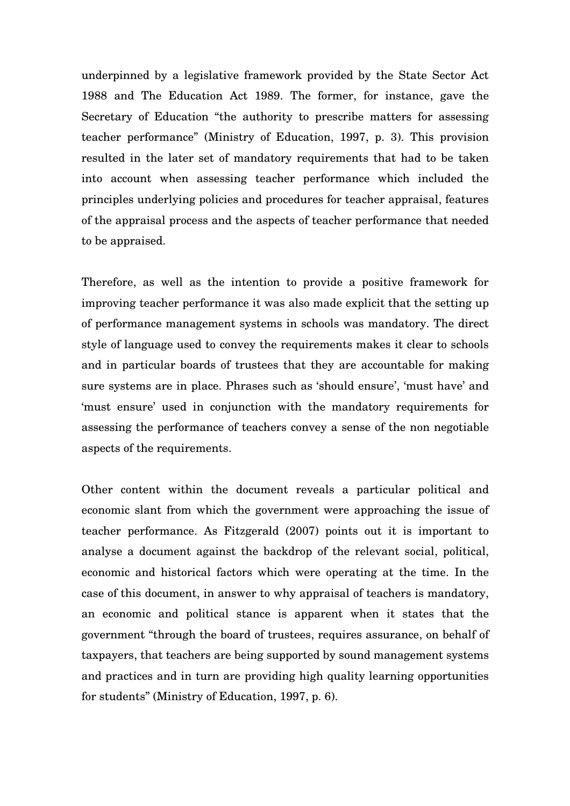underpinned by a legislative framework provided by the State Sector Act 1988 and The Education Act 1989. The former, for instance, gave the Secretary of Education "the authority to prescribe matters for assessing teacher performance" (Ministry of Education, 1997, p. 3). This provision resulted in the later set of mandatory requirements that had to be taken into account when assessing teacher performance which included the principles underlying policies and procedures for teacher appraisal, features of the appraisal process and the aspects of teacher performance that needed to be appraised.

Therefore, as well as the intention to provide a positive framework for improving teacher performance it was also made explicit that the setting up of performance management systems in schools was mandatory. The direct style of language used to convey the requirements makes it clear to schools and in particular boards of trustees that they are accountable for making sure systems are in place. Phrases such as 'should ensure', 'must have' and 'must ensure' used in conjunction with the mandatory requirements for assessing the performance of teachers convey a sense of the non negotiable aspects of the requirements.

Other content within the document reveals a particular political and economic slant from which the government were approaching the issue of teacher performance. As Fitzgerald (2007) points out it is important to analyse a document against the backdrop of the relevant social, political, economic and historical factors which were operating at the time. In the case of this document, in answer to why appraisal of teachers is mandatory, an economic and political stance is apparent when it states that the government "through the board of trustees, requires assurance, on behalf of taxpayers, that teachers are being supported by sound management systems and practices and in turn are providing high quality learning opportunities for students" (Ministry of Education, 1997, p. 6).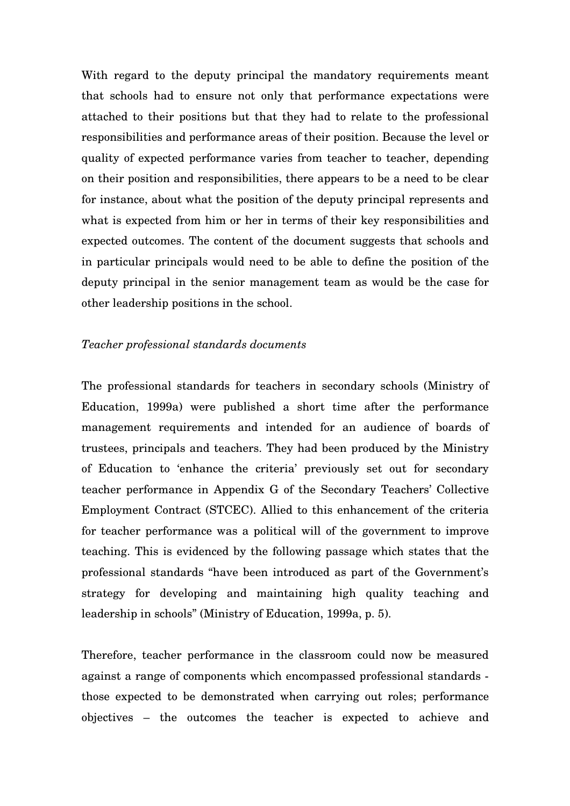With regard to the deputy principal the mandatory requirements meant that schools had to ensure not only that performance expectations were attached to their positions but that they had to relate to the professional responsibilities and performance areas of their position. Because the level or quality of expected performance varies from teacher to teacher, depending on their position and responsibilities, there appears to be a need to be clear for instance, about what the position of the deputy principal represents and what is expected from him or her in terms of their key responsibilities and expected outcomes. The content of the document suggests that schools and in particular principals would need to be able to define the position of the deputy principal in the senior management team as would be the case for other leadership positions in the school.

### *Teacher professional standards documents*

The professional standards for teachers in secondary schools (Ministry of Education, 1999a) were published a short time after the performance management requirements and intended for an audience of boards of trustees, principals and teachers. They had been produced by the Ministry of Education to 'enhance the criteria' previously set out for secondary teacher performance in Appendix G of the Secondary Teachers' Collective Employment Contract (STCEC). Allied to this enhancement of the criteria for teacher performance was a political will of the government to improve teaching. This is evidenced by the following passage which states that the professional standards "have been introduced as part of the Government's strategy for developing and maintaining high quality teaching and leadership in schools" (Ministry of Education, 1999a, p. 5).

Therefore, teacher performance in the classroom could now be measured against a range of components which encompassed professional standards those expected to be demonstrated when carrying out roles; performance objectives – the outcomes the teacher is expected to achieve and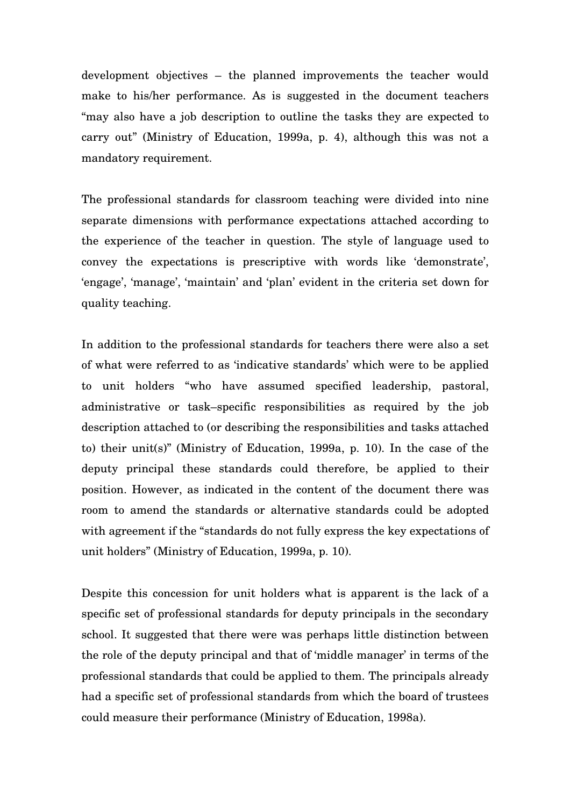development objectives – the planned improvements the teacher would make to his/her performance. As is suggested in the document teachers "may also have a job description to outline the tasks they are expected to carry out" (Ministry of Education, 1999a, p. 4), although this was not a mandatory requirement.

The professional standards for classroom teaching were divided into nine separate dimensions with performance expectations attached according to the experience of the teacher in question. The style of language used to convey the expectations is prescriptive with words like 'demonstrate', 'engage', 'manage', 'maintain' and 'plan' evident in the criteria set down for quality teaching.

In addition to the professional standards for teachers there were also a set of what were referred to as 'indicative standards' which were to be applied to unit holders "who have assumed specified leadership, pastoral, administrative or task–specific responsibilities as required by the job description attached to (or describing the responsibilities and tasks attached to) their unit(s)" (Ministry of Education, 1999a, p. 10). In the case of the deputy principal these standards could therefore, be applied to their position. However, as indicated in the content of the document there was room to amend the standards or alternative standards could be adopted with agreement if the "standards do not fully express the key expectations of unit holders" (Ministry of Education, 1999a, p. 10).

Despite this concession for unit holders what is apparent is the lack of a specific set of professional standards for deputy principals in the secondary school. It suggested that there were was perhaps little distinction between the role of the deputy principal and that of 'middle manager' in terms of the professional standards that could be applied to them. The principals already had a specific set of professional standards from which the board of trustees could measure their performance (Ministry of Education, 1998a).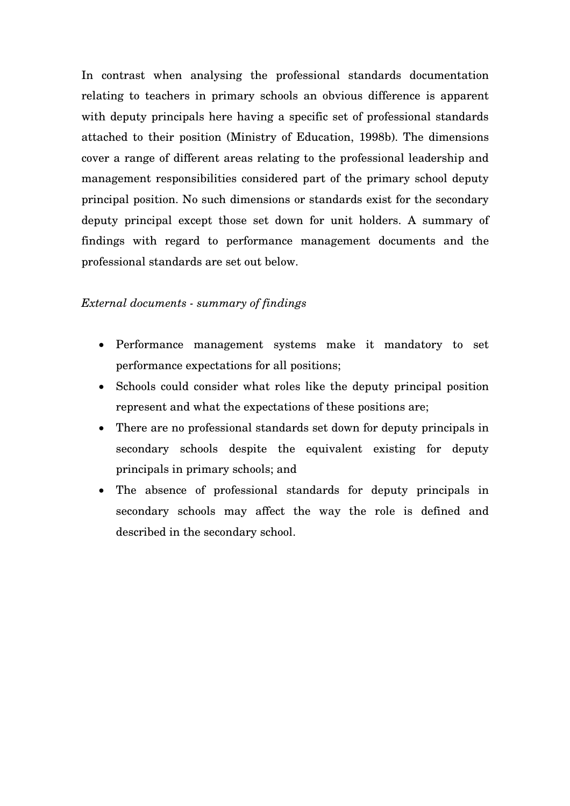In contrast when analysing the professional standards documentation relating to teachers in primary schools an obvious difference is apparent with deputy principals here having a specific set of professional standards attached to their position (Ministry of Education, 1998b). The dimensions cover a range of different areas relating to the professional leadership and management responsibilities considered part of the primary school deputy principal position. No such dimensions or standards exist for the secondary deputy principal except those set down for unit holders. A summary of findings with regard to performance management documents and the professional standards are set out below.

## *External documents - summary of findings*

- Performance management systems make it mandatory to set performance expectations for all positions;
- Schools could consider what roles like the deputy principal position represent and what the expectations of these positions are;
- There are no professional standards set down for deputy principals in secondary schools despite the equivalent existing for deputy principals in primary schools; and
- The absence of professional standards for deputy principals in secondary schools may affect the way the role is defined and described in the secondary school.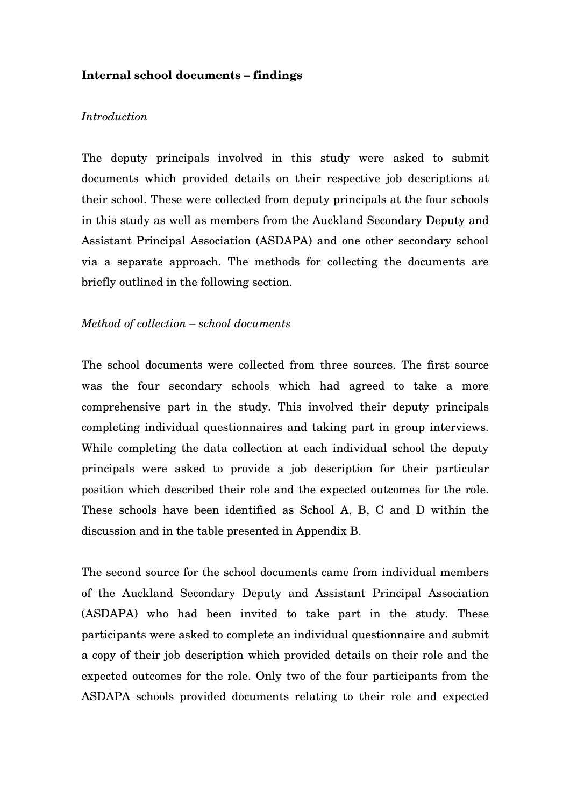### **Internal school documents – findings**

### *Introduction*

The deputy principals involved in this study were asked to submit documents which provided details on their respective job descriptions at their school. These were collected from deputy principals at the four schools in this study as well as members from the Auckland Secondary Deputy and Assistant Principal Association (ASDAPA) and one other secondary school via a separate approach. The methods for collecting the documents are briefly outlined in the following section.

### *Method of collection – school documents*

The school documents were collected from three sources. The first source was the four secondary schools which had agreed to take a more comprehensive part in the study. This involved their deputy principals completing individual questionnaires and taking part in group interviews. While completing the data collection at each individual school the deputy principals were asked to provide a job description for their particular position which described their role and the expected outcomes for the role. These schools have been identified as School A, B, C and D within the discussion and in the table presented in Appendix B.

The second source for the school documents came from individual members of the Auckland Secondary Deputy and Assistant Principal Association (ASDAPA) who had been invited to take part in the study. These participants were asked to complete an individual questionnaire and submit a copy of their job description which provided details on their role and the expected outcomes for the role. Only two of the four participants from the ASDAPA schools provided documents relating to their role and expected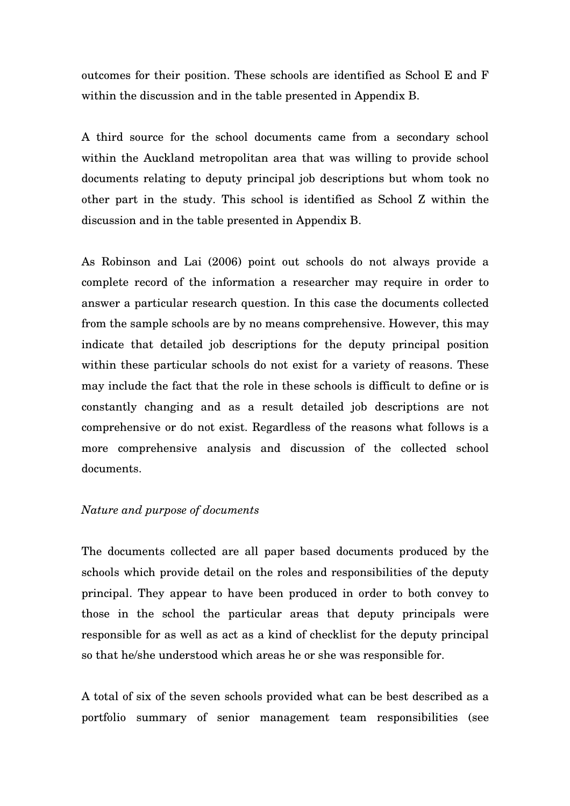outcomes for their position. These schools are identified as School E and F within the discussion and in the table presented in Appendix B.

A third source for the school documents came from a secondary school within the Auckland metropolitan area that was willing to provide school documents relating to deputy principal job descriptions but whom took no other part in the study. This school is identified as School Z within the discussion and in the table presented in Appendix B.

As Robinson and Lai (2006) point out schools do not always provide a complete record of the information a researcher may require in order to answer a particular research question. In this case the documents collected from the sample schools are by no means comprehensive. However, this may indicate that detailed job descriptions for the deputy principal position within these particular schools do not exist for a variety of reasons. These may include the fact that the role in these schools is difficult to define or is constantly changing and as a result detailed job descriptions are not comprehensive or do not exist. Regardless of the reasons what follows is a more comprehensive analysis and discussion of the collected school documents.

### *Nature and purpose of documents*

The documents collected are all paper based documents produced by the schools which provide detail on the roles and responsibilities of the deputy principal. They appear to have been produced in order to both convey to those in the school the particular areas that deputy principals were responsible for as well as act as a kind of checklist for the deputy principal so that he/she understood which areas he or she was responsible for.

A total of six of the seven schools provided what can be best described as a portfolio summary of senior management team responsibilities (see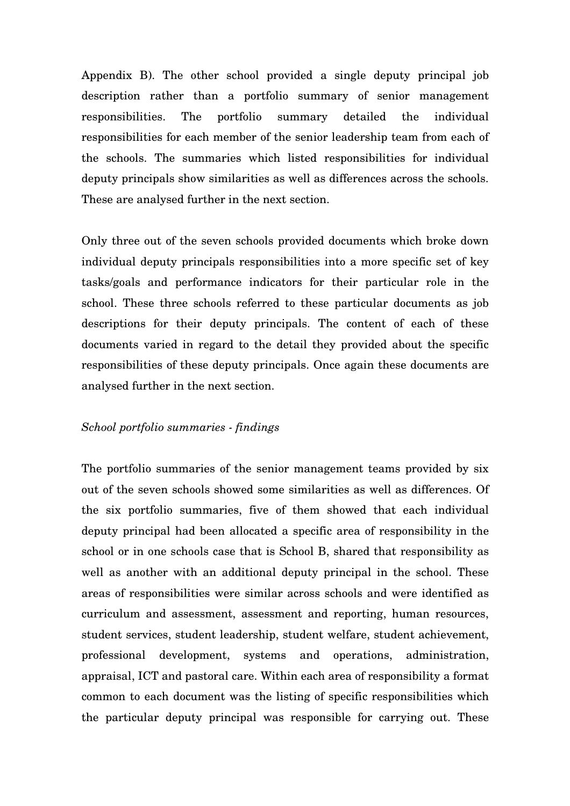Appendix B). The other school provided a single deputy principal job description rather than a portfolio summary of senior management responsibilities. The portfolio summary detailed the individual responsibilities for each member of the senior leadership team from each of the schools. The summaries which listed responsibilities for individual deputy principals show similarities as well as differences across the schools. These are analysed further in the next section.

Only three out of the seven schools provided documents which broke down individual deputy principals responsibilities into a more specific set of key tasks/goals and performance indicators for their particular role in the school. These three schools referred to these particular documents as job descriptions for their deputy principals. The content of each of these documents varied in regard to the detail they provided about the specific responsibilities of these deputy principals. Once again these documents are analysed further in the next section.

#### *School portfolio summaries - findings*

The portfolio summaries of the senior management teams provided by six out of the seven schools showed some similarities as well as differences. Of the six portfolio summaries, five of them showed that each individual deputy principal had been allocated a specific area of responsibility in the school or in one schools case that is School B, shared that responsibility as well as another with an additional deputy principal in the school. These areas of responsibilities were similar across schools and were identified as curriculum and assessment, assessment and reporting, human resources, student services, student leadership, student welfare, student achievement, professional development, systems and operations, administration, appraisal, ICT and pastoral care. Within each area of responsibility a format common to each document was the listing of specific responsibilities which the particular deputy principal was responsible for carrying out. These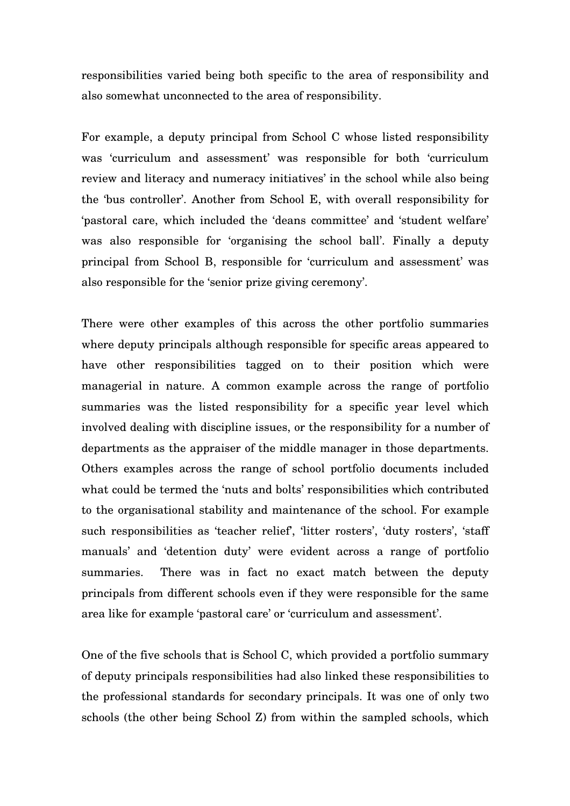responsibilities varied being both specific to the area of responsibility and also somewhat unconnected to the area of responsibility.

For example, a deputy principal from School C whose listed responsibility was 'curriculum and assessment' was responsible for both 'curriculum review and literacy and numeracy initiatives' in the school while also being the 'bus controller'. Another from School E, with overall responsibility for 'pastoral care, which included the 'deans committee' and 'student welfare' was also responsible for 'organising the school ball'. Finally a deputy principal from School B, responsible for 'curriculum and assessment' was also responsible for the 'senior prize giving ceremony'.

There were other examples of this across the other portfolio summaries where deputy principals although responsible for specific areas appeared to have other responsibilities tagged on to their position which were managerial in nature. A common example across the range of portfolio summaries was the listed responsibility for a specific year level which involved dealing with discipline issues, or the responsibility for a number of departments as the appraiser of the middle manager in those departments. Others examples across the range of school portfolio documents included what could be termed the 'nuts and bolts' responsibilities which contributed to the organisational stability and maintenance of the school. For example such responsibilities as 'teacher relief', 'litter rosters', 'duty rosters', 'staff manuals' and 'detention duty' were evident across a range of portfolio summaries. There was in fact no exact match between the deputy principals from different schools even if they were responsible for the same area like for example 'pastoral care' or 'curriculum and assessment'.

One of the five schools that is School C, which provided a portfolio summary of deputy principals responsibilities had also linked these responsibilities to the professional standards for secondary principals. It was one of only two schools (the other being School Z) from within the sampled schools, which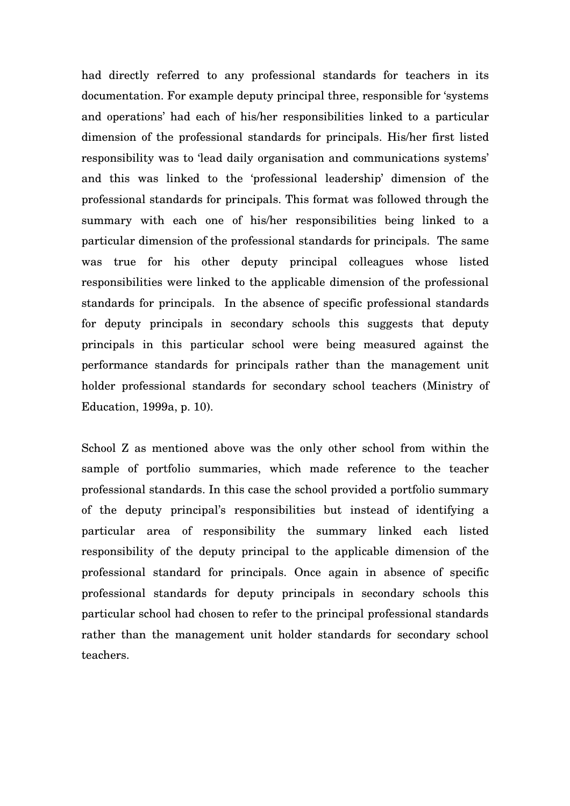had directly referred to any professional standards for teachers in its documentation. For example deputy principal three, responsible for 'systems and operations' had each of his/her responsibilities linked to a particular dimension of the professional standards for principals. His/her first listed responsibility was to 'lead daily organisation and communications systems' and this was linked to the 'professional leadership' dimension of the professional standards for principals. This format was followed through the summary with each one of his/her responsibilities being linked to a particular dimension of the professional standards for principals. The same was true for his other deputy principal colleagues whose listed responsibilities were linked to the applicable dimension of the professional standards for principals. In the absence of specific professional standards for deputy principals in secondary schools this suggests that deputy principals in this particular school were being measured against the performance standards for principals rather than the management unit holder professional standards for secondary school teachers (Ministry of Education, 1999a, p. 10).

School Z as mentioned above was the only other school from within the sample of portfolio summaries, which made reference to the teacher professional standards. In this case the school provided a portfolio summary of the deputy principal's responsibilities but instead of identifying a particular area of responsibility the summary linked each listed responsibility of the deputy principal to the applicable dimension of the professional standard for principals. Once again in absence of specific professional standards for deputy principals in secondary schools this particular school had chosen to refer to the principal professional standards rather than the management unit holder standards for secondary school teachers.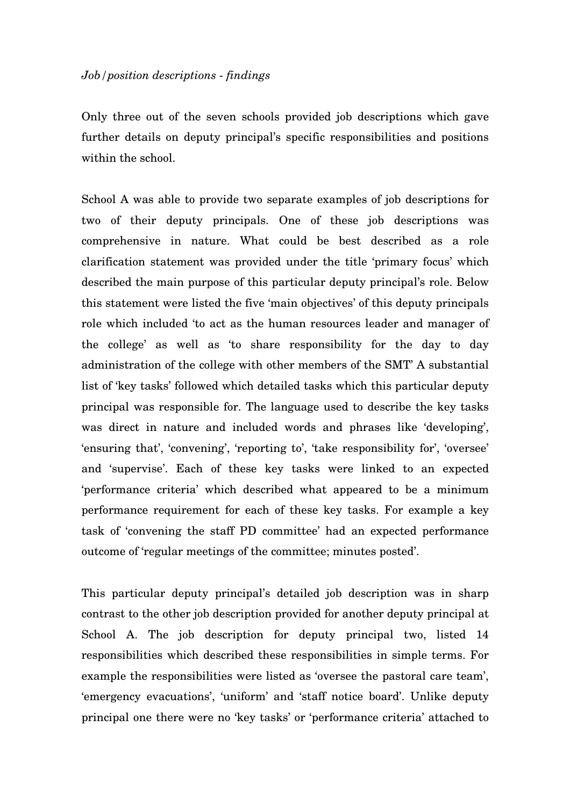Only three out of the seven schools provided job descriptions which gave further details on deputy principal's specific responsibilities and positions within the school.

School A was able to provide two separate examples of job descriptions for two of their deputy principals. One of these job descriptions was comprehensive in nature. What could be best described as a role clarification statement was provided under the title 'primary focus' which described the main purpose of this particular deputy principal's role. Below this statement were listed the five 'main objectives' of this deputy principals role which included 'to act as the human resources leader and manager of the college' as well as 'to share responsibility for the day to day administration of the college with other members of the SMT' A substantial list of 'key tasks' followed which detailed tasks which this particular deputy principal was responsible for. The language used to describe the key tasks was direct in nature and included words and phrases like 'developing', 'ensuring that', 'convening', 'reporting to', 'take responsibility for', 'oversee' and 'supervise'. Each of these key tasks were linked to an expected 'performance criteria' which described what appeared to be a minimum performance requirement for each of these key tasks. For example a key task of 'convening the staff PD committee' had an expected performance outcome of 'regular meetings of the committee; minutes posted'.

This particular deputy principal's detailed job description was in sharp contrast to the other job description provided for another deputy principal at School A. The job description for deputy principal two, listed 14 responsibilities which described these responsibilities in simple terms. For example the responsibilities were listed as 'oversee the pastoral care team', 'emergency evacuations', 'uniform' and 'staff notice board'. Unlike deputy principal one there were no 'key tasks' or 'performance criteria' attached to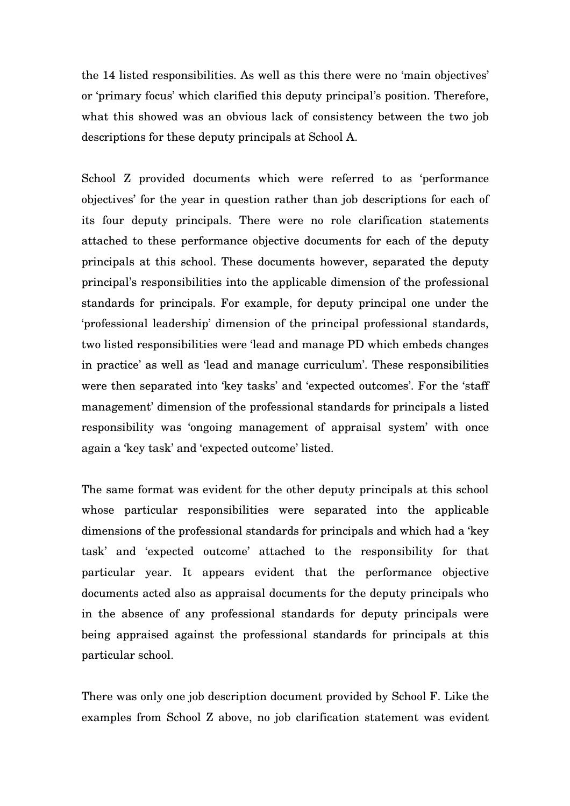the 14 listed responsibilities. As well as this there were no 'main objectives' or 'primary focus' which clarified this deputy principal's position. Therefore, what this showed was an obvious lack of consistency between the two job descriptions for these deputy principals at School A.

School Z provided documents which were referred to as 'performance objectives' for the year in question rather than job descriptions for each of its four deputy principals. There were no role clarification statements attached to these performance objective documents for each of the deputy principals at this school. These documents however, separated the deputy principal's responsibilities into the applicable dimension of the professional standards for principals. For example, for deputy principal one under the 'professional leadership' dimension of the principal professional standards, two listed responsibilities were 'lead and manage PD which embeds changes in practice' as well as 'lead and manage curriculum'. These responsibilities were then separated into 'key tasks' and 'expected outcomes'. For the 'staff management' dimension of the professional standards for principals a listed responsibility was 'ongoing management of appraisal system' with once again a 'key task' and 'expected outcome' listed.

The same format was evident for the other deputy principals at this school whose particular responsibilities were separated into the applicable dimensions of the professional standards for principals and which had a 'key task' and 'expected outcome' attached to the responsibility for that particular year. It appears evident that the performance objective documents acted also as appraisal documents for the deputy principals who in the absence of any professional standards for deputy principals were being appraised against the professional standards for principals at this particular school.

There was only one job description document provided by School F. Like the examples from School Z above, no job clarification statement was evident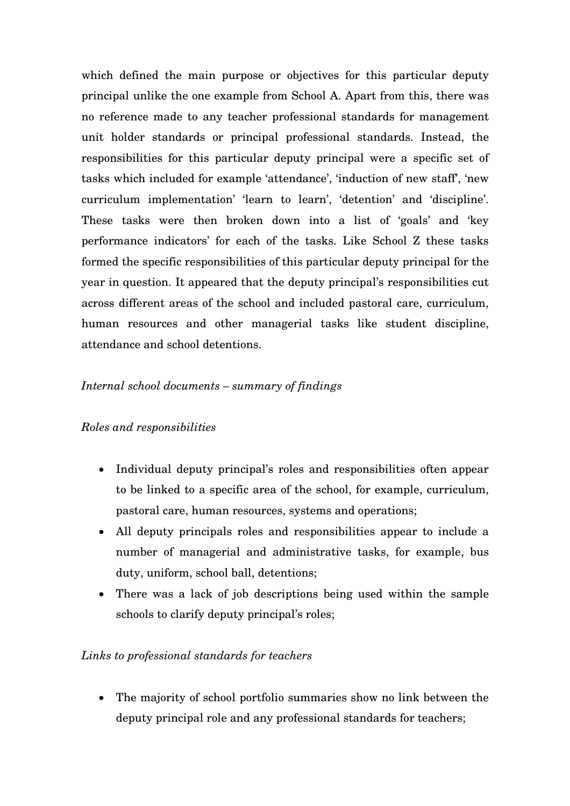which defined the main purpose or objectives for this particular deputy principal unlike the one example from School A. Apart from this, there was no reference made to any teacher professional standards for management unit holder standards or principal professional standards. Instead, the responsibilities for this particular deputy principal were a specific set of tasks which included for example 'attendance', 'induction of new staff', 'new curriculum implementation' 'learn to learn', 'detention' and 'discipline'. These tasks were then broken down into a list of 'goals' and 'key performance indicators' for each of the tasks. Like School Z these tasks formed the specific responsibilities of this particular deputy principal for the year in question. It appeared that the deputy principal's responsibilities cut across different areas of the school and included pastoral care, curriculum, human resources and other managerial tasks like student discipline, attendance and school detentions.

## *Internal school documents – summary of findings*

### *Roles and responsibilities*

- Individual deputy principal's roles and responsibilities often appear to be linked to a specific area of the school, for example, curriculum, pastoral care, human resources, systems and operations;
- All deputy principals roles and responsibilities appear to include a number of managerial and administrative tasks, for example, bus duty, uniform, school ball, detentions;
- There was a lack of job descriptions being used within the sample schools to clarify deputy principal's roles;

## *Links to professional standards for teachers*

• The majority of school portfolio summaries show no link between the deputy principal role and any professional standards for teachers;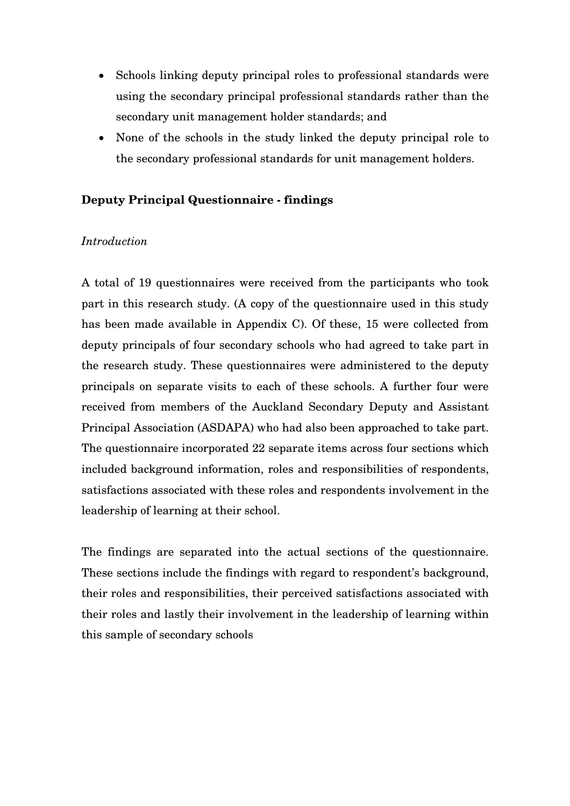- Schools linking deputy principal roles to professional standards were using the secondary principal professional standards rather than the secondary unit management holder standards; and
- None of the schools in the study linked the deputy principal role to the secondary professional standards for unit management holders.

## **Deputy Principal Questionnaire - findings**

### *Introduction*

A total of 19 questionnaires were received from the participants who took part in this research study. (A copy of the questionnaire used in this study has been made available in Appendix C). Of these, 15 were collected from deputy principals of four secondary schools who had agreed to take part in the research study. These questionnaires were administered to the deputy principals on separate visits to each of these schools. A further four were received from members of the Auckland Secondary Deputy and Assistant Principal Association (ASDAPA) who had also been approached to take part. The questionnaire incorporated 22 separate items across four sections which included background information, roles and responsibilities of respondents, satisfactions associated with these roles and respondents involvement in the leadership of learning at their school.

The findings are separated into the actual sections of the questionnaire. These sections include the findings with regard to respondent's background, their roles and responsibilities, their perceived satisfactions associated with their roles and lastly their involvement in the leadership of learning within this sample of secondary schools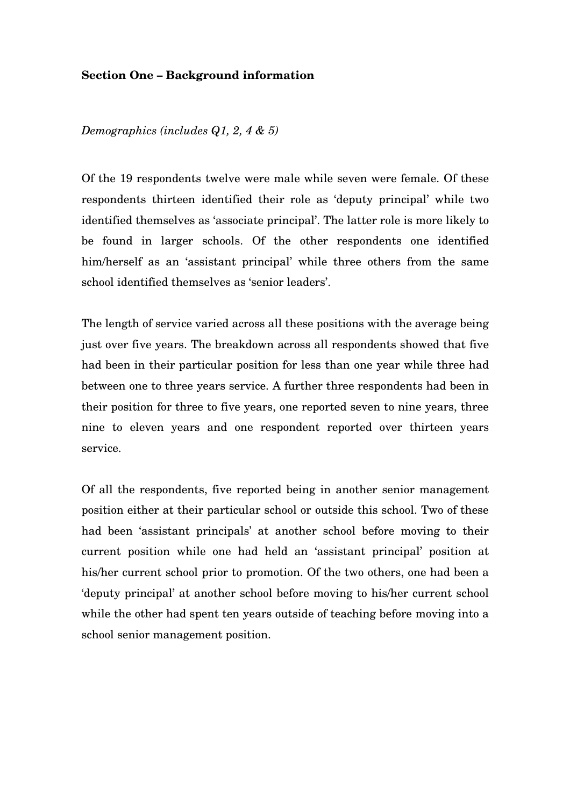#### **Section One – Background information**

*Demographics (includes Q1, 2, 4 & 5)* 

Of the 19 respondents twelve were male while seven were female. Of these respondents thirteen identified their role as 'deputy principal' while two identified themselves as 'associate principal'. The latter role is more likely to be found in larger schools. Of the other respondents one identified him/herself as an 'assistant principal' while three others from the same school identified themselves as 'senior leaders'.

The length of service varied across all these positions with the average being just over five years. The breakdown across all respondents showed that five had been in their particular position for less than one year while three had between one to three years service. A further three respondents had been in their position for three to five years, one reported seven to nine years, three nine to eleven years and one respondent reported over thirteen years service.

Of all the respondents, five reported being in another senior management position either at their particular school or outside this school. Two of these had been 'assistant principals' at another school before moving to their current position while one had held an 'assistant principal' position at his/her current school prior to promotion. Of the two others, one had been a 'deputy principal' at another school before moving to his/her current school while the other had spent ten years outside of teaching before moving into a school senior management position.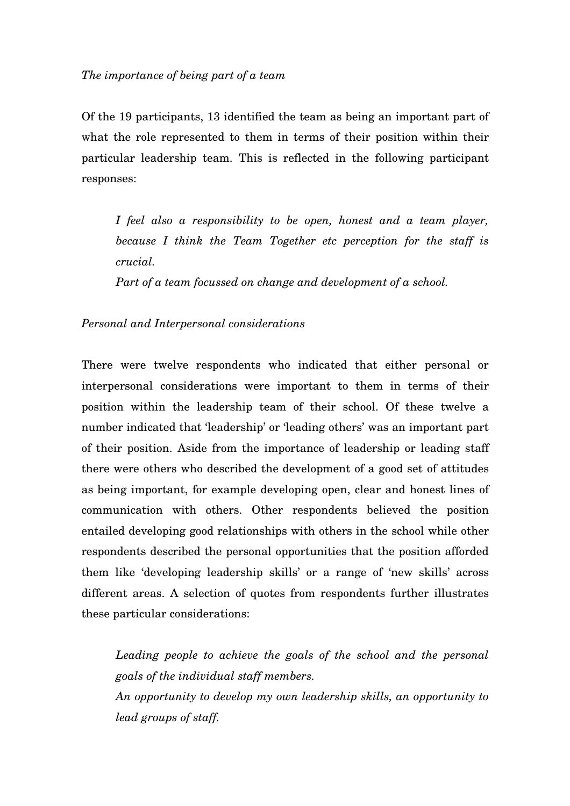Of the 19 participants, 13 identified the team as being an important part of what the role represented to them in terms of their position within their particular leadership team. This is reflected in the following participant responses:

*I feel also a responsibility to be open, honest and a team player, because I think the Team Together etc perception for the staff is crucial.* 

*Part of a team focussed on change and development of a school.* 

### *Personal and Interpersonal considerations*

There were twelve respondents who indicated that either personal or interpersonal considerations were important to them in terms of their position within the leadership team of their school. Of these twelve a number indicated that 'leadership' or 'leading others' was an important part of their position. Aside from the importance of leadership or leading staff there were others who described the development of a good set of attitudes as being important, for example developing open, clear and honest lines of communication with others. Other respondents believed the position entailed developing good relationships with others in the school while other respondents described the personal opportunities that the position afforded them like 'developing leadership skills' or a range of 'new skills' across different areas. A selection of quotes from respondents further illustrates these particular considerations:

*Leading people to achieve the goals of the school and the personal goals of the individual staff members. An opportunity to develop my own leadership skills, an opportunity to* 

*lead groups of staff.*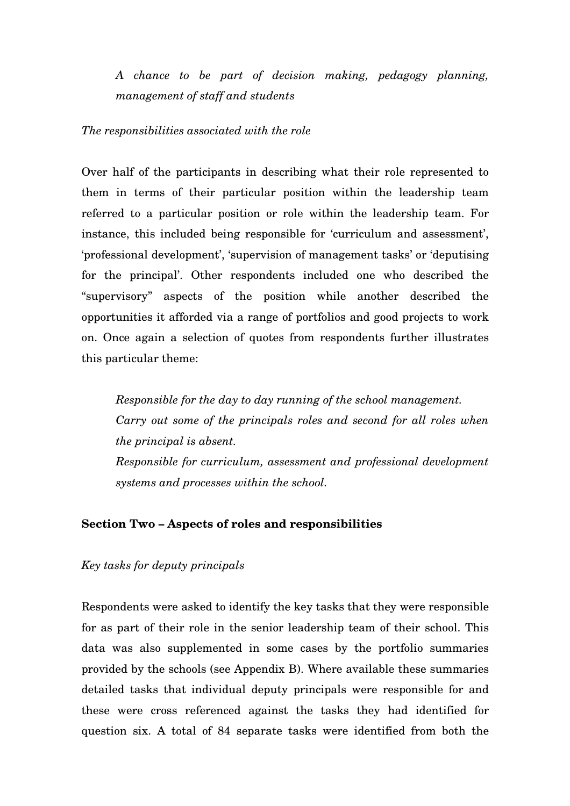*A chance to be part of decision making, pedagogy planning, management of staff and students* 

*The responsibilities associated with the role* 

Over half of the participants in describing what their role represented to them in terms of their particular position within the leadership team referred to a particular position or role within the leadership team. For instance, this included being responsible for 'curriculum and assessment', 'professional development', 'supervision of management tasks' or 'deputising for the principal'. Other respondents included one who described the "supervisory" aspects of the position while another described the opportunities it afforded via a range of portfolios and good projects to work on. Once again a selection of quotes from respondents further illustrates this particular theme:

*Responsible for the day to day running of the school management. Carry out some of the principals roles and second for all roles when the principal is absent. Responsible for curriculum, assessment and professional development systems and processes within the school.* 

### **Section Two – Aspects of roles and responsibilities**

#### *Key tasks for deputy principals*

Respondents were asked to identify the key tasks that they were responsible for as part of their role in the senior leadership team of their school. This data was also supplemented in some cases by the portfolio summaries provided by the schools (see Appendix B). Where available these summaries detailed tasks that individual deputy principals were responsible for and these were cross referenced against the tasks they had identified for question six. A total of 84 separate tasks were identified from both the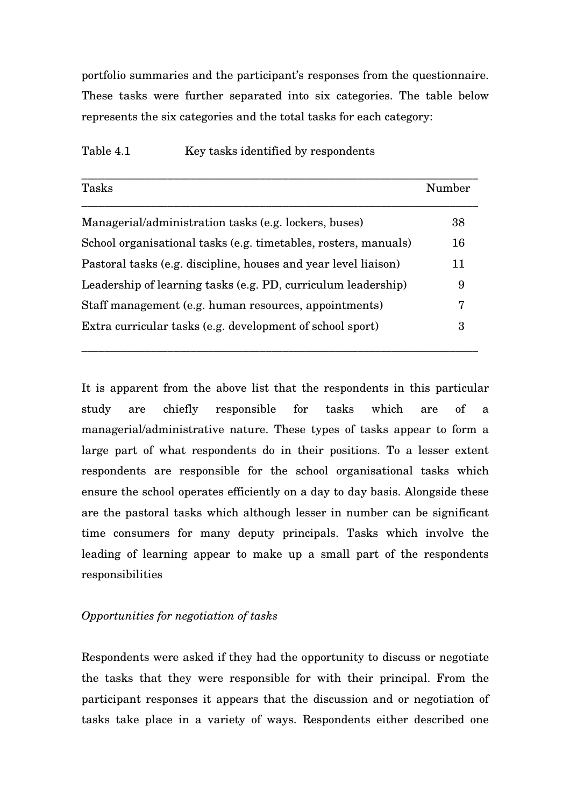portfolio summaries and the participant's responses from the questionnaire. These tasks were further separated into six categories. The table below represents the six categories and the total tasks for each category:

| Tasks                                                           | Number |
|-----------------------------------------------------------------|--------|
| Managerial/administration tasks (e.g. lockers, buses)           | 38     |
| School organisational tasks (e.g. timetables, rosters, manuals) | 16     |
| Pastoral tasks (e.g. discipline, houses and year level liaison) | 11     |
| Leadership of learning tasks (e.g. PD, curriculum leadership)   | 9      |
| Staff management (e.g. human resources, appointments)           | 7      |
| Extra curricular tasks (e.g. development of school sport)       | 3      |

\_\_\_\_\_\_\_\_\_\_\_\_\_\_\_\_\_\_\_\_\_\_\_\_\_\_\_\_\_\_\_\_\_\_\_\_\_\_\_\_\_\_\_\_\_\_\_\_\_\_\_\_\_\_\_\_\_\_\_\_\_\_\_\_\_\_\_\_\_

#### Table 4.1 Key tasks identified by respondents

It is apparent from the above list that the respondents in this particular study are chiefly responsible for tasks which are of a managerial/administrative nature. These types of tasks appear to form a large part of what respondents do in their positions. To a lesser extent respondents are responsible for the school organisational tasks which ensure the school operates efficiently on a day to day basis. Alongside these are the pastoral tasks which although lesser in number can be significant time consumers for many deputy principals. Tasks which involve the leading of learning appear to make up a small part of the respondents responsibilities

### *Opportunities for negotiation of tasks*

Respondents were asked if they had the opportunity to discuss or negotiate the tasks that they were responsible for with their principal. From the participant responses it appears that the discussion and or negotiation of tasks take place in a variety of ways. Respondents either described one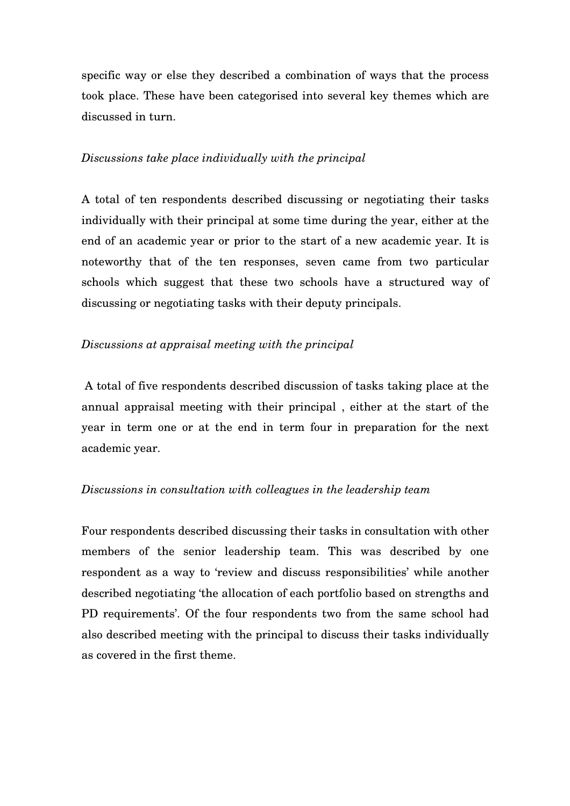specific way or else they described a combination of ways that the process took place. These have been categorised into several key themes which are discussed in turn.

#### *Discussions take place individually with the principal*

A total of ten respondents described discussing or negotiating their tasks individually with their principal at some time during the year, either at the end of an academic year or prior to the start of a new academic year. It is noteworthy that of the ten responses, seven came from two particular schools which suggest that these two schools have a structured way of discussing or negotiating tasks with their deputy principals.

### *Discussions at appraisal meeting with the principal*

 A total of five respondents described discussion of tasks taking place at the annual appraisal meeting with their principal , either at the start of the year in term one or at the end in term four in preparation for the next academic year.

### *Discussions in consultation with colleagues in the leadership team*

Four respondents described discussing their tasks in consultation with other members of the senior leadership team. This was described by one respondent as a way to 'review and discuss responsibilities' while another described negotiating 'the allocation of each portfolio based on strengths and PD requirements'. Of the four respondents two from the same school had also described meeting with the principal to discuss their tasks individually as covered in the first theme.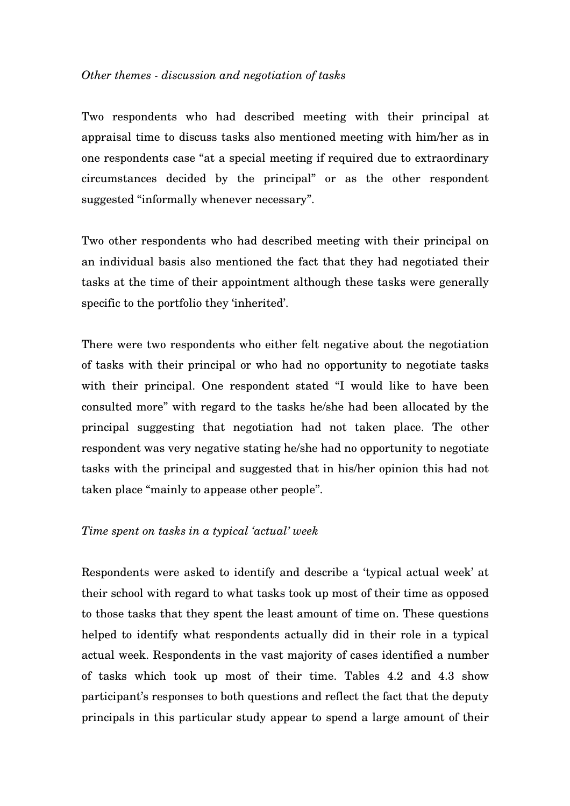#### *Other themes - discussion and negotiation of tasks*

Two respondents who had described meeting with their principal at appraisal time to discuss tasks also mentioned meeting with him/her as in one respondents case "at a special meeting if required due to extraordinary circumstances decided by the principal" or as the other respondent suggested "informally whenever necessary".

Two other respondents who had described meeting with their principal on an individual basis also mentioned the fact that they had negotiated their tasks at the time of their appointment although these tasks were generally specific to the portfolio they 'inherited'.

There were two respondents who either felt negative about the negotiation of tasks with their principal or who had no opportunity to negotiate tasks with their principal. One respondent stated "I would like to have been consulted more" with regard to the tasks he/she had been allocated by the principal suggesting that negotiation had not taken place. The other respondent was very negative stating he/she had no opportunity to negotiate tasks with the principal and suggested that in his/her opinion this had not taken place "mainly to appease other people".

#### *Time spent on tasks in a typical 'actual' week*

Respondents were asked to identify and describe a 'typical actual week' at their school with regard to what tasks took up most of their time as opposed to those tasks that they spent the least amount of time on. These questions helped to identify what respondents actually did in their role in a typical actual week. Respondents in the vast majority of cases identified a number of tasks which took up most of their time. Tables 4.2 and 4.3 show participant's responses to both questions and reflect the fact that the deputy principals in this particular study appear to spend a large amount of their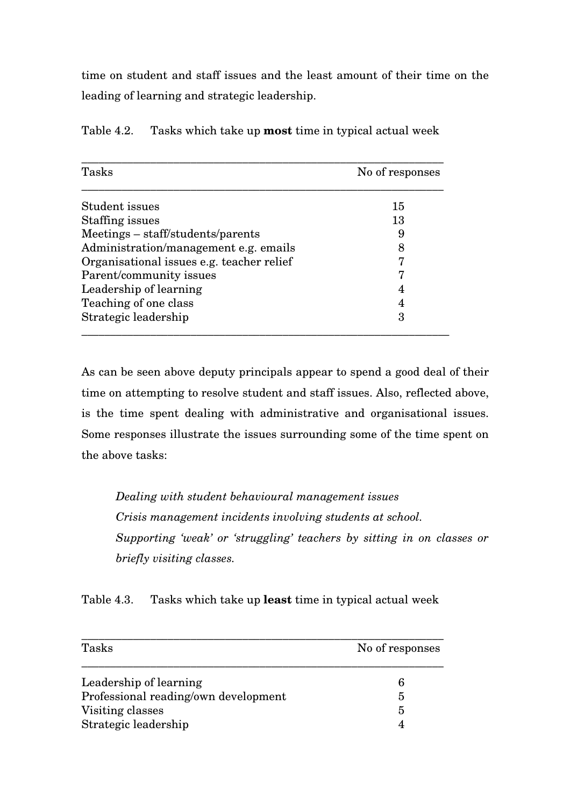time on student and staff issues and the least amount of their time on the leading of learning and strategic leadership.

| Tasks                                     | No of responses |
|-------------------------------------------|-----------------|
| Student issues                            | 15              |
| Staffing issues                           | 13              |
| Meetings – staff/students/parents         | 9               |
| Administration/management e.g. emails     | 8               |
| Organisational issues e.g. teacher relief | 7               |
| Parent/community issues                   | 7               |
| Leadership of learning                    | 4               |
| Teaching of one class                     | 4               |
| Strategic leadership                      | 3               |

Table 4.2. Tasks which take up **most** time in typical actual week

As can be seen above deputy principals appear to spend a good deal of their time on attempting to resolve student and staff issues. Also, reflected above, is the time spent dealing with administrative and organisational issues. Some responses illustrate the issues surrounding some of the time spent on the above tasks:

*Dealing with student behavioural management issues Crisis management incidents involving students at school. Supporting 'weak' or 'struggling' teachers by sitting in on classes or briefly visiting classes.* 

Table 4.3. Tasks which take up **least** time in typical actual week

| Tasks                                | No of responses |
|--------------------------------------|-----------------|
| Leadership of learning               | 6               |
| Professional reading/own development | 5               |
| Visiting classes                     | 5               |
| Strategic leadership                 |                 |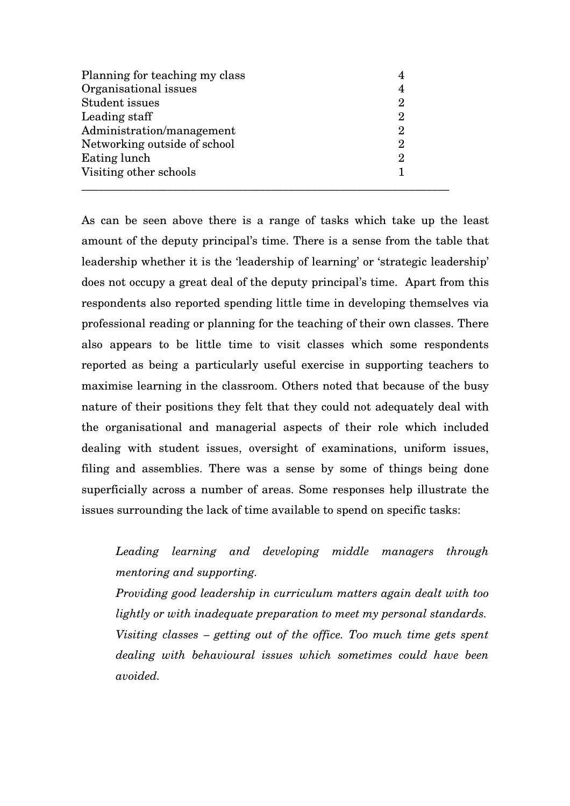| Planning for teaching my class | 4 |
|--------------------------------|---|
| Organisational issues          | 4 |
| <b>Student issues</b>          | 2 |
| Leading staff                  | 2 |
| Administration/management      | 2 |
| Networking outside of school   | 2 |
| Eating lunch                   | 2 |
| Visiting other schools         |   |
|                                |   |

As can be seen above there is a range of tasks which take up the least amount of the deputy principal's time. There is a sense from the table that leadership whether it is the 'leadership of learning' or 'strategic leadership' does not occupy a great deal of the deputy principal's time. Apart from this respondents also reported spending little time in developing themselves via professional reading or planning for the teaching of their own classes. There also appears to be little time to visit classes which some respondents reported as being a particularly useful exercise in supporting teachers to maximise learning in the classroom. Others noted that because of the busy nature of their positions they felt that they could not adequately deal with the organisational and managerial aspects of their role which included dealing with student issues, oversight of examinations, uniform issues, filing and assemblies. There was a sense by some of things being done superficially across a number of areas. Some responses help illustrate the issues surrounding the lack of time available to spend on specific tasks:

*Leading learning and developing middle managers through mentoring and supporting.* 

*Providing good leadership in curriculum matters again dealt with too lightly or with inadequate preparation to meet my personal standards. Visiting classes – getting out of the office. Too much time gets spent dealing with behavioural issues which sometimes could have been avoided.*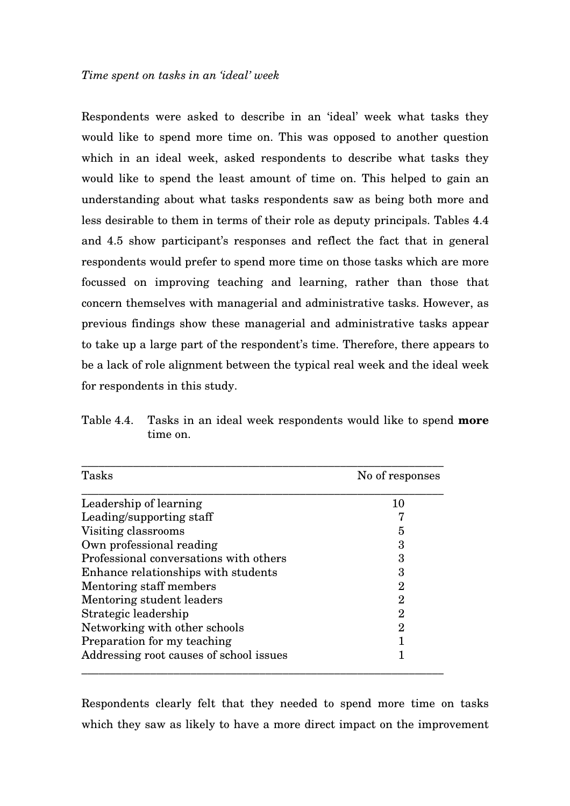Respondents were asked to describe in an 'ideal' week what tasks they would like to spend more time on. This was opposed to another question which in an ideal week, asked respondents to describe what tasks they would like to spend the least amount of time on. This helped to gain an understanding about what tasks respondents saw as being both more and less desirable to them in terms of their role as deputy principals. Tables 4.4 and 4.5 show participant's responses and reflect the fact that in general respondents would prefer to spend more time on those tasks which are more focussed on improving teaching and learning, rather than those that concern themselves with managerial and administrative tasks. However, as previous findings show these managerial and administrative tasks appear to take up a large part of the respondent's time. Therefore, there appears to be a lack of role alignment between the typical real week and the ideal week for respondents in this study.

Table 4.4. Tasks in an ideal week respondents would like to spend **more** time on.

| Tasks                                   | No of responses |
|-----------------------------------------|-----------------|
| Leadership of learning                  | 10              |
| Leading/supporting staff                |                 |
| Visiting classrooms                     | 5               |
| Own professional reading                | 3               |
| Professional conversations with others  | 3               |
| Enhance relationships with students     | 3               |
| Mentoring staff members                 | $\overline{2}$  |
| Mentoring student leaders               | $\overline{2}$  |
| Strategic leadership                    | $\overline{2}$  |
| Networking with other schools           | $\overline{2}$  |
| Preparation for my teaching             |                 |
| Addressing root causes of school issues |                 |

Respondents clearly felt that they needed to spend more time on tasks which they saw as likely to have a more direct impact on the improvement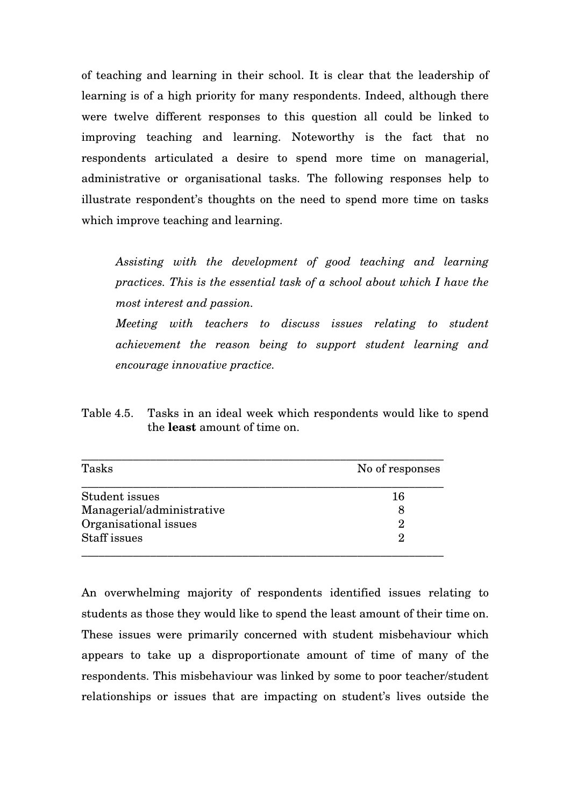of teaching and learning in their school. It is clear that the leadership of learning is of a high priority for many respondents. Indeed, although there were twelve different responses to this question all could be linked to improving teaching and learning. Noteworthy is the fact that no respondents articulated a desire to spend more time on managerial, administrative or organisational tasks. The following responses help to illustrate respondent's thoughts on the need to spend more time on tasks which improve teaching and learning.

*Assisting with the development of good teaching and learning practices. This is the essential task of a school about which I have the most interest and passion.* 

*Meeting with teachers to discuss issues relating to student achievement the reason being to support student learning and encourage innovative practice.* 

Table 4.5. Tasks in an ideal week which respondents would like to spend the **least** amount of time on.

| Tasks                     | No of responses |
|---------------------------|-----------------|
| Student issues            | 16              |
| Managerial/administrative |                 |
| Organisational issues     | 2               |
| Staff issues              | 9               |

An overwhelming majority of respondents identified issues relating to students as those they would like to spend the least amount of their time on. These issues were primarily concerned with student misbehaviour which appears to take up a disproportionate amount of time of many of the respondents. This misbehaviour was linked by some to poor teacher/student relationships or issues that are impacting on student's lives outside the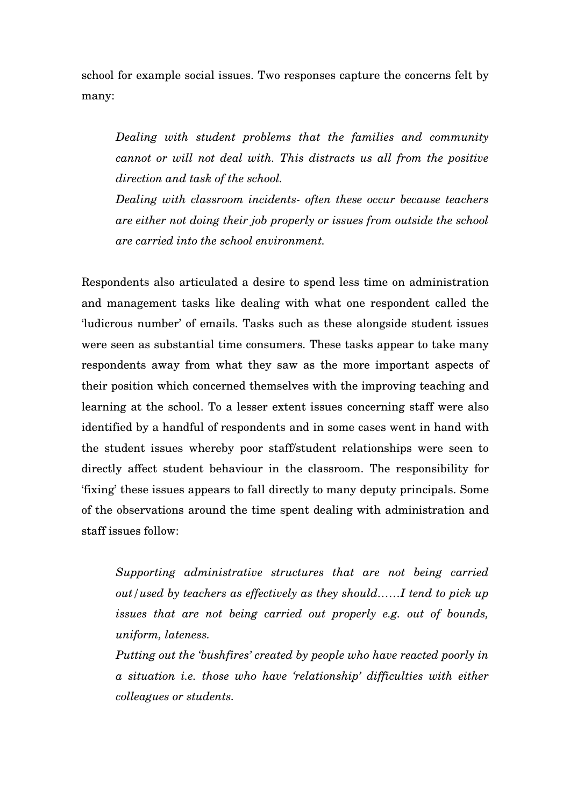school for example social issues. Two responses capture the concerns felt by many:

*Dealing with student problems that the families and community cannot or will not deal with. This distracts us all from the positive direction and task of the school.* 

*Dealing with classroom incidents- often these occur because teachers are either not doing their job properly or issues from outside the school are carried into the school environment.* 

Respondents also articulated a desire to spend less time on administration and management tasks like dealing with what one respondent called the 'ludicrous number' of emails. Tasks such as these alongside student issues were seen as substantial time consumers. These tasks appear to take many respondents away from what they saw as the more important aspects of their position which concerned themselves with the improving teaching and learning at the school. To a lesser extent issues concerning staff were also identified by a handful of respondents and in some cases went in hand with the student issues whereby poor staff/student relationships were seen to directly affect student behaviour in the classroom. The responsibility for 'fixing' these issues appears to fall directly to many deputy principals. Some of the observations around the time spent dealing with administration and staff issues follow:

*Supporting administrative structures that are not being carried out/used by teachers as effectively as they should……I tend to pick up issues that are not being carried out properly e.g. out of bounds, uniform, lateness.* 

*Putting out the 'bushfires' created by people who have reacted poorly in a situation i.e. those who have 'relationship' difficulties with either colleagues or students.*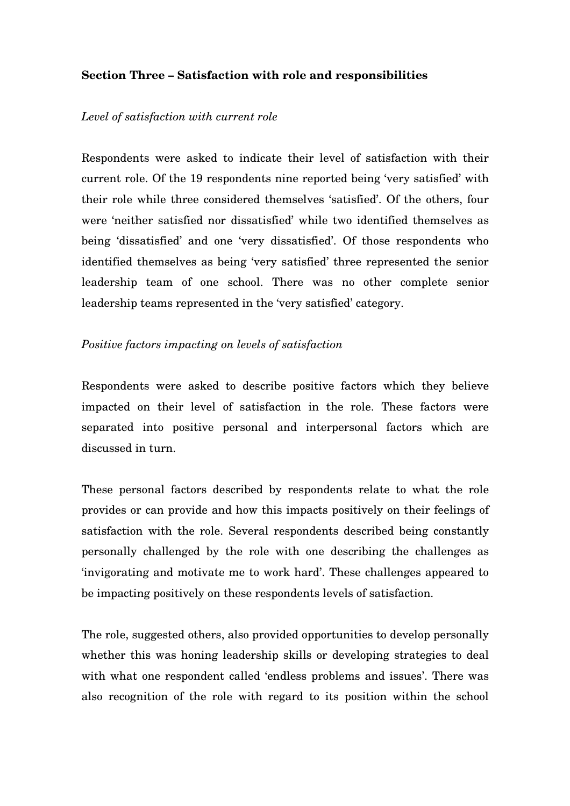## **Section Three – Satisfaction with role and responsibilities**

#### *Level of satisfaction with current role*

Respondents were asked to indicate their level of satisfaction with their current role. Of the 19 respondents nine reported being 'very satisfied' with their role while three considered themselves 'satisfied'. Of the others, four were 'neither satisfied nor dissatisfied' while two identified themselves as being 'dissatisfied' and one 'very dissatisfied'. Of those respondents who identified themselves as being 'very satisfied' three represented the senior leadership team of one school. There was no other complete senior leadership teams represented in the 'very satisfied' category.

### *Positive factors impacting on levels of satisfaction*

Respondents were asked to describe positive factors which they believe impacted on their level of satisfaction in the role. These factors were separated into positive personal and interpersonal factors which are discussed in turn.

These personal factors described by respondents relate to what the role provides or can provide and how this impacts positively on their feelings of satisfaction with the role. Several respondents described being constantly personally challenged by the role with one describing the challenges as 'invigorating and motivate me to work hard'. These challenges appeared to be impacting positively on these respondents levels of satisfaction.

The role, suggested others, also provided opportunities to develop personally whether this was honing leadership skills or developing strategies to deal with what one respondent called 'endless problems and issues'. There was also recognition of the role with regard to its position within the school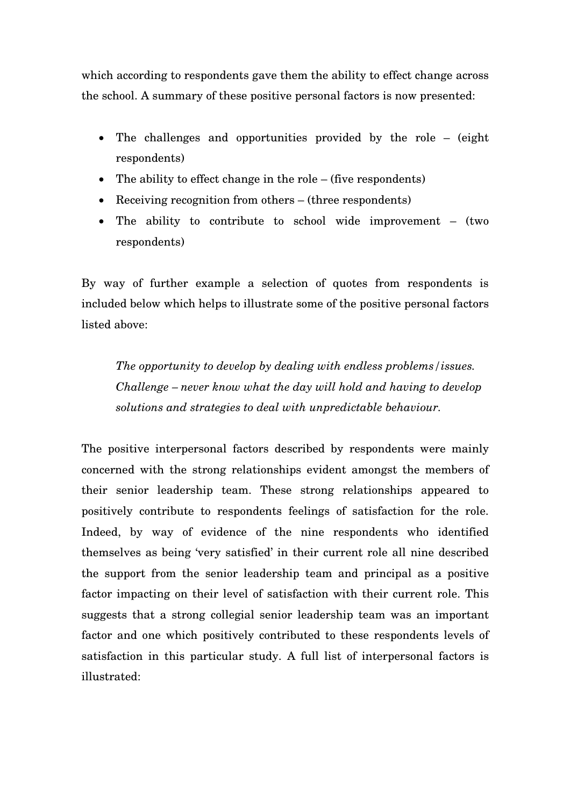which according to respondents gave them the ability to effect change across the school. A summary of these positive personal factors is now presented:

- The challenges and opportunities provided by the role (eight) respondents)
- The ability to effect change in the role (five respondents)
- Receiving recognition from others (three respondents)
- The ability to contribute to school wide improvement (two respondents)

By way of further example a selection of quotes from respondents is included below which helps to illustrate some of the positive personal factors listed above:

*The opportunity to develop by dealing with endless problems/issues. Challenge – never know what the day will hold and having to develop solutions and strategies to deal with unpredictable behaviour.* 

The positive interpersonal factors described by respondents were mainly concerned with the strong relationships evident amongst the members of their senior leadership team. These strong relationships appeared to positively contribute to respondents feelings of satisfaction for the role. Indeed, by way of evidence of the nine respondents who identified themselves as being 'very satisfied' in their current role all nine described the support from the senior leadership team and principal as a positive factor impacting on their level of satisfaction with their current role. This suggests that a strong collegial senior leadership team was an important factor and one which positively contributed to these respondents levels of satisfaction in this particular study. A full list of interpersonal factors is illustrated: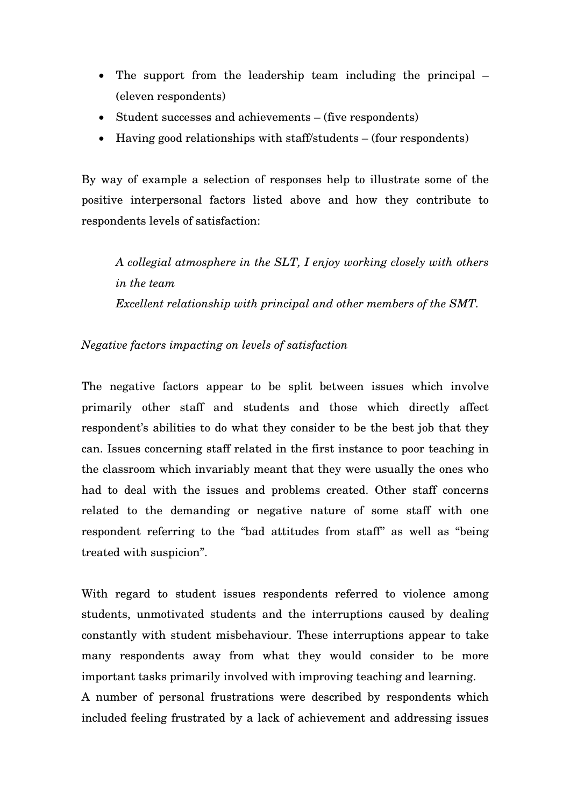- The support from the leadership team including the principal (eleven respondents)
- Student successes and achievements (five respondents)
- Having good relationships with staff/students (four respondents)

By way of example a selection of responses help to illustrate some of the positive interpersonal factors listed above and how they contribute to respondents levels of satisfaction:

*A collegial atmosphere in the SLT, I enjoy working closely with others in the team Excellent relationship with principal and other members of the SMT.* 

# *Negative factors impacting on levels of satisfaction*

The negative factors appear to be split between issues which involve primarily other staff and students and those which directly affect respondent's abilities to do what they consider to be the best job that they can. Issues concerning staff related in the first instance to poor teaching in the classroom which invariably meant that they were usually the ones who had to deal with the issues and problems created. Other staff concerns related to the demanding or negative nature of some staff with one respondent referring to the "bad attitudes from staff" as well as "being treated with suspicion".

With regard to student issues respondents referred to violence among students, unmotivated students and the interruptions caused by dealing constantly with student misbehaviour. These interruptions appear to take many respondents away from what they would consider to be more important tasks primarily involved with improving teaching and learning.

A number of personal frustrations were described by respondents which included feeling frustrated by a lack of achievement and addressing issues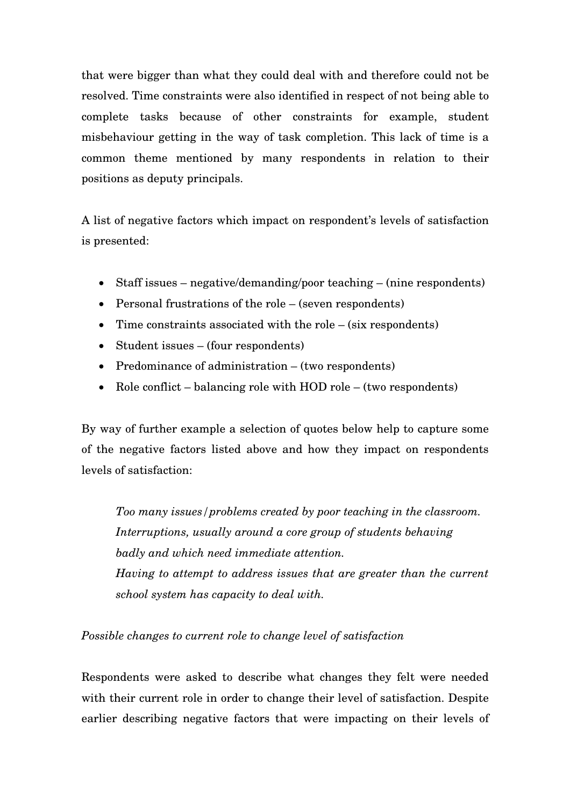that were bigger than what they could deal with and therefore could not be resolved. Time constraints were also identified in respect of not being able to complete tasks because of other constraints for example, student misbehaviour getting in the way of task completion. This lack of time is a common theme mentioned by many respondents in relation to their positions as deputy principals.

A list of negative factors which impact on respondent's levels of satisfaction is presented:

- Staff issues negative/demanding/poor teaching (nine respondents)
- Personal frustrations of the role (seven respondents)
- Time constraints associated with the role (six respondents)
- Student issues (four respondents)
- Predominance of administration (two respondents)
- Role conflict balancing role with HOD role (two respondents)

By way of further example a selection of quotes below help to capture some of the negative factors listed above and how they impact on respondents levels of satisfaction:

*Too many issues/problems created by poor teaching in the classroom. Interruptions, usually around a core group of students behaving badly and which need immediate attention. Having to attempt to address issues that are greater than the current school system has capacity to deal with.*

*Possible changes to current role to change level of satisfaction*

Respondents were asked to describe what changes they felt were needed with their current role in order to change their level of satisfaction. Despite earlier describing negative factors that were impacting on their levels of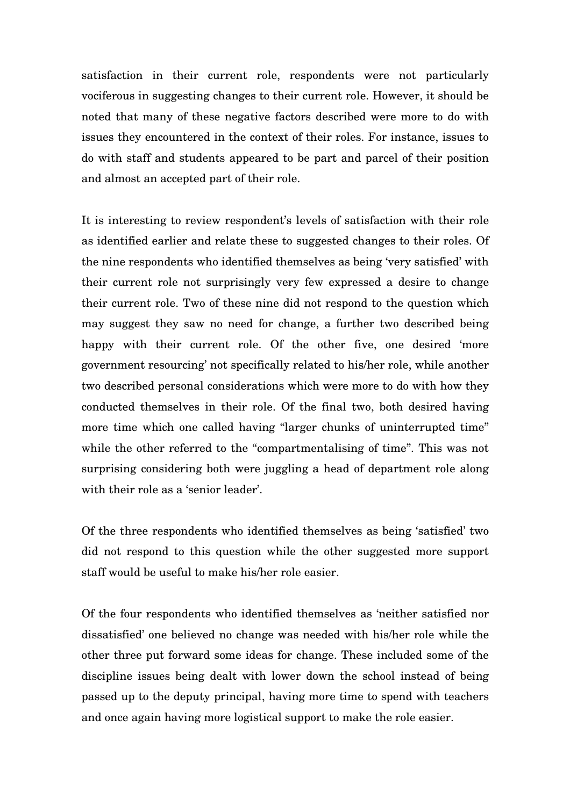satisfaction in their current role, respondents were not particularly vociferous in suggesting changes to their current role. However, it should be noted that many of these negative factors described were more to do with issues they encountered in the context of their roles. For instance, issues to do with staff and students appeared to be part and parcel of their position and almost an accepted part of their role.

It is interesting to review respondent's levels of satisfaction with their role as identified earlier and relate these to suggested changes to their roles. Of the nine respondents who identified themselves as being 'very satisfied' with their current role not surprisingly very few expressed a desire to change their current role. Two of these nine did not respond to the question which may suggest they saw no need for change, a further two described being happy with their current role. Of the other five, one desired 'more government resourcing' not specifically related to his/her role, while another two described personal considerations which were more to do with how they conducted themselves in their role. Of the final two, both desired having more time which one called having "larger chunks of uninterrupted time" while the other referred to the "compartmentalising of time". This was not surprising considering both were juggling a head of department role along with their role as a 'senior leader'.

Of the three respondents who identified themselves as being 'satisfied' two did not respond to this question while the other suggested more support staff would be useful to make his/her role easier.

Of the four respondents who identified themselves as 'neither satisfied nor dissatisfied' one believed no change was needed with his/her role while the other three put forward some ideas for change. These included some of the discipline issues being dealt with lower down the school instead of being passed up to the deputy principal, having more time to spend with teachers and once again having more logistical support to make the role easier.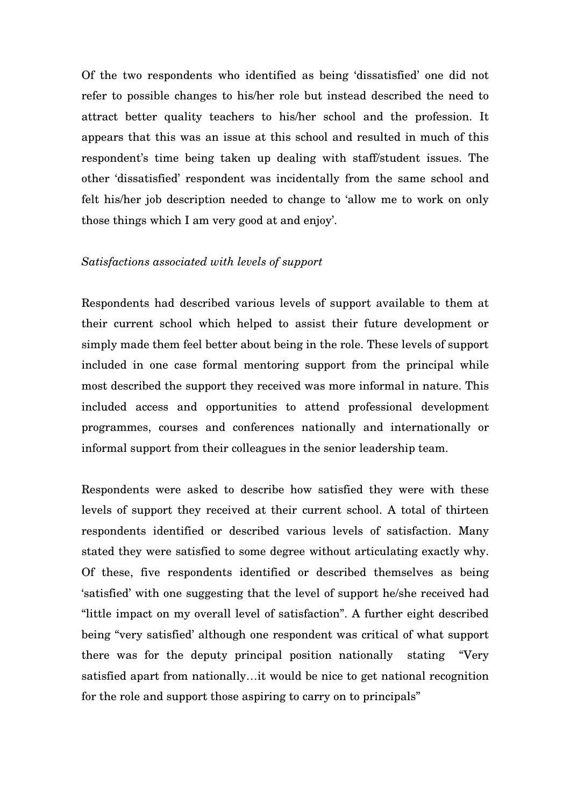Of the two respondents who identified as being 'dissatisfied' one did not refer to possible changes to his/her role but instead described the need to attract better quality teachers to his/her school and the profession. It appears that this was an issue at this school and resulted in much of this respondent's time being taken up dealing with staff/student issues. The other 'dissatisfied' respondent was incidentally from the same school and felt his/her job description needed to change to 'allow me to work on only those things which I am very good at and enjoy'.

#### *Satisfactions associated with levels of support*

Respondents had described various levels of support available to them at their current school which helped to assist their future development or simply made them feel better about being in the role. These levels of support included in one case formal mentoring support from the principal while most described the support they received was more informal in nature. This included access and opportunities to attend professional development programmes, courses and conferences nationally and internationally or informal support from their colleagues in the senior leadership team.

Respondents were asked to describe how satisfied they were with these levels of support they received at their current school. A total of thirteen respondents identified or described various levels of satisfaction. Many stated they were satisfied to some degree without articulating exactly why. Of these, five respondents identified or described themselves as being 'satisfied' with one suggesting that the level of support he/she received had "little impact on my overall level of satisfaction". A further eight described being "very satisfied' although one respondent was critical of what support there was for the deputy principal position nationally stating "Very satisfied apart from nationally…it would be nice to get national recognition for the role and support those aspiring to carry on to principals"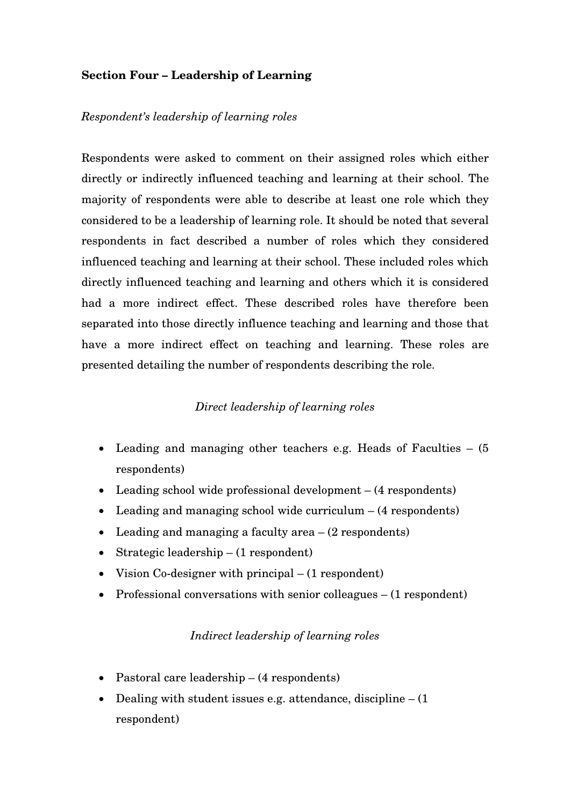## **Section Four – Leadership of Learning**

### *Respondent's leadership of learning roles*

Respondents were asked to comment on their assigned roles which either directly or indirectly influenced teaching and learning at their school. The majority of respondents were able to describe at least one role which they considered to be a leadership of learning role. It should be noted that several respondents in fact described a number of roles which they considered influenced teaching and learning at their school. These included roles which directly influenced teaching and learning and others which it is considered had a more indirect effect. These described roles have therefore been separated into those directly influence teaching and learning and those that have a more indirect effect on teaching and learning. These roles are presented detailing the number of respondents describing the role.

#### *Direct leadership of learning roles*

- Leading and managing other teachers e.g. Heads of Faculties  $(5)$ respondents)
- Leading school wide professional development (4 respondents)
- Leading and managing school wide curriculum (4 respondents)
- Leading and managing a faculty area  $(2 \text{ respondents})$
- Strategic leadership (1 respondent)
- Vision Co-designer with principal (1 respondent)
- Professional conversations with senior colleagues (1 respondent)

### *Indirect leadership of learning roles*

- Pastoral care leadership (4 respondents)
- Dealing with student issues e.g. attendance, discipline  $(1)$ respondent)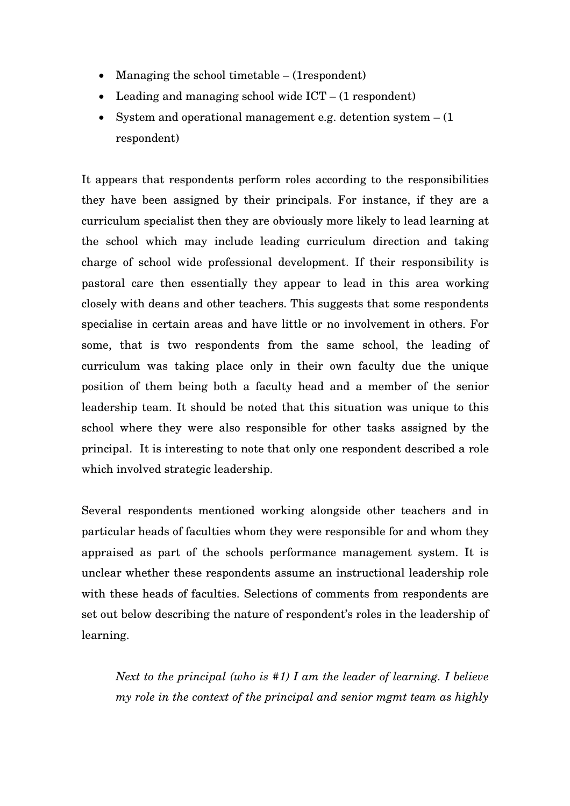- Managing the school timetable (1 respondent)
- Leading and managing school wide ICT (1 respondent)
- System and operational management e.g. detention system  $(1)$ respondent)

It appears that respondents perform roles according to the responsibilities they have been assigned by their principals. For instance, if they are a curriculum specialist then they are obviously more likely to lead learning at the school which may include leading curriculum direction and taking charge of school wide professional development. If their responsibility is pastoral care then essentially they appear to lead in this area working closely with deans and other teachers. This suggests that some respondents specialise in certain areas and have little or no involvement in others. For some, that is two respondents from the same school, the leading of curriculum was taking place only in their own faculty due the unique position of them being both a faculty head and a member of the senior leadership team. It should be noted that this situation was unique to this school where they were also responsible for other tasks assigned by the principal. It is interesting to note that only one respondent described a role which involved strategic leadership.

Several respondents mentioned working alongside other teachers and in particular heads of faculties whom they were responsible for and whom they appraised as part of the schools performance management system. It is unclear whether these respondents assume an instructional leadership role with these heads of faculties. Selections of comments from respondents are set out below describing the nature of respondent's roles in the leadership of learning.

*Next to the principal (who is #1) I am the leader of learning. I believe my role in the context of the principal and senior mgmt team as highly*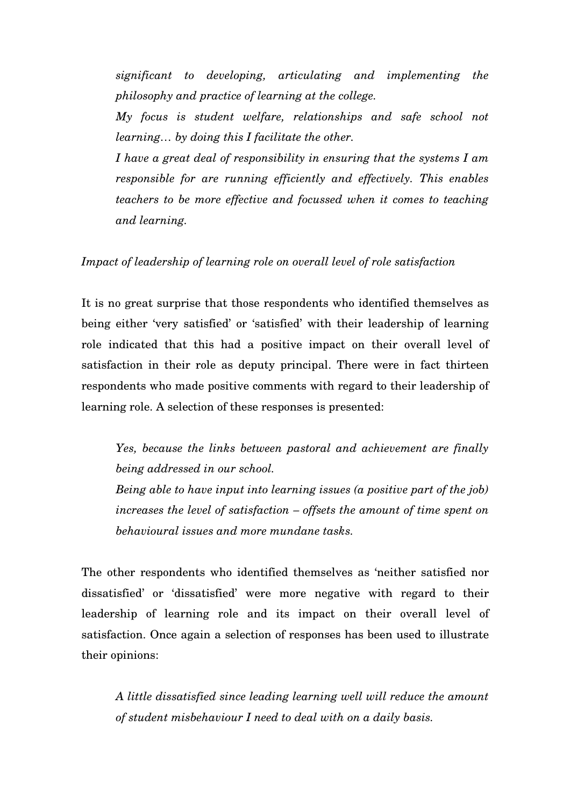*significant to developing, articulating and implementing the philosophy and practice of learning at the college.* 

*My focus is student welfare, relationships and safe school not learning… by doing this I facilitate the other.* 

*I have a great deal of responsibility in ensuring that the systems I am responsible for are running efficiently and effectively. This enables teachers to be more effective and focussed when it comes to teaching and learning.* 

#### *Impact of leadership of learning role on overall level of role satisfaction*

It is no great surprise that those respondents who identified themselves as being either 'very satisfied' or 'satisfied' with their leadership of learning role indicated that this had a positive impact on their overall level of satisfaction in their role as deputy principal. There were in fact thirteen respondents who made positive comments with regard to their leadership of learning role. A selection of these responses is presented:

*Yes, because the links between pastoral and achievement are finally being addressed in our school. Being able to have input into learning issues (a positive part of the job) increases the level of satisfaction – offsets the amount of time spent on* 

The other respondents who identified themselves as 'neither satisfied nor dissatisfied' or 'dissatisfied' were more negative with regard to their leadership of learning role and its impact on their overall level of satisfaction. Once again a selection of responses has been used to illustrate their opinions:

*behavioural issues and more mundane tasks.* 

*A little dissatisfied since leading learning well will reduce the amount of student misbehaviour I need to deal with on a daily basis.*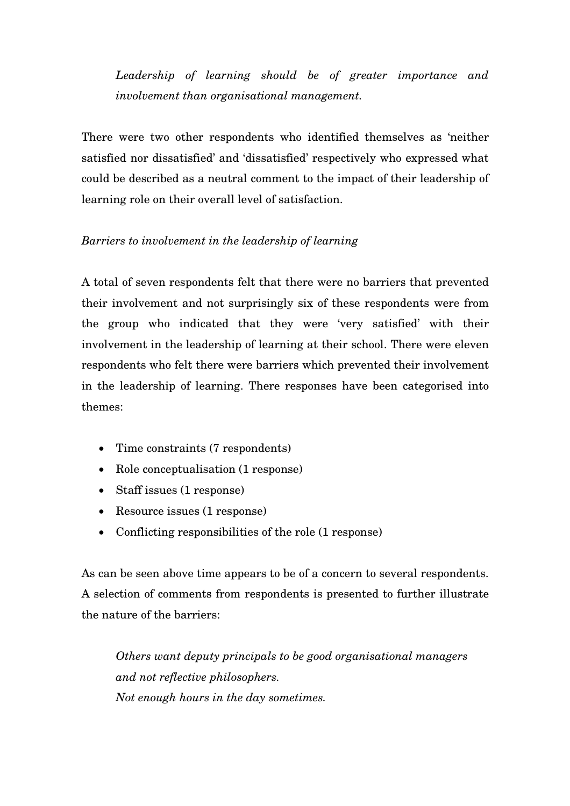*Leadership of learning should be of greater importance and involvement than organisational management.* 

There were two other respondents who identified themselves as 'neither satisfied nor dissatisfied' and 'dissatisfied' respectively who expressed what could be described as a neutral comment to the impact of their leadership of learning role on their overall level of satisfaction.

## *Barriers to involvement in the leadership of learning*

A total of seven respondents felt that there were no barriers that prevented their involvement and not surprisingly six of these respondents were from the group who indicated that they were 'very satisfied' with their involvement in the leadership of learning at their school. There were eleven respondents who felt there were barriers which prevented their involvement in the leadership of learning. There responses have been categorised into themes:

- Time constraints (7 respondents)
- Role conceptualisation (1 response)
- Staff issues (1 response)
- Resource issues (1 response)
- Conflicting responsibilities of the role (1 response)

As can be seen above time appears to be of a concern to several respondents. A selection of comments from respondents is presented to further illustrate the nature of the barriers:

*Others want deputy principals to be good organisational managers and not reflective philosophers. Not enough hours in the day sometimes.*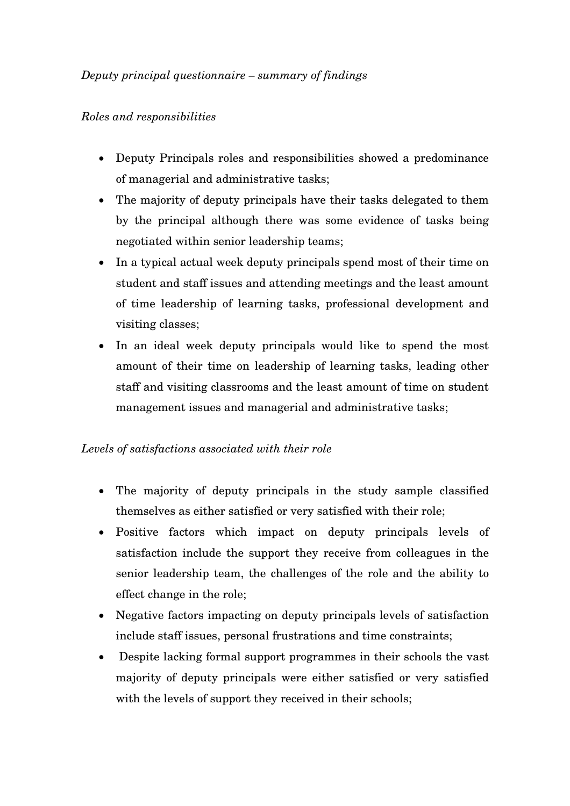## *Deputy principal questionnaire – summary of findings*

## *Roles and responsibilities*

- Deputy Principals roles and responsibilities showed a predominance of managerial and administrative tasks;
- The majority of deputy principals have their tasks delegated to them by the principal although there was some evidence of tasks being negotiated within senior leadership teams;
- In a typical actual week deputy principals spend most of their time on student and staff issues and attending meetings and the least amount of time leadership of learning tasks, professional development and visiting classes;
- In an ideal week deputy principals would like to spend the most amount of their time on leadership of learning tasks, leading other staff and visiting classrooms and the least amount of time on student management issues and managerial and administrative tasks;

## *Levels of satisfactions associated with their role*

- The majority of deputy principals in the study sample classified themselves as either satisfied or very satisfied with their role;
- Positive factors which impact on deputy principals levels of satisfaction include the support they receive from colleagues in the senior leadership team, the challenges of the role and the ability to effect change in the role;
- Negative factors impacting on deputy principals levels of satisfaction include staff issues, personal frustrations and time constraints;
- Despite lacking formal support programmes in their schools the vast majority of deputy principals were either satisfied or very satisfied with the levels of support they received in their schools;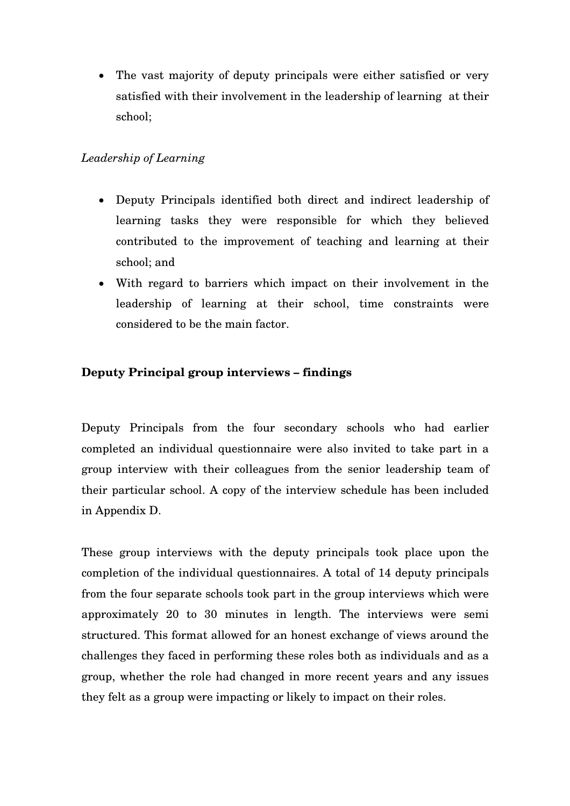• The vast majority of deputy principals were either satisfied or very satisfied with their involvement in the leadership of learning at their school;

## *Leadership of Learning*

- Deputy Principals identified both direct and indirect leadership of learning tasks they were responsible for which they believed contributed to the improvement of teaching and learning at their school; and
- With regard to barriers which impact on their involvement in the leadership of learning at their school, time constraints were considered to be the main factor.

# **Deputy Principal group interviews – findings**

Deputy Principals from the four secondary schools who had earlier completed an individual questionnaire were also invited to take part in a group interview with their colleagues from the senior leadership team of their particular school. A copy of the interview schedule has been included in Appendix D.

These group interviews with the deputy principals took place upon the completion of the individual questionnaires. A total of 14 deputy principals from the four separate schools took part in the group interviews which were approximately 20 to 30 minutes in length. The interviews were semi structured. This format allowed for an honest exchange of views around the challenges they faced in performing these roles both as individuals and as a group, whether the role had changed in more recent years and any issues they felt as a group were impacting or likely to impact on their roles.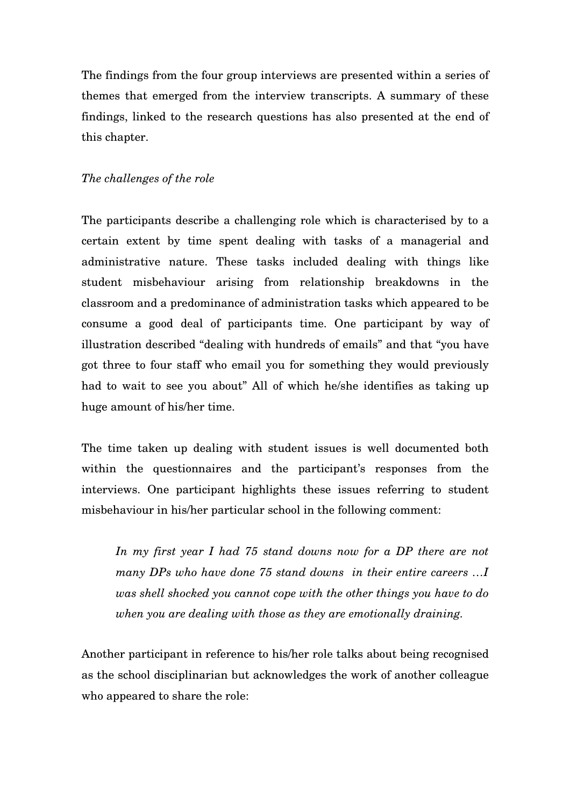The findings from the four group interviews are presented within a series of themes that emerged from the interview transcripts. A summary of these findings, linked to the research questions has also presented at the end of this chapter.

## *The challenges of the role*

The participants describe a challenging role which is characterised by to a certain extent by time spent dealing with tasks of a managerial and administrative nature. These tasks included dealing with things like student misbehaviour arising from relationship breakdowns in the classroom and a predominance of administration tasks which appeared to be consume a good deal of participants time. One participant by way of illustration described "dealing with hundreds of emails" and that "you have got three to four staff who email you for something they would previously had to wait to see you about" All of which he/she identifies as taking up huge amount of his/her time.

The time taken up dealing with student issues is well documented both within the questionnaires and the participant's responses from the interviews. One participant highlights these issues referring to student misbehaviour in his/her particular school in the following comment:

*In my first year I had 75 stand downs now for a DP there are not many DPs who have done 75 stand downs in their entire careers …I was shell shocked you cannot cope with the other things you have to do when you are dealing with those as they are emotionally draining.* 

Another participant in reference to his/her role talks about being recognised as the school disciplinarian but acknowledges the work of another colleague who appeared to share the role: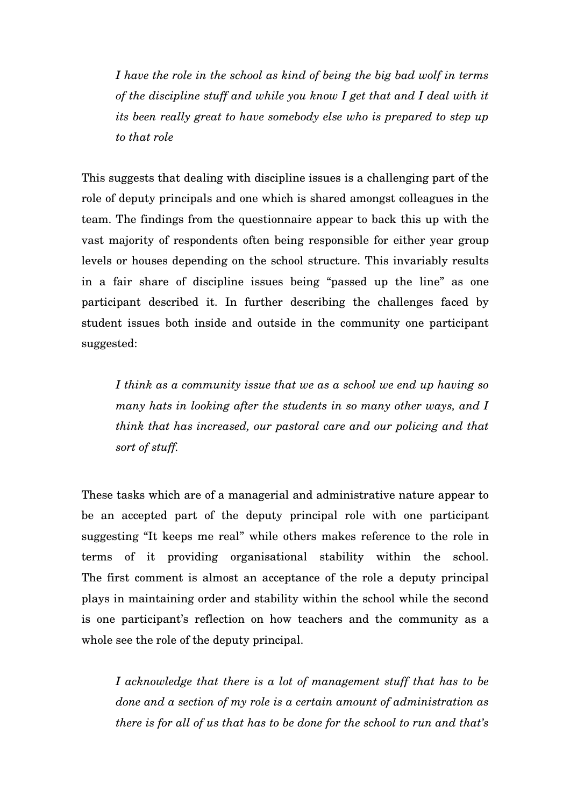*I have the role in the school as kind of being the big bad wolf in terms of the discipline stuff and while you know I get that and I deal with it its been really great to have somebody else who is prepared to step up to that role* 

This suggests that dealing with discipline issues is a challenging part of the role of deputy principals and one which is shared amongst colleagues in the team. The findings from the questionnaire appear to back this up with the vast majority of respondents often being responsible for either year group levels or houses depending on the school structure. This invariably results in a fair share of discipline issues being "passed up the line" as one participant described it. In further describing the challenges faced by student issues both inside and outside in the community one participant suggested:

*I think as a community issue that we as a school we end up having so many hats in looking after the students in so many other ways, and I think that has increased, our pastoral care and our policing and that sort of stuff.* 

These tasks which are of a managerial and administrative nature appear to be an accepted part of the deputy principal role with one participant suggesting "It keeps me real" while others makes reference to the role in terms of it providing organisational stability within the school. The first comment is almost an acceptance of the role a deputy principal plays in maintaining order and stability within the school while the second is one participant's reflection on how teachers and the community as a whole see the role of the deputy principal.

*I acknowledge that there is a lot of management stuff that has to be done and a section of my role is a certain amount of administration as there is for all of us that has to be done for the school to run and that's*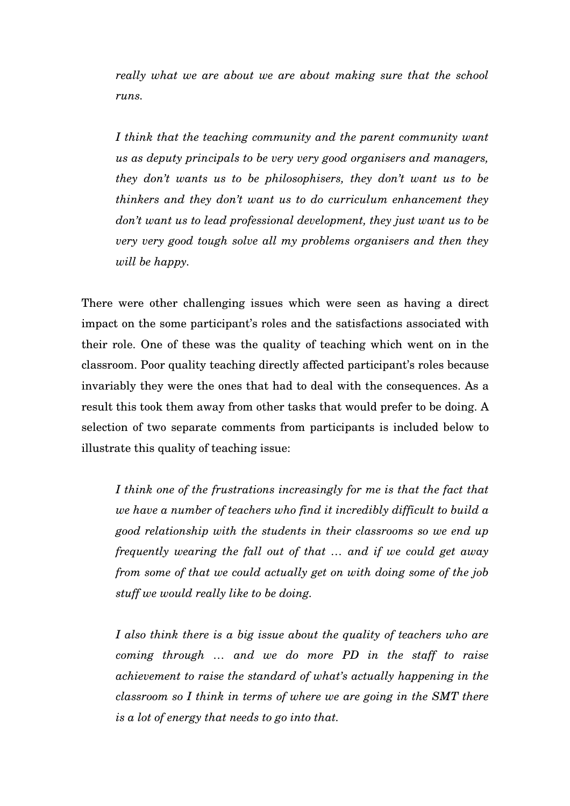*really what we are about we are about making sure that the school runs.* 

*I think that the teaching community and the parent community want us as deputy principals to be very very good organisers and managers, they don't wants us to be philosophisers, they don't want us to be thinkers and they don't want us to do curriculum enhancement they don't want us to lead professional development, they just want us to be very very good tough solve all my problems organisers and then they will be happy.* 

There were other challenging issues which were seen as having a direct impact on the some participant's roles and the satisfactions associated with their role. One of these was the quality of teaching which went on in the classroom. Poor quality teaching directly affected participant's roles because invariably they were the ones that had to deal with the consequences. As a result this took them away from other tasks that would prefer to be doing. A selection of two separate comments from participants is included below to illustrate this quality of teaching issue:

*I think one of the frustrations increasingly for me is that the fact that we have a number of teachers who find it incredibly difficult to build a good relationship with the students in their classrooms so we end up frequently wearing the fall out of that … and if we could get away from some of that we could actually get on with doing some of the job stuff we would really like to be doing.* 

*I also think there is a big issue about the quality of teachers who are coming through … and we do more PD in the staff to raise achievement to raise the standard of what's actually happening in the classroom so I think in terms of where we are going in the SMT there is a lot of energy that needs to go into that.*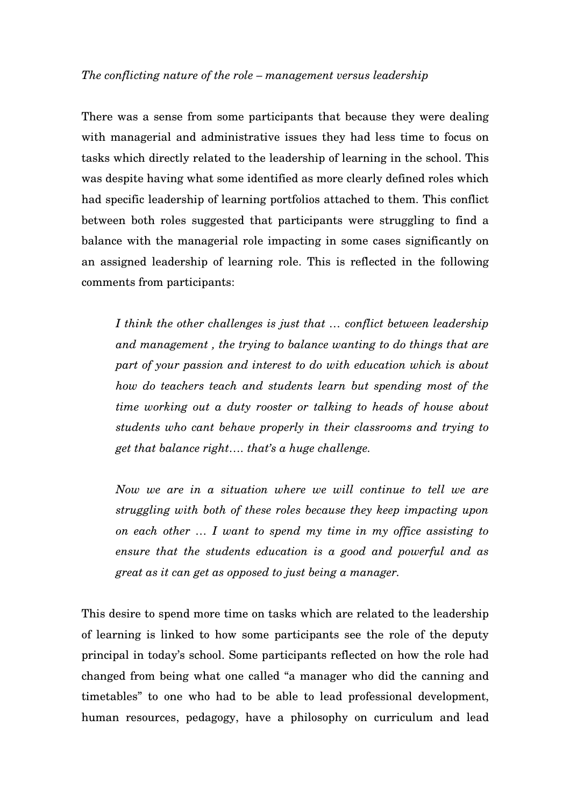#### *The conflicting nature of the role – management versus leadership*

There was a sense from some participants that because they were dealing with managerial and administrative issues they had less time to focus on tasks which directly related to the leadership of learning in the school. This was despite having what some identified as more clearly defined roles which had specific leadership of learning portfolios attached to them. This conflict between both roles suggested that participants were struggling to find a balance with the managerial role impacting in some cases significantly on an assigned leadership of learning role. This is reflected in the following comments from participants:

*I think the other challenges is just that … conflict between leadership and management , the trying to balance wanting to do things that are part of your passion and interest to do with education which is about how do teachers teach and students learn but spending most of the time working out a duty rooster or talking to heads of house about students who cant behave properly in their classrooms and trying to get that balance right…. that's a huge challenge.*

*Now we are in a situation where we will continue to tell we are struggling with both of these roles because they keep impacting upon on each other … I want to spend my time in my office assisting to ensure that the students education is a good and powerful and as great as it can get as opposed to just being a manager.* 

This desire to spend more time on tasks which are related to the leadership of learning is linked to how some participants see the role of the deputy principal in today's school. Some participants reflected on how the role had changed from being what one called "a manager who did the canning and timetables" to one who had to be able to lead professional development, human resources, pedagogy, have a philosophy on curriculum and lead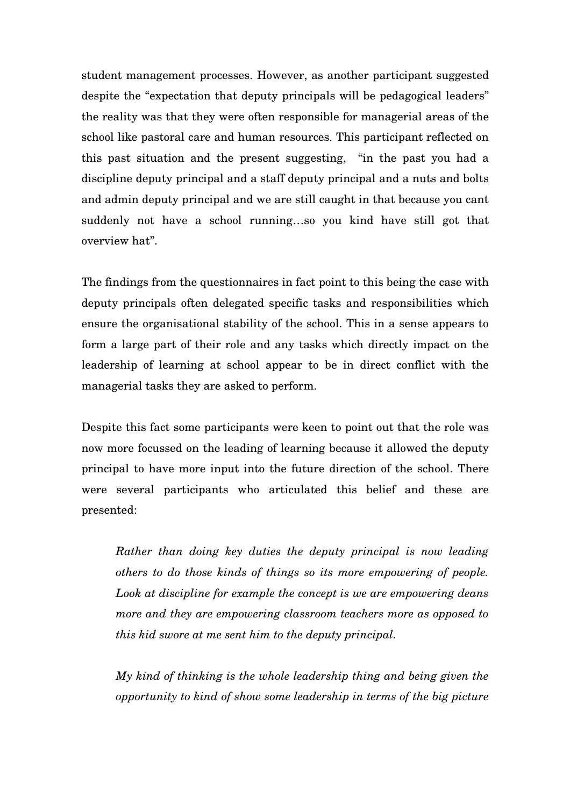student management processes. However, as another participant suggested despite the "expectation that deputy principals will be pedagogical leaders" the reality was that they were often responsible for managerial areas of the school like pastoral care and human resources. This participant reflected on this past situation and the present suggesting, "in the past you had a discipline deputy principal and a staff deputy principal and a nuts and bolts and admin deputy principal and we are still caught in that because you cant suddenly not have a school running…so you kind have still got that overview hat".

The findings from the questionnaires in fact point to this being the case with deputy principals often delegated specific tasks and responsibilities which ensure the organisational stability of the school. This in a sense appears to form a large part of their role and any tasks which directly impact on the leadership of learning at school appear to be in direct conflict with the managerial tasks they are asked to perform.

Despite this fact some participants were keen to point out that the role was now more focussed on the leading of learning because it allowed the deputy principal to have more input into the future direction of the school. There were several participants who articulated this belief and these are presented:

*Rather than doing key duties the deputy principal is now leading others to do those kinds of things so its more empowering of people. Look at discipline for example the concept is we are empowering deans more and they are empowering classroom teachers more as opposed to this kid swore at me sent him to the deputy principal.*

*My kind of thinking is the whole leadership thing and being given the opportunity to kind of show some leadership in terms of the big picture*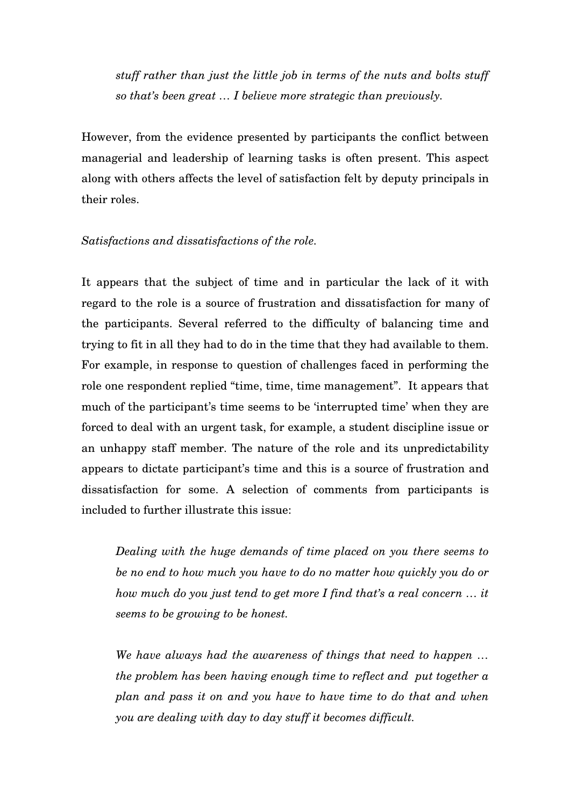*stuff rather than just the little job in terms of the nuts and bolts stuff so that's been great … I believe more strategic than previously.*

However, from the evidence presented by participants the conflict between managerial and leadership of learning tasks is often present. This aspect along with others affects the level of satisfaction felt by deputy principals in their roles.

## *Satisfactions and dissatisfactions of the role.*

It appears that the subject of time and in particular the lack of it with regard to the role is a source of frustration and dissatisfaction for many of the participants. Several referred to the difficulty of balancing time and trying to fit in all they had to do in the time that they had available to them. For example, in response to question of challenges faced in performing the role one respondent replied "time, time, time management". It appears that much of the participant's time seems to be 'interrupted time' when they are forced to deal with an urgent task, for example, a student discipline issue or an unhappy staff member. The nature of the role and its unpredictability appears to dictate participant's time and this is a source of frustration and dissatisfaction for some. A selection of comments from participants is included to further illustrate this issue:

*Dealing with the huge demands of time placed on you there seems to be no end to how much you have to do no matter how quickly you do or how much do you just tend to get more I find that's a real concern … it seems to be growing to be honest.* 

*We have always had the awareness of things that need to happen … the problem has been having enough time to reflect and put together a plan and pass it on and you have to have time to do that and when you are dealing with day to day stuff it becomes difficult.*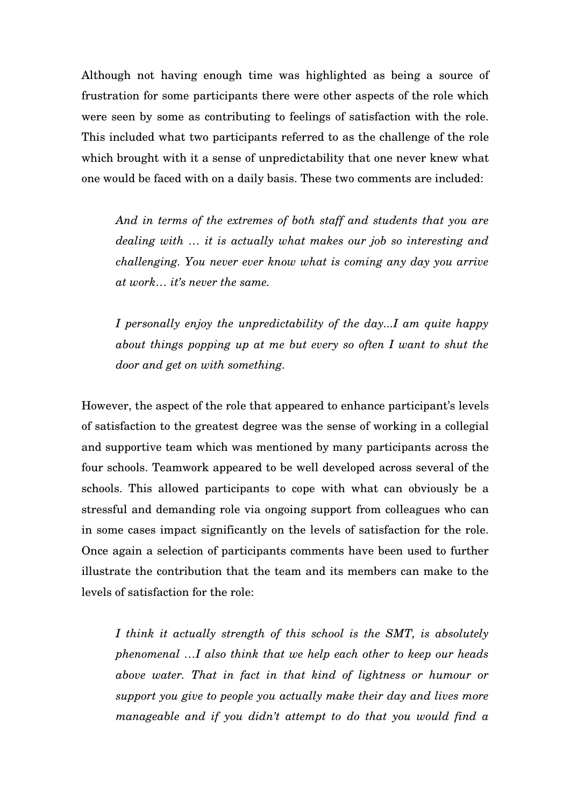Although not having enough time was highlighted as being a source of frustration for some participants there were other aspects of the role which were seen by some as contributing to feelings of satisfaction with the role. This included what two participants referred to as the challenge of the role which brought with it a sense of unpredictability that one never knew what one would be faced with on a daily basis. These two comments are included:

*And in terms of the extremes of both staff and students that you are dealing with … it is actually what makes our job so interesting and challenging. You never ever know what is coming any day you arrive at work… it's never the same.* 

*I personally enjoy the unpredictability of the day...I am quite happy about things popping up at me but every so often I want to shut the door and get on with something.*

However, the aspect of the role that appeared to enhance participant's levels of satisfaction to the greatest degree was the sense of working in a collegial and supportive team which was mentioned by many participants across the four schools. Teamwork appeared to be well developed across several of the schools. This allowed participants to cope with what can obviously be a stressful and demanding role via ongoing support from colleagues who can in some cases impact significantly on the levels of satisfaction for the role. Once again a selection of participants comments have been used to further illustrate the contribution that the team and its members can make to the levels of satisfaction for the role:

*I think it actually strength of this school is the SMT, is absolutely phenomenal …I also think that we help each other to keep our heads above water. That in fact in that kind of lightness or humour or support you give to people you actually make their day and lives more manageable and if you didn't attempt to do that you would find a*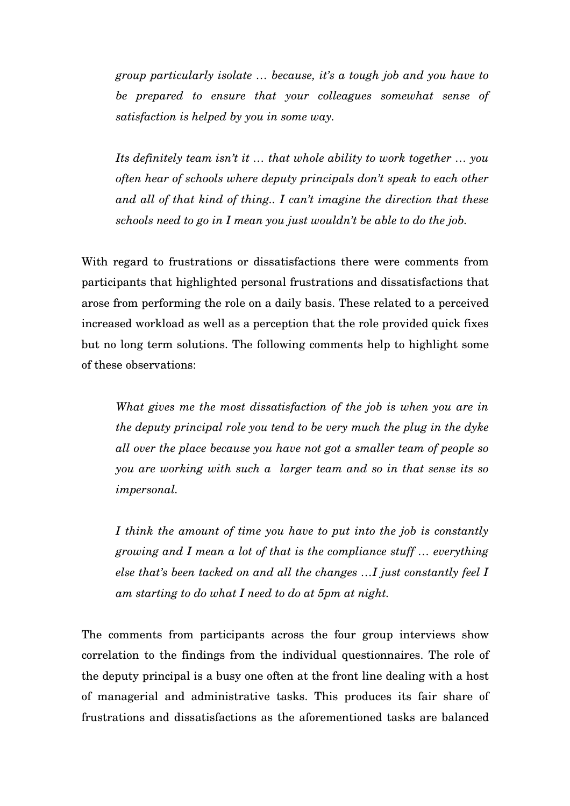*group particularly isolate … because, it's a tough job and you have to be prepared to ensure that your colleagues somewhat sense of satisfaction is helped by you in some way.* 

*Its definitely team isn't it … that whole ability to work together … you often hear of schools where deputy principals don't speak to each other and all of that kind of thing.. I can't imagine the direction that these schools need to go in I mean you just wouldn't be able to do the job.* 

With regard to frustrations or dissatisfactions there were comments from participants that highlighted personal frustrations and dissatisfactions that arose from performing the role on a daily basis. These related to a perceived increased workload as well as a perception that the role provided quick fixes but no long term solutions. The following comments help to highlight some of these observations:

*What gives me the most dissatisfaction of the job is when you are in the deputy principal role you tend to be very much the plug in the dyke all over the place because you have not got a smaller team of people so you are working with such a larger team and so in that sense its so impersonal.* 

*I think the amount of time you have to put into the job is constantly growing and I mean a lot of that is the compliance stuff … everything else that's been tacked on and all the changes …I just constantly feel I am starting to do what I need to do at 5pm at night.*

The comments from participants across the four group interviews show correlation to the findings from the individual questionnaires. The role of the deputy principal is a busy one often at the front line dealing with a host of managerial and administrative tasks. This produces its fair share of frustrations and dissatisfactions as the aforementioned tasks are balanced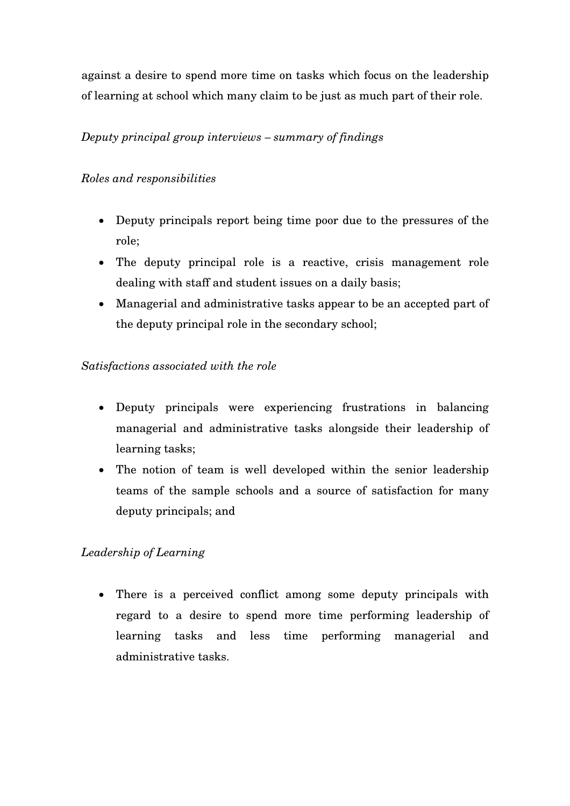against a desire to spend more time on tasks which focus on the leadership of learning at school which many claim to be just as much part of their role.

# *Deputy principal group interviews – summary of findings*

# *Roles and responsibilities*

- Deputy principals report being time poor due to the pressures of the role;
- The deputy principal role is a reactive, crisis management role dealing with staff and student issues on a daily basis;
- Managerial and administrative tasks appear to be an accepted part of the deputy principal role in the secondary school;

# *Satisfactions associated with the role*

- Deputy principals were experiencing frustrations in balancing managerial and administrative tasks alongside their leadership of learning tasks;
- The notion of team is well developed within the senior leadership teams of the sample schools and a source of satisfaction for many deputy principals; and

# *Leadership of Learning*

• There is a perceived conflict among some deputy principals with regard to a desire to spend more time performing leadership of learning tasks and less time performing managerial and administrative tasks.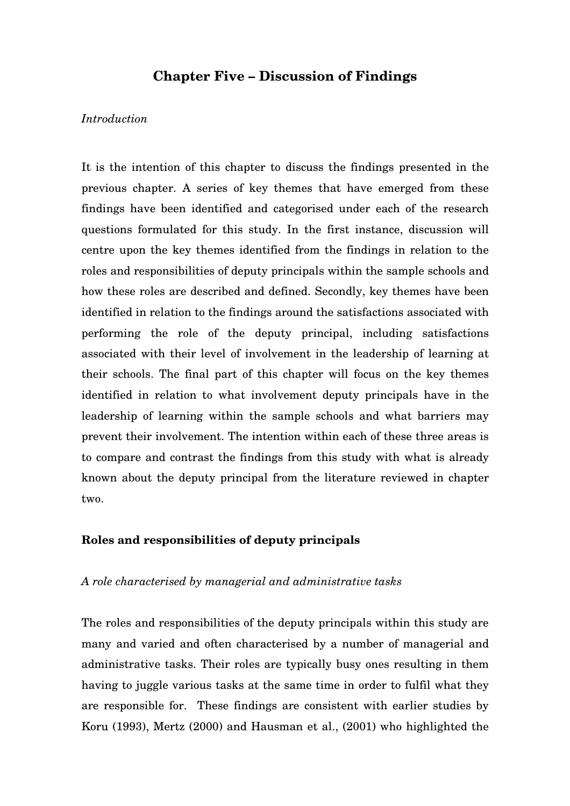## **Chapter Five – Discussion of Findings**

### *Introduction*

It is the intention of this chapter to discuss the findings presented in the previous chapter. A series of key themes that have emerged from these findings have been identified and categorised under each of the research questions formulated for this study. In the first instance, discussion will centre upon the key themes identified from the findings in relation to the roles and responsibilities of deputy principals within the sample schools and how these roles are described and defined. Secondly, key themes have been identified in relation to the findings around the satisfactions associated with performing the role of the deputy principal, including satisfactions associated with their level of involvement in the leadership of learning at their schools. The final part of this chapter will focus on the key themes identified in relation to what involvement deputy principals have in the leadership of learning within the sample schools and what barriers may prevent their involvement. The intention within each of these three areas is to compare and contrast the findings from this study with what is already known about the deputy principal from the literature reviewed in chapter two.

#### **Roles and responsibilities of deputy principals**

#### *A role characterised by managerial and administrative tasks*

The roles and responsibilities of the deputy principals within this study are many and varied and often characterised by a number of managerial and administrative tasks. Their roles are typically busy ones resulting in them having to juggle various tasks at the same time in order to fulfil what they are responsible for. These findings are consistent with earlier studies by Koru (1993), Mertz (2000) and Hausman et al., (2001) who highlighted the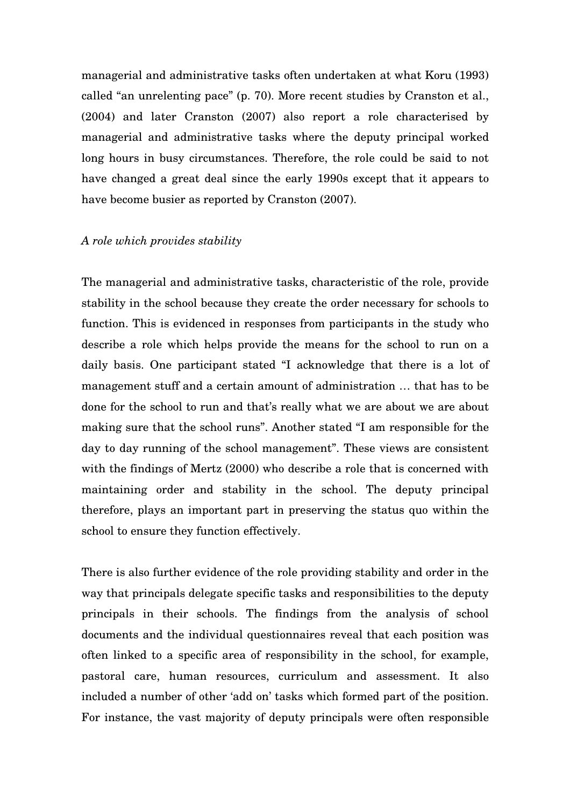managerial and administrative tasks often undertaken at what Koru (1993) called "an unrelenting pace" (p. 70). More recent studies by Cranston et al., (2004) and later Cranston (2007) also report a role characterised by managerial and administrative tasks where the deputy principal worked long hours in busy circumstances. Therefore, the role could be said to not have changed a great deal since the early 1990s except that it appears to have become busier as reported by Cranston (2007).

#### *A role which provides stability*

The managerial and administrative tasks, characteristic of the role, provide stability in the school because they create the order necessary for schools to function. This is evidenced in responses from participants in the study who describe a role which helps provide the means for the school to run on a daily basis. One participant stated "I acknowledge that there is a lot of management stuff and a certain amount of administration … that has to be done for the school to run and that's really what we are about we are about making sure that the school runs". Another stated "I am responsible for the day to day running of the school management". These views are consistent with the findings of Mertz (2000) who describe a role that is concerned with maintaining order and stability in the school. The deputy principal therefore, plays an important part in preserving the status quo within the school to ensure they function effectively.

There is also further evidence of the role providing stability and order in the way that principals delegate specific tasks and responsibilities to the deputy principals in their schools. The findings from the analysis of school documents and the individual questionnaires reveal that each position was often linked to a specific area of responsibility in the school, for example, pastoral care, human resources, curriculum and assessment. It also included a number of other 'add on' tasks which formed part of the position. For instance, the vast majority of deputy principals were often responsible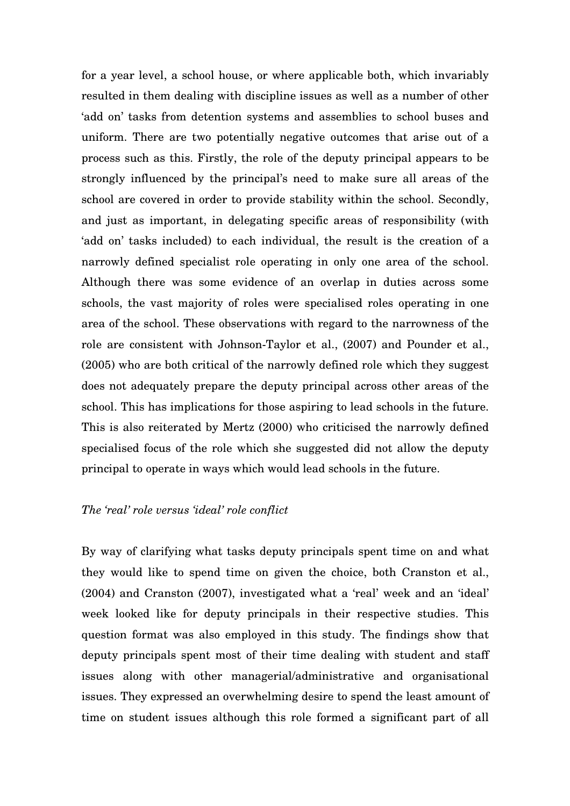for a year level, a school house, or where applicable both, which invariably resulted in them dealing with discipline issues as well as a number of other 'add on' tasks from detention systems and assemblies to school buses and uniform. There are two potentially negative outcomes that arise out of a process such as this. Firstly, the role of the deputy principal appears to be strongly influenced by the principal's need to make sure all areas of the school are covered in order to provide stability within the school. Secondly, and just as important, in delegating specific areas of responsibility (with 'add on' tasks included) to each individual, the result is the creation of a narrowly defined specialist role operating in only one area of the school. Although there was some evidence of an overlap in duties across some schools, the vast majority of roles were specialised roles operating in one area of the school. These observations with regard to the narrowness of the role are consistent with Johnson-Taylor et al., (2007) and Pounder et al., (2005) who are both critical of the narrowly defined role which they suggest does not adequately prepare the deputy principal across other areas of the school. This has implications for those aspiring to lead schools in the future. This is also reiterated by Mertz (2000) who criticised the narrowly defined specialised focus of the role which she suggested did not allow the deputy principal to operate in ways which would lead schools in the future.

### *The 'real' role versus 'ideal' role conflict*

By way of clarifying what tasks deputy principals spent time on and what they would like to spend time on given the choice, both Cranston et al., (2004) and Cranston (2007), investigated what a 'real' week and an 'ideal' week looked like for deputy principals in their respective studies. This question format was also employed in this study. The findings show that deputy principals spent most of their time dealing with student and staff issues along with other managerial/administrative and organisational issues. They expressed an overwhelming desire to spend the least amount of time on student issues although this role formed a significant part of all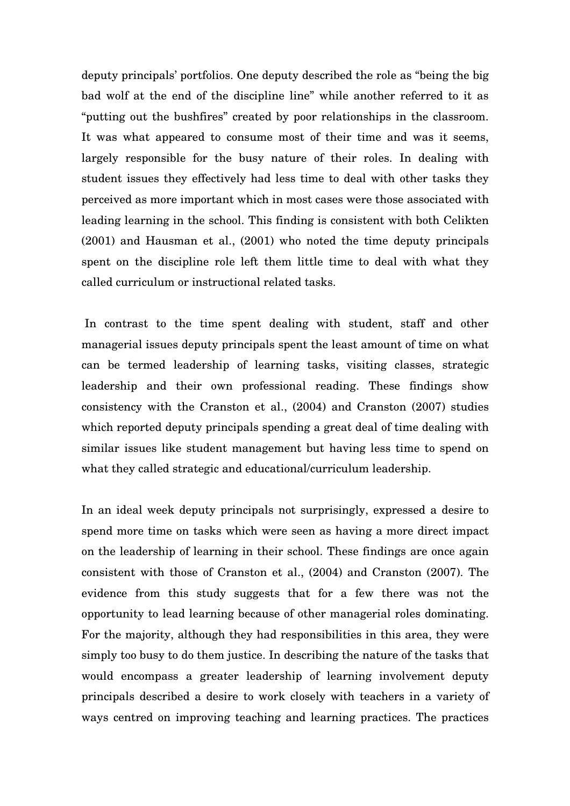deputy principals' portfolios. One deputy described the role as "being the big bad wolf at the end of the discipline line" while another referred to it as "putting out the bushfires" created by poor relationships in the classroom. It was what appeared to consume most of their time and was it seems, largely responsible for the busy nature of their roles. In dealing with student issues they effectively had less time to deal with other tasks they perceived as more important which in most cases were those associated with leading learning in the school. This finding is consistent with both Celikten (2001) and Hausman et al., (2001) who noted the time deputy principals spent on the discipline role left them little time to deal with what they called curriculum or instructional related tasks.

 In contrast to the time spent dealing with student, staff and other managerial issues deputy principals spent the least amount of time on what can be termed leadership of learning tasks, visiting classes, strategic leadership and their own professional reading. These findings show consistency with the Cranston et al., (2004) and Cranston (2007) studies which reported deputy principals spending a great deal of time dealing with similar issues like student management but having less time to spend on what they called strategic and educational/curriculum leadership.

In an ideal week deputy principals not surprisingly, expressed a desire to spend more time on tasks which were seen as having a more direct impact on the leadership of learning in their school. These findings are once again consistent with those of Cranston et al., (2004) and Cranston (2007). The evidence from this study suggests that for a few there was not the opportunity to lead learning because of other managerial roles dominating. For the majority, although they had responsibilities in this area, they were simply too busy to do them justice. In describing the nature of the tasks that would encompass a greater leadership of learning involvement deputy principals described a desire to work closely with teachers in a variety of ways centred on improving teaching and learning practices. The practices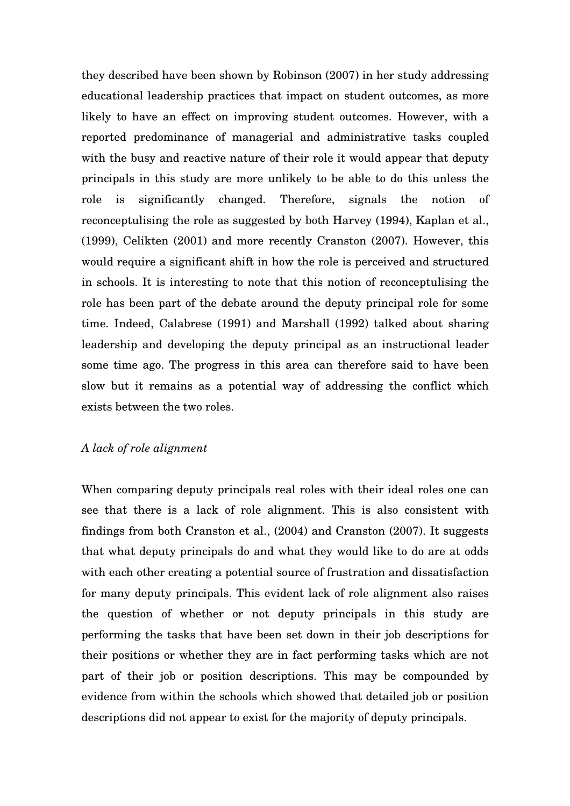they described have been shown by Robinson (2007) in her study addressing educational leadership practices that impact on student outcomes, as more likely to have an effect on improving student outcomes. However, with a reported predominance of managerial and administrative tasks coupled with the busy and reactive nature of their role it would appear that deputy principals in this study are more unlikely to be able to do this unless the role is significantly changed. Therefore, signals the notion of reconceptulising the role as suggested by both Harvey (1994), Kaplan et al., (1999), Celikten (2001) and more recently Cranston (2007). However, this would require a significant shift in how the role is perceived and structured in schools. It is interesting to note that this notion of reconceptulising the role has been part of the debate around the deputy principal role for some time. Indeed, Calabrese (1991) and Marshall (1992) talked about sharing leadership and developing the deputy principal as an instructional leader some time ago. The progress in this area can therefore said to have been slow but it remains as a potential way of addressing the conflict which exists between the two roles.

## *A lack of role alignment*

When comparing deputy principals real roles with their ideal roles one can see that there is a lack of role alignment. This is also consistent with findings from both Cranston et al., (2004) and Cranston (2007). It suggests that what deputy principals do and what they would like to do are at odds with each other creating a potential source of frustration and dissatisfaction for many deputy principals. This evident lack of role alignment also raises the question of whether or not deputy principals in this study are performing the tasks that have been set down in their job descriptions for their positions or whether they are in fact performing tasks which are not part of their job or position descriptions. This may be compounded by evidence from within the schools which showed that detailed job or position descriptions did not appear to exist for the majority of deputy principals.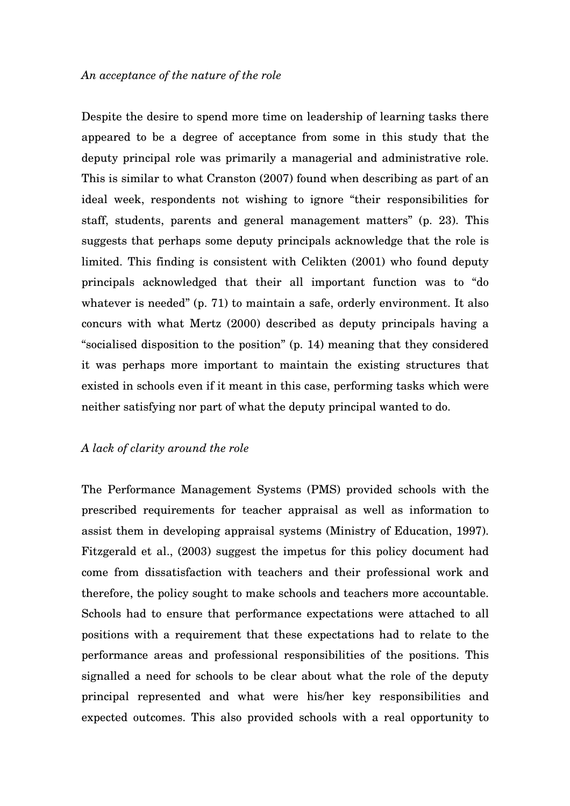Despite the desire to spend more time on leadership of learning tasks there appeared to be a degree of acceptance from some in this study that the deputy principal role was primarily a managerial and administrative role. This is similar to what Cranston (2007) found when describing as part of an ideal week, respondents not wishing to ignore "their responsibilities for staff, students, parents and general management matters" (p. 23). This suggests that perhaps some deputy principals acknowledge that the role is limited. This finding is consistent with Celikten (2001) who found deputy principals acknowledged that their all important function was to "do whatever is needed" (p. 71) to maintain a safe, orderly environment. It also concurs with what Mertz (2000) described as deputy principals having a "socialised disposition to the position" (p. 14) meaning that they considered it was perhaps more important to maintain the existing structures that existed in schools even if it meant in this case, performing tasks which were neither satisfying nor part of what the deputy principal wanted to do.

### *A lack of clarity around the role*

The Performance Management Systems (PMS) provided schools with the prescribed requirements for teacher appraisal as well as information to assist them in developing appraisal systems (Ministry of Education, 1997). Fitzgerald et al., (2003) suggest the impetus for this policy document had come from dissatisfaction with teachers and their professional work and therefore, the policy sought to make schools and teachers more accountable. Schools had to ensure that performance expectations were attached to all positions with a requirement that these expectations had to relate to the performance areas and professional responsibilities of the positions. This signalled a need for schools to be clear about what the role of the deputy principal represented and what were his/her key responsibilities and expected outcomes. This also provided schools with a real opportunity to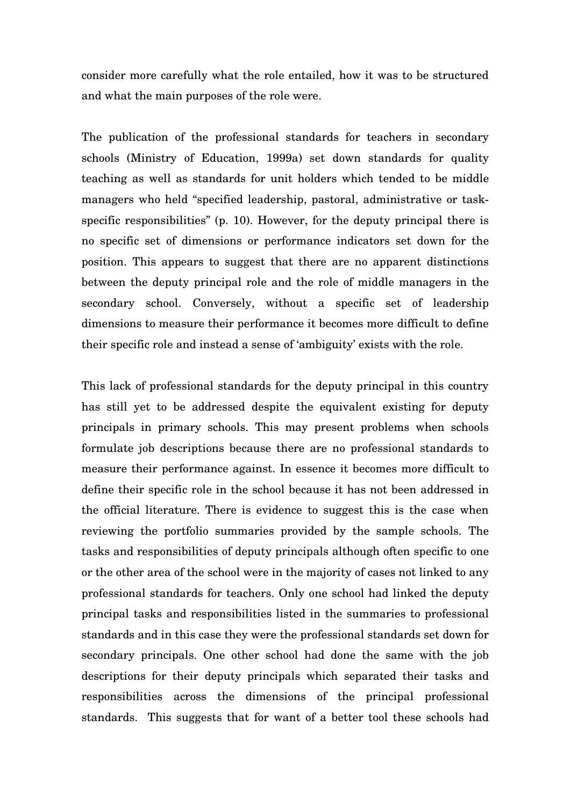consider more carefully what the role entailed, how it was to be structured and what the main purposes of the role were.

The publication of the professional standards for teachers in secondary schools (Ministry of Education, 1999a) set down standards for quality teaching as well as standards for unit holders which tended to be middle managers who held "specified leadership, pastoral, administrative or taskspecific responsibilities" (p. 10). However, for the deputy principal there is no specific set of dimensions or performance indicators set down for the position. This appears to suggest that there are no apparent distinctions between the deputy principal role and the role of middle managers in the secondary school. Conversely, without a specific set of leadership dimensions to measure their performance it becomes more difficult to define their specific role and instead a sense of 'ambiguity' exists with the role.

This lack of professional standards for the deputy principal in this country has still yet to be addressed despite the equivalent existing for deputy principals in primary schools. This may present problems when schools formulate job descriptions because there are no professional standards to measure their performance against. In essence it becomes more difficult to define their specific role in the school because it has not been addressed in the official literature. There is evidence to suggest this is the case when reviewing the portfolio summaries provided by the sample schools. The tasks and responsibilities of deputy principals although often specific to one or the other area of the school were in the majority of cases not linked to any professional standards for teachers. Only one school had linked the deputy principal tasks and responsibilities listed in the summaries to professional standards and in this case they were the professional standards set down for secondary principals. One other school had done the same with the job descriptions for their deputy principals which separated their tasks and responsibilities across the dimensions of the principal professional standards. This suggests that for want of a better tool these schools had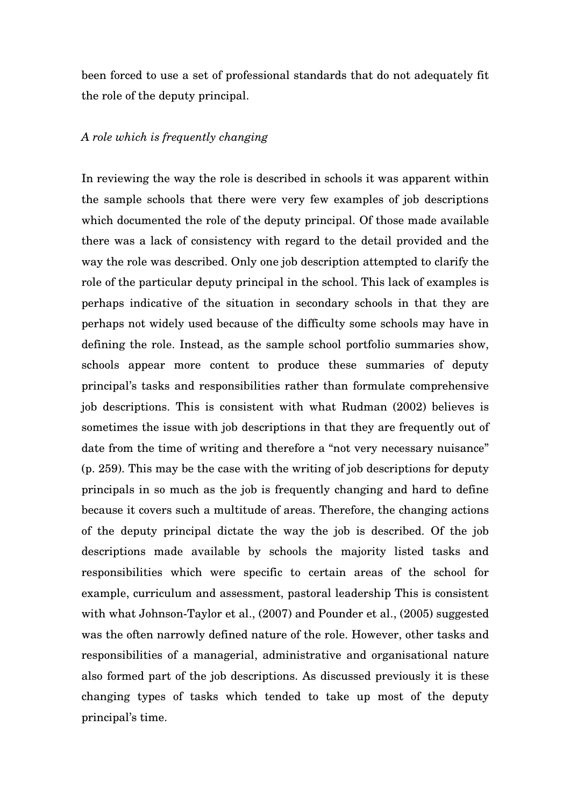been forced to use a set of professional standards that do not adequately fit the role of the deputy principal.

### *A role which is frequently changing*

In reviewing the way the role is described in schools it was apparent within the sample schools that there were very few examples of job descriptions which documented the role of the deputy principal. Of those made available there was a lack of consistency with regard to the detail provided and the way the role was described. Only one job description attempted to clarify the role of the particular deputy principal in the school. This lack of examples is perhaps indicative of the situation in secondary schools in that they are perhaps not widely used because of the difficulty some schools may have in defining the role. Instead, as the sample school portfolio summaries show, schools appear more content to produce these summaries of deputy principal's tasks and responsibilities rather than formulate comprehensive job descriptions. This is consistent with what Rudman (2002) believes is sometimes the issue with job descriptions in that they are frequently out of date from the time of writing and therefore a "not very necessary nuisance" (p. 259). This may be the case with the writing of job descriptions for deputy principals in so much as the job is frequently changing and hard to define because it covers such a multitude of areas. Therefore, the changing actions of the deputy principal dictate the way the job is described. Of the job descriptions made available by schools the majority listed tasks and responsibilities which were specific to certain areas of the school for example, curriculum and assessment, pastoral leadership This is consistent with what Johnson-Taylor et al., (2007) and Pounder et al., (2005) suggested was the often narrowly defined nature of the role. However, other tasks and responsibilities of a managerial, administrative and organisational nature also formed part of the job descriptions. As discussed previously it is these changing types of tasks which tended to take up most of the deputy principal's time.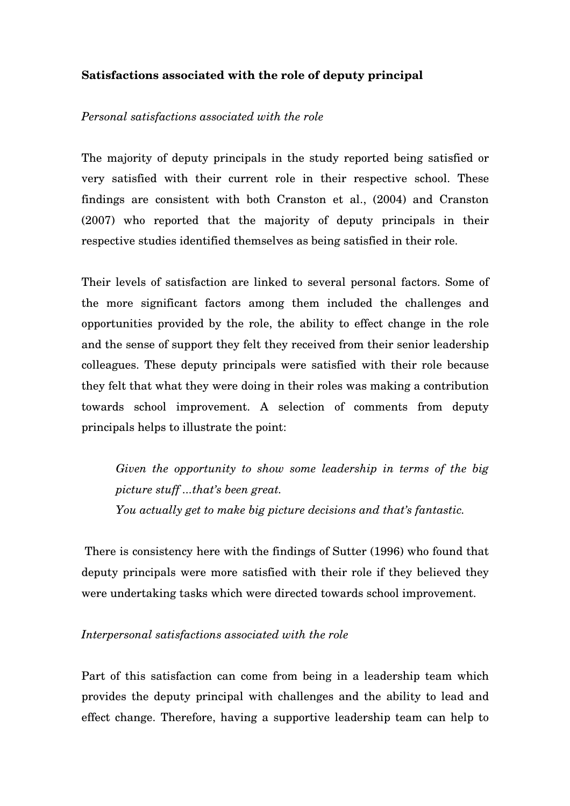## **Satisfactions associated with the role of deputy principal**

## *Personal satisfactions associated with the role*

The majority of deputy principals in the study reported being satisfied or very satisfied with their current role in their respective school. These findings are consistent with both Cranston et al., (2004) and Cranston (2007) who reported that the majority of deputy principals in their respective studies identified themselves as being satisfied in their role.

Their levels of satisfaction are linked to several personal factors. Some of the more significant factors among them included the challenges and opportunities provided by the role, the ability to effect change in the role and the sense of support they felt they received from their senior leadership colleagues. These deputy principals were satisfied with their role because they felt that what they were doing in their roles was making a contribution towards school improvement. A selection of comments from deputy principals helps to illustrate the point:

*Given the opportunity to show some leadership in terms of the big picture stuff ...that's been great. You actually get to make big picture decisions and that's fantastic.*

 There is consistency here with the findings of Sutter (1996) who found that deputy principals were more satisfied with their role if they believed they were undertaking tasks which were directed towards school improvement.

## *Interpersonal satisfactions associated with the role*

Part of this satisfaction can come from being in a leadership team which provides the deputy principal with challenges and the ability to lead and effect change. Therefore, having a supportive leadership team can help to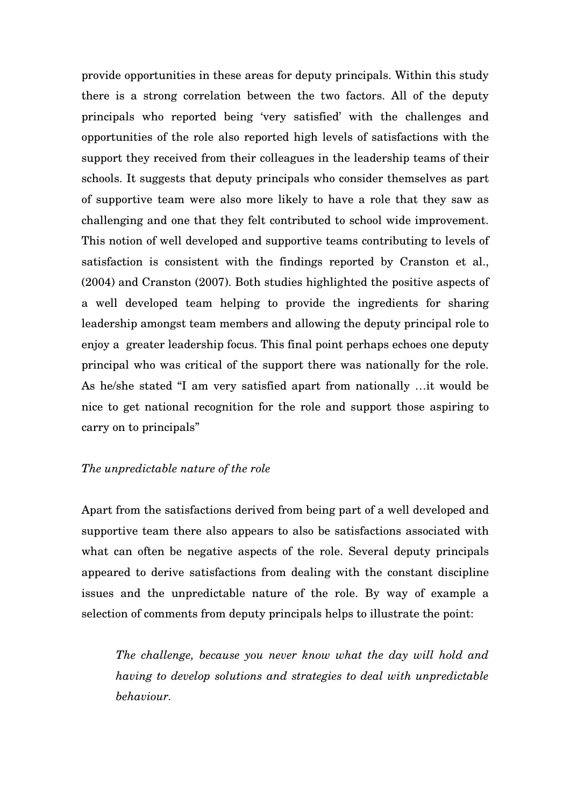provide opportunities in these areas for deputy principals. Within this study there is a strong correlation between the two factors. All of the deputy principals who reported being 'very satisfied' with the challenges and opportunities of the role also reported high levels of satisfactions with the support they received from their colleagues in the leadership teams of their schools. It suggests that deputy principals who consider themselves as part of supportive team were also more likely to have a role that they saw as challenging and one that they felt contributed to school wide improvement. This notion of well developed and supportive teams contributing to levels of satisfaction is consistent with the findings reported by Cranston et al., (2004) and Cranston (2007). Both studies highlighted the positive aspects of a well developed team helping to provide the ingredients for sharing leadership amongst team members and allowing the deputy principal role to enjoy a greater leadership focus. This final point perhaps echoes one deputy principal who was critical of the support there was nationally for the role. As he/she stated "I am very satisfied apart from nationally …it would be nice to get national recognition for the role and support those aspiring to carry on to principals"

### *The unpredictable nature of the role*

Apart from the satisfactions derived from being part of a well developed and supportive team there also appears to also be satisfactions associated with what can often be negative aspects of the role. Several deputy principals appeared to derive satisfactions from dealing with the constant discipline issues and the unpredictable nature of the role. By way of example a selection of comments from deputy principals helps to illustrate the point:

*The challenge, because you never know what the day will hold and having to develop solutions and strategies to deal with unpredictable behaviour.*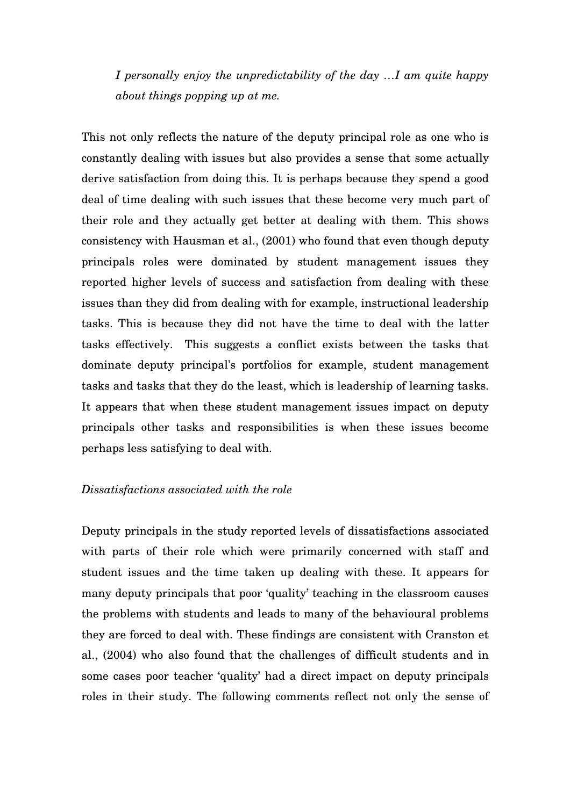*I personally enjoy the unpredictability of the day …I am quite happy about things popping up at me.*

This not only reflects the nature of the deputy principal role as one who is constantly dealing with issues but also provides a sense that some actually derive satisfaction from doing this. It is perhaps because they spend a good deal of time dealing with such issues that these become very much part of their role and they actually get better at dealing with them. This shows consistency with Hausman et al., (2001) who found that even though deputy principals roles were dominated by student management issues they reported higher levels of success and satisfaction from dealing with these issues than they did from dealing with for example, instructional leadership tasks. This is because they did not have the time to deal with the latter tasks effectively. This suggests a conflict exists between the tasks that dominate deputy principal's portfolios for example, student management tasks and tasks that they do the least, which is leadership of learning tasks. It appears that when these student management issues impact on deputy principals other tasks and responsibilities is when these issues become perhaps less satisfying to deal with.

### *Dissatisfactions associated with the role*

Deputy principals in the study reported levels of dissatisfactions associated with parts of their role which were primarily concerned with staff and student issues and the time taken up dealing with these. It appears for many deputy principals that poor 'quality' teaching in the classroom causes the problems with students and leads to many of the behavioural problems they are forced to deal with. These findings are consistent with Cranston et al., (2004) who also found that the challenges of difficult students and in some cases poor teacher 'quality' had a direct impact on deputy principals roles in their study. The following comments reflect not only the sense of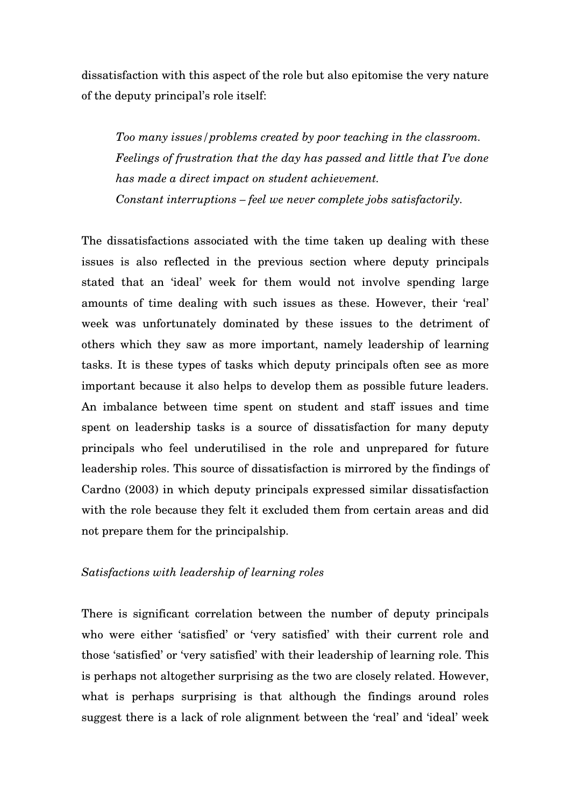dissatisfaction with this aspect of the role but also epitomise the very nature of the deputy principal's role itself:

*Too many issues/problems created by poor teaching in the classroom. Feelings of frustration that the day has passed and little that I've done has made a direct impact on student achievement. Constant interruptions – feel we never complete jobs satisfactorily.* 

The dissatisfactions associated with the time taken up dealing with these issues is also reflected in the previous section where deputy principals stated that an 'ideal' week for them would not involve spending large amounts of time dealing with such issues as these. However, their 'real' week was unfortunately dominated by these issues to the detriment of others which they saw as more important, namely leadership of learning tasks. It is these types of tasks which deputy principals often see as more important because it also helps to develop them as possible future leaders. An imbalance between time spent on student and staff issues and time spent on leadership tasks is a source of dissatisfaction for many deputy principals who feel underutilised in the role and unprepared for future leadership roles. This source of dissatisfaction is mirrored by the findings of Cardno (2003) in which deputy principals expressed similar dissatisfaction with the role because they felt it excluded them from certain areas and did not prepare them for the principalship.

## *Satisfactions with leadership of learning roles*

There is significant correlation between the number of deputy principals who were either 'satisfied' or 'very satisfied' with their current role and those 'satisfied' or 'very satisfied' with their leadership of learning role. This is perhaps not altogether surprising as the two are closely related. However, what is perhaps surprising is that although the findings around roles suggest there is a lack of role alignment between the 'real' and 'ideal' week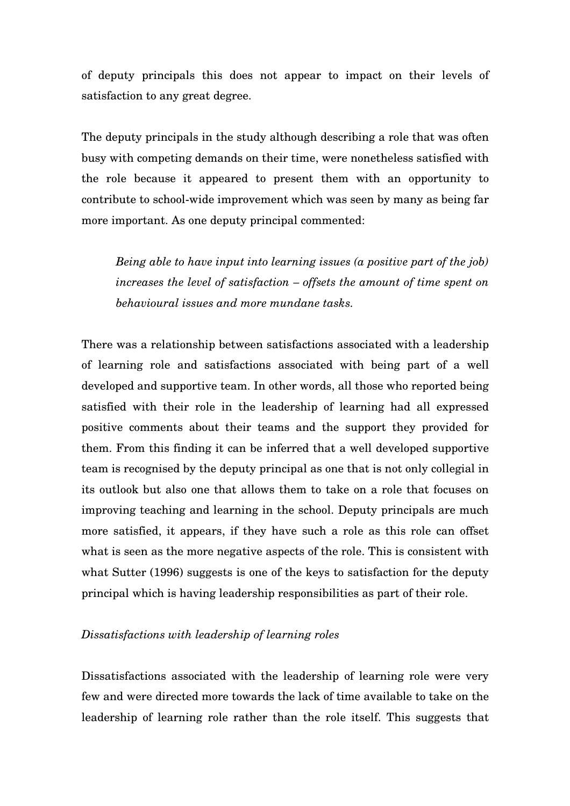of deputy principals this does not appear to impact on their levels of satisfaction to any great degree.

The deputy principals in the study although describing a role that was often busy with competing demands on their time, were nonetheless satisfied with the role because it appeared to present them with an opportunity to contribute to school-wide improvement which was seen by many as being far more important. As one deputy principal commented:

*Being able to have input into learning issues (a positive part of the job) increases the level of satisfaction – offsets the amount of time spent on behavioural issues and more mundane tasks.* 

There was a relationship between satisfactions associated with a leadership of learning role and satisfactions associated with being part of a well developed and supportive team. In other words, all those who reported being satisfied with their role in the leadership of learning had all expressed positive comments about their teams and the support they provided for them. From this finding it can be inferred that a well developed supportive team is recognised by the deputy principal as one that is not only collegial in its outlook but also one that allows them to take on a role that focuses on improving teaching and learning in the school. Deputy principals are much more satisfied, it appears, if they have such a role as this role can offset what is seen as the more negative aspects of the role. This is consistent with what Sutter (1996) suggests is one of the keys to satisfaction for the deputy principal which is having leadership responsibilities as part of their role.

## *Dissatisfactions with leadership of learning roles*

Dissatisfactions associated with the leadership of learning role were very few and were directed more towards the lack of time available to take on the leadership of learning role rather than the role itself. This suggests that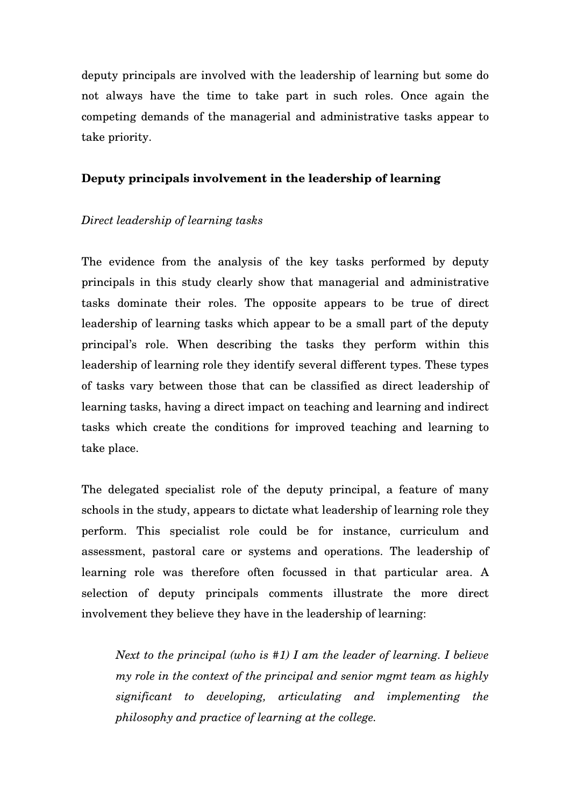deputy principals are involved with the leadership of learning but some do not always have the time to take part in such roles. Once again the competing demands of the managerial and administrative tasks appear to take priority.

# **Deputy principals involvement in the leadership of learning**

# *Direct leadership of learning tasks*

The evidence from the analysis of the key tasks performed by deputy principals in this study clearly show that managerial and administrative tasks dominate their roles. The opposite appears to be true of direct leadership of learning tasks which appear to be a small part of the deputy principal's role. When describing the tasks they perform within this leadership of learning role they identify several different types. These types of tasks vary between those that can be classified as direct leadership of learning tasks, having a direct impact on teaching and learning and indirect tasks which create the conditions for improved teaching and learning to take place.

The delegated specialist role of the deputy principal, a feature of many schools in the study, appears to dictate what leadership of learning role they perform. This specialist role could be for instance, curriculum and assessment, pastoral care or systems and operations. The leadership of learning role was therefore often focussed in that particular area. A selection of deputy principals comments illustrate the more direct involvement they believe they have in the leadership of learning:

*Next to the principal (who is #1) I am the leader of learning. I believe my role in the context of the principal and senior mgmt team as highly significant to developing, articulating and implementing the philosophy and practice of learning at the college.*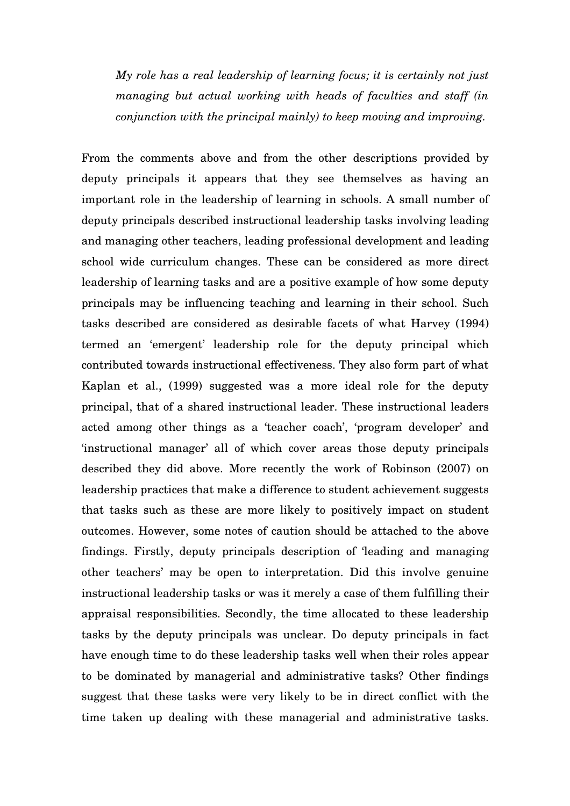*My role has a real leadership of learning focus; it is certainly not just managing but actual working with heads of faculties and staff (in conjunction with the principal mainly) to keep moving and improving.* 

From the comments above and from the other descriptions provided by deputy principals it appears that they see themselves as having an important role in the leadership of learning in schools. A small number of deputy principals described instructional leadership tasks involving leading and managing other teachers, leading professional development and leading school wide curriculum changes. These can be considered as more direct leadership of learning tasks and are a positive example of how some deputy principals may be influencing teaching and learning in their school. Such tasks described are considered as desirable facets of what Harvey (1994) termed an 'emergent' leadership role for the deputy principal which contributed towards instructional effectiveness. They also form part of what Kaplan et al., (1999) suggested was a more ideal role for the deputy principal, that of a shared instructional leader. These instructional leaders acted among other things as a 'teacher coach', 'program developer' and 'instructional manager' all of which cover areas those deputy principals described they did above. More recently the work of Robinson (2007) on leadership practices that make a difference to student achievement suggests that tasks such as these are more likely to positively impact on student outcomes. However, some notes of caution should be attached to the above findings. Firstly, deputy principals description of 'leading and managing other teachers' may be open to interpretation. Did this involve genuine instructional leadership tasks or was it merely a case of them fulfilling their appraisal responsibilities. Secondly, the time allocated to these leadership tasks by the deputy principals was unclear. Do deputy principals in fact have enough time to do these leadership tasks well when their roles appear to be dominated by managerial and administrative tasks? Other findings suggest that these tasks were very likely to be in direct conflict with the time taken up dealing with these managerial and administrative tasks.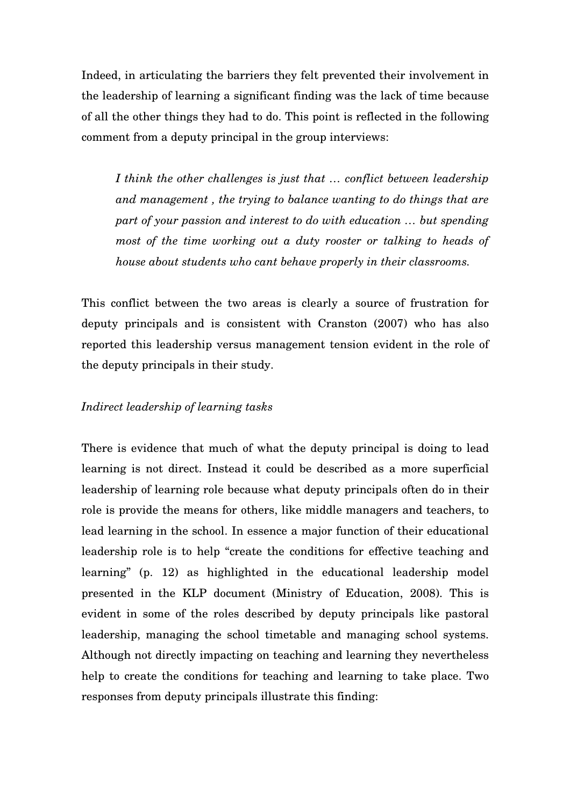Indeed, in articulating the barriers they felt prevented their involvement in the leadership of learning a significant finding was the lack of time because of all the other things they had to do. This point is reflected in the following comment from a deputy principal in the group interviews:

*I think the other challenges is just that … conflict between leadership and management , the trying to balance wanting to do things that are part of your passion and interest to do with education … but spending most of the time working out a duty rooster or talking to heads of house about students who cant behave properly in their classrooms.* 

This conflict between the two areas is clearly a source of frustration for deputy principals and is consistent with Cranston (2007) who has also reported this leadership versus management tension evident in the role of the deputy principals in their study.

## *Indirect leadership of learning tasks*

There is evidence that much of what the deputy principal is doing to lead learning is not direct. Instead it could be described as a more superficial leadership of learning role because what deputy principals often do in their role is provide the means for others, like middle managers and teachers, to lead learning in the school. In essence a major function of their educational leadership role is to help "create the conditions for effective teaching and learning" (p. 12) as highlighted in the educational leadership model presented in the KLP document (Ministry of Education, 2008). This is evident in some of the roles described by deputy principals like pastoral leadership, managing the school timetable and managing school systems. Although not directly impacting on teaching and learning they nevertheless help to create the conditions for teaching and learning to take place. Two responses from deputy principals illustrate this finding: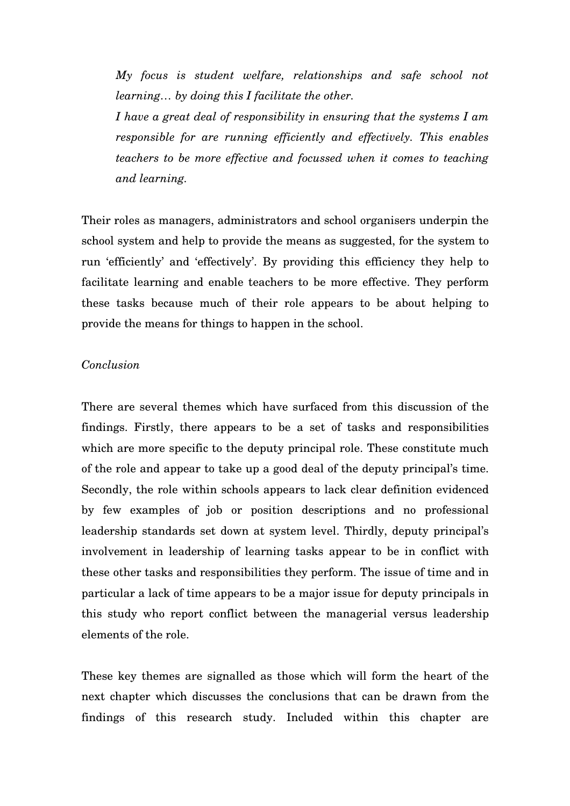*My focus is student welfare, relationships and safe school not learning… by doing this I facilitate the other.* 

*I have a great deal of responsibility in ensuring that the systems I am responsible for are running efficiently and effectively. This enables teachers to be more effective and focussed when it comes to teaching and learning.*

Their roles as managers, administrators and school organisers underpin the school system and help to provide the means as suggested, for the system to run 'efficiently' and 'effectively'. By providing this efficiency they help to facilitate learning and enable teachers to be more effective. They perform these tasks because much of their role appears to be about helping to provide the means for things to happen in the school.

### *Conclusion*

There are several themes which have surfaced from this discussion of the findings. Firstly, there appears to be a set of tasks and responsibilities which are more specific to the deputy principal role. These constitute much of the role and appear to take up a good deal of the deputy principal's time. Secondly, the role within schools appears to lack clear definition evidenced by few examples of job or position descriptions and no professional leadership standards set down at system level. Thirdly, deputy principal's involvement in leadership of learning tasks appear to be in conflict with these other tasks and responsibilities they perform. The issue of time and in particular a lack of time appears to be a major issue for deputy principals in this study who report conflict between the managerial versus leadership elements of the role.

These key themes are signalled as those which will form the heart of the next chapter which discusses the conclusions that can be drawn from the findings of this research study. Included within this chapter are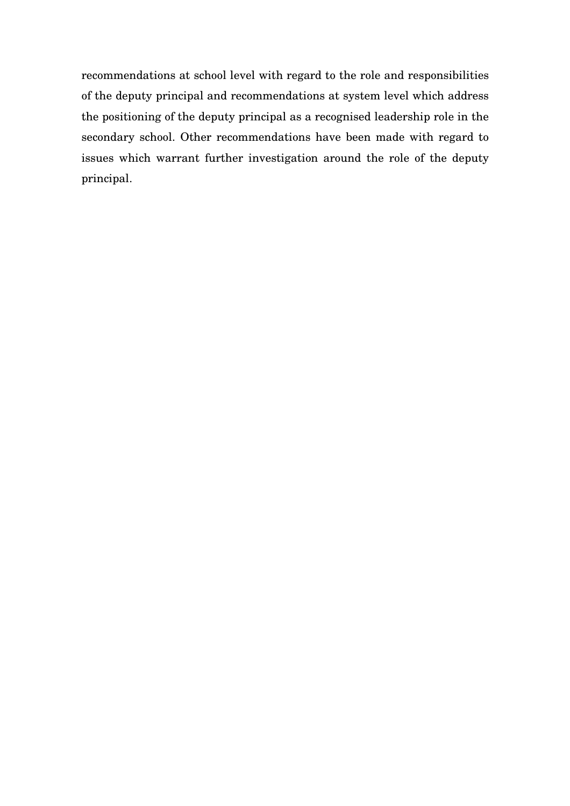recommendations at school level with regard to the role and responsibilities of the deputy principal and recommendations at system level which address the positioning of the deputy principal as a recognised leadership role in the secondary school. Other recommendations have been made with regard to issues which warrant further investigation around the role of the deputy principal.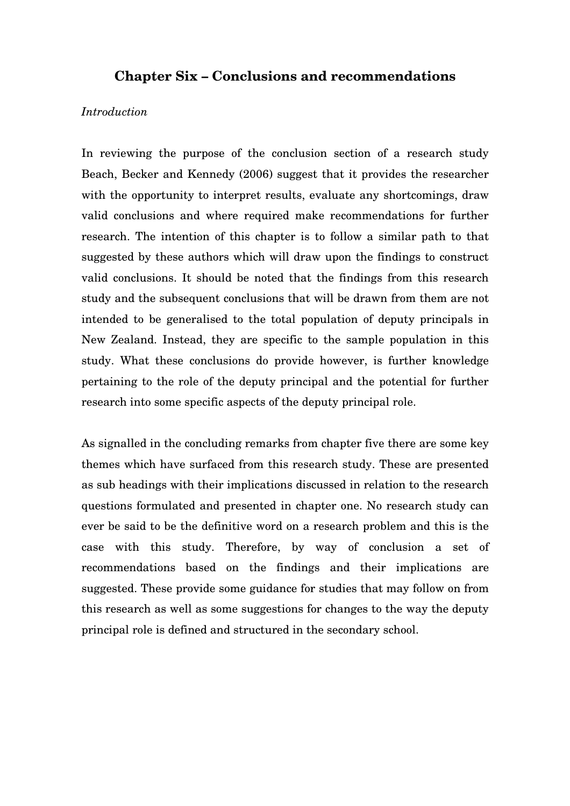# **Chapter Six – Conclusions and recommendations**

## *Introduction*

In reviewing the purpose of the conclusion section of a research study Beach, Becker and Kennedy (2006) suggest that it provides the researcher with the opportunity to interpret results, evaluate any shortcomings, draw valid conclusions and where required make recommendations for further research. The intention of this chapter is to follow a similar path to that suggested by these authors which will draw upon the findings to construct valid conclusions. It should be noted that the findings from this research study and the subsequent conclusions that will be drawn from them are not intended to be generalised to the total population of deputy principals in New Zealand. Instead, they are specific to the sample population in this study. What these conclusions do provide however, is further knowledge pertaining to the role of the deputy principal and the potential for further research into some specific aspects of the deputy principal role.

As signalled in the concluding remarks from chapter five there are some key themes which have surfaced from this research study. These are presented as sub headings with their implications discussed in relation to the research questions formulated and presented in chapter one. No research study can ever be said to be the definitive word on a research problem and this is the case with this study. Therefore, by way of conclusion a set of recommendations based on the findings and their implications are suggested. These provide some guidance for studies that may follow on from this research as well as some suggestions for changes to the way the deputy principal role is defined and structured in the secondary school.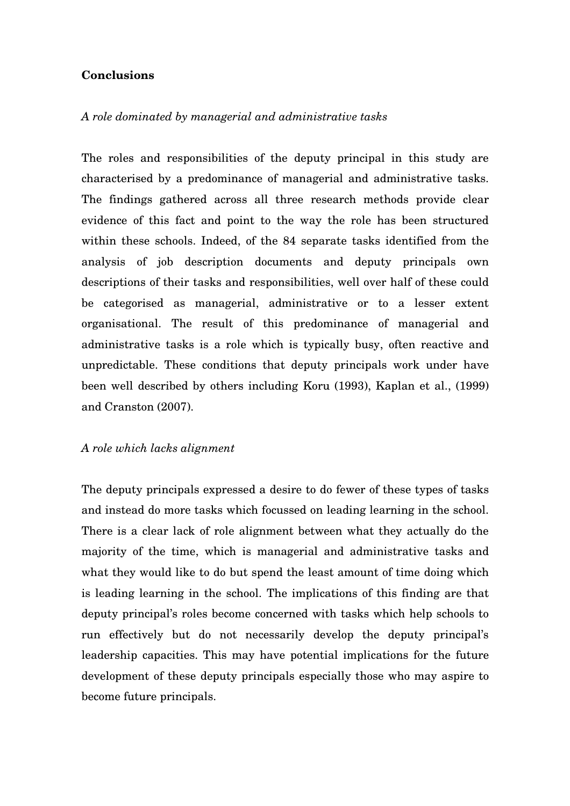## **Conclusions**

#### *A role dominated by managerial and administrative tasks*

The roles and responsibilities of the deputy principal in this study are characterised by a predominance of managerial and administrative tasks. The findings gathered across all three research methods provide clear evidence of this fact and point to the way the role has been structured within these schools. Indeed, of the 84 separate tasks identified from the analysis of job description documents and deputy principals own descriptions of their tasks and responsibilities, well over half of these could be categorised as managerial, administrative or to a lesser extent organisational. The result of this predominance of managerial and administrative tasks is a role which is typically busy, often reactive and unpredictable. These conditions that deputy principals work under have been well described by others including Koru (1993), Kaplan et al., (1999) and Cranston (2007).

#### *A role which lacks alignment*

The deputy principals expressed a desire to do fewer of these types of tasks and instead do more tasks which focussed on leading learning in the school. There is a clear lack of role alignment between what they actually do the majority of the time, which is managerial and administrative tasks and what they would like to do but spend the least amount of time doing which is leading learning in the school. The implications of this finding are that deputy principal's roles become concerned with tasks which help schools to run effectively but do not necessarily develop the deputy principal's leadership capacities. This may have potential implications for the future development of these deputy principals especially those who may aspire to become future principals.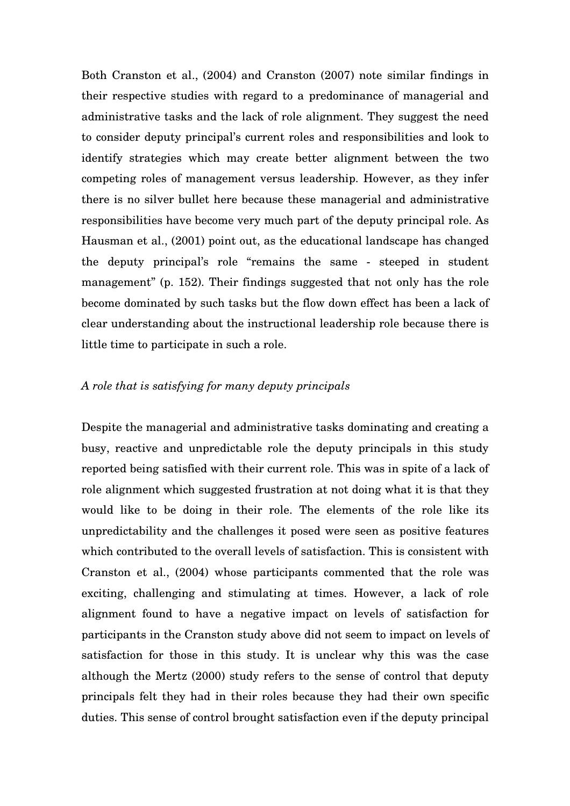Both Cranston et al., (2004) and Cranston (2007) note similar findings in their respective studies with regard to a predominance of managerial and administrative tasks and the lack of role alignment. They suggest the need to consider deputy principal's current roles and responsibilities and look to identify strategies which may create better alignment between the two competing roles of management versus leadership. However, as they infer there is no silver bullet here because these managerial and administrative responsibilities have become very much part of the deputy principal role. As Hausman et al., (2001) point out, as the educational landscape has changed the deputy principal's role "remains the same - steeped in student management" (p. 152). Their findings suggested that not only has the role become dominated by such tasks but the flow down effect has been a lack of clear understanding about the instructional leadership role because there is little time to participate in such a role.

### *A role that is satisfying for many deputy principals*

Despite the managerial and administrative tasks dominating and creating a busy, reactive and unpredictable role the deputy principals in this study reported being satisfied with their current role. This was in spite of a lack of role alignment which suggested frustration at not doing what it is that they would like to be doing in their role. The elements of the role like its unpredictability and the challenges it posed were seen as positive features which contributed to the overall levels of satisfaction. This is consistent with Cranston et al., (2004) whose participants commented that the role was exciting, challenging and stimulating at times. However, a lack of role alignment found to have a negative impact on levels of satisfaction for participants in the Cranston study above did not seem to impact on levels of satisfaction for those in this study. It is unclear why this was the case although the Mertz (2000) study refers to the sense of control that deputy principals felt they had in their roles because they had their own specific duties. This sense of control brought satisfaction even if the deputy principal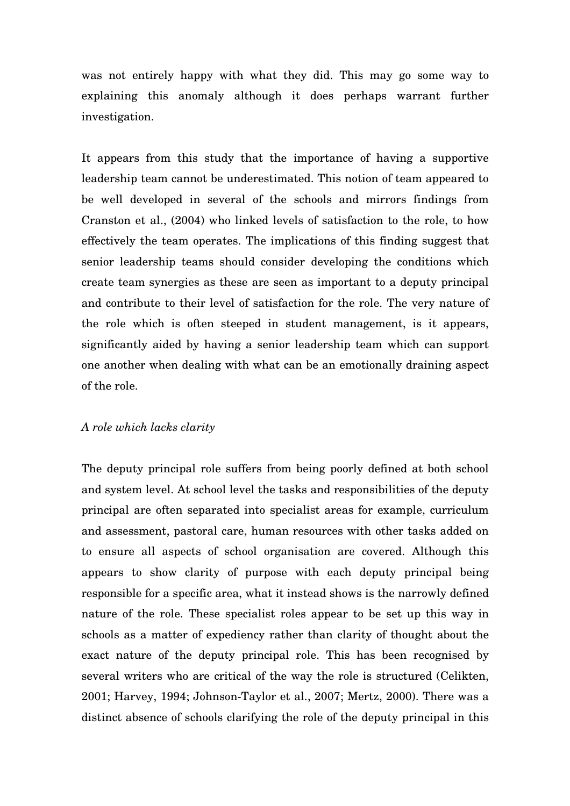was not entirely happy with what they did. This may go some way to explaining this anomaly although it does perhaps warrant further investigation.

It appears from this study that the importance of having a supportive leadership team cannot be underestimated. This notion of team appeared to be well developed in several of the schools and mirrors findings from Cranston et al., (2004) who linked levels of satisfaction to the role, to how effectively the team operates. The implications of this finding suggest that senior leadership teams should consider developing the conditions which create team synergies as these are seen as important to a deputy principal and contribute to their level of satisfaction for the role. The very nature of the role which is often steeped in student management, is it appears, significantly aided by having a senior leadership team which can support one another when dealing with what can be an emotionally draining aspect of the role.

### *A role which lacks clarity*

The deputy principal role suffers from being poorly defined at both school and system level. At school level the tasks and responsibilities of the deputy principal are often separated into specialist areas for example, curriculum and assessment, pastoral care, human resources with other tasks added on to ensure all aspects of school organisation are covered. Although this appears to show clarity of purpose with each deputy principal being responsible for a specific area, what it instead shows is the narrowly defined nature of the role. These specialist roles appear to be set up this way in schools as a matter of expediency rather than clarity of thought about the exact nature of the deputy principal role. This has been recognised by several writers who are critical of the way the role is structured (Celikten, 2001; Harvey, 1994; Johnson-Taylor et al., 2007; Mertz, 2000). There was a distinct absence of schools clarifying the role of the deputy principal in this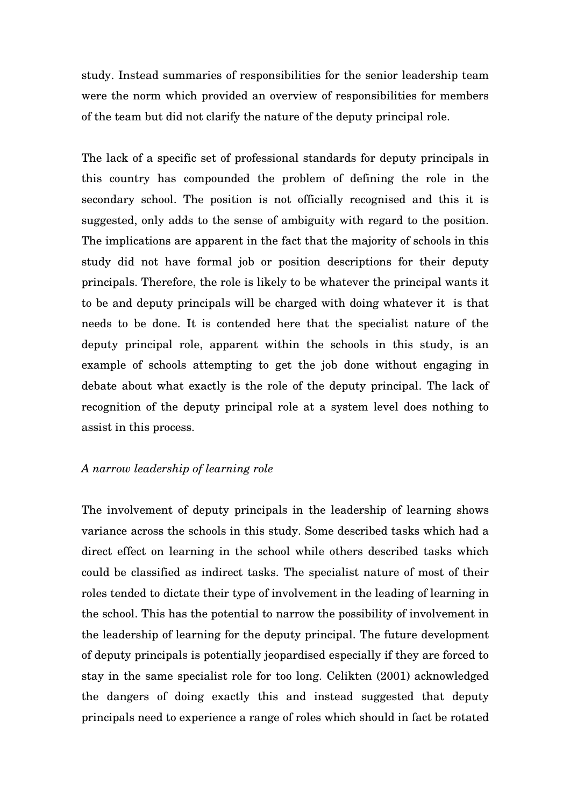study. Instead summaries of responsibilities for the senior leadership team were the norm which provided an overview of responsibilities for members of the team but did not clarify the nature of the deputy principal role.

The lack of a specific set of professional standards for deputy principals in this country has compounded the problem of defining the role in the secondary school. The position is not officially recognised and this it is suggested, only adds to the sense of ambiguity with regard to the position. The implications are apparent in the fact that the majority of schools in this study did not have formal job or position descriptions for their deputy principals. Therefore, the role is likely to be whatever the principal wants it to be and deputy principals will be charged with doing whatever it is that needs to be done. It is contended here that the specialist nature of the deputy principal role, apparent within the schools in this study, is an example of schools attempting to get the job done without engaging in debate about what exactly is the role of the deputy principal. The lack of recognition of the deputy principal role at a system level does nothing to assist in this process.

## *A narrow leadership of learning role*

The involvement of deputy principals in the leadership of learning shows variance across the schools in this study. Some described tasks which had a direct effect on learning in the school while others described tasks which could be classified as indirect tasks. The specialist nature of most of their roles tended to dictate their type of involvement in the leading of learning in the school. This has the potential to narrow the possibility of involvement in the leadership of learning for the deputy principal. The future development of deputy principals is potentially jeopardised especially if they are forced to stay in the same specialist role for too long. Celikten (2001) acknowledged the dangers of doing exactly this and instead suggested that deputy principals need to experience a range of roles which should in fact be rotated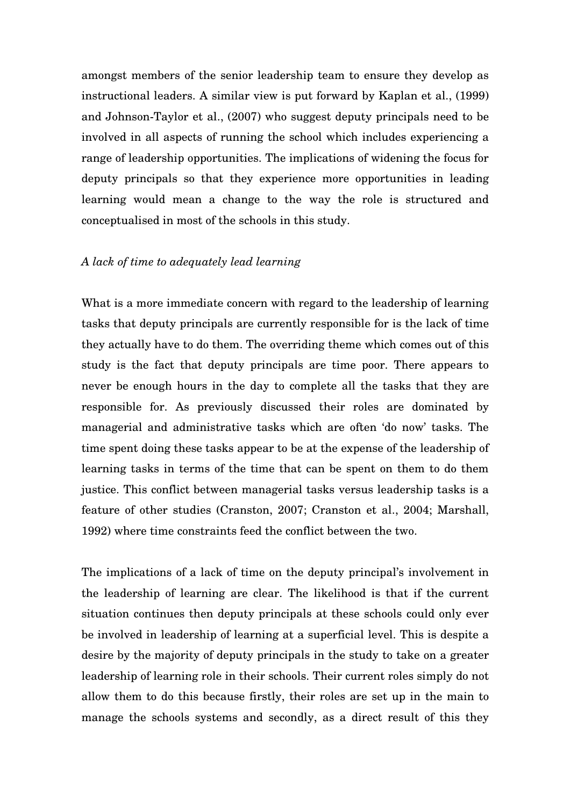amongst members of the senior leadership team to ensure they develop as instructional leaders. A similar view is put forward by Kaplan et al., (1999) and Johnson-Taylor et al., (2007) who suggest deputy principals need to be involved in all aspects of running the school which includes experiencing a range of leadership opportunities. The implications of widening the focus for deputy principals so that they experience more opportunities in leading learning would mean a change to the way the role is structured and conceptualised in most of the schools in this study.

#### *A lack of time to adequately lead learning*

What is a more immediate concern with regard to the leadership of learning tasks that deputy principals are currently responsible for is the lack of time they actually have to do them. The overriding theme which comes out of this study is the fact that deputy principals are time poor. There appears to never be enough hours in the day to complete all the tasks that they are responsible for. As previously discussed their roles are dominated by managerial and administrative tasks which are often 'do now' tasks. The time spent doing these tasks appear to be at the expense of the leadership of learning tasks in terms of the time that can be spent on them to do them justice. This conflict between managerial tasks versus leadership tasks is a feature of other studies (Cranston, 2007; Cranston et al., 2004; Marshall, 1992) where time constraints feed the conflict between the two.

The implications of a lack of time on the deputy principal's involvement in the leadership of learning are clear. The likelihood is that if the current situation continues then deputy principals at these schools could only ever be involved in leadership of learning at a superficial level. This is despite a desire by the majority of deputy principals in the study to take on a greater leadership of learning role in their schools. Their current roles simply do not allow them to do this because firstly, their roles are set up in the main to manage the schools systems and secondly, as a direct result of this they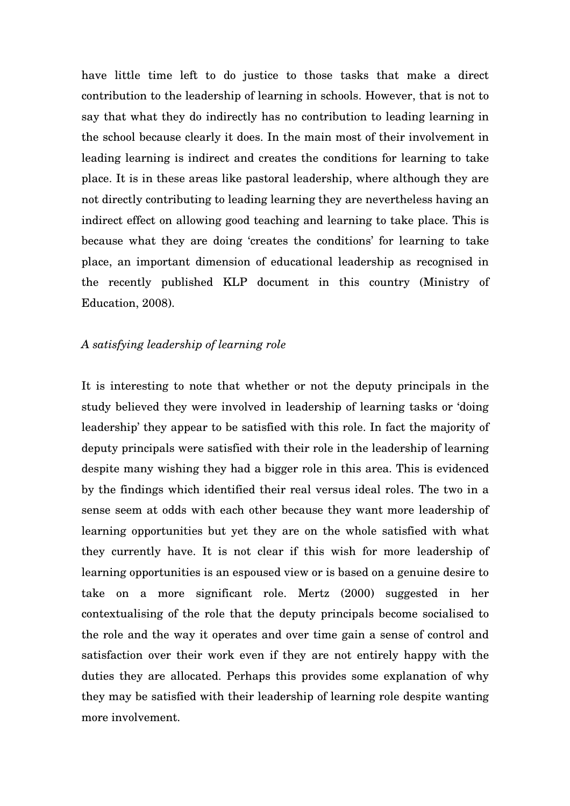have little time left to do justice to those tasks that make a direct contribution to the leadership of learning in schools. However, that is not to say that what they do indirectly has no contribution to leading learning in the school because clearly it does. In the main most of their involvement in leading learning is indirect and creates the conditions for learning to take place. It is in these areas like pastoral leadership, where although they are not directly contributing to leading learning they are nevertheless having an indirect effect on allowing good teaching and learning to take place. This is because what they are doing 'creates the conditions' for learning to take place, an important dimension of educational leadership as recognised in the recently published KLP document in this country (Ministry of Education, 2008).

### *A satisfying leadership of learning role*

It is interesting to note that whether or not the deputy principals in the study believed they were involved in leadership of learning tasks or 'doing leadership' they appear to be satisfied with this role. In fact the majority of deputy principals were satisfied with their role in the leadership of learning despite many wishing they had a bigger role in this area. This is evidenced by the findings which identified their real versus ideal roles. The two in a sense seem at odds with each other because they want more leadership of learning opportunities but yet they are on the whole satisfied with what they currently have. It is not clear if this wish for more leadership of learning opportunities is an espoused view or is based on a genuine desire to take on a more significant role. Mertz (2000) suggested in her contextualising of the role that the deputy principals become socialised to the role and the way it operates and over time gain a sense of control and satisfaction over their work even if they are not entirely happy with the duties they are allocated. Perhaps this provides some explanation of why they may be satisfied with their leadership of learning role despite wanting more involvement.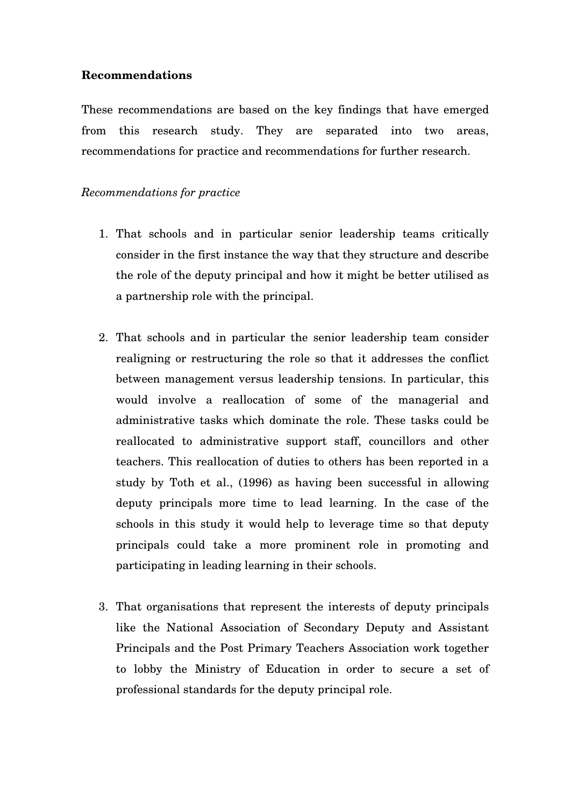### **Recommendations**

These recommendations are based on the key findings that have emerged from this research study. They are separated into two areas, recommendations for practice and recommendations for further research.

### *Recommendations for practice*

- 1. That schools and in particular senior leadership teams critically consider in the first instance the way that they structure and describe the role of the deputy principal and how it might be better utilised as a partnership role with the principal.
- 2. That schools and in particular the senior leadership team consider realigning or restructuring the role so that it addresses the conflict between management versus leadership tensions. In particular, this would involve a reallocation of some of the managerial and administrative tasks which dominate the role. These tasks could be reallocated to administrative support staff, councillors and other teachers. This reallocation of duties to others has been reported in a study by Toth et al., (1996) as having been successful in allowing deputy principals more time to lead learning. In the case of the schools in this study it would help to leverage time so that deputy principals could take a more prominent role in promoting and participating in leading learning in their schools.
- 3. That organisations that represent the interests of deputy principals like the National Association of Secondary Deputy and Assistant Principals and the Post Primary Teachers Association work together to lobby the Ministry of Education in order to secure a set of professional standards for the deputy principal role.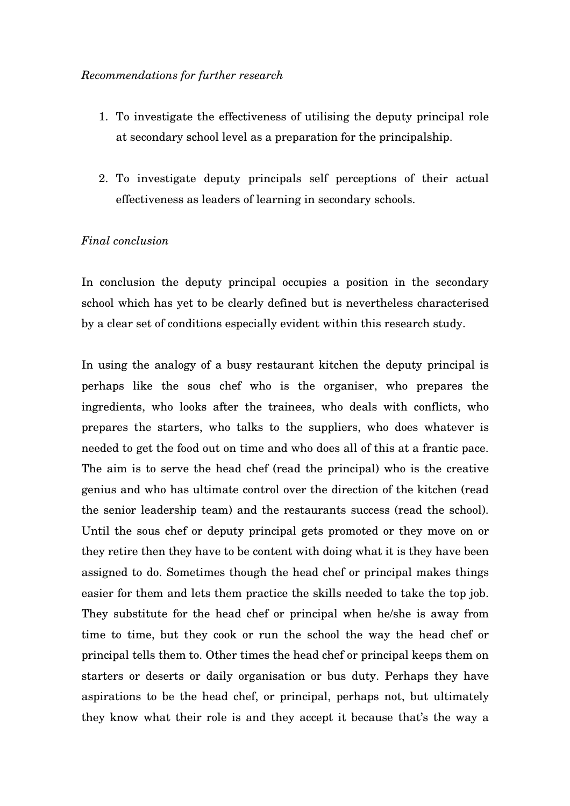#### *Recommendations for further research*

- 1. To investigate the effectiveness of utilising the deputy principal role at secondary school level as a preparation for the principalship.
- 2. To investigate deputy principals self perceptions of their actual effectiveness as leaders of learning in secondary schools.

## *Final conclusion*

In conclusion the deputy principal occupies a position in the secondary school which has yet to be clearly defined but is nevertheless characterised by a clear set of conditions especially evident within this research study.

In using the analogy of a busy restaurant kitchen the deputy principal is perhaps like the sous chef who is the organiser, who prepares the ingredients, who looks after the trainees, who deals with conflicts, who prepares the starters, who talks to the suppliers, who does whatever is needed to get the food out on time and who does all of this at a frantic pace. The aim is to serve the head chef (read the principal) who is the creative genius and who has ultimate control over the direction of the kitchen (read the senior leadership team) and the restaurants success (read the school). Until the sous chef or deputy principal gets promoted or they move on or they retire then they have to be content with doing what it is they have been assigned to do. Sometimes though the head chef or principal makes things easier for them and lets them practice the skills needed to take the top job. They substitute for the head chef or principal when he/she is away from time to time, but they cook or run the school the way the head chef or principal tells them to. Other times the head chef or principal keeps them on starters or deserts or daily organisation or bus duty. Perhaps they have aspirations to be the head chef, or principal, perhaps not, but ultimately they know what their role is and they accept it because that's the way a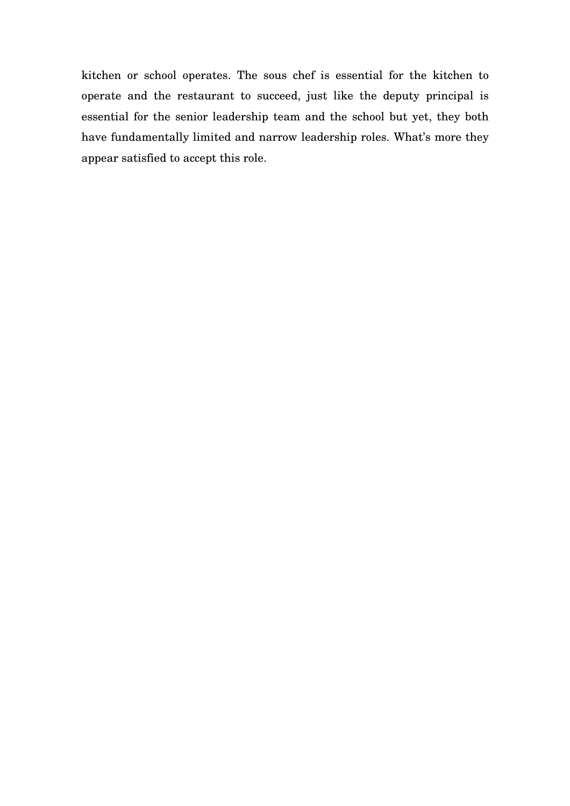kitchen or school operates. The sous chef is essential for the kitchen to operate and the restaurant to succeed, just like the deputy principal is essential for the senior leadership team and the school but yet, they both have fundamentally limited and narrow leadership roles. What's more they appear satisfied to accept this role.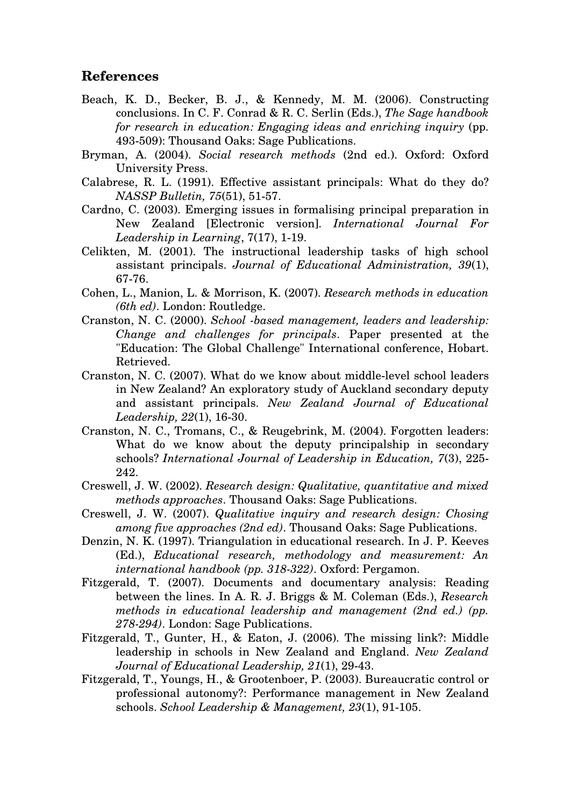# **References**

- Beach, K. D., Becker, B. J., & Kennedy, M. M. (2006). Constructing conclusions. In C. F. Conrad & R. C. Serlin (Eds.), *The Sage handbook for research in education: Engaging ideas and enriching inquiry* (pp. 493-509): Thousand Oaks: Sage Publications.
- Bryman, A. (2004). *Social research methods* (2nd ed.). Oxford: Oxford University Press.
- Calabrese, R. L. (1991). Effective assistant principals: What do they do? *NASSP Bulletin, 75*(51), 51-57.
- Cardno, C. (2003). Emerging issues in formalising principal preparation in New Zealand [Electronic version]. *International Journal For Leadership in Learning*, 7(17), 1-19.
- Celikten, M. (2001). The instructional leadership tasks of high school assistant principals. *Journal of Educational Administration, 39*(1), 67-76.
- Cohen, L., Manion, L. & Morrison, K. (2007). *Research methods in education (6th ed)*. London: Routledge.
- Cranston, N. C. (2000). *School -based management, leaders and leadership: Change and challenges for principals*. Paper presented at the "Education: The Global Challenge" International conference, Hobart. Retrieved.
- Cranston, N. C. (2007). What do we know about middle-level school leaders in New Zealand? An exploratory study of Auckland secondary deputy and assistant principals. *New Zealand Journal of Educational Leadership, 22*(1), 16-30.
- Cranston, N. C., Tromans, C., & Reugebrink, M. (2004). Forgotten leaders: What do we know about the deputy principalship in secondary schools? *International Journal of Leadership in Education, 7*(3), 225- 242.
- Creswell, J. W. (2002). *Research design: Qualitative, quantitative and mixed methods approaches*. Thousand Oaks: Sage Publications.
- Creswell, J. W. (2007). *Qualitative inquiry and research design: Chosing among five approaches (2nd ed)*. Thousand Oaks: Sage Publications.
- Denzin, N. K. (1997). Triangulation in educational research. In J. P. Keeves (Ed.), *Educational research, methodology and measurement: An international handbook (pp. 318-322)*. Oxford: Pergamon.
- Fitzgerald, T. (2007). Documents and documentary analysis: Reading between the lines. In A. R. J. Briggs & M. Coleman (Eds.), *Research methods in educational leadership and management (2nd ed.) (pp. 278-294)*. London: Sage Publications.
- Fitzgerald, T., Gunter, H., & Eaton, J. (2006). The missing link?: Middle leadership in schools in New Zealand and England. *New Zealand Journal of Educational Leadership, 21*(1), 29-43.
- Fitzgerald, T., Youngs, H., & Grootenboer, P. (2003). Bureaucratic control or professional autonomy?: Performance management in New Zealand schools. *School Leadership & Management, 23*(1), 91-105.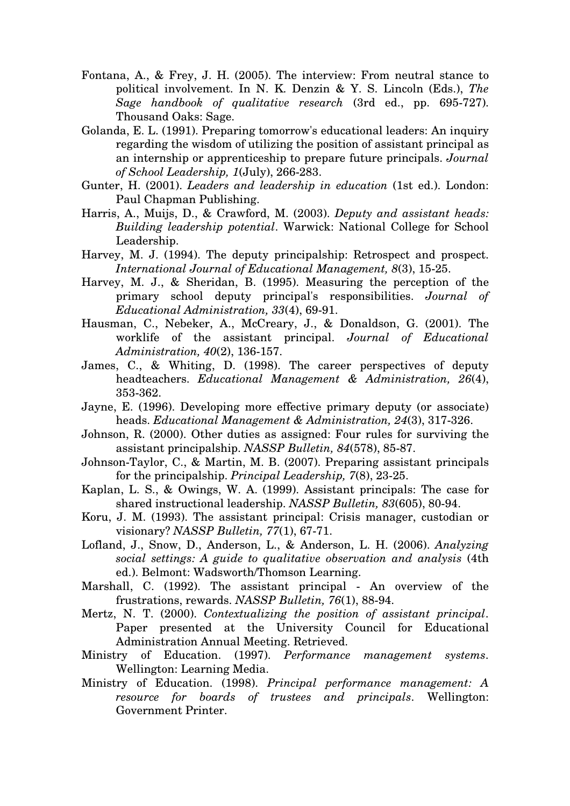- Fontana, A., & Frey, J. H. (2005). The interview: From neutral stance to political involvement. In N. K. Denzin & Y. S. Lincoln (Eds.), *The Sage handbook of qualitative research* (3rd ed., pp. 695-727). Thousand Oaks: Sage.
- Golanda, E. L. (1991). Preparing tomorrow's educational leaders: An inquiry regarding the wisdom of utilizing the position of assistant principal as an internship or apprenticeship to prepare future principals. *Journal of School Leadership, 1*(July), 266-283.
- Gunter, H. (2001). *Leaders and leadership in education* (1st ed.). London: Paul Chapman Publishing.
- Harris, A., Muijs, D., & Crawford, M. (2003). *Deputy and assistant heads: Building leadership potential*. Warwick: National College for School Leadership.
- Harvey, M. J. (1994). The deputy principalship: Retrospect and prospect. *International Journal of Educational Management, 8*(3), 15-25.
- Harvey, M. J., & Sheridan, B. (1995). Measuring the perception of the primary school deputy principal's responsibilities. *Journal of Educational Administration, 33*(4), 69-91.
- Hausman, C., Nebeker, A., McCreary, J., & Donaldson, G. (2001). The worklife of the assistant principal. *Journal of Educational Administration, 40*(2), 136-157.
- James, C., & Whiting, D. (1998). The career perspectives of deputy headteachers. *Educational Management & Administration, 26*(4), 353-362.
- Jayne, E. (1996). Developing more effective primary deputy (or associate) heads. *Educational Management & Administration, 24*(3), 317-326.
- Johnson, R. (2000). Other duties as assigned: Four rules for surviving the assistant principalship. *NASSP Bulletin, 84*(578), 85-87.
- Johnson-Taylor, C., & Martin, M. B. (2007). Preparing assistant principals for the principalship. *Principal Leadership, 7*(8), 23-25.
- Kaplan, L. S., & Owings, W. A. (1999). Assistant principals: The case for shared instructional leadership. *NASSP Bulletin, 83*(605), 80-94.
- Koru, J. M. (1993). The assistant principal: Crisis manager, custodian or visionary? *NASSP Bulletin, 77*(1), 67-71.
- Lofland, J., Snow, D., Anderson, L., & Anderson, L. H. (2006). *Analyzing social settings: A guide to qualitative observation and analysis* (4th ed.). Belmont: Wadsworth/Thomson Learning.
- Marshall, C. (1992). The assistant principal An overview of the frustrations, rewards. *NASSP Bulletin, 76*(1), 88-94.
- Mertz, N. T. (2000). *Contextualizing the position of assistant principal*. Paper presented at the University Council for Educational Administration Annual Meeting. Retrieved.
- Ministry of Education. (1997). *Performance management systems*. Wellington: Learning Media.
- Ministry of Education. (1998). *Principal performance management: A resource for boards of trustees and principals*. Wellington: Government Printer.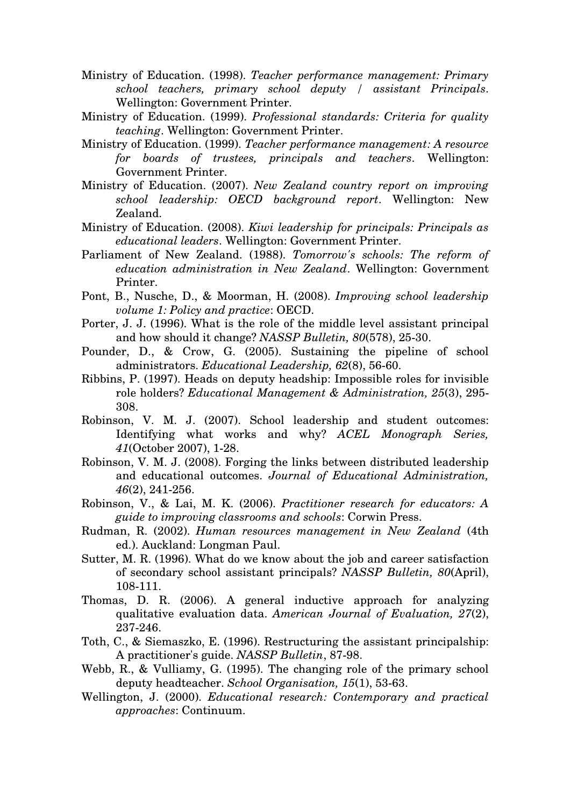- Ministry of Education. (1998). *Teacher performance management: Primary school teachers, primary school deputy / assistant Principals*. Wellington: Government Printer.
- Ministry of Education. (1999). *Professional standards: Criteria for quality teaching*. Wellington: Government Printer.
- Ministry of Education. (1999). *Teacher performance management: A resource for boards of trustees, principals and teachers*. Wellington: Government Printer.
- Ministry of Education. (2007). *New Zealand country report on improving school leadership: OECD background report*. Wellington: New Zealand.
- Ministry of Education. (2008). *Kiwi leadership for principals: Principals as educational leaders*. Wellington: Government Printer.
- Parliament of New Zealand. (1988). *Tomorrow's schools: The reform of education administration in New Zealand*. Wellington: Government Printer.
- Pont, B., Nusche, D., & Moorman, H. (2008). *Improving school leadership volume 1: Policy and practice*: OECD.
- Porter, J. J. (1996). What is the role of the middle level assistant principal and how should it change? *NASSP Bulletin, 80*(578), 25-30.
- Pounder, D., & Crow, G. (2005). Sustaining the pipeline of school administrators. *Educational Leadership, 62*(8), 56-60.
- Ribbins, P. (1997). Heads on deputy headship: Impossible roles for invisible role holders? *Educational Management & Administration, 25*(3), 295- 308.
- Robinson, V. M. J. (2007). School leadership and student outcomes: Identifying what works and why? *ACEL Monograph Series, 41*(October 2007), 1-28.
- Robinson, V. M. J. (2008). Forging the links between distributed leadership and educational outcomes. *Journal of Educational Administration, 46*(2), 241-256.
- Robinson, V., & Lai, M. K. (2006). *Practitioner research for educators: A guide to improving classrooms and schools*: Corwin Press.
- Rudman, R. (2002). *Human resources management in New Zealand* (4th ed.). Auckland: Longman Paul.
- Sutter, M. R. (1996). What do we know about the job and career satisfaction of secondary school assistant principals? *NASSP Bulletin, 80*(April), 108-111.
- Thomas, D. R. (2006). A general inductive approach for analyzing qualitative evaluation data. *American Journal of Evaluation, 27*(2), 237-246.
- Toth, C., & Siemaszko, E. (1996). Restructuring the assistant principalship: A practitioner's guide. *NASSP Bulletin*, 87-98.
- Webb, R., & Vulliamy, G. (1995). The changing role of the primary school deputy headteacher. *School Organisation, 15*(1), 53-63.
- Wellington, J. (2000). *Educational research: Contemporary and practical approaches*: Continuum.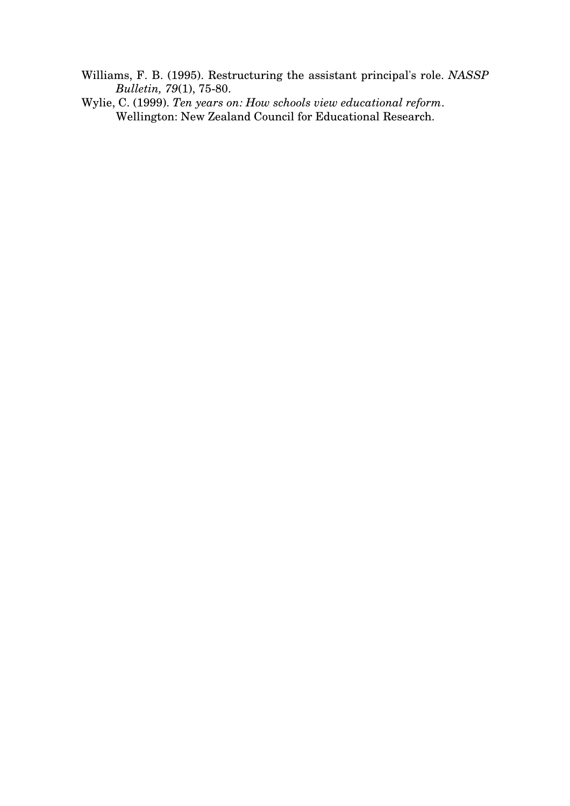- Williams, F. B. (1995). Restructuring the assistant principal's role. *NASSP Bulletin, 79*(1), 75-80.
- Wylie, C. (1999). *Ten years on: How schools view educational reform*. Wellington: New Zealand Council for Educational Research.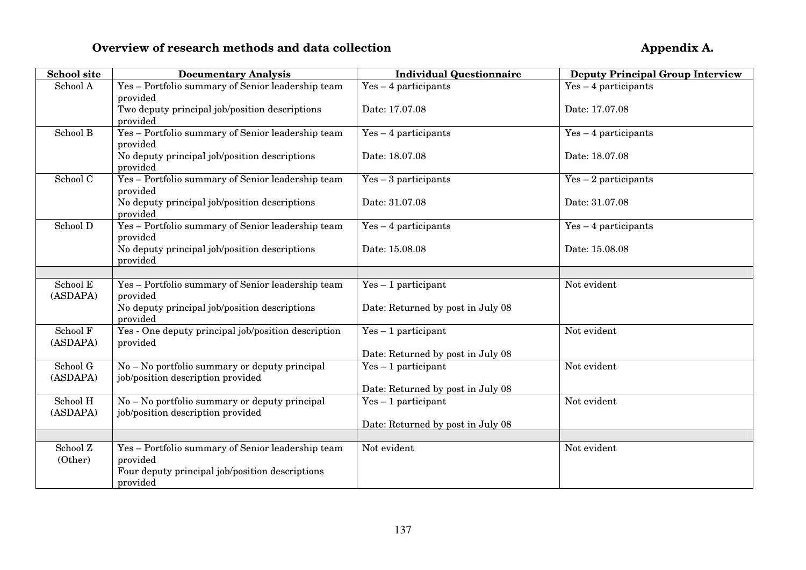## **Overview of research methods and data collection**

| <b>School site</b>   | <b>Documentary Analysis</b>                                                                                      | <b>Individual Questionnaire</b>   | <b>Deputy Principal Group Interview</b> |
|----------------------|------------------------------------------------------------------------------------------------------------------|-----------------------------------|-----------------------------------------|
| School A             | Yes - Portfolio summary of Senior leadership team<br>provided                                                    | $Yes-4$ participants              | $Yes-4$ participants                    |
|                      | Two deputy principal job/position descriptions<br>provided                                                       | Date: 17.07.08                    | Date: 17.07.08                          |
| School B             | Yes - Portfolio summary of Senior leadership team<br>provided                                                    | $Yes-4$ participants              | $Yes-4$ participants                    |
|                      | No deputy principal job/position descriptions<br>provided                                                        | Date: 18.07.08                    | Date: 18.07.08                          |
| School C             | Yes - Portfolio summary of Senior leadership team<br>provided                                                    | $Yes-3$ participants              | $Yes-2$ participants                    |
|                      | No deputy principal job/position descriptions<br>provided                                                        | Date: 31.07.08                    | Date: 31.07.08                          |
| School D             | Yes - Portfolio summary of Senior leadership team<br>provided                                                    | $Yes-4$ participants              | $Yes-4$ participants                    |
|                      | No deputy principal job/position descriptions<br>provided                                                        | Date: 15.08.08                    | Date: 15.08.08                          |
|                      |                                                                                                                  |                                   |                                         |
| School E<br>(ASDAPA) | Yes - Portfolio summary of Senior leadership team<br>provided                                                    | $Yes-1$ participant               | Not evident                             |
|                      | No deputy principal job/position descriptions<br>provided                                                        | Date: Returned by post in July 08 |                                         |
| School F<br>(ASDAPA) | Yes - One deputy principal job/position description<br>provided                                                  | $Yes - 1$ participant             | Not evident                             |
|                      |                                                                                                                  | Date: Returned by post in July 08 |                                         |
| School G<br>(ASDAPA) | $No - No$ portfolio summary or deputy principal<br>job/position description provided                             | $Yes - 1$ participant             | Not evident                             |
|                      |                                                                                                                  | Date: Returned by post in July 08 |                                         |
| School H<br>(ASDAPA) | No - No portfolio summary or deputy principal<br>job/position description provided                               | $Yes - 1$ participant             | Not evident                             |
|                      |                                                                                                                  | Date: Returned by post in July 08 |                                         |
|                      |                                                                                                                  |                                   |                                         |
| School Z<br>(Other)  | Yes - Portfolio summary of Senior leadership team<br>provided<br>Four deputy principal job/position descriptions | Not evident                       | Not evident                             |
|                      | provided                                                                                                         |                                   |                                         |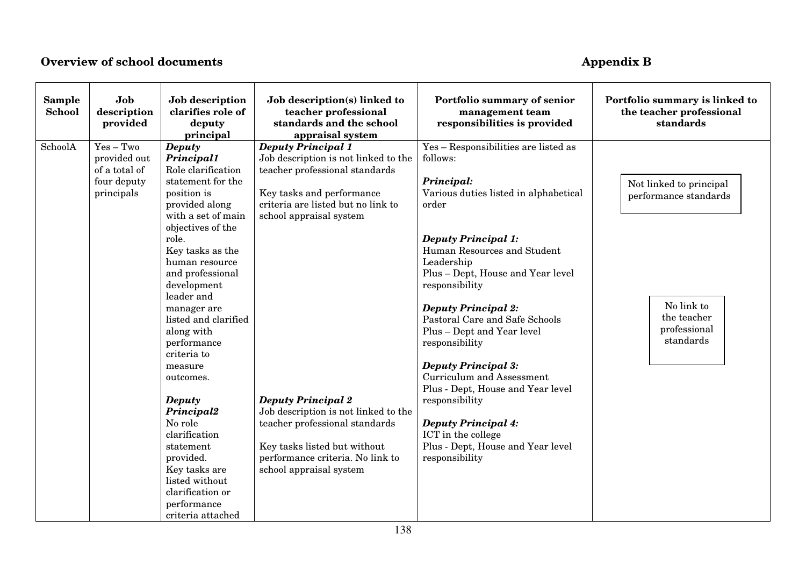### **Overview of school documents**

# **Appendix B**

| Sample<br>School | Job<br>description<br>provided                                            | Job description<br>clarifies role of<br>deputy<br>principal                                                                                                                                                                                                                                                                                                                                                                                                                                                      | Job description(s) linked to<br>teacher professional<br>standards and the school<br>appraisal system                                                                                                                                                                                                                                                                                                    | Portfolio summary of senior<br>management team<br>responsibilities is provided                                                                                                                                                                                                                                                                                                                                                                                                                                                                                                                  | Portfolio summary is linked to<br>the teacher professional<br>standards                                    |
|------------------|---------------------------------------------------------------------------|------------------------------------------------------------------------------------------------------------------------------------------------------------------------------------------------------------------------------------------------------------------------------------------------------------------------------------------------------------------------------------------------------------------------------------------------------------------------------------------------------------------|---------------------------------------------------------------------------------------------------------------------------------------------------------------------------------------------------------------------------------------------------------------------------------------------------------------------------------------------------------------------------------------------------------|-------------------------------------------------------------------------------------------------------------------------------------------------------------------------------------------------------------------------------------------------------------------------------------------------------------------------------------------------------------------------------------------------------------------------------------------------------------------------------------------------------------------------------------------------------------------------------------------------|------------------------------------------------------------------------------------------------------------|
| SchoolA          | $Yes - Two$<br>provided out<br>of a total of<br>four deputy<br>principals | <b>Deputy</b><br><b>Principal1</b><br>Role clarification<br>statement for the<br>position is<br>provided along<br>with a set of main<br>objectives of the<br>role.<br>Key tasks as the<br>human resource<br>and professional<br>development<br>leader and<br>manager are<br>listed and clarified<br>along with<br>performance<br>criteria to<br>measure<br>outcomes.<br><b>Deputy</b><br>Principal2<br>No role<br>clarification<br>statement<br>provided.<br>Key tasks are<br>listed without<br>clarification or | <b>Deputy Principal 1</b><br>Job description is not linked to the<br>teacher professional standards<br>Key tasks and performance<br>criteria are listed but no link to<br>school appraisal system<br><b>Deputy Principal 2</b><br>Job description is not linked to the<br>teacher professional standards<br>Key tasks listed but without<br>performance criteria. No link to<br>school appraisal system | Yes - Responsibilities are listed as<br>follows:<br>Principal:<br>Various duties listed in alphabetical<br>order<br><b>Deputy Principal 1:</b><br>Human Resources and Student<br>Leadership<br>Plus - Dept, House and Year level<br>responsibility<br><b>Deputy Principal 2:</b><br>Pastoral Care and Safe Schools<br>Plus - Dept and Year level<br>responsibility<br><b>Deputy Principal 3:</b><br>Curriculum and Assessment<br>Plus - Dept, House and Year level<br>responsibility<br><b>Deputy Principal 4:</b><br>ICT in the college<br>Plus - Dept, House and Year level<br>responsibility | Not linked to principal<br>performance standards<br>No link to<br>the teacher<br>professional<br>standards |
|                  |                                                                           | performance<br>criteria attached                                                                                                                                                                                                                                                                                                                                                                                                                                                                                 |                                                                                                                                                                                                                                                                                                                                                                                                         |                                                                                                                                                                                                                                                                                                                                                                                                                                                                                                                                                                                                 |                                                                                                            |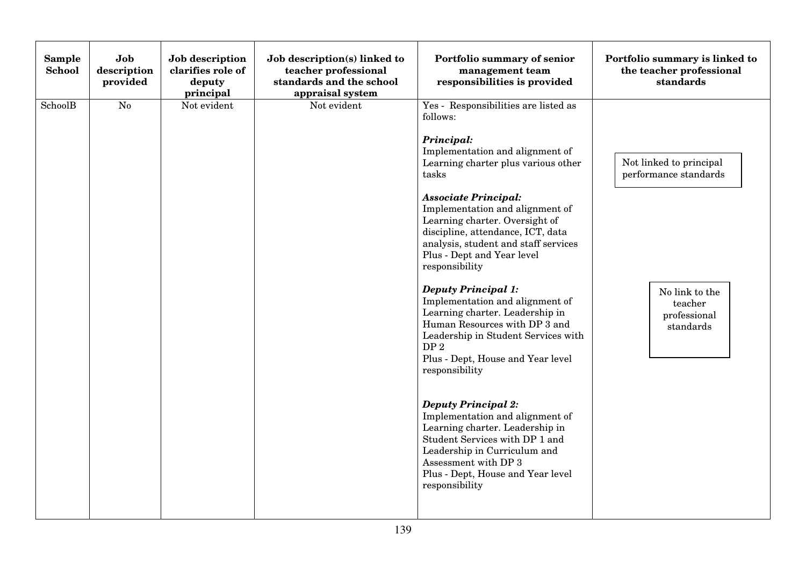| Sample<br>School | Job<br>description<br>provided | Job description<br>clarifies role of<br>deputy<br>principal | Job description(s) linked to<br>teacher professional<br>standards and the school<br>appraisal system | Portfolio summary of senior<br>management team<br>responsibilities is provided                                                                                                                                                                                                                                                                                                                                                                                                                                                                                                                                                                                                                                                                                                                                                                                                                | Portfolio summary is linked to<br>the teacher professional<br>standards                                    |
|------------------|--------------------------------|-------------------------------------------------------------|------------------------------------------------------------------------------------------------------|-----------------------------------------------------------------------------------------------------------------------------------------------------------------------------------------------------------------------------------------------------------------------------------------------------------------------------------------------------------------------------------------------------------------------------------------------------------------------------------------------------------------------------------------------------------------------------------------------------------------------------------------------------------------------------------------------------------------------------------------------------------------------------------------------------------------------------------------------------------------------------------------------|------------------------------------------------------------------------------------------------------------|
| SchoolB          | No                             | Not evident                                                 | Not evident                                                                                          | Yes - Responsibilities are listed as<br>follows:<br>Principal:<br>Implementation and alignment of<br>Learning charter plus various other<br>tasks<br><b>Associate Principal:</b><br>Implementation and alignment of<br>Learning charter. Oversight of<br>discipline, attendance, ICT, data<br>analysis, student and staff services<br>Plus - Dept and Year level<br>responsibility<br><b>Deputy Principal 1:</b><br>Implementation and alignment of<br>Learning charter. Leadership in<br>Human Resources with DP 3 and<br>Leadership in Student Services with<br>DP <sub>2</sub><br>Plus - Dept, House and Year level<br>responsibility<br><b>Deputy Principal 2:</b><br>Implementation and alignment of<br>Learning charter. Leadership in<br>Student Services with DP 1 and<br>Leadership in Curriculum and<br>Assessment with DP 3<br>Plus - Dept, House and Year level<br>responsibility | Not linked to principal<br>performance standards<br>No link to the<br>teacher<br>professional<br>standards |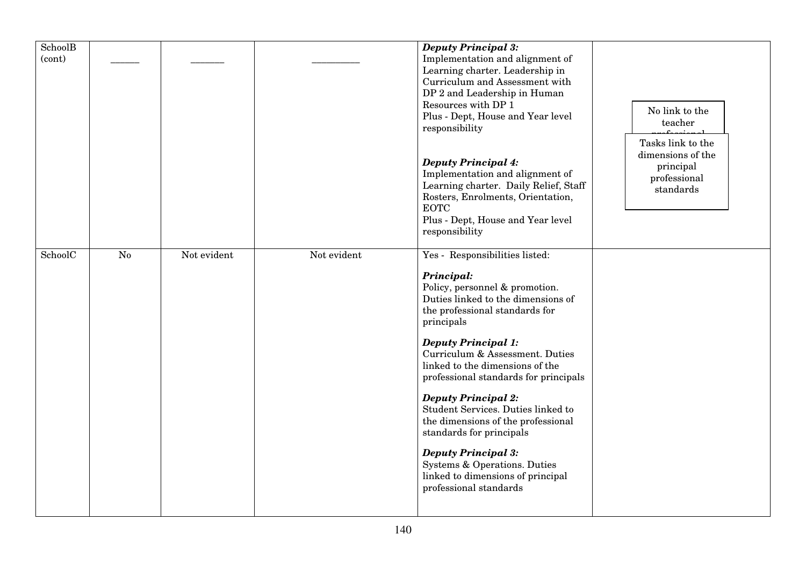| SchoolB |                |             |             | <b>Deputy Principal 3:</b>            |                   |
|---------|----------------|-------------|-------------|---------------------------------------|-------------------|
| (cont)  |                |             |             | Implementation and alignment of       |                   |
|         |                |             |             | Learning charter. Leadership in       |                   |
|         |                |             |             | Curriculum and Assessment with        |                   |
|         |                |             |             | DP 2 and Leadership in Human          |                   |
|         |                |             |             | Resources with DP 1                   |                   |
|         |                |             |             | Plus - Dept, House and Year level     | No link to the    |
|         |                |             |             | responsibility                        | teacher           |
|         |                |             |             |                                       | Tasks link to the |
|         |                |             |             |                                       | dimensions of the |
|         |                |             |             | <b>Deputy Principal 4:</b>            | principal         |
|         |                |             |             | Implementation and alignment of       | professional      |
|         |                |             |             | Learning charter. Daily Relief, Staff | standards         |
|         |                |             |             | Rosters, Enrolments, Orientation,     |                   |
|         |                |             |             | <b>EOTC</b>                           |                   |
|         |                |             |             | Plus - Dept, House and Year level     |                   |
|         |                |             |             | responsibility                        |                   |
|         |                |             |             |                                       |                   |
| SchoolC | N <sub>0</sub> | Not evident | Not evident | Yes - Responsibilities listed:        |                   |
|         |                |             |             | Principal:                            |                   |
|         |                |             |             | Policy, personnel & promotion.        |                   |
|         |                |             |             | Duties linked to the dimensions of    |                   |
|         |                |             |             | the professional standards for        |                   |
|         |                |             |             | principals                            |                   |
|         |                |             |             |                                       |                   |
|         |                |             |             | <b>Deputy Principal 1:</b>            |                   |
|         |                |             |             | Curriculum & Assessment. Duties       |                   |
|         |                |             |             | linked to the dimensions of the       |                   |
|         |                |             |             | professional standards for principals |                   |
|         |                |             |             |                                       |                   |
|         |                |             |             | <b>Deputy Principal 2:</b>            |                   |
|         |                |             |             | Student Services. Duties linked to    |                   |
|         |                |             |             | the dimensions of the professional    |                   |
|         |                |             |             | standards for principals              |                   |
|         |                |             |             | <b>Deputy Principal 3:</b>            |                   |
|         |                |             |             | Systems & Operations. Duties          |                   |
|         |                |             |             | linked to dimensions of principal     |                   |
|         |                |             |             | professional standards                |                   |
|         |                |             |             |                                       |                   |
|         |                |             |             |                                       |                   |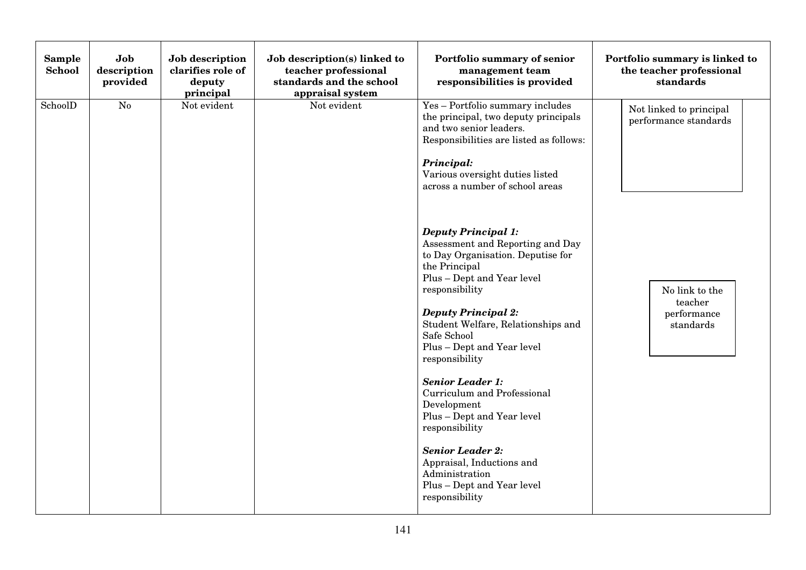| Sample<br><b>School</b> | Job<br>description<br>provided | Job description<br>clarifies role of<br>deputy<br>principal | Job description(s) linked to<br>teacher professional<br>standards and the school<br>appraisal system | Portfolio summary of senior<br>management team<br>responsibilities is provided                                                                                                                                                                                                                                                                                                                                                                                                                  | Portfolio summary is linked to<br>the teacher professional<br>standards |
|-------------------------|--------------------------------|-------------------------------------------------------------|------------------------------------------------------------------------------------------------------|-------------------------------------------------------------------------------------------------------------------------------------------------------------------------------------------------------------------------------------------------------------------------------------------------------------------------------------------------------------------------------------------------------------------------------------------------------------------------------------------------|-------------------------------------------------------------------------|
| SchoolD                 | N <sub>o</sub>                 | Not evident                                                 | Not evident                                                                                          | Yes - Portfolio summary includes<br>the principal, two deputy principals<br>and two senior leaders.<br>Responsibilities are listed as follows:<br>Principal:<br>Various oversight duties listed<br>across a number of school areas<br><b>Deputy Principal 1:</b><br>Assessment and Reporting and Day                                                                                                                                                                                            | Not linked to principal<br>performance standards                        |
|                         |                                |                                                             |                                                                                                      | to Day Organisation. Deputise for<br>the Principal<br>Plus - Dept and Year level<br>responsibility<br><b>Deputy Principal 2:</b><br>Student Welfare, Relationships and<br>Safe School<br>Plus - Dept and Year level<br>responsibility<br><b>Senior Leader 1:</b><br><b>Curriculum and Professional</b><br>Development<br>Plus - Dept and Year level<br>responsibility<br><b>Senior Leader 2:</b><br>Appraisal, Inductions and<br>Administration<br>Plus - Dept and Year level<br>responsibility | No link to the<br>teacher<br>performance<br>standards                   |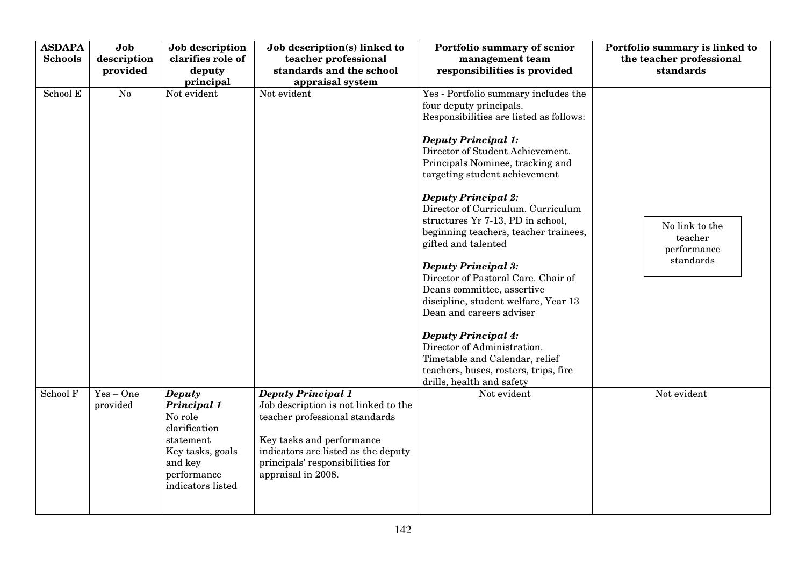| <b>ASDAPA</b><br><b>Schools</b> | Job<br>description<br>provided | Job description<br>clarifies role of<br>deputy<br>principal                                                                              | Job description(s) linked to<br>teacher professional<br>standards and the school<br>appraisal system                                                                                                                              | Portfolio summary of senior<br>management team<br>responsibilities is provided                                                                                                                                                                                                                                                                                                                                                                                                                                                                                                                                                                                                                                                                                         | Portfolio summary is linked to<br>the teacher professional<br>standards |
|---------------------------------|--------------------------------|------------------------------------------------------------------------------------------------------------------------------------------|-----------------------------------------------------------------------------------------------------------------------------------------------------------------------------------------------------------------------------------|------------------------------------------------------------------------------------------------------------------------------------------------------------------------------------------------------------------------------------------------------------------------------------------------------------------------------------------------------------------------------------------------------------------------------------------------------------------------------------------------------------------------------------------------------------------------------------------------------------------------------------------------------------------------------------------------------------------------------------------------------------------------|-------------------------------------------------------------------------|
| School E                        | $\overline{No}$                | Not evident                                                                                                                              | Not evident                                                                                                                                                                                                                       | Yes - Portfolio summary includes the<br>four deputy principals.<br>Responsibilities are listed as follows:<br><b>Deputy Principal 1:</b><br>Director of Student Achievement.<br>Principals Nominee, tracking and<br>targeting student achievement<br><b>Deputy Principal 2:</b><br>Director of Curriculum. Curriculum<br>structures Yr 7-13, PD in school,<br>beginning teachers, teacher trainees,<br>gifted and talented<br><b>Deputy Principal 3:</b><br>Director of Pastoral Care. Chair of<br>Deans committee, assertive<br>discipline, student welfare, Year 13<br>Dean and careers adviser<br><b>Deputy Principal 4:</b><br>Director of Administration.<br>Timetable and Calendar, relief<br>teachers, buses, rosters, trips, fire<br>drills, health and safety | No link to the<br>teacher<br>performance<br>standards                   |
| School F                        | $Yes - One$<br>provided        | <b>Deputy</b><br>Principal 1<br>No role<br>clarification<br>statement<br>Key tasks, goals<br>and key<br>performance<br>indicators listed | <b>Deputy Principal 1</b><br>Job description is not linked to the<br>teacher professional standards<br>Key tasks and performance<br>indicators are listed as the deputy<br>principals' responsibilities for<br>appraisal in 2008. | Not evident                                                                                                                                                                                                                                                                                                                                                                                                                                                                                                                                                                                                                                                                                                                                                            | Not evident                                                             |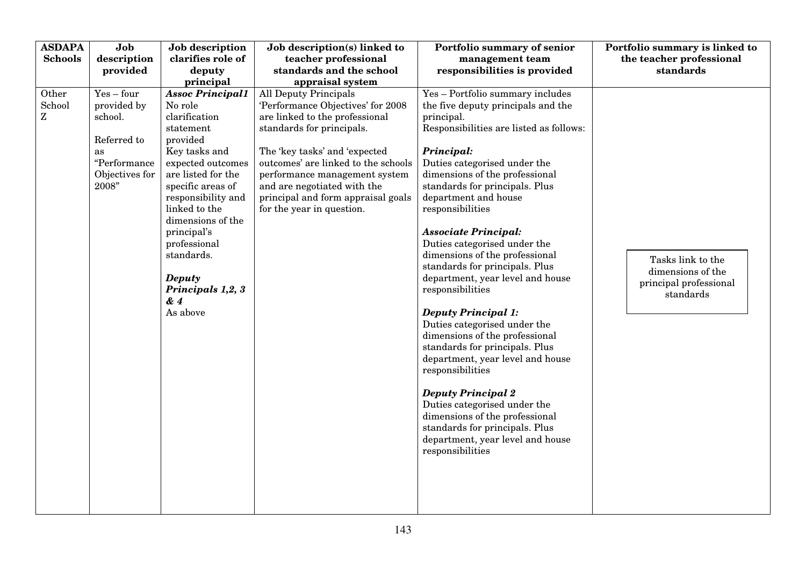| <b>ASDAPA</b><br><b>Schools</b>    | Job<br>description                                                                               | Job description<br>clarifies role of                                                                                                                                                                                                                                                                                               | Job description(s) linked to<br>teacher professional                                                                                                                                                                                                                                                                                        | Portfolio summary of senior<br>management team                                                                                                                                                                                                                                                                                                                                                                                                                                                                                                                                                                                                                                                                                                                                                                                                                              | Portfolio summary is linked to<br>the teacher professional                    |
|------------------------------------|--------------------------------------------------------------------------------------------------|------------------------------------------------------------------------------------------------------------------------------------------------------------------------------------------------------------------------------------------------------------------------------------------------------------------------------------|---------------------------------------------------------------------------------------------------------------------------------------------------------------------------------------------------------------------------------------------------------------------------------------------------------------------------------------------|-----------------------------------------------------------------------------------------------------------------------------------------------------------------------------------------------------------------------------------------------------------------------------------------------------------------------------------------------------------------------------------------------------------------------------------------------------------------------------------------------------------------------------------------------------------------------------------------------------------------------------------------------------------------------------------------------------------------------------------------------------------------------------------------------------------------------------------------------------------------------------|-------------------------------------------------------------------------------|
|                                    | provided                                                                                         | deputy<br>principal                                                                                                                                                                                                                                                                                                                | standards and the school<br>appraisal system                                                                                                                                                                                                                                                                                                | responsibilities is provided                                                                                                                                                                                                                                                                                                                                                                                                                                                                                                                                                                                                                                                                                                                                                                                                                                                | standards                                                                     |
| Other<br>School<br>${\bf Z}$<br>as | $Yes - four$<br>provided by<br>school.<br>Referred to<br>"Performance<br>Objectives for<br>2008" | <b>Assoc Principal1</b><br>No role<br>clarification<br>statement<br>provided<br>Key tasks and<br>expected outcomes<br>are listed for the<br>specific areas of<br>responsibility and<br>linked to the<br>dimensions of the<br>principal's<br>professional<br>standards.<br><b>Deputy</b><br>Principals 1,2, 3<br>$\& 4$<br>As above | <b>All Deputy Principals</b><br>'Performance Objectives' for 2008<br>are linked to the professional<br>standards for principals.<br>The 'key tasks' and 'expected<br>outcomes' are linked to the schools<br>performance management system<br>and are negotiated with the<br>principal and form appraisal goals<br>for the year in question. | Yes - Portfolio summary includes<br>the five deputy principals and the<br>principal.<br>Responsibilities are listed as follows:<br>Principal:<br>Duties categorised under the<br>dimensions of the professional<br>standards for principals. Plus<br>department and house<br>responsibilities<br><b>Associate Principal:</b><br>Duties categorised under the<br>dimensions of the professional<br>standards for principals. Plus<br>department, year level and house<br>responsibilities<br><b>Deputy Principal 1:</b><br>Duties categorised under the<br>dimensions of the professional<br>standards for principals. Plus<br>department, year level and house<br>responsibilities<br><b>Deputy Principal 2</b><br>Duties categorised under the<br>dimensions of the professional<br>standards for principals. Plus<br>department, year level and house<br>responsibilities | Tasks link to the<br>dimensions of the<br>principal professional<br>standards |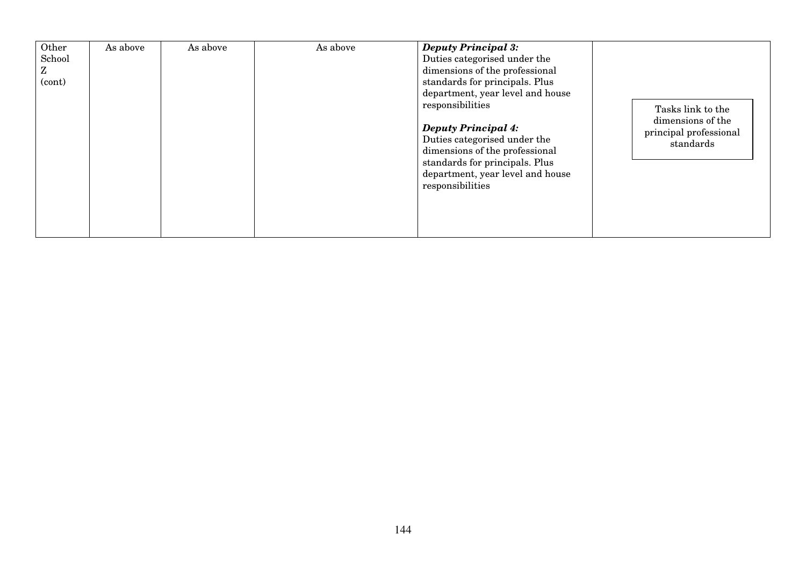| Other<br>School<br>Z<br>(cont) | As above | As above | As above | <b>Deputy Principal 3:</b><br>Duties categorised under the<br>dimensions of the professional<br>standards for principals. Plus<br>department, year level and house<br>responsibilities<br><b>Deputy Principal 4:</b><br>Duties categorised under the<br>dimensions of the professional<br>standards for principals. Plus<br>department, year level and house<br>responsibilities | Tasks link to the<br>dimensions of the<br>principal professional<br>standards |
|--------------------------------|----------|----------|----------|----------------------------------------------------------------------------------------------------------------------------------------------------------------------------------------------------------------------------------------------------------------------------------------------------------------------------------------------------------------------------------|-------------------------------------------------------------------------------|
|--------------------------------|----------|----------|----------|----------------------------------------------------------------------------------------------------------------------------------------------------------------------------------------------------------------------------------------------------------------------------------------------------------------------------------------------------------------------------------|-------------------------------------------------------------------------------|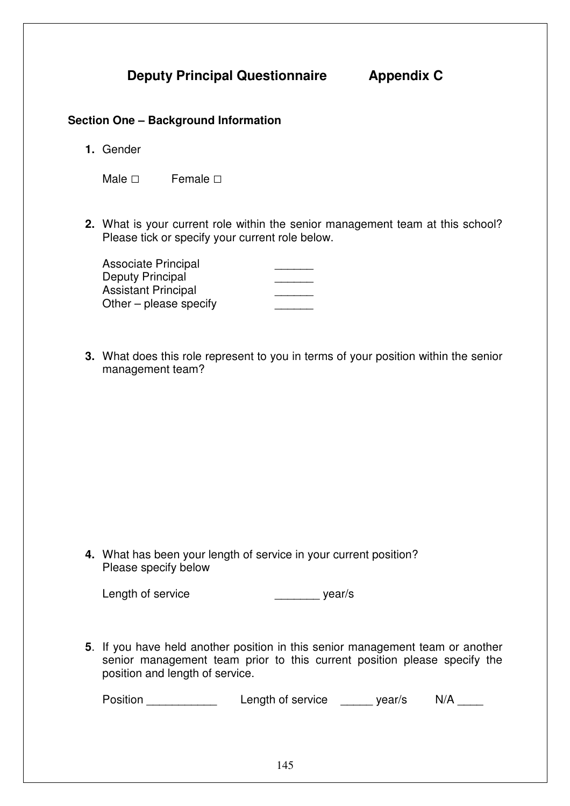**Deputy Principal Questionnaire Appendix C** 

#### **Section One – Background Information**

**1.** Gender

| Male $\square$ | Female $\square$ |
|----------------|------------------|

**2.** What is your current role within the senior management team at this school? Please tick or specify your current role below.

| <b>Associate Principal</b> |  |
|----------------------------|--|
| Deputy Principal           |  |
| <b>Assistant Principal</b> |  |
| Other $-$ please specify   |  |

**3.** What does this role represent to you in terms of your position within the senior management team?

**4.** What has been your length of service in your current position? Please specify below

Length of service \_\_\_\_\_\_\_\_\_\_\_\_\_\_\_\_\_\_\_\_\_\_\_\_\_\_ year/s

**5**. If you have held another position in this senior management team or another senior management team prior to this current position please specify the position and length of service.

Position **Example 2** Length of service wear/s N/A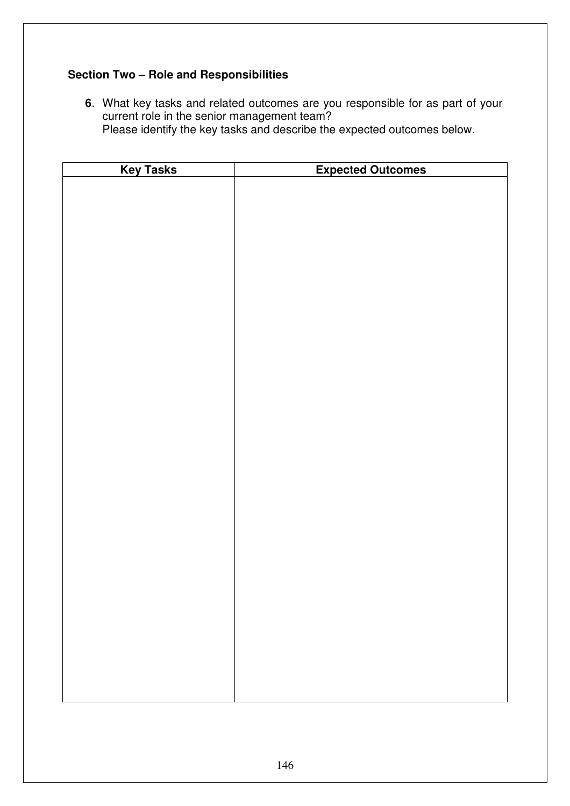#### **Section Two – Role and Responsibilities**

**6**. What key tasks and related outcomes are you responsible for as part of your current role in the senior management team? Please identify the key tasks and describe the expected outcomes below.

| <b>Key Tasks</b> | <b>Expected Outcomes</b> |
|------------------|--------------------------|
|                  |                          |
|                  |                          |
|                  |                          |
|                  |                          |
|                  |                          |
|                  |                          |
|                  |                          |
|                  |                          |
|                  |                          |
|                  |                          |
|                  |                          |
|                  |                          |
|                  |                          |
|                  |                          |
|                  |                          |
|                  |                          |
|                  |                          |
|                  |                          |
|                  |                          |
|                  |                          |
|                  |                          |
|                  |                          |
|                  |                          |
|                  |                          |
|                  |                          |
|                  |                          |
|                  |                          |
|                  |                          |
|                  |                          |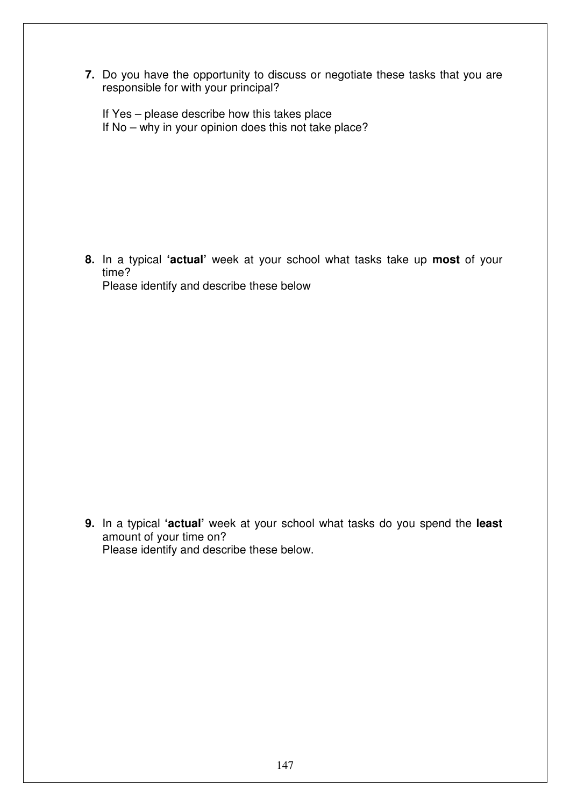**7.** Do you have the opportunity to discuss or negotiate these tasks that you are responsible for with your principal?

If Yes – please describe how this takes place If No – why in your opinion does this not take place?

**8.** In a typical **'actual'** week at your school what tasks take up **most** of your time? Please identify and describe these below

**9.** In a typical **'actual'** week at your school what tasks do you spend the **least** amount of your time on? Please identify and describe these below.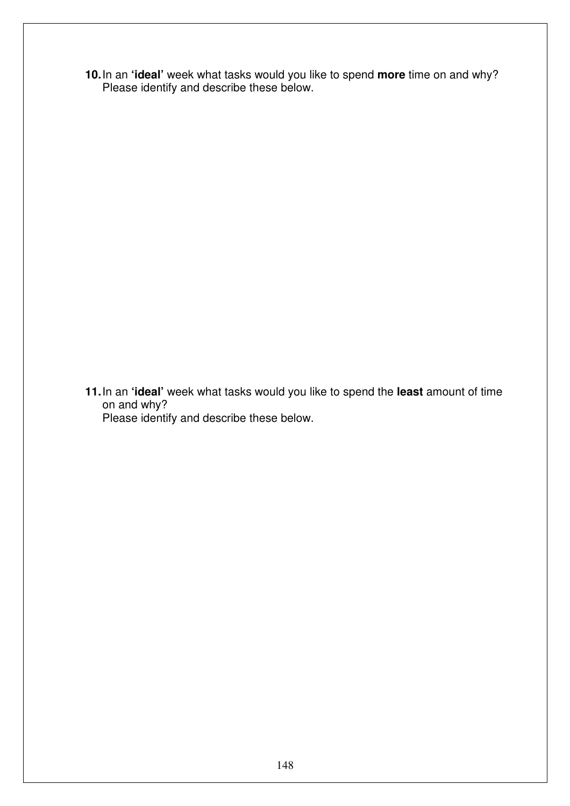**10.** In an **'ideal'** week what tasks would you like to spend **more** time on and why? Please identify and describe these below.

**11.** In an **'ideal'** week what tasks would you like to spend the **least** amount of time on and why? Please identify and describe these below.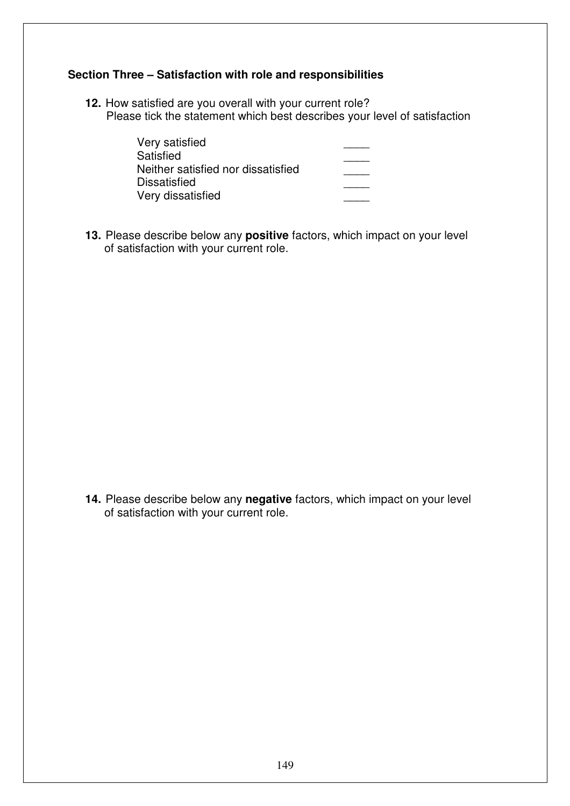#### **Section Three – Satisfaction with role and responsibilities**

**12.** How satisfied are you overall with your current role? Please tick the statement which best describes your level of satisfaction

| Very satisfied                     |  |
|------------------------------------|--|
| Satisfied                          |  |
| Neither satisfied nor dissatisfied |  |
| <b>Dissatisfied</b>                |  |
| Very dissatisfied                  |  |
|                                    |  |

**13.** Please describe below any **positive** factors, which impact on your level of satisfaction with your current role.

**14.** Please describe below any **negative** factors, which impact on your level of satisfaction with your current role.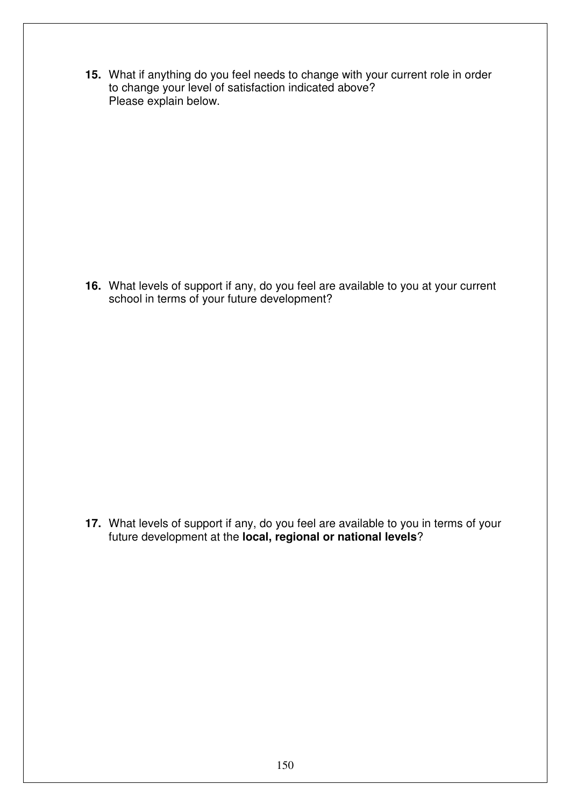**15.** What if anything do you feel needs to change with your current role in order to change your level of satisfaction indicated above? Please explain below.

**16.** What levels of support if any, do you feel are available to you at your current school in terms of your future development?

**17.** What levels of support if any, do you feel are available to you in terms of your future development at the **local, regional or national levels**?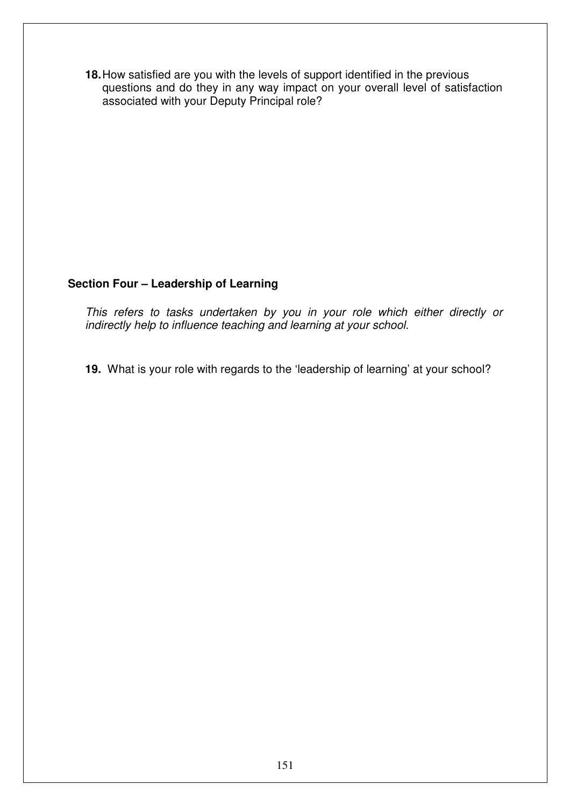**18.** How satisfied are you with the levels of support identified in the previous questions and do they in any way impact on your overall level of satisfaction associated with your Deputy Principal role?

#### **Section Four – Leadership of Learning**

This refers to tasks undertaken by you in your role which either directly or indirectly help to influence teaching and learning at your school.

**19.** What is your role with regards to the 'leadership of learning' at your school?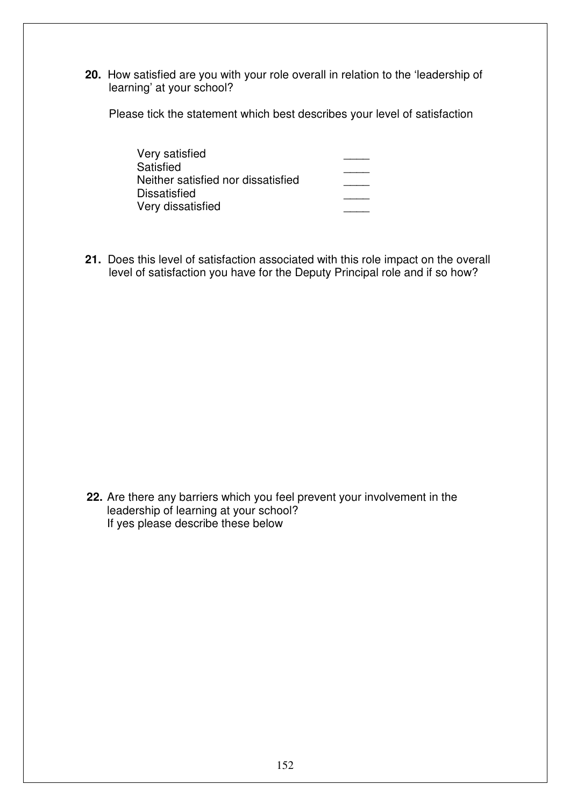**20.** How satisfied are you with your role overall in relation to the 'leadership of learning' at your school?

Please tick the statement which best describes your level of satisfaction

| Very satisfied                     |  |
|------------------------------------|--|
| Satisfied                          |  |
| Neither satisfied nor dissatisfied |  |
| <b>Dissatisfied</b>                |  |
| Very dissatisfied                  |  |

**21.** Does this level of satisfaction associated with this role impact on the overall level of satisfaction you have for the Deputy Principal role and if so how?

**22.** Are there any barriers which you feel prevent your involvement in the leadership of learning at your school? If yes please describe these below